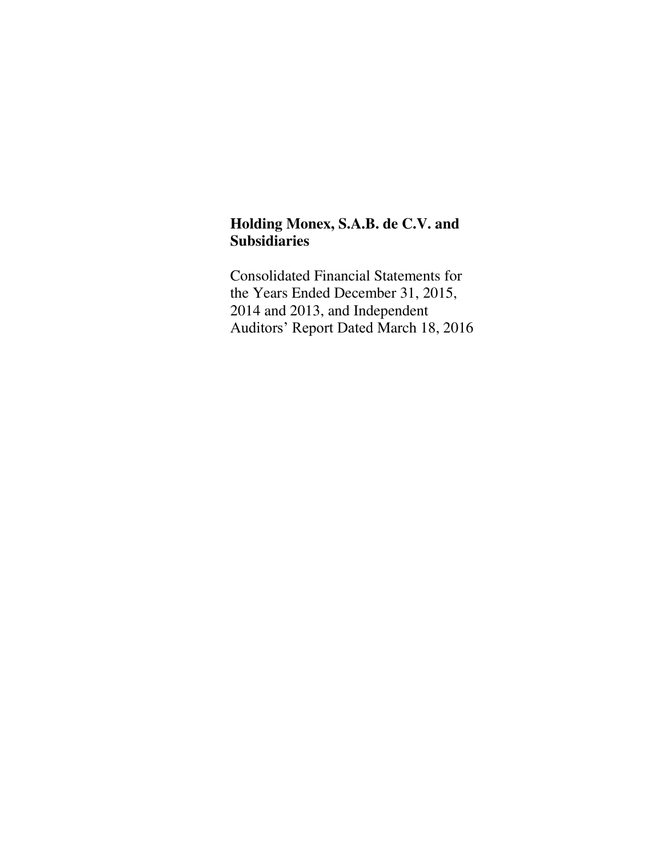### **Holding Monex, S.A.B. de C.V. and Subsidiaries**

Consolidated Financial Statements for the Years Ended December 31, 2015, 2014 and 2013, and Independent Auditors' Report Dated March 18, 2016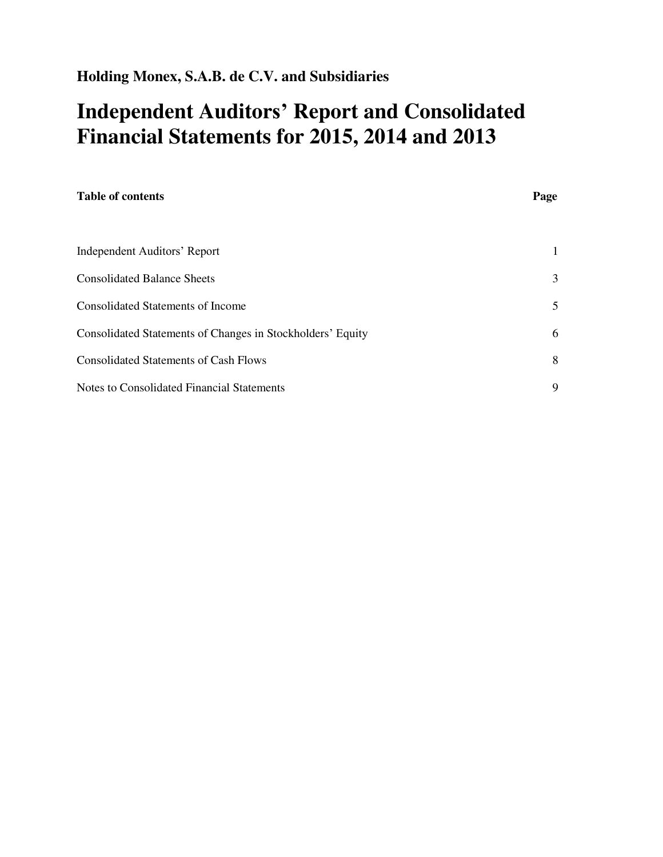# **Independent Auditors' Report and Consolidated Financial Statements for 2015, 2014 and 2013**

| <b>Table of contents</b>                                   | Page |
|------------------------------------------------------------|------|
|                                                            |      |
| Independent Auditors' Report                               | 1    |
| <b>Consolidated Balance Sheets</b>                         | 3    |
| <b>Consolidated Statements of Income</b>                   | 5    |
| Consolidated Statements of Changes in Stockholders' Equity | 6    |
| <b>Consolidated Statements of Cash Flows</b>               | 8    |
| Notes to Consolidated Financial Statements                 | 9    |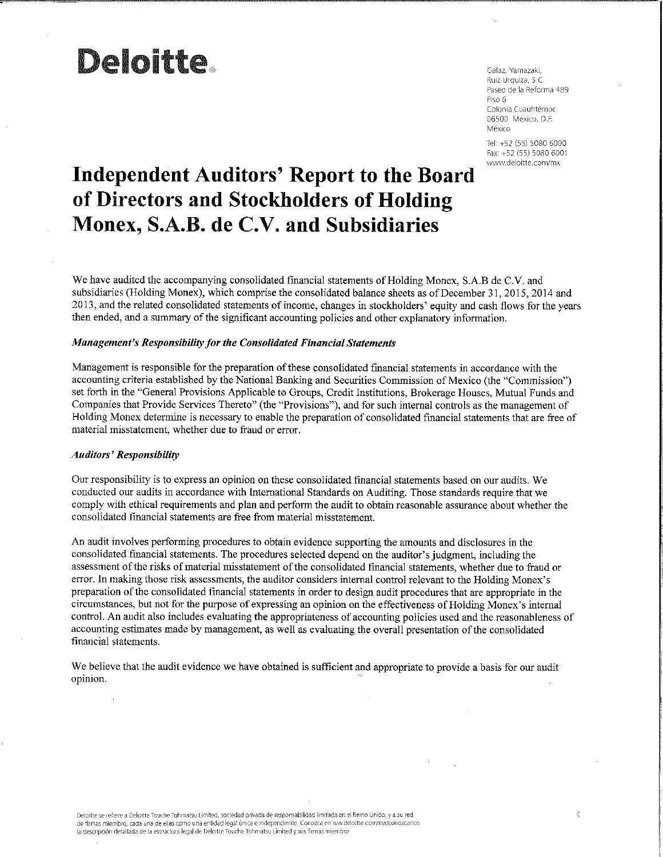# **Deloitte.**

Galaz, Yamazaki, Ruiz Urquiza, S.C. Paseo de la Reforma 489 Piso 6 Colonia Cuauhtémoc 06500 México, D.F. México

Tel: +52 (55) 5080 6000 Fax: +52 (55) 5080 6001 www.deloitte.com/mx

# **Independent Auditors' Report to the Board** of Directors and Stockholders of Holding Monex, S.A.B. de C.V. and Subsidiaries

We have audited the accompanying consolidated financial statements of Holding Monex, S.A.B de C.V. and subsidiaries (Holding Monex), which comprise the consolidated balance sheets as of December 31, 2015, 2014 and 2013, and the related consolidated statements of income, changes in stockholders' equity and cash flows for the years then ended, and a summary of the significant accounting policies and other explanatory information.

#### Management's Responsibility for the Consolidated Financial Statements

Management is responsible for the preparation of these consolidated financial statements in accordance with the accounting criteria established by the National Banking and Securities Commission of Mexico (the "Commission") set forth in the "General Provisions Applicable to Groups, Credit Institutions, Brokerage Houses, Mutual Funds and Companies that Provide Services Thereto" (the "Provisions"), and for such internal controls as the management of Holding Monex determine is necessary to enable the preparation of consolidated financial statements that are free of material misstatement, whether due to fraud or error.

#### **Auditors' Responsibility**

Our responsibility is to express an opinion on these consolidated financial statements based on our audits. We conducted our audits in accordance with International Standards on Auditing. Those standards require that we comply with ethical requirements and plan and perform the audit to obtain reasonable assurance about whether the consolidated financial statements are free from material misstatement.

An audit involves performing procedures to obtain evidence supporting the amounts and disclosures in the consolidated financial statements. The procedures selected depend on the auditor's judgment, including the assessment of the risks of material misstatement of the consolidated financial statements, whether due to fraud or error. In making those risk assessments, the auditor considers internal control relevant to the Holding Monex's preparation of the consolidated financial statements in order to design audit procedures that are appropriate in the circumstances, but not for the purpose of expressing an opinion on the effectiveness of Holding Monex's internal control. An audit also includes evaluating the appropriateness of accounting policies used and the reasonableness of accounting estimates made by management, as well as evaluating the overall presentation of the consolidated financial statements.

We believe that the audit evidence we have obtained is sufficient and appropriate to provide a basis for our audit opinion.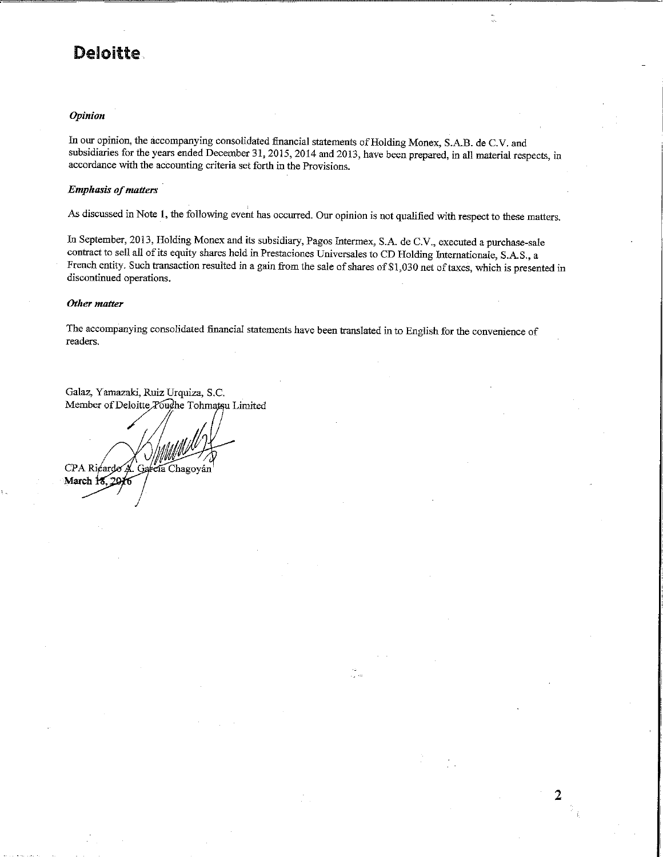### **Deloitte**

#### **Opinion**

In our opinion, the accompanying consolidated financial statements of Holding Monex, S.A.B. de C.V. and subsidiaries for the years ended December 31, 2015, 2014 and 2013, have been prepared, in all material respects, in accordance with the accounting criteria set forth in the Provisions.

#### **Emphasis of matters**

As discussed in Note 1, the following event has occurred. Our opinion is not qualified with respect to these matters.

In September, 2013, Holding Monex and its subsidiary, Pagos Intermex, S.A. de C.V., executed a purchase-sale contract to sell all of its equity shares held in Prestaciones Universales to CD Holding Internationale, S.A.S., a French entity. Such transaction resulted in a gain from the sale of shares of \$1,030 net of taxes, which is presented in discontinued operations.

is ka

2

#### Other matter

The accompanying consolidated financial statements have been translated in to English for the convenience of readers.

Galaz, Yamazaki, Ruiz Urquiza, S.C. Member of Deloitte Touche Tohmatsu Limited

CPA Ricardo A. García Chagoyán March 18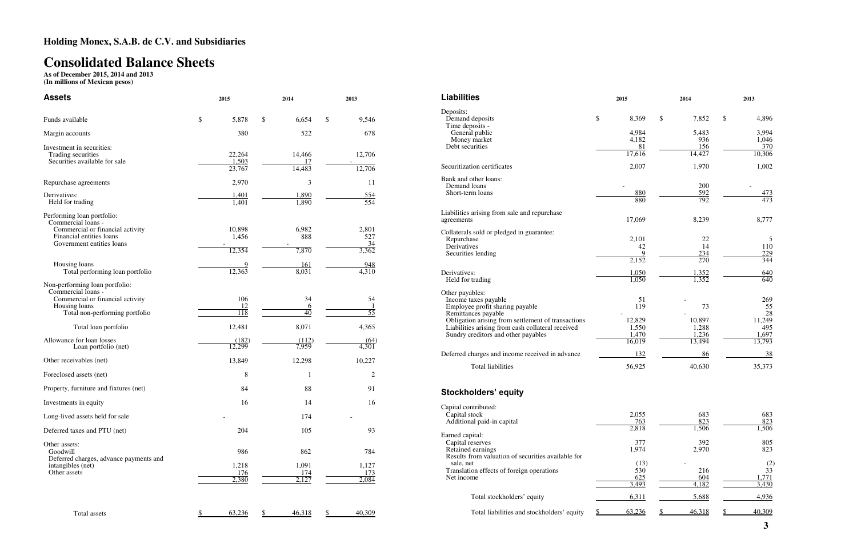# **Consolidated Balance Sheets**

**As of December 2015, 2014 and 2013 (In millions of Mexican pesos)** 

| <b>Assets</b>                                                                                                                                                       | 2015                                    | 2014                      | 2013                                         |  |  |
|---------------------------------------------------------------------------------------------------------------------------------------------------------------------|-----------------------------------------|---------------------------|----------------------------------------------|--|--|
| Funds available                                                                                                                                                     | \$<br>5,878                             | \$<br>6,654               | \$<br>9,546                                  |  |  |
| Margin accounts                                                                                                                                                     | 380                                     | 522                       | 678                                          |  |  |
| Investment in securities:<br>Trading securities<br>Securities available for sale                                                                                    | 22,264<br>1,503<br>23,767               | 14,466<br>17<br>14,483    | 12,706<br>$\overline{\phantom{a}}$<br>12,706 |  |  |
| Repurchase agreements                                                                                                                                               | 2,970                                   | 3                         | 11                                           |  |  |
| Derivatives:<br>Held for trading                                                                                                                                    | <u>1,401</u><br>1,401                   | $\frac{1,890}{1,890}$     | $\frac{554}{554}$                            |  |  |
| Performing loan portfolio:<br>Commercial loans -<br>Commercial or financial activity<br>Financial entities loans<br>Government entities loans                       | 10,898<br>1,456<br>12,354               | 6,982<br>888<br>7,870     | 2,801<br>527<br>34<br>3,362                  |  |  |
| Housing loans<br>Total performing loan portfolio                                                                                                                    | 9<br>12,363                             | 161<br>8,031              | 948<br>4,310                                 |  |  |
| Non-performing loan portfolio:<br>Commercial loans -<br>Commercial or financial activity<br>Housing loans<br>Total non-performing portfolio<br>Total loan portfolio | 106<br>12<br>$\overline{118}$<br>12,481 | 34<br>6<br>40<br>8,071    | 54<br>$\overline{55}$<br>4,365               |  |  |
| Allowance for loan losses<br>Loan portfolio (net)                                                                                                                   | (182)<br>12,299                         | (112)<br>7,959            | (64)<br>4,301                                |  |  |
| Other receivables (net)                                                                                                                                             | 13,849                                  | 12,298                    | 10,227                                       |  |  |
| Foreclosed assets (net)                                                                                                                                             | 8                                       | 1                         | 2                                            |  |  |
| Property, furniture and fixtures (net)                                                                                                                              | 84                                      | 88                        | 91                                           |  |  |
| Investments in equity                                                                                                                                               | 16                                      | 14                        | 16                                           |  |  |
| Long-lived assets held for sale                                                                                                                                     |                                         | 174                       |                                              |  |  |
| Deferred taxes and PTU (net)                                                                                                                                        | 204                                     | 105                       | 93                                           |  |  |
| Other assets:<br>Goodwill<br>Deferred charges, advance payments and<br>intangibles (net)<br>Other assets                                                            | 986<br>1,218<br>176<br>2,380            | 862<br>1,091<br>174<br>27 | 784<br>1,127<br>173<br>2.084                 |  |  |
| Total assets                                                                                                                                                        | $\frac{1}{2}$<br>63,236                 | 46,318<br>\$              | 40,309<br>\$                                 |  |  |

| <b>Liabilities</b>                                                                       | 2015              | 2014                  | 2013              |
|------------------------------------------------------------------------------------------|-------------------|-----------------------|-------------------|
| Deposits:<br>Demand deposits<br>Time deposits -                                          | \$<br>8,369       | \$<br>7,852           | \$<br>4,896       |
| General public                                                                           | 4,984             | 5.483                 | 3,994             |
| Money market                                                                             | 4,182             | 936                   | 1,046             |
| Debt securities                                                                          | 81<br>17,616      | 156<br>14,427         | 370<br>10,306     |
| Securitization certificates                                                              | 2,007             | 1,970                 | 1,002             |
| Bank and other loans:<br>Demand loans                                                    |                   | 200                   |                   |
| Short-term loans                                                                         | $\frac{880}{880}$ | $\frac{592}{792}$     | $\frac{473}{473}$ |
|                                                                                          |                   |                       |                   |
| Liabilities arising from sale and repurchase<br>agreements                               | 17,069            | 8,239                 | 8,777             |
| Collaterals sold or pledged in guarantee:                                                |                   |                       |                   |
| Repurchase<br>Derivatives                                                                | 2,101<br>42       | 22<br>14              | 5<br>110          |
| Securities lending                                                                       | 9                 |                       | <u>229</u>        |
|                                                                                          | 2,152             | $\frac{234}{270}$     | 344               |
| Derivatives:                                                                             | 1,050             |                       | 640               |
| Held for trading                                                                         | 1,050             | $\frac{1,352}{1,352}$ | $\overline{640}$  |
| Other payables:<br>Income taxes payable                                                  | 51                |                       | 269               |
| Employee profit sharing payable<br>Remittances payable                                   | 119               | 73                    | 55<br>28          |
| Obligation arising from settlement of transactions                                       | 12,829<br>1,550   | 10,897<br>1,288       | 11,249            |
| Liabilities arising from cash collateral received<br>Sundry creditors and other payables | 1,470             | 1,236                 | 495<br>1,697      |
|                                                                                          | 16,019            | 13,494                | 13,793            |
| Deferred charges and income received in advance                                          | 132               | 86                    | 38                |
| <b>Total liabilities</b>                                                                 | 56,925            | 40,630                | 35,373            |
| <b>Stockholders' equity</b>                                                              |                   |                       |                   |
| Capital contributed:                                                                     |                   |                       |                   |
| Capital stock                                                                            | 2,055             | 683                   | 683               |
| Additional paid-in capital                                                               | 763<br>2,818      | 823<br>1,506          | 823<br>1,506      |
| Earned capital:                                                                          |                   |                       |                   |
| Capital reserves<br>Retained earnings                                                    | 377<br>1,974      | 392<br>2,970          | 805<br>823        |
| Results from valuation of securities available for<br>sale, net                          | (13)              |                       | (2)               |
| Translation effects of foreign operations                                                | 530               | 216                   | $\overline{33}$   |
| Net income                                                                               | 625<br>3,493      | 604<br>4,182          | 1.771<br>3.430    |
|                                                                                          |                   |                       |                   |
| Total stockholders' equity                                                               | 6,311             | 5,688                 | 4,936             |
| Total liabilities and stockholders' equity                                               | 63,236<br>S.      | 46,318<br>S.          | 40,309<br>S.      |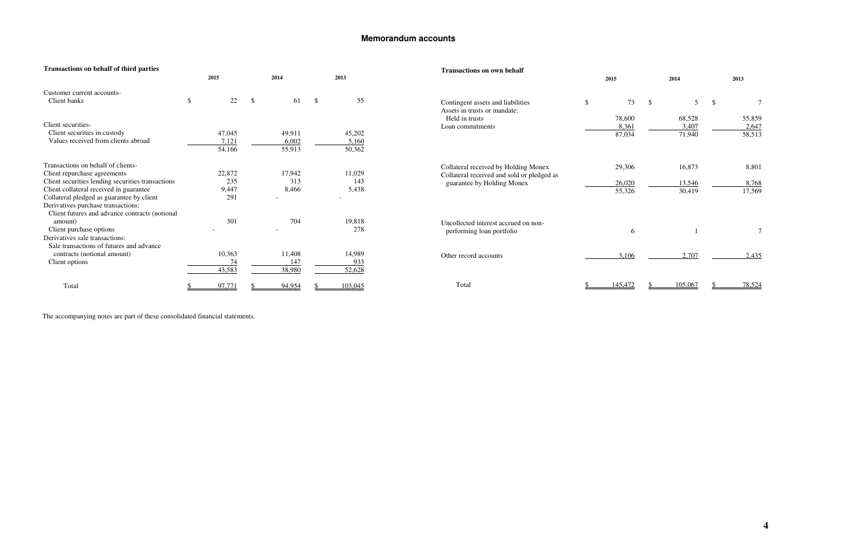### **Memorandum accounts**

| <b>Transactions on behalf of third parties</b>    |          |    |        |               |         | <b>Transactions on own behalf</b>          |               |         |    |         |     |        |
|---------------------------------------------------|----------|----|--------|---------------|---------|--------------------------------------------|---------------|---------|----|---------|-----|--------|
|                                                   | 2015     |    | 2014   |               | 2013    |                                            |               | 2015    |    | 2014    |     | 2013   |
| Customer current accounts-                        |          |    |        |               |         |                                            |               |         |    |         |     |        |
| Client banks                                      | \$<br>22 | -S | 61     | $\mathcal{S}$ | 55      | Contingent assets and liabilities          | $\mathcal{S}$ | 73      | -S | 5       | -\$ |        |
|                                                   |          |    |        |               |         | Assets in trusts or mandate:               |               |         |    |         |     |        |
|                                                   |          |    |        |               |         | Held in trusts                             |               | 78,600  |    | 68,528  |     | 55,859 |
| Client securities-                                |          |    |        |               |         | Loan commitments                           |               | 8,361   |    | 3,407   |     | 2,647  |
| Client securities in custody                      | 47,045   |    | 49,911 |               | 45,202  |                                            |               | 87,034  |    | 71,940  |     | 58,513 |
| Values received from clients abroad               | 7,121    |    | 6,002  |               | 5,160   |                                            |               |         |    |         |     |        |
|                                                   | 54,166   |    | 55,913 |               | 50,362  |                                            |               |         |    |         |     |        |
| Transactions on behalf of clients-                |          |    |        |               |         | Collateral received by Holding Monex       |               | 29,306  |    | 16,873  |     | 8,801  |
| Client repurchase agreements                      | 22,872   |    | 17,942 |               | 11,029  | Collateral received and sold or pledged as |               |         |    |         |     |        |
| Client securities lending securities transactions | 235      |    | 313    |               | 143     | guarantee by Holding Monex                 |               | 26,020  |    | 13,546  |     | 8,768  |
| Client collateral received in guarantee           | 9,447    |    | 8,466  |               | 5,438   |                                            |               | 55,326  |    | 30,419  |     | 17,569 |
| Collateral pledged as guarantee by client         | 291      |    |        |               |         |                                            |               |         |    |         |     |        |
| Derivatives purchase transactions:                |          |    |        |               |         |                                            |               |         |    |         |     |        |
| Client futures and advance contracts (notional    |          |    |        |               |         |                                            |               |         |    |         |     |        |
| amount)                                           | 301      |    | 704    |               | 19,818  | Uncollected interest accrued on non-       |               |         |    |         |     |        |
| Client purchase options                           |          |    |        |               | 278     | performing loan portfolio                  |               | 6       |    |         |     |        |
| Derivatives sale transactions:                    |          |    |        |               |         |                                            |               |         |    |         |     |        |
| Sale transactions of futures and advance          |          |    |        |               |         |                                            |               |         |    |         |     |        |
| contracts (notional amount)                       | 10,363   |    | 11,408 |               | 14,989  | Other record accounts                      |               | 3,106   |    | 2,707   |     | 2,435  |
| Client options                                    | 74       |    | 147    |               | 933     |                                            |               |         |    |         |     |        |
|                                                   | 43,583   |    | 38,980 |               | 52,628  |                                            |               |         |    |         |     |        |
| Total                                             | 97,771   |    | 94,954 |               | 103,045 | Total                                      |               | 145,472 |    | 105,067 |     | 78,524 |

The accompanying notes are part of these consolidated financial statements.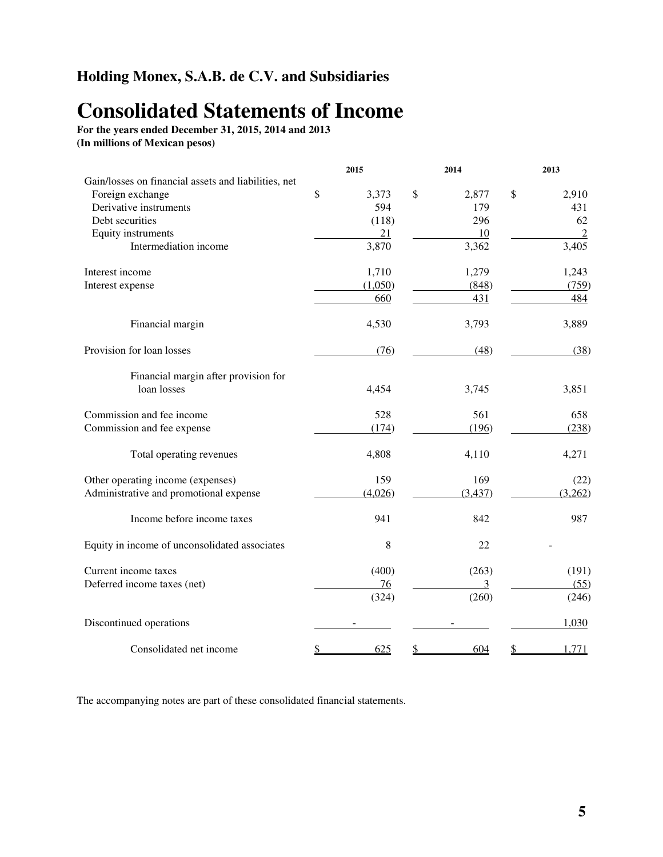### **Holding Monex, S.A.B. de C.V. and Subsidiaries**

# **Consolidated Statements of Income**

**For the years ended December 31, 2015, 2014 and 2013 (In millions of Mexican pesos)**

|                                                      |              | 2015    | 2014        | 2013           |
|------------------------------------------------------|--------------|---------|-------------|----------------|
| Gain/losses on financial assets and liabilities, net |              |         |             |                |
| Foreign exchange                                     | $\mathbb{S}$ | 3,373   | \$<br>2,877 | \$<br>2,910    |
| Derivative instruments                               |              | 594     | 179         | 431            |
| Debt securities                                      |              | (118)   | 296         | 62             |
| Equity instruments                                   |              | 21      | 10          | $\overline{2}$ |
| Intermediation income                                |              | 3,870   | 3,362       | 3,405          |
| Interest income                                      |              | 1,710   | 1,279       | 1,243          |
| Interest expense                                     |              | (1,050) | (848)       | (759)          |
|                                                      |              | 660     | 431         | 484            |
| Financial margin                                     |              | 4,530   | 3,793       | 3,889          |
| Provision for loan losses                            |              | (76)    | (48)        | (38)           |
| Financial margin after provision for                 |              |         |             |                |
| loan losses                                          |              | 4,454   | 3,745       | 3,851          |
| Commission and fee income                            |              | 528     | 561         | 658            |
| Commission and fee expense                           |              | (174)   | (196)       | (238)          |
| Total operating revenues                             |              | 4,808   | 4,110       | 4,271          |
| Other operating income (expenses)                    |              | 159     | 169         | (22)           |
| Administrative and promotional expense               |              | (4,026) | (3, 437)    | (3,262)        |
| Income before income taxes                           |              | 941     | 842         | 987            |
| Equity in income of unconsolidated associates        |              | 8       | 22          |                |
| Current income taxes                                 |              | (400)   | (263)       | (191)          |
| Deferred income taxes (net)                          |              | 76      | 3           | (55)           |
|                                                      |              | (324)   | (260)       | (246)          |
| Discontinued operations                              |              |         |             | 1,030          |
| Consolidated net income                              |              | 625     | 604         | 1,771          |

The accompanying notes are part of these consolidated financial statements.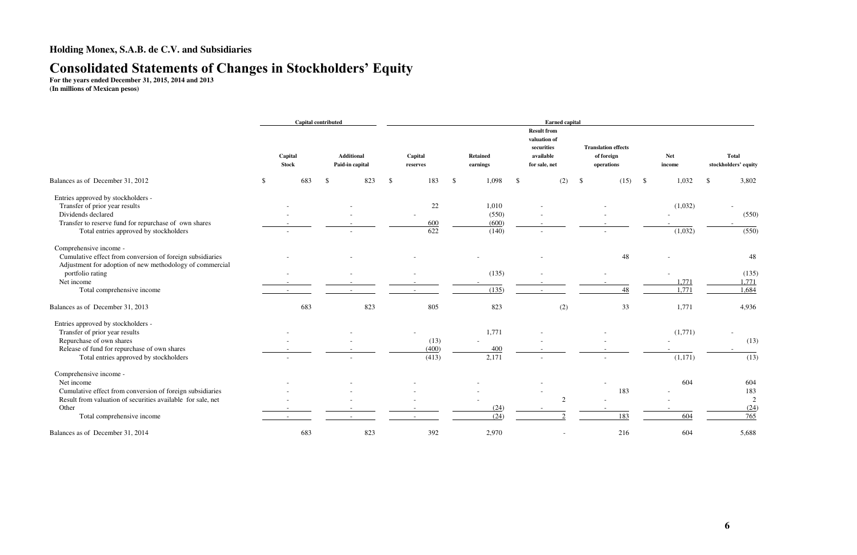### **Consolidated Statements of Changes in Stockholders' Equity**

**For the years ended December 31, 2015, 2014 and 2013 (In millions of Mexican pesos)** 

|                                                             |               | <b>Capital contributed</b> |     |                                      | <b>Earned capital</b> |                     |       |               |                             |    |                                                                                |    |                                                        |               |                      |     |                                      |
|-------------------------------------------------------------|---------------|----------------------------|-----|--------------------------------------|-----------------------|---------------------|-------|---------------|-----------------------------|----|--------------------------------------------------------------------------------|----|--------------------------------------------------------|---------------|----------------------|-----|--------------------------------------|
|                                                             |               | Capital<br><b>Stock</b>    |     | <b>Additional</b><br>Paid-in capital |                       | Capital<br>reserves |       |               | <b>Retained</b><br>earnings |    | <b>Result from</b><br>valuation of<br>securities<br>available<br>for sale, net |    | <b>Translation effects</b><br>of foreign<br>operations |               | <b>Net</b><br>income |     | <b>Total</b><br>stockholders' equity |
| Balances as of December 31, 2012                            | $\mathcal{S}$ | 683                        | -\$ | 823                                  | $\mathcal{S}$         |                     | 183   | $\mathcal{S}$ | 1,098                       | -S | (2)                                                                            | \$ | (15)                                                   | $\mathcal{S}$ | 1,032                | -\$ | 3,802                                |
| Entries approved by stockholders -                          |               |                            |     |                                      |                       |                     |       |               |                             |    |                                                                                |    |                                                        |               |                      |     |                                      |
| Transfer of prior year results                              |               |                            |     |                                      |                       |                     | 22    |               | 1,010                       |    |                                                                                |    |                                                        |               | (1,032)              |     |                                      |
| Dividends declared                                          |               |                            |     |                                      |                       |                     |       |               | (550)                       |    |                                                                                |    |                                                        |               |                      |     | (550)                                |
| Transfer to reserve fund for repurchase of own shares       |               |                            |     |                                      |                       |                     | 600   |               | (600)                       |    |                                                                                |    |                                                        |               |                      |     |                                      |
| Total entries approved by stockholders                      |               |                            |     |                                      |                       |                     | 622   |               | (140)                       |    |                                                                                |    |                                                        |               | (1,032)              |     | (550)                                |
| Comprehensive income -                                      |               |                            |     |                                      |                       |                     |       |               |                             |    |                                                                                |    |                                                        |               |                      |     |                                      |
| Cumulative effect from conversion of foreign subsidiaries   |               |                            |     |                                      |                       |                     |       |               |                             |    |                                                                                |    | 48                                                     |               |                      |     | 48                                   |
| Adjustment for adoption of new methodology of commercial    |               |                            |     |                                      |                       |                     |       |               |                             |    |                                                                                |    |                                                        |               |                      |     |                                      |
| portfolio rating                                            |               |                            |     |                                      |                       |                     |       |               | (135)                       |    |                                                                                |    |                                                        |               |                      |     | (135)                                |
| Net income                                                  |               |                            |     |                                      |                       |                     |       |               |                             |    |                                                                                |    |                                                        |               | 1,771                |     | 1,771                                |
| Total comprehensive income                                  |               |                            |     |                                      |                       |                     |       |               | (135)                       |    |                                                                                |    | 48                                                     |               | 1,771                |     | 1,684                                |
| Balances as of December 31, 2013                            |               | 683                        |     | 823                                  |                       |                     | 805   |               | 823                         |    | (2)                                                                            |    | 33                                                     |               | 1,771                |     | 4,936                                |
| Entries approved by stockholders -                          |               |                            |     |                                      |                       |                     |       |               |                             |    |                                                                                |    |                                                        |               |                      |     |                                      |
| Transfer of prior year results                              |               |                            |     |                                      |                       |                     |       |               | 1,771                       |    |                                                                                |    |                                                        |               | (1,771)              |     |                                      |
| Repurchase of own shares                                    |               |                            |     |                                      |                       |                     | (13)  |               |                             |    |                                                                                |    |                                                        |               |                      |     | (13)                                 |
| Release of fund for repurchase of own shares                |               |                            |     |                                      |                       |                     | (400) |               | 400                         |    |                                                                                |    |                                                        |               |                      |     |                                      |
| Total entries approved by stockholders                      |               |                            |     |                                      |                       |                     | (413) |               | 2,171                       |    |                                                                                |    |                                                        |               | (1,171)              |     | (13)                                 |
| Comprehensive income -                                      |               |                            |     |                                      |                       |                     |       |               |                             |    |                                                                                |    |                                                        |               |                      |     |                                      |
| Net income                                                  |               |                            |     |                                      |                       |                     |       |               |                             |    |                                                                                |    |                                                        |               | 604                  |     | 604                                  |
| Cumulative effect from conversion of foreign subsidiaries   |               |                            |     |                                      |                       |                     |       |               |                             |    |                                                                                |    | 183                                                    |               |                      |     | 183                                  |
| Result from valuation of securities available for sale, net |               |                            |     |                                      |                       |                     |       |               |                             |    | $\overline{2}$                                                                 |    |                                                        |               |                      |     | 2                                    |
| Other                                                       |               |                            |     |                                      |                       |                     |       |               | (24)                        |    |                                                                                |    |                                                        |               |                      |     | (24)                                 |
| Total comprehensive income                                  |               |                            |     |                                      |                       |                     |       |               | (24)                        |    |                                                                                |    | 183                                                    |               | 604                  |     | 765                                  |
| Balances as of December 31, 2014                            |               | 683                        |     | 823                                  |                       |                     | 392   |               | 2,970                       |    |                                                                                |    | 216                                                    |               | 604                  |     | 5,688                                |

| <b>Net</b>     | <b>Total</b>                  |
|----------------|-------------------------------|
| income         | stockholders' equity          |
| \$<br>1,032    | \$<br>3,802                   |
| (1,032)        | (550)                         |
|                |                               |
| (1,032)        | (550)                         |
|                | 48                            |
| 1,771<br>1,771 | (135)<br>1,771<br>1,684       |
| 1,771          | 4,936                         |
| (1, 771)       | (13)                          |
| (1, 171)       | (13)                          |
| 604            | 604<br>183                    |
| 604            | $\overline{c}$<br>(24)<br>765 |
| 604            | 5,688                         |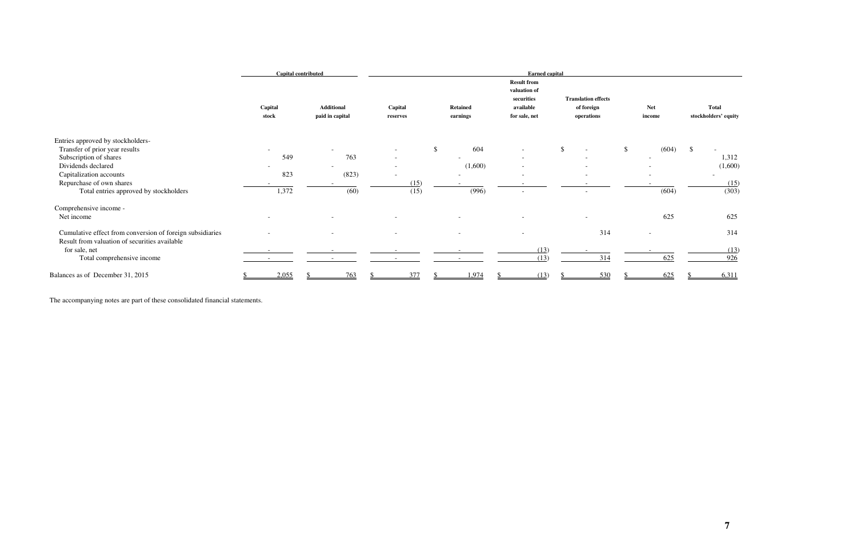|                                                                                                            |                  | Capital contributed |                                      | <b>Earned capital</b><br><b>Result from</b><br>valuation of |               |                             |  |                                          |              |                                                        |              |                          |              |                                      |  |
|------------------------------------------------------------------------------------------------------------|------------------|---------------------|--------------------------------------|-------------------------------------------------------------|---------------|-----------------------------|--|------------------------------------------|--------------|--------------------------------------------------------|--------------|--------------------------|--------------|--------------------------------------|--|
|                                                                                                            | Capital<br>stock |                     | <b>Additional</b><br>paid in capital | Capital<br>reserves                                         |               | <b>Retained</b><br>earnings |  | securities<br>available<br>for sale, net |              | <b>Translation effects</b><br>of foreign<br>operations |              | Net<br>income            |              | <b>Total</b><br>stockholders' equity |  |
| Entries approved by stockholders-                                                                          |                  |                     |                                      |                                                             |               |                             |  |                                          |              |                                                        |              |                          |              |                                      |  |
| Transfer of prior year results                                                                             |                  |                     |                                      | $\sim$                                                      | $\mathcal{S}$ | 604                         |  | $\overline{\phantom{a}}$                 | $\mathbb{S}$ | $\sim$                                                 | $\mathbb{S}$ | (604)                    | $\mathbb{S}$ |                                      |  |
| Subscription of shares                                                                                     | 549              |                     | 763                                  | $\overline{\phantom{0}}$                                    |               |                             |  | $\overline{\phantom{a}}$                 |              |                                                        |              |                          |              | 1,312                                |  |
| Dividends declared                                                                                         |                  |                     |                                      | $\sim$                                                      |               | (1,600)                     |  | $\overline{\phantom{a}}$                 |              | $\sim$                                                 |              |                          |              | (1,600)                              |  |
| Capitalization accounts                                                                                    | 823              |                     | (823)                                |                                                             |               |                             |  | $\overline{\phantom{a}}$                 |              | $\sim$                                                 |              |                          |              |                                      |  |
| Repurchase of own shares                                                                                   |                  |                     |                                      | (15)                                                        |               |                             |  |                                          |              |                                                        |              |                          |              | (15)                                 |  |
| Total entries approved by stockholders                                                                     | 1,372            |                     | (60)                                 | (15)                                                        |               | (996)                       |  | $\overline{\phantom{a}}$                 |              | $\sim$                                                 |              | (604)                    |              | (303)                                |  |
| Comprehensive income -                                                                                     |                  |                     |                                      |                                                             |               |                             |  |                                          |              |                                                        |              |                          |              |                                      |  |
| Net income                                                                                                 |                  |                     | $\overline{\phantom{a}}$             | $\overline{\phantom{a}}$                                    |               |                             |  | $\qquad \qquad \blacksquare$             |              | $\sim$                                                 |              | 625                      |              | 625                                  |  |
| Cumulative effect from conversion of foreign subsidiaries<br>Result from valuation of securities available |                  |                     |                                      | $\sim$                                                      |               |                             |  | $\overline{\phantom{a}}$                 |              | 314                                                    |              | $\overline{\phantom{a}}$ |              | 314                                  |  |
| for sale, net                                                                                              |                  |                     |                                      |                                                             |               |                             |  | (13)                                     |              |                                                        |              |                          |              | (13)                                 |  |
| Total comprehensive income                                                                                 |                  |                     |                                      |                                                             |               |                             |  | (13)                                     |              | 314                                                    |              | 625                      |              | 926                                  |  |
| Balances as of December 31, 2015                                                                           | 2,055            |                     | 763                                  | 377                                                         |               | 1,974                       |  | (13)                                     |              | 530                                                    |              | 625                      |              | 6,311                                |  |

The accompanying notes are part of these consolidated financial statements.

| <b>Net</b><br>income | <b>Total</b><br>stockholders' equity |
|----------------------|--------------------------------------|
| (604)                | \$<br>1,312<br>(1,600)               |
| (604)                | (15)<br>(303)                        |
| 625                  | 625                                  |
|                      | 314<br>(13)                          |
| 625                  | <u>926</u>                           |
| <u>625</u>           | \$<br>6,311                          |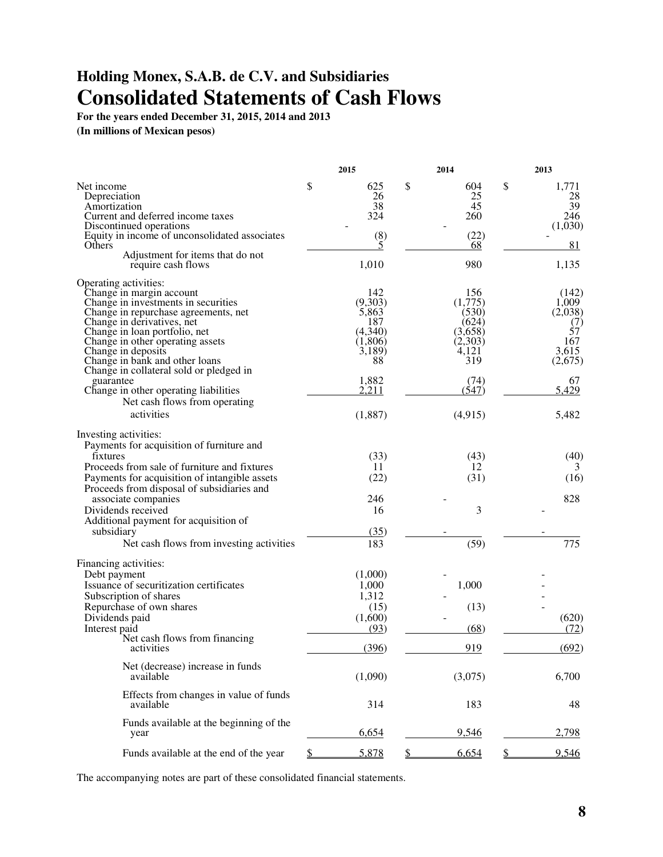### **Holding Monex, S.A.B. de C.V. and Subsidiaries Consolidated Statements of Cash Flows**

**For the years ended December 31, 2015, 2014 and 2013**

**(In millions of Mexican pesos)** 

| \$<br>\$<br>\$<br>604<br>Net income<br>625<br>1,771<br>26<br>Depreciation<br>25<br>28<br>39<br>38<br>45<br>Amortization<br>Current and deferred income taxes<br>324<br>260<br>246<br>Discontinued operations<br>(1,030)<br>Equity in income of unconsolidated associates<br>(8)<br>(22)<br>5<br>Others<br>81<br>68<br>Adjustment for items that do not<br>980<br>1,010<br>1,135<br>require cash flows<br>Operating activities:<br>142<br>156<br>Change in margin account<br>(142)<br>(9,303)<br>Change in investments in securities<br>(1,775)<br>1,009<br>Change in repurchase agreements, net<br>5,863<br>(530)<br>(2,038)<br>Change in derivatives, net<br>187<br>(624)<br>(7)<br>$\overrightarrow{57}$<br>Change in loan portfolio, net<br>(4,340)<br>(3,658)<br>167<br>Change in other operating assets<br>(1,806)<br>(2,303)<br>3.615<br>Change in deposits<br>3,189)<br>4,121<br>88<br>319<br>Change in bank and other loans<br>(2,675)<br>Change in collateral sold or pledged in<br>1,882<br>(74)<br>67<br>guarantee<br>2,211<br>5,429<br>Change in other operating liabilities<br>(547)<br>Net cash flows from operating<br>activities<br>(4,915)<br>(1,887)<br>5,482<br>Investing activities:<br>Payments for acquisition of furniture and<br>(40)<br>fixtures<br>(33)<br>(43)<br>Proceeds from sale of furniture and fixtures<br>11<br>12<br>3<br>Payments for acquisition of intangible assets<br>(22)<br>(31)<br>(16)<br>Proceeds from disposal of subsidiaries and<br>associate companies<br>828<br>246<br>3<br>Dividends received<br>16<br>Additional payment for acquisition of<br>(35)<br>subsidiary<br>775<br>(59)<br>Net cash flows from investing activities<br>183<br>Financing activities:<br>Debt payment<br>(1,000)<br>Issuance of securitization certificates<br>1,000<br>1,000<br>Subscription of shares<br>1,312<br>Repurchase of own shares<br>(13)<br>(15)<br>(1,600)<br>(620)<br>Dividends paid<br>Interest paid<br>(72)<br>(93)<br>(68)<br>Net cash flows from financing<br>(396)<br>919<br>(692)<br>activities<br>Net (decrease) increase in funds<br>(1,090)<br>(3,075)<br>6,700<br>available<br>Effects from changes in value of funds<br>183<br>314<br>48<br>available<br>Funds available at the beginning of the<br>6,654<br>9,546<br>2,798<br>year<br>5,878<br>6,654<br>9,546<br>Funds available at the end of the year<br>\$<br>\$ |  | 2015 | 2014 | 2013 |
|---------------------------------------------------------------------------------------------------------------------------------------------------------------------------------------------------------------------------------------------------------------------------------------------------------------------------------------------------------------------------------------------------------------------------------------------------------------------------------------------------------------------------------------------------------------------------------------------------------------------------------------------------------------------------------------------------------------------------------------------------------------------------------------------------------------------------------------------------------------------------------------------------------------------------------------------------------------------------------------------------------------------------------------------------------------------------------------------------------------------------------------------------------------------------------------------------------------------------------------------------------------------------------------------------------------------------------------------------------------------------------------------------------------------------------------------------------------------------------------------------------------------------------------------------------------------------------------------------------------------------------------------------------------------------------------------------------------------------------------------------------------------------------------------------------------------------------------------------------------------------------------------------------------------------------------------------------------------------------------------------------------------------------------------------------------------------------------------------------------------------------------------------------------------------------------------------------------------------------------------------------------------------------------------------------------------------------------------------------------------------|--|------|------|------|
|                                                                                                                                                                                                                                                                                                                                                                                                                                                                                                                                                                                                                                                                                                                                                                                                                                                                                                                                                                                                                                                                                                                                                                                                                                                                                                                                                                                                                                                                                                                                                                                                                                                                                                                                                                                                                                                                                                                                                                                                                                                                                                                                                                                                                                                                                                                                                                           |  |      |      |      |
|                                                                                                                                                                                                                                                                                                                                                                                                                                                                                                                                                                                                                                                                                                                                                                                                                                                                                                                                                                                                                                                                                                                                                                                                                                                                                                                                                                                                                                                                                                                                                                                                                                                                                                                                                                                                                                                                                                                                                                                                                                                                                                                                                                                                                                                                                                                                                                           |  |      |      |      |
|                                                                                                                                                                                                                                                                                                                                                                                                                                                                                                                                                                                                                                                                                                                                                                                                                                                                                                                                                                                                                                                                                                                                                                                                                                                                                                                                                                                                                                                                                                                                                                                                                                                                                                                                                                                                                                                                                                                                                                                                                                                                                                                                                                                                                                                                                                                                                                           |  |      |      |      |
|                                                                                                                                                                                                                                                                                                                                                                                                                                                                                                                                                                                                                                                                                                                                                                                                                                                                                                                                                                                                                                                                                                                                                                                                                                                                                                                                                                                                                                                                                                                                                                                                                                                                                                                                                                                                                                                                                                                                                                                                                                                                                                                                                                                                                                                                                                                                                                           |  |      |      |      |
|                                                                                                                                                                                                                                                                                                                                                                                                                                                                                                                                                                                                                                                                                                                                                                                                                                                                                                                                                                                                                                                                                                                                                                                                                                                                                                                                                                                                                                                                                                                                                                                                                                                                                                                                                                                                                                                                                                                                                                                                                                                                                                                                                                                                                                                                                                                                                                           |  |      |      |      |
|                                                                                                                                                                                                                                                                                                                                                                                                                                                                                                                                                                                                                                                                                                                                                                                                                                                                                                                                                                                                                                                                                                                                                                                                                                                                                                                                                                                                                                                                                                                                                                                                                                                                                                                                                                                                                                                                                                                                                                                                                                                                                                                                                                                                                                                                                                                                                                           |  |      |      |      |
|                                                                                                                                                                                                                                                                                                                                                                                                                                                                                                                                                                                                                                                                                                                                                                                                                                                                                                                                                                                                                                                                                                                                                                                                                                                                                                                                                                                                                                                                                                                                                                                                                                                                                                                                                                                                                                                                                                                                                                                                                                                                                                                                                                                                                                                                                                                                                                           |  |      |      |      |
|                                                                                                                                                                                                                                                                                                                                                                                                                                                                                                                                                                                                                                                                                                                                                                                                                                                                                                                                                                                                                                                                                                                                                                                                                                                                                                                                                                                                                                                                                                                                                                                                                                                                                                                                                                                                                                                                                                                                                                                                                                                                                                                                                                                                                                                                                                                                                                           |  |      |      |      |
|                                                                                                                                                                                                                                                                                                                                                                                                                                                                                                                                                                                                                                                                                                                                                                                                                                                                                                                                                                                                                                                                                                                                                                                                                                                                                                                                                                                                                                                                                                                                                                                                                                                                                                                                                                                                                                                                                                                                                                                                                                                                                                                                                                                                                                                                                                                                                                           |  |      |      |      |
|                                                                                                                                                                                                                                                                                                                                                                                                                                                                                                                                                                                                                                                                                                                                                                                                                                                                                                                                                                                                                                                                                                                                                                                                                                                                                                                                                                                                                                                                                                                                                                                                                                                                                                                                                                                                                                                                                                                                                                                                                                                                                                                                                                                                                                                                                                                                                                           |  |      |      |      |
|                                                                                                                                                                                                                                                                                                                                                                                                                                                                                                                                                                                                                                                                                                                                                                                                                                                                                                                                                                                                                                                                                                                                                                                                                                                                                                                                                                                                                                                                                                                                                                                                                                                                                                                                                                                                                                                                                                                                                                                                                                                                                                                                                                                                                                                                                                                                                                           |  |      |      |      |
|                                                                                                                                                                                                                                                                                                                                                                                                                                                                                                                                                                                                                                                                                                                                                                                                                                                                                                                                                                                                                                                                                                                                                                                                                                                                                                                                                                                                                                                                                                                                                                                                                                                                                                                                                                                                                                                                                                                                                                                                                                                                                                                                                                                                                                                                                                                                                                           |  |      |      |      |
|                                                                                                                                                                                                                                                                                                                                                                                                                                                                                                                                                                                                                                                                                                                                                                                                                                                                                                                                                                                                                                                                                                                                                                                                                                                                                                                                                                                                                                                                                                                                                                                                                                                                                                                                                                                                                                                                                                                                                                                                                                                                                                                                                                                                                                                                                                                                                                           |  |      |      |      |
|                                                                                                                                                                                                                                                                                                                                                                                                                                                                                                                                                                                                                                                                                                                                                                                                                                                                                                                                                                                                                                                                                                                                                                                                                                                                                                                                                                                                                                                                                                                                                                                                                                                                                                                                                                                                                                                                                                                                                                                                                                                                                                                                                                                                                                                                                                                                                                           |  |      |      |      |
|                                                                                                                                                                                                                                                                                                                                                                                                                                                                                                                                                                                                                                                                                                                                                                                                                                                                                                                                                                                                                                                                                                                                                                                                                                                                                                                                                                                                                                                                                                                                                                                                                                                                                                                                                                                                                                                                                                                                                                                                                                                                                                                                                                                                                                                                                                                                                                           |  |      |      |      |
|                                                                                                                                                                                                                                                                                                                                                                                                                                                                                                                                                                                                                                                                                                                                                                                                                                                                                                                                                                                                                                                                                                                                                                                                                                                                                                                                                                                                                                                                                                                                                                                                                                                                                                                                                                                                                                                                                                                                                                                                                                                                                                                                                                                                                                                                                                                                                                           |  |      |      |      |
|                                                                                                                                                                                                                                                                                                                                                                                                                                                                                                                                                                                                                                                                                                                                                                                                                                                                                                                                                                                                                                                                                                                                                                                                                                                                                                                                                                                                                                                                                                                                                                                                                                                                                                                                                                                                                                                                                                                                                                                                                                                                                                                                                                                                                                                                                                                                                                           |  |      |      |      |
|                                                                                                                                                                                                                                                                                                                                                                                                                                                                                                                                                                                                                                                                                                                                                                                                                                                                                                                                                                                                                                                                                                                                                                                                                                                                                                                                                                                                                                                                                                                                                                                                                                                                                                                                                                                                                                                                                                                                                                                                                                                                                                                                                                                                                                                                                                                                                                           |  |      |      |      |
|                                                                                                                                                                                                                                                                                                                                                                                                                                                                                                                                                                                                                                                                                                                                                                                                                                                                                                                                                                                                                                                                                                                                                                                                                                                                                                                                                                                                                                                                                                                                                                                                                                                                                                                                                                                                                                                                                                                                                                                                                                                                                                                                                                                                                                                                                                                                                                           |  |      |      |      |
|                                                                                                                                                                                                                                                                                                                                                                                                                                                                                                                                                                                                                                                                                                                                                                                                                                                                                                                                                                                                                                                                                                                                                                                                                                                                                                                                                                                                                                                                                                                                                                                                                                                                                                                                                                                                                                                                                                                                                                                                                                                                                                                                                                                                                                                                                                                                                                           |  |      |      |      |
|                                                                                                                                                                                                                                                                                                                                                                                                                                                                                                                                                                                                                                                                                                                                                                                                                                                                                                                                                                                                                                                                                                                                                                                                                                                                                                                                                                                                                                                                                                                                                                                                                                                                                                                                                                                                                                                                                                                                                                                                                                                                                                                                                                                                                                                                                                                                                                           |  |      |      |      |
|                                                                                                                                                                                                                                                                                                                                                                                                                                                                                                                                                                                                                                                                                                                                                                                                                                                                                                                                                                                                                                                                                                                                                                                                                                                                                                                                                                                                                                                                                                                                                                                                                                                                                                                                                                                                                                                                                                                                                                                                                                                                                                                                                                                                                                                                                                                                                                           |  |      |      |      |
|                                                                                                                                                                                                                                                                                                                                                                                                                                                                                                                                                                                                                                                                                                                                                                                                                                                                                                                                                                                                                                                                                                                                                                                                                                                                                                                                                                                                                                                                                                                                                                                                                                                                                                                                                                                                                                                                                                                                                                                                                                                                                                                                                                                                                                                                                                                                                                           |  |      |      |      |
|                                                                                                                                                                                                                                                                                                                                                                                                                                                                                                                                                                                                                                                                                                                                                                                                                                                                                                                                                                                                                                                                                                                                                                                                                                                                                                                                                                                                                                                                                                                                                                                                                                                                                                                                                                                                                                                                                                                                                                                                                                                                                                                                                                                                                                                                                                                                                                           |  |      |      |      |
|                                                                                                                                                                                                                                                                                                                                                                                                                                                                                                                                                                                                                                                                                                                                                                                                                                                                                                                                                                                                                                                                                                                                                                                                                                                                                                                                                                                                                                                                                                                                                                                                                                                                                                                                                                                                                                                                                                                                                                                                                                                                                                                                                                                                                                                                                                                                                                           |  |      |      |      |
|                                                                                                                                                                                                                                                                                                                                                                                                                                                                                                                                                                                                                                                                                                                                                                                                                                                                                                                                                                                                                                                                                                                                                                                                                                                                                                                                                                                                                                                                                                                                                                                                                                                                                                                                                                                                                                                                                                                                                                                                                                                                                                                                                                                                                                                                                                                                                                           |  |      |      |      |
|                                                                                                                                                                                                                                                                                                                                                                                                                                                                                                                                                                                                                                                                                                                                                                                                                                                                                                                                                                                                                                                                                                                                                                                                                                                                                                                                                                                                                                                                                                                                                                                                                                                                                                                                                                                                                                                                                                                                                                                                                                                                                                                                                                                                                                                                                                                                                                           |  |      |      |      |
|                                                                                                                                                                                                                                                                                                                                                                                                                                                                                                                                                                                                                                                                                                                                                                                                                                                                                                                                                                                                                                                                                                                                                                                                                                                                                                                                                                                                                                                                                                                                                                                                                                                                                                                                                                                                                                                                                                                                                                                                                                                                                                                                                                                                                                                                                                                                                                           |  |      |      |      |
|                                                                                                                                                                                                                                                                                                                                                                                                                                                                                                                                                                                                                                                                                                                                                                                                                                                                                                                                                                                                                                                                                                                                                                                                                                                                                                                                                                                                                                                                                                                                                                                                                                                                                                                                                                                                                                                                                                                                                                                                                                                                                                                                                                                                                                                                                                                                                                           |  |      |      |      |
|                                                                                                                                                                                                                                                                                                                                                                                                                                                                                                                                                                                                                                                                                                                                                                                                                                                                                                                                                                                                                                                                                                                                                                                                                                                                                                                                                                                                                                                                                                                                                                                                                                                                                                                                                                                                                                                                                                                                                                                                                                                                                                                                                                                                                                                                                                                                                                           |  |      |      |      |
|                                                                                                                                                                                                                                                                                                                                                                                                                                                                                                                                                                                                                                                                                                                                                                                                                                                                                                                                                                                                                                                                                                                                                                                                                                                                                                                                                                                                                                                                                                                                                                                                                                                                                                                                                                                                                                                                                                                                                                                                                                                                                                                                                                                                                                                                                                                                                                           |  |      |      |      |
|                                                                                                                                                                                                                                                                                                                                                                                                                                                                                                                                                                                                                                                                                                                                                                                                                                                                                                                                                                                                                                                                                                                                                                                                                                                                                                                                                                                                                                                                                                                                                                                                                                                                                                                                                                                                                                                                                                                                                                                                                                                                                                                                                                                                                                                                                                                                                                           |  |      |      |      |
|                                                                                                                                                                                                                                                                                                                                                                                                                                                                                                                                                                                                                                                                                                                                                                                                                                                                                                                                                                                                                                                                                                                                                                                                                                                                                                                                                                                                                                                                                                                                                                                                                                                                                                                                                                                                                                                                                                                                                                                                                                                                                                                                                                                                                                                                                                                                                                           |  |      |      |      |
|                                                                                                                                                                                                                                                                                                                                                                                                                                                                                                                                                                                                                                                                                                                                                                                                                                                                                                                                                                                                                                                                                                                                                                                                                                                                                                                                                                                                                                                                                                                                                                                                                                                                                                                                                                                                                                                                                                                                                                                                                                                                                                                                                                                                                                                                                                                                                                           |  |      |      |      |
|                                                                                                                                                                                                                                                                                                                                                                                                                                                                                                                                                                                                                                                                                                                                                                                                                                                                                                                                                                                                                                                                                                                                                                                                                                                                                                                                                                                                                                                                                                                                                                                                                                                                                                                                                                                                                                                                                                                                                                                                                                                                                                                                                                                                                                                                                                                                                                           |  |      |      |      |
|                                                                                                                                                                                                                                                                                                                                                                                                                                                                                                                                                                                                                                                                                                                                                                                                                                                                                                                                                                                                                                                                                                                                                                                                                                                                                                                                                                                                                                                                                                                                                                                                                                                                                                                                                                                                                                                                                                                                                                                                                                                                                                                                                                                                                                                                                                                                                                           |  |      |      |      |
|                                                                                                                                                                                                                                                                                                                                                                                                                                                                                                                                                                                                                                                                                                                                                                                                                                                                                                                                                                                                                                                                                                                                                                                                                                                                                                                                                                                                                                                                                                                                                                                                                                                                                                                                                                                                                                                                                                                                                                                                                                                                                                                                                                                                                                                                                                                                                                           |  |      |      |      |
|                                                                                                                                                                                                                                                                                                                                                                                                                                                                                                                                                                                                                                                                                                                                                                                                                                                                                                                                                                                                                                                                                                                                                                                                                                                                                                                                                                                                                                                                                                                                                                                                                                                                                                                                                                                                                                                                                                                                                                                                                                                                                                                                                                                                                                                                                                                                                                           |  |      |      |      |
|                                                                                                                                                                                                                                                                                                                                                                                                                                                                                                                                                                                                                                                                                                                                                                                                                                                                                                                                                                                                                                                                                                                                                                                                                                                                                                                                                                                                                                                                                                                                                                                                                                                                                                                                                                                                                                                                                                                                                                                                                                                                                                                                                                                                                                                                                                                                                                           |  |      |      |      |
|                                                                                                                                                                                                                                                                                                                                                                                                                                                                                                                                                                                                                                                                                                                                                                                                                                                                                                                                                                                                                                                                                                                                                                                                                                                                                                                                                                                                                                                                                                                                                                                                                                                                                                                                                                                                                                                                                                                                                                                                                                                                                                                                                                                                                                                                                                                                                                           |  |      |      |      |
|                                                                                                                                                                                                                                                                                                                                                                                                                                                                                                                                                                                                                                                                                                                                                                                                                                                                                                                                                                                                                                                                                                                                                                                                                                                                                                                                                                                                                                                                                                                                                                                                                                                                                                                                                                                                                                                                                                                                                                                                                                                                                                                                                                                                                                                                                                                                                                           |  |      |      |      |
|                                                                                                                                                                                                                                                                                                                                                                                                                                                                                                                                                                                                                                                                                                                                                                                                                                                                                                                                                                                                                                                                                                                                                                                                                                                                                                                                                                                                                                                                                                                                                                                                                                                                                                                                                                                                                                                                                                                                                                                                                                                                                                                                                                                                                                                                                                                                                                           |  |      |      |      |
|                                                                                                                                                                                                                                                                                                                                                                                                                                                                                                                                                                                                                                                                                                                                                                                                                                                                                                                                                                                                                                                                                                                                                                                                                                                                                                                                                                                                                                                                                                                                                                                                                                                                                                                                                                                                                                                                                                                                                                                                                                                                                                                                                                                                                                                                                                                                                                           |  |      |      |      |
|                                                                                                                                                                                                                                                                                                                                                                                                                                                                                                                                                                                                                                                                                                                                                                                                                                                                                                                                                                                                                                                                                                                                                                                                                                                                                                                                                                                                                                                                                                                                                                                                                                                                                                                                                                                                                                                                                                                                                                                                                                                                                                                                                                                                                                                                                                                                                                           |  |      |      |      |
|                                                                                                                                                                                                                                                                                                                                                                                                                                                                                                                                                                                                                                                                                                                                                                                                                                                                                                                                                                                                                                                                                                                                                                                                                                                                                                                                                                                                                                                                                                                                                                                                                                                                                                                                                                                                                                                                                                                                                                                                                                                                                                                                                                                                                                                                                                                                                                           |  |      |      |      |
|                                                                                                                                                                                                                                                                                                                                                                                                                                                                                                                                                                                                                                                                                                                                                                                                                                                                                                                                                                                                                                                                                                                                                                                                                                                                                                                                                                                                                                                                                                                                                                                                                                                                                                                                                                                                                                                                                                                                                                                                                                                                                                                                                                                                                                                                                                                                                                           |  |      |      |      |
|                                                                                                                                                                                                                                                                                                                                                                                                                                                                                                                                                                                                                                                                                                                                                                                                                                                                                                                                                                                                                                                                                                                                                                                                                                                                                                                                                                                                                                                                                                                                                                                                                                                                                                                                                                                                                                                                                                                                                                                                                                                                                                                                                                                                                                                                                                                                                                           |  |      |      |      |
|                                                                                                                                                                                                                                                                                                                                                                                                                                                                                                                                                                                                                                                                                                                                                                                                                                                                                                                                                                                                                                                                                                                                                                                                                                                                                                                                                                                                                                                                                                                                                                                                                                                                                                                                                                                                                                                                                                                                                                                                                                                                                                                                                                                                                                                                                                                                                                           |  |      |      |      |
|                                                                                                                                                                                                                                                                                                                                                                                                                                                                                                                                                                                                                                                                                                                                                                                                                                                                                                                                                                                                                                                                                                                                                                                                                                                                                                                                                                                                                                                                                                                                                                                                                                                                                                                                                                                                                                                                                                                                                                                                                                                                                                                                                                                                                                                                                                                                                                           |  |      |      |      |
|                                                                                                                                                                                                                                                                                                                                                                                                                                                                                                                                                                                                                                                                                                                                                                                                                                                                                                                                                                                                                                                                                                                                                                                                                                                                                                                                                                                                                                                                                                                                                                                                                                                                                                                                                                                                                                                                                                                                                                                                                                                                                                                                                                                                                                                                                                                                                                           |  |      |      |      |
|                                                                                                                                                                                                                                                                                                                                                                                                                                                                                                                                                                                                                                                                                                                                                                                                                                                                                                                                                                                                                                                                                                                                                                                                                                                                                                                                                                                                                                                                                                                                                                                                                                                                                                                                                                                                                                                                                                                                                                                                                                                                                                                                                                                                                                                                                                                                                                           |  |      |      |      |
|                                                                                                                                                                                                                                                                                                                                                                                                                                                                                                                                                                                                                                                                                                                                                                                                                                                                                                                                                                                                                                                                                                                                                                                                                                                                                                                                                                                                                                                                                                                                                                                                                                                                                                                                                                                                                                                                                                                                                                                                                                                                                                                                                                                                                                                                                                                                                                           |  |      |      |      |
|                                                                                                                                                                                                                                                                                                                                                                                                                                                                                                                                                                                                                                                                                                                                                                                                                                                                                                                                                                                                                                                                                                                                                                                                                                                                                                                                                                                                                                                                                                                                                                                                                                                                                                                                                                                                                                                                                                                                                                                                                                                                                                                                                                                                                                                                                                                                                                           |  |      |      |      |

The accompanying notes are part of these consolidated financial statements.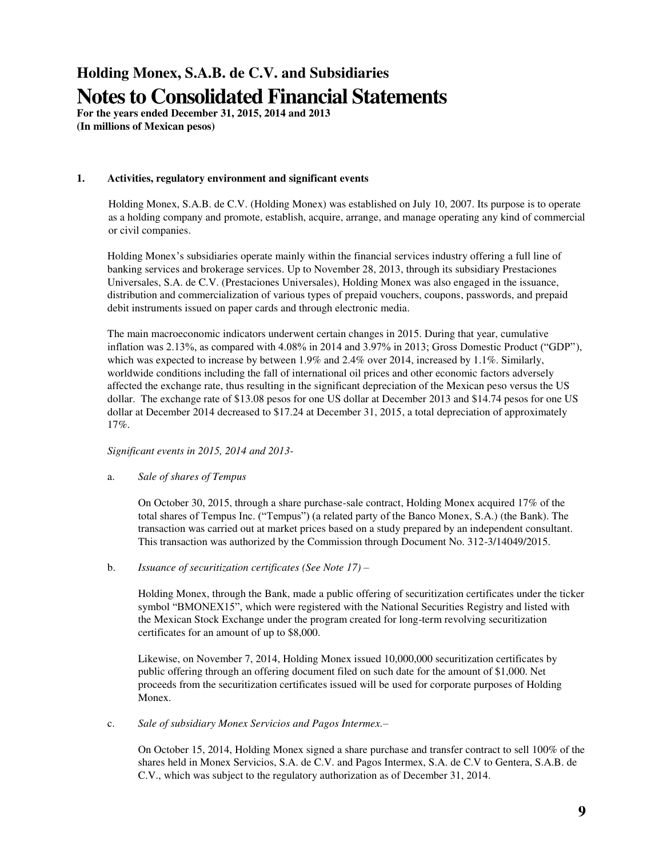## **Holding Monex, S.A.B. de C.V. and Subsidiaries Notes to Consolidated Financial Statements**

**For the years ended December 31, 2015, 2014 and 2013 (In millions of Mexican pesos)** 

#### **1. Activities, regulatory environment and significant events**

Holding Monex, S.A.B. de C.V. (Holding Monex) was established on July 10, 2007. Its purpose is to operate as a holding company and promote, establish, acquire, arrange, and manage operating any kind of commercial or civil companies.

Holding Monex's subsidiaries operate mainly within the financial services industry offering a full line of banking services and brokerage services. Up to November 28, 2013, through its subsidiary Prestaciones Universales, S.A. de C.V. (Prestaciones Universales), Holding Monex was also engaged in the issuance, distribution and commercialization of various types of prepaid vouchers, coupons, passwords, and prepaid debit instruments issued on paper cards and through electronic media.

The main macroeconomic indicators underwent certain changes in 2015. During that year, cumulative inflation was 2.13%, as compared with 4.08% in 2014 and 3.97% in 2013; Gross Domestic Product ("GDP"), which was expected to increase by between 1.9% and 2.4% over 2014, increased by 1.1%. Similarly, worldwide conditions including the fall of international oil prices and other economic factors adversely affected the exchange rate, thus resulting in the significant depreciation of the Mexican peso versus the US dollar. The exchange rate of \$13.08 pesos for one US dollar at December 2013 and \$14.74 pesos for one US dollar at December 2014 decreased to \$17.24 at December 31, 2015, a total depreciation of approximately 17%.

#### *Significant events in 2015, 2014 and 2013-*

#### a. *Sale of shares of Tempus*

On October 30, 2015, through a share purchase-sale contract, Holding Monex acquired 17% of the total shares of Tempus Inc. ("Tempus") (a related party of the Banco Monex, S.A.) (the Bank). The transaction was carried out at market prices based on a study prepared by an independent consultant. This transaction was authorized by the Commission through Document No. 312-3/14049/2015.

b. *Issuance of securitization certificates (See Note 17) –*

Holding Monex, through the Bank, made a public offering of securitization certificates under the ticker symbol "BMONEX15", which were registered with the National Securities Registry and listed with the Mexican Stock Exchange under the program created for long-term revolving securitization certificates for an amount of up to \$8,000.

Likewise, on November 7, 2014, Holding Monex issued 10,000,000 securitization certificates by public offering through an offering document filed on such date for the amount of \$1,000. Net proceeds from the securitization certificates issued will be used for corporate purposes of Holding Monex.

c. *Sale of subsidiary Monex Servicios and Pagos Intermex.–* 

On October 15, 2014, Holding Monex signed a share purchase and transfer contract to sell 100% of the shares held in Monex Servicios, S.A. de C.V. and Pagos Intermex, S.A. de C.V to Gentera, S.A.B. de C.V., which was subject to the regulatory authorization as of December 31, 2014.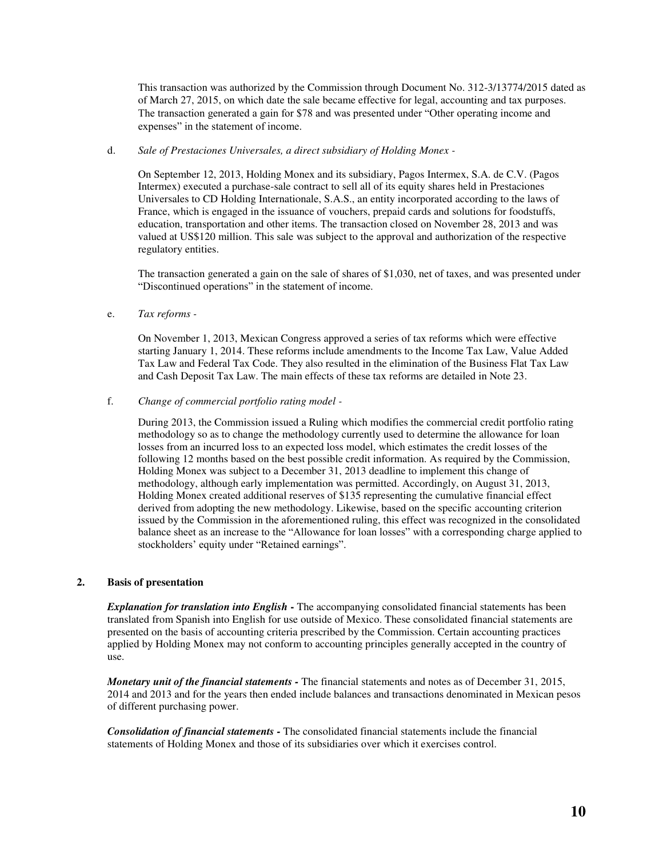This transaction was authorized by the Commission through Document No. 312-3/13774/2015 dated as of March 27, 2015, on which date the sale became effective for legal, accounting and tax purposes. The transaction generated a gain for \$78 and was presented under "Other operating income and expenses" in the statement of income.

#### d. *Sale of Prestaciones Universales, a direct subsidiary of Holding Monex -*

On September 12, 2013, Holding Monex and its subsidiary, Pagos Intermex, S.A. de C.V. (Pagos Intermex) executed a purchase-sale contract to sell all of its equity shares held in Prestaciones Universales to CD Holding Internationale, S.A.S., an entity incorporated according to the laws of France, which is engaged in the issuance of vouchers, prepaid cards and solutions for foodstuffs, education, transportation and other items. The transaction closed on November 28, 2013 and was valued at US\$120 million. This sale was subject to the approval and authorization of the respective regulatory entities.

The transaction generated a gain on the sale of shares of \$1,030, net of taxes, and was presented under "Discontinued operations" in the statement of income.

#### e. *Tax reforms -*

On November 1, 2013, Mexican Congress approved a series of tax reforms which were effective starting January 1, 2014. These reforms include amendments to the Income Tax Law, Value Added Tax Law and Federal Tax Code. They also resulted in the elimination of the Business Flat Tax Law and Cash Deposit Tax Law. The main effects of these tax reforms are detailed in Note 23.

f. *Change of commercial portfolio rating model -* 

During 2013, the Commission issued a Ruling which modifies the commercial credit portfolio rating methodology so as to change the methodology currently used to determine the allowance for loan losses from an incurred loss to an expected loss model, which estimates the credit losses of the following 12 months based on the best possible credit information. As required by the Commission, Holding Monex was subject to a December 31, 2013 deadline to implement this change of methodology, although early implementation was permitted. Accordingly, on August 31, 2013, Holding Monex created additional reserves of \$135 representing the cumulative financial effect derived from adopting the new methodology. Likewise, based on the specific accounting criterion issued by the Commission in the aforementioned ruling, this effect was recognized in the consolidated balance sheet as an increase to the "Allowance for loan losses" with a corresponding charge applied to stockholders' equity under "Retained earnings".

#### **2. Basis of presentation**

*Explanation for translation into English* **-** The accompanying consolidated financial statements has been translated from Spanish into English for use outside of Mexico. These consolidated financial statements are presented on the basis of accounting criteria prescribed by the Commission. Certain accounting practices applied by Holding Monex may not conform to accounting principles generally accepted in the country of use.

*Monetary unit of the financial statements -* The financial statements and notes as of December 31, 2015, 2014 and 2013 and for the years then ended include balances and transactions denominated in Mexican pesos of different purchasing power.

*Consolidation of financial statements -* The consolidated financial statements include the financial statements of Holding Monex and those of its subsidiaries over which it exercises control.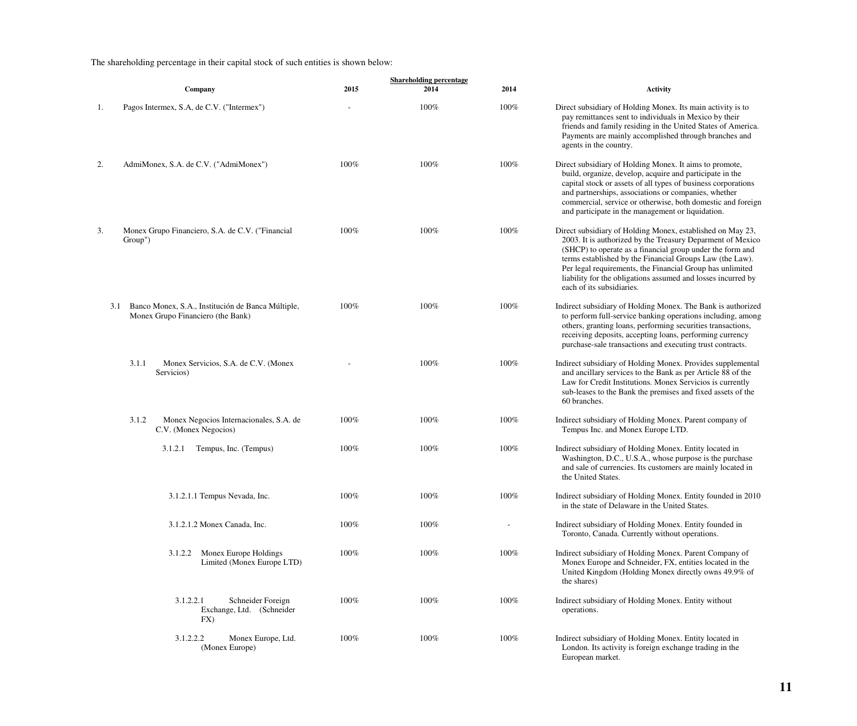### The shareholding percentage in their capital stock of such entities is shown below:

|     |                                                                                        |         | <b>Shareholding percentage</b> |         |                                                                                                                                                                                                                                                                                                                                                                                                             |
|-----|----------------------------------------------------------------------------------------|---------|--------------------------------|---------|-------------------------------------------------------------------------------------------------------------------------------------------------------------------------------------------------------------------------------------------------------------------------------------------------------------------------------------------------------------------------------------------------------------|
|     | Company                                                                                | 2015    | 2014                           | 2014    | <b>Activity</b>                                                                                                                                                                                                                                                                                                                                                                                             |
| 1.  | Pagos Intermex, S.A, de C.V. ("Intermex")                                              |         | 100%                           | 100%    | Direct subsidiary of Holding Monex. Its main activity is to<br>pay remittances sent to individuals in Mexico by their<br>friends and family residing in the United States of America.<br>Payments are mainly accomplished through branches and<br>agents in the country.                                                                                                                                    |
| 2.  | AdmiMonex, S.A. de C.V. ("AdmiMonex")                                                  | 100%    | 100%                           | 100%    | Direct subsidiary of Holding Monex. It aims to promote,<br>build, organize, develop, acquire and participate in the<br>capital stock or assets of all types of business corporations<br>and partnerships, associations or companies, whether<br>commercial, service or otherwise, both domestic and foreign<br>and participate in the management or liquidation.                                            |
| 3.  | Monex Grupo Financiero, S.A. de C.V. ("Financial<br>Group")                            | 100%    | 100%                           | $100\%$ | Direct subsidiary of Holding Monex, established on May 23,<br>2003. It is authorized by the Treasury Deparment of Mexico<br>(SHCP) to operate as a financial group under the form and<br>terms established by the Financial Groups Law (the Law).<br>Per legal requirements, the Financial Group has unlimited<br>liability for the obligations assumed and losses incurred by<br>each of its subsidiaries. |
| 3.1 | Banco Monex, S.A., Institución de Banca Múltiple,<br>Monex Grupo Financiero (the Bank) | 100%    | 100%                           | 100%    | Indirect subsidiary of Holding Monex. The Bank is authorized<br>to perform full-service banking operations including, among<br>others, granting loans, performing securities transactions,<br>receiving deposits, accepting loans, performing currency<br>purchase-sale transactions and executing trust contracts.                                                                                         |
|     | Monex Servicios, S.A. de C.V. (Monex<br>3.1.1<br>Servicios)                            |         | 100%                           | 100%    | Indirect subsidiary of Holding Monex. Provides supplemental<br>and ancillary services to the Bank as per Article 88 of the<br>Law for Credit Institutions. Monex Servicios is currently<br>sub-leases to the Bank the premises and fixed assets of the<br>60 branches.                                                                                                                                      |
|     | Monex Negocios Internacionales, S.A. de<br>3.1.2<br>C.V. (Monex Negocios)              | 100%    | 100%                           | 100%    | Indirect subsidiary of Holding Monex. Parent company of<br>Tempus Inc. and Monex Europe LTD.                                                                                                                                                                                                                                                                                                                |
|     | Tempus, Inc. (Tempus)<br>3.1.2.1                                                       | $100\%$ | 100%                           | 100%    | Indirect subsidiary of Holding Monex. Entity located in<br>Washington, D.C., U.S.A., whose purpose is the purchase<br>and sale of currencies. Its customers are mainly located in<br>the United States.                                                                                                                                                                                                     |
|     | 3.1.2.1.1 Tempus Nevada, Inc.                                                          | 100%    | 100%                           | 100%    | Indirect subsidiary of Holding Monex. Entity founded in 2010<br>in the state of Delaware in the United States.                                                                                                                                                                                                                                                                                              |
|     | 3.1.2.1.2 Monex Canada, Inc.                                                           | 100%    | 100%                           |         | Indirect subsidiary of Holding Monex. Entity founded in<br>Toronto, Canada. Currently without operations.                                                                                                                                                                                                                                                                                                   |
|     | Monex Europe Holdings<br>3.1.2.2<br>Limited (Monex Europe LTD)                         | 100%    | 100%                           | 100%    | Indirect subsidiary of Holding Monex. Parent Company of<br>Monex Europe and Schneider, FX, entities located in the<br>United Kingdom (Holding Monex directly owns 49.9% of<br>the shares)                                                                                                                                                                                                                   |
|     | 3.1.2.2.1<br>Schneider Foreign<br>Exchange, Ltd. (Schneider<br>FX)                     | 100%    | 100%                           | 100%    | Indirect subsidiary of Holding Monex. Entity without<br>operations.                                                                                                                                                                                                                                                                                                                                         |
|     | 3.1.2.2.2<br>Monex Europe, Ltd.<br>(Monex Europe)                                      | 100%    | 100%                           | 100%    | Indirect subsidiary of Holding Monex. Entity located in<br>London. Its activity is foreign exchange trading in the<br>European market.                                                                                                                                                                                                                                                                      |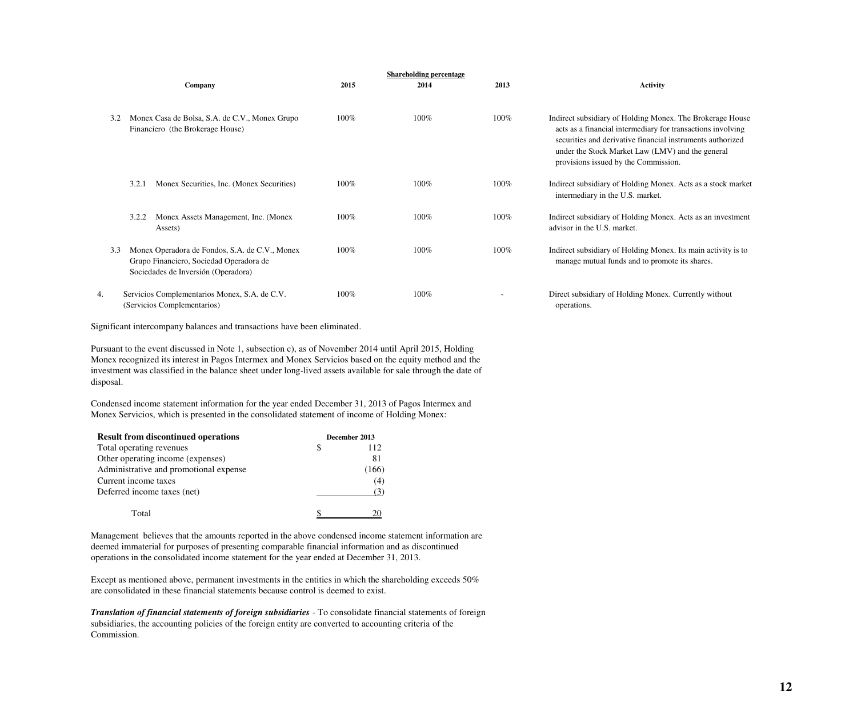|     |                                                                                                                                  |         | <b>Shareholding percentage</b> |         |                                                                                                                                                                                                                                                                                    |
|-----|----------------------------------------------------------------------------------------------------------------------------------|---------|--------------------------------|---------|------------------------------------------------------------------------------------------------------------------------------------------------------------------------------------------------------------------------------------------------------------------------------------|
|     | Company                                                                                                                          | 2015    | 2014                           | 2013    | <b>Activity</b>                                                                                                                                                                                                                                                                    |
| 3.2 | Monex Casa de Bolsa, S.A. de C.V., Monex Grupo<br>Financiero (the Brokerage House)                                               | 100%    | $100\%$                        | $100\%$ | Indirect subsidiary of Holding Monex. The Brokerage House<br>acts as a financial intermediary for transactions involving<br>securities and derivative financial instruments authorized<br>under the Stock Market Law (LMV) and the general<br>provisions issued by the Commission. |
|     | 3.2.1<br>Monex Securities, Inc. (Monex Securities)                                                                               | 100%    | $100\%$                        | $100\%$ | Indirect subsidiary of Holding Monex. Acts as a stock market<br>intermediary in the U.S. market.                                                                                                                                                                                   |
|     | Monex Assets Management, Inc. (Monex<br>3.2.2<br>Assets)                                                                         | $100\%$ | $100\%$                        | $100\%$ | Indirect subsidiary of Holding Monex. Acts as an investment<br>advisor in the U.S. market.                                                                                                                                                                                         |
| 3.3 | Monex Operadora de Fondos, S.A. de C.V., Monex<br>Grupo Financiero, Sociedad Operadora de<br>Sociedades de Inversión (Operadora) | $100\%$ | $100\%$                        | $100\%$ | Indirect subsidiary of Holding Monex. Its main activity is to<br>manage mutual funds and to promote its shares.                                                                                                                                                                    |
| 4.  | Servicios Complementarios Monex, S.A. de C.V.<br>(Servicios Complementarios)                                                     | $100\%$ | $100\%$                        |         | Direct subsidiary of Holding Monex. Currently without<br>operations.                                                                                                                                                                                                               |

Significant intercompany balances and transactions have been eliminated.

Pursuant to the event discussed in Note 1, subsection c), as of November 2014 until April 2015, Holding Monex recognized its interest in Pagos Intermex and Monex Servicios based on the equity method and the investment was classified in the balance sheet under long-lived assets available for sale through the date of disposal.

Condensed income statement information for the year ended December 31, 2013 of Pagos Intermex and Monex Servicios, which is presented in the consolidated statement of income of Holding Monex:

| <b>Result from discontinued operations</b> | December 2013 |     |  |
|--------------------------------------------|---------------|-----|--|
| Total operating revenues                   |               | 112 |  |
| Other operating income (expenses)          |               | 81  |  |
| Administrative and promotional expense     |               | 166 |  |
| Current income taxes                       |               | (4) |  |
| Deferred income taxes (net)                |               | (3) |  |
| Total                                      |               |     |  |

Management believes that the amounts reported in the above condensed income statement information are deemed immaterial for purposes of presenting comparable financial information and as discontinued operations in the consolidated income statement for the year ended at December 31, 2013.

Except as mentioned above, permanent investments in the entities in which the shareholding exceeds 50% are consolidated in these financial statements because control is deemed to exist.

*Translation of financial statements of foreign subsidiaries* - To consolidate financial statements of foreign subsidiaries, the accounting policies of the foreign entity are converted to accounting criteria of the Commission.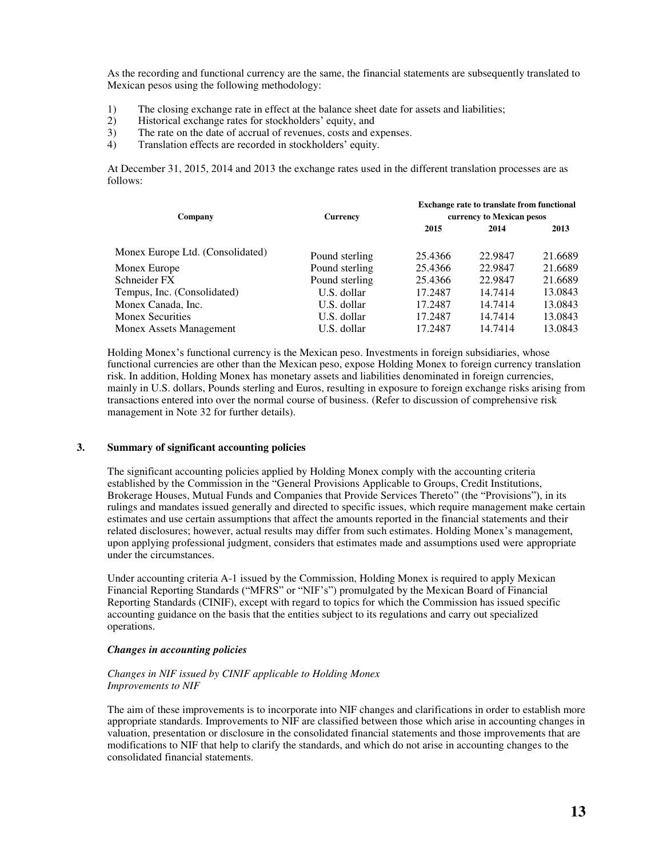As the recording and functional currency are the same, the financial statements are subsequently translated to Mexican pesos using the following methodology:

- 1) The closing exchange rate in effect at the balance sheet date for assets and liabilities;<br>2) Historical exchange rates for stockholders' equity, and
- 2) Historical exchange rates for stockholders' equity, and 3) The rate on the date of accrual of revenues, costs and e
- The rate on the date of accrual of revenues, costs and expenses.
- 4) Translation effects are recorded in stockholders' equity.

At December 31, 2015, 2014 and 2013 the exchange rates used in the different translation processes are as follows:

| Company                          | <b>Currency</b> | <b>Exchange rate to translate from functional</b><br>currency to Mexican pesos |         |         |
|----------------------------------|-----------------|--------------------------------------------------------------------------------|---------|---------|
|                                  |                 | 2015                                                                           | 2014    | 2013    |
| Monex Europe Ltd. (Consolidated) | Pound sterling  | 25.4366                                                                        | 22.9847 | 21.6689 |
| Monex Europe                     | Pound sterling  | 25.4366                                                                        | 22.9847 | 21.6689 |
| Schneider FX                     | Pound sterling  | 25.4366                                                                        | 22.9847 | 21.6689 |
| Tempus, Inc. (Consolidated)      | U.S. dollar     | 17.2487                                                                        | 14.7414 | 13.0843 |
| Monex Canada, Inc.               | U.S. dollar     | 17.2487                                                                        | 14.7414 | 13.0843 |
| <b>Monex Securities</b>          | U.S. dollar     | 17.2487                                                                        | 14.7414 | 13.0843 |
| Monex Assets Management          | U.S. dollar     | 17.2487                                                                        | 14.7414 | 13.0843 |

Holding Monex's functional currency is the Mexican peso. Investments in foreign subsidiaries, whose functional currencies are other than the Mexican peso, expose Holding Monex to foreign currency translation risk. In addition, Holding Monex has monetary assets and liabilities denominated in foreign currencies, mainly in U.S. dollars, Pounds sterling and Euros, resulting in exposure to foreign exchange risks arising from transactions entered into over the normal course of business. (Refer to discussion of comprehensive risk management in Note 32 for further details).

#### **3. Summary of significant accounting policies**

The significant accounting policies applied by Holding Monex comply with the accounting criteria established by the Commission in the "General Provisions Applicable to Groups, Credit Institutions, Brokerage Houses, Mutual Funds and Companies that Provide Services Thereto" (the "Provisions"), in its rulings and mandates issued generally and directed to specific issues, which require management make certain estimates and use certain assumptions that affect the amounts reported in the financial statements and their related disclosures; however, actual results may differ from such estimates. Holding Monex's management, upon applying professional judgment, considers that estimates made and assumptions used were appropriate under the circumstances.

Under accounting criteria A-1 issued by the Commission, Holding Monex is required to apply Mexican Financial Reporting Standards ("MFRS" or "NIF's") promulgated by the Mexican Board of Financial Reporting Standards (CINIF), except with regard to topics for which the Commission has issued specific accounting guidance on the basis that the entities subject to its regulations and carry out specialized operations.

#### *Changes in accounting policies*

#### *Changes in NIF issued by CINIF applicable to Holding Monex Improvements to NIF*

The aim of these improvements is to incorporate into NIF changes and clarifications in order to establish more appropriate standards. Improvements to NIF are classified between those which arise in accounting changes in valuation, presentation or disclosure in the consolidated financial statements and those improvements that are modifications to NIF that help to clarify the standards, and which do not arise in accounting changes to the consolidated financial statements.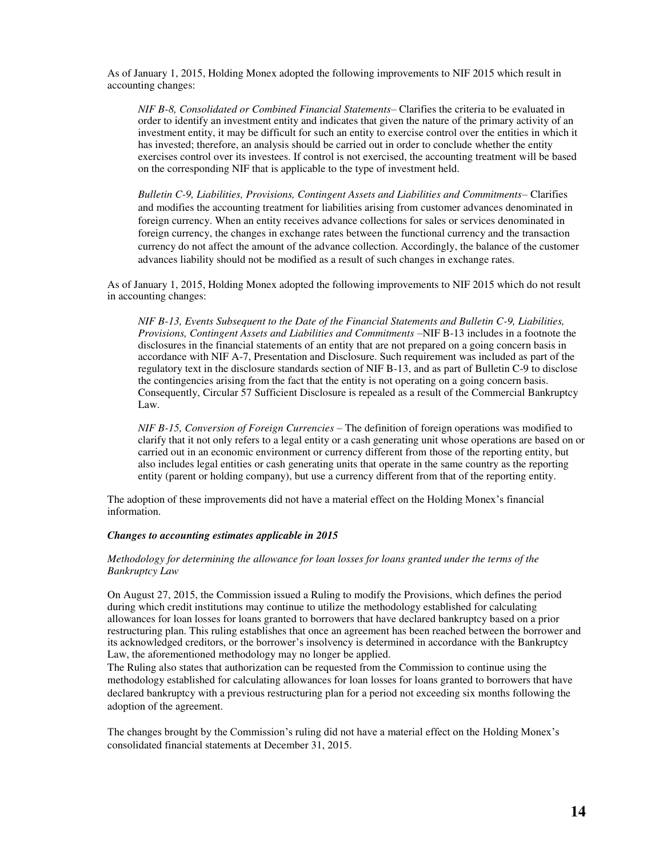As of January 1, 2015, Holding Monex adopted the following improvements to NIF 2015 which result in accounting changes:

*NIF B-8, Consolidated or Combined Financial Statements*– Clarifies the criteria to be evaluated in order to identify an investment entity and indicates that given the nature of the primary activity of an investment entity, it may be difficult for such an entity to exercise control over the entities in which it has invested; therefore, an analysis should be carried out in order to conclude whether the entity exercises control over its investees. If control is not exercised, the accounting treatment will be based on the corresponding NIF that is applicable to the type of investment held.

*Bulletin C-9, Liabilities, Provisions, Contingent Assets and Liabilities and Commitments*– Clarifies and modifies the accounting treatment for liabilities arising from customer advances denominated in foreign currency. When an entity receives advance collections for sales or services denominated in foreign currency, the changes in exchange rates between the functional currency and the transaction currency do not affect the amount of the advance collection. Accordingly, the balance of the customer advances liability should not be modified as a result of such changes in exchange rates.

As of January 1, 2015, Holding Monex adopted the following improvements to NIF 2015 which do not result in accounting changes:

*NIF B-13, Events Subsequent to the Date of the Financial Statements and Bulletin C-9, Liabilities, Provisions, Contingent Assets and Liabilities and Commitments* –NIF B-13 includes in a footnote the disclosures in the financial statements of an entity that are not prepared on a going concern basis in accordance with NIF A-7, Presentation and Disclosure. Such requirement was included as part of the regulatory text in the disclosure standards section of NIF B-13, and as part of Bulletin C-9 to disclose the contingencies arising from the fact that the entity is not operating on a going concern basis. Consequently, Circular 57 Sufficient Disclosure is repealed as a result of the Commercial Bankruptcy Law.

*NIF B-15, Conversion of Foreign Currencies* – The definition of foreign operations was modified to clarify that it not only refers to a legal entity or a cash generating unit whose operations are based on or carried out in an economic environment or currency different from those of the reporting entity, but also includes legal entities or cash generating units that operate in the same country as the reporting entity (parent or holding company), but use a currency different from that of the reporting entity.

The adoption of these improvements did not have a material effect on the Holding Monex's financial information.

#### *Changes to accounting estimates applicable in 2015*

#### *Methodology for determining the allowance for loan losses for loans granted under the terms of the Bankruptcy Law*

On August 27, 2015, the Commission issued a Ruling to modify the Provisions, which defines the period during which credit institutions may continue to utilize the methodology established for calculating allowances for loan losses for loans granted to borrowers that have declared bankruptcy based on a prior restructuring plan. This ruling establishes that once an agreement has been reached between the borrower and its acknowledged creditors, or the borrower's insolvency is determined in accordance with the Bankruptcy Law, the aforementioned methodology may no longer be applied.

The Ruling also states that authorization can be requested from the Commission to continue using the methodology established for calculating allowances for loan losses for loans granted to borrowers that have declared bankruptcy with a previous restructuring plan for a period not exceeding six months following the adoption of the agreement.

The changes brought by the Commission's ruling did not have a material effect on the Holding Monex's consolidated financial statements at December 31, 2015.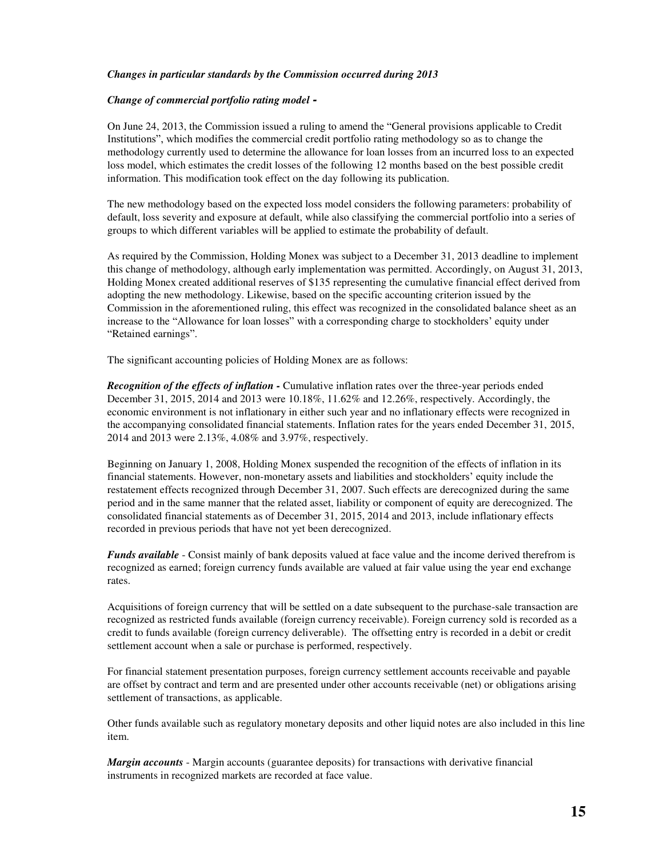#### *Changes in particular standards by the Commission occurred during 2013*

#### *Change of commercial portfolio rating model -*

On June 24, 2013, the Commission issued a ruling to amend the "General provisions applicable to Credit Institutions", which modifies the commercial credit portfolio rating methodology so as to change the methodology currently used to determine the allowance for loan losses from an incurred loss to an expected loss model, which estimates the credit losses of the following 12 months based on the best possible credit information. This modification took effect on the day following its publication.

The new methodology based on the expected loss model considers the following parameters: probability of default, loss severity and exposure at default, while also classifying the commercial portfolio into a series of groups to which different variables will be applied to estimate the probability of default.

As required by the Commission, Holding Monex was subject to a December 31, 2013 deadline to implement this change of methodology, although early implementation was permitted. Accordingly, on August 31, 2013, Holding Monex created additional reserves of \$135 representing the cumulative financial effect derived from adopting the new methodology. Likewise, based on the specific accounting criterion issued by the Commission in the aforementioned ruling, this effect was recognized in the consolidated balance sheet as an increase to the "Allowance for loan losses" with a corresponding charge to stockholders' equity under "Retained earnings".

The significant accounting policies of Holding Monex are as follows:

*Recognition of the effects of inflation -* Cumulative inflation rates over the three-year periods ended December 31, 2015, 2014 and 2013 were 10.18%, 11.62% and 12.26%, respectively. Accordingly, the economic environment is not inflationary in either such year and no inflationary effects were recognized in the accompanying consolidated financial statements. Inflation rates for the years ended December 31, 2015, 2014 and 2013 were 2.13%, 4.08% and 3.97%, respectively.

Beginning on January 1, 2008, Holding Monex suspended the recognition of the effects of inflation in its financial statements. However, non-monetary assets and liabilities and stockholders' equity include the restatement effects recognized through December 31, 2007. Such effects are derecognized during the same period and in the same manner that the related asset, liability or component of equity are derecognized. The consolidated financial statements as of December 31, 2015, 2014 and 2013, include inflationary effects recorded in previous periods that have not yet been derecognized.

*Funds available* - Consist mainly of bank deposits valued at face value and the income derived therefrom is recognized as earned; foreign currency funds available are valued at fair value using the year end exchange rates.

Acquisitions of foreign currency that will be settled on a date subsequent to the purchase-sale transaction are recognized as restricted funds available (foreign currency receivable). Foreign currency sold is recorded as a credit to funds available (foreign currency deliverable). The offsetting entry is recorded in a debit or credit settlement account when a sale or purchase is performed, respectively.

For financial statement presentation purposes, foreign currency settlement accounts receivable and payable are offset by contract and term and are presented under other accounts receivable (net) or obligations arising settlement of transactions, as applicable.

Other funds available such as regulatory monetary deposits and other liquid notes are also included in this line item.

*Margin accounts* - Margin accounts (guarantee deposits) for transactions with derivative financial instruments in recognized markets are recorded at face value.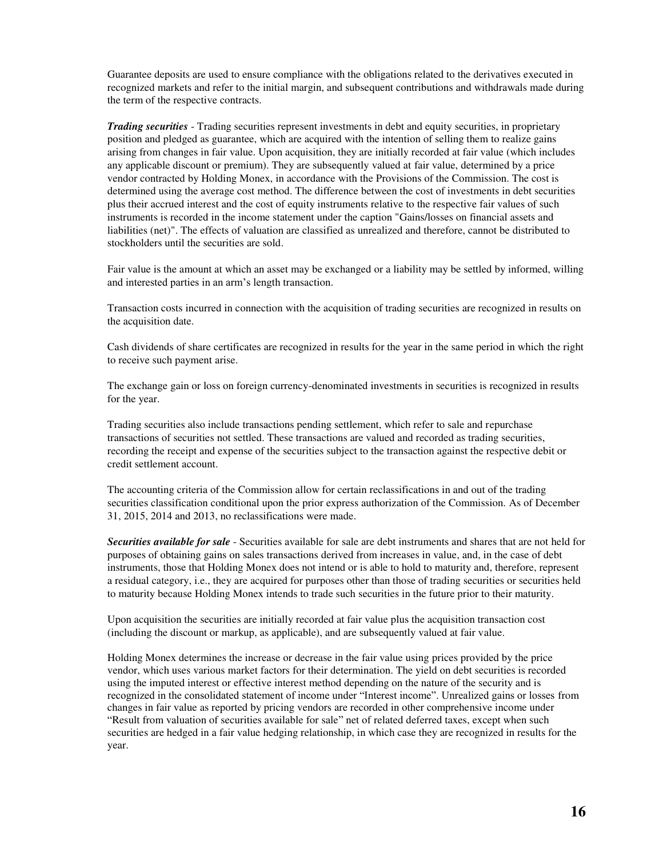Guarantee deposits are used to ensure compliance with the obligations related to the derivatives executed in recognized markets and refer to the initial margin, and subsequent contributions and withdrawals made during the term of the respective contracts.

*Trading securities* - Trading securities represent investments in debt and equity securities, in proprietary position and pledged as guarantee, which are acquired with the intention of selling them to realize gains arising from changes in fair value. Upon acquisition, they are initially recorded at fair value (which includes any applicable discount or premium). They are subsequently valued at fair value, determined by a price vendor contracted by Holding Monex, in accordance with the Provisions of the Commission. The cost is determined using the average cost method. The difference between the cost of investments in debt securities plus their accrued interest and the cost of equity instruments relative to the respective fair values of such instruments is recorded in the income statement under the caption "Gains/losses on financial assets and liabilities (net)". The effects of valuation are classified as unrealized and therefore, cannot be distributed to stockholders until the securities are sold.

Fair value is the amount at which an asset may be exchanged or a liability may be settled by informed, willing and interested parties in an arm's length transaction.

Transaction costs incurred in connection with the acquisition of trading securities are recognized in results on the acquisition date.

Cash dividends of share certificates are recognized in results for the year in the same period in which the right to receive such payment arise.

The exchange gain or loss on foreign currency-denominated investments in securities is recognized in results for the year.

Trading securities also include transactions pending settlement, which refer to sale and repurchase transactions of securities not settled. These transactions are valued and recorded as trading securities, recording the receipt and expense of the securities subject to the transaction against the respective debit or credit settlement account.

The accounting criteria of the Commission allow for certain reclassifications in and out of the trading securities classification conditional upon the prior express authorization of the Commission. As of December 31, 2015, 2014 and 2013, no reclassifications were made.

*Securities available for sale* - Securities available for sale are debt instruments and shares that are not held for purposes of obtaining gains on sales transactions derived from increases in value, and, in the case of debt instruments, those that Holding Monex does not intend or is able to hold to maturity and, therefore, represent a residual category, i.e., they are acquired for purposes other than those of trading securities or securities held to maturity because Holding Monex intends to trade such securities in the future prior to their maturity.

Upon acquisition the securities are initially recorded at fair value plus the acquisition transaction cost (including the discount or markup, as applicable), and are subsequently valued at fair value.

Holding Monex determines the increase or decrease in the fair value using prices provided by the price vendor, which uses various market factors for their determination. The yield on debt securities is recorded using the imputed interest or effective interest method depending on the nature of the security and is recognized in the consolidated statement of income under "Interest income". Unrealized gains or losses from changes in fair value as reported by pricing vendors are recorded in other comprehensive income under "Result from valuation of securities available for sale" net of related deferred taxes, except when such securities are hedged in a fair value hedging relationship, in which case they are recognized in results for the year.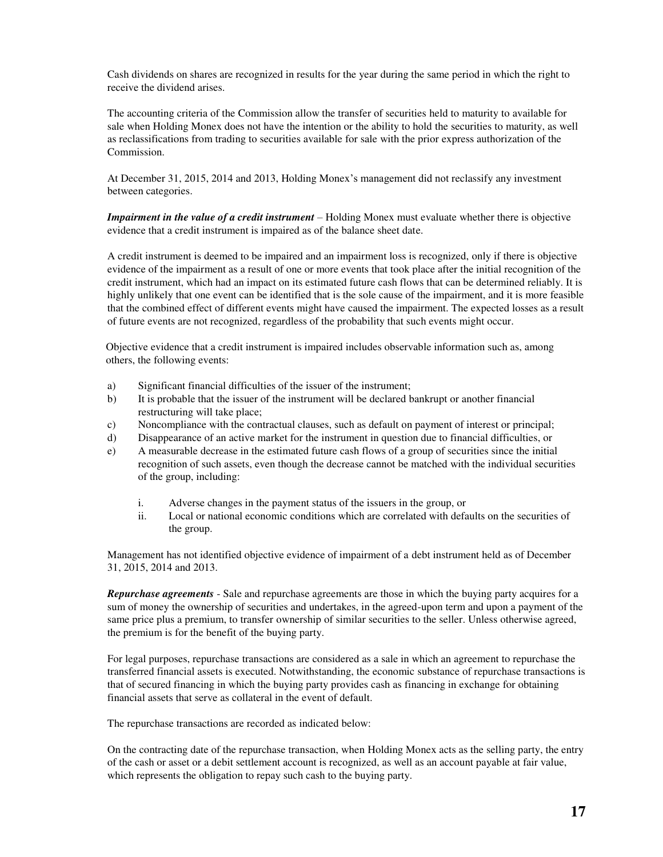Cash dividends on shares are recognized in results for the year during the same period in which the right to receive the dividend arises.

The accounting criteria of the Commission allow the transfer of securities held to maturity to available for sale when Holding Monex does not have the intention or the ability to hold the securities to maturity, as well as reclassifications from trading to securities available for sale with the prior express authorization of the Commission.

At December 31, 2015, 2014 and 2013, Holding Monex's management did not reclassify any investment between categories.

*Impairment in the value of a credit instrument* – Holding Monex must evaluate whether there is objective evidence that a credit instrument is impaired as of the balance sheet date.

A credit instrument is deemed to be impaired and an impairment loss is recognized, only if there is objective evidence of the impairment as a result of one or more events that took place after the initial recognition of the credit instrument, which had an impact on its estimated future cash flows that can be determined reliably. It is highly unlikely that one event can be identified that is the sole cause of the impairment, and it is more feasible that the combined effect of different events might have caused the impairment. The expected losses as a result of future events are not recognized, regardless of the probability that such events might occur.

Objective evidence that a credit instrument is impaired includes observable information such as, among others, the following events:

- a) Significant financial difficulties of the issuer of the instrument;
- b) It is probable that the issuer of the instrument will be declared bankrupt or another financial restructuring will take place;
- c) Noncompliance with the contractual clauses, such as default on payment of interest or principal;
- d) Disappearance of an active market for the instrument in question due to financial difficulties, or
- e) A measurable decrease in the estimated future cash flows of a group of securities since the initial recognition of such assets, even though the decrease cannot be matched with the individual securities of the group, including:
	- i. Adverse changes in the payment status of the issuers in the group, or
	- ii. Local or national economic conditions which are correlated with defaults on the securities of the group.

Management has not identified objective evidence of impairment of a debt instrument held as of December 31, 2015, 2014 and 2013.

*Repurchase agreements* - Sale and repurchase agreements are those in which the buying party acquires for a sum of money the ownership of securities and undertakes, in the agreed-upon term and upon a payment of the same price plus a premium, to transfer ownership of similar securities to the seller. Unless otherwise agreed, the premium is for the benefit of the buying party.

For legal purposes, repurchase transactions are considered as a sale in which an agreement to repurchase the transferred financial assets is executed. Notwithstanding, the economic substance of repurchase transactions is that of secured financing in which the buying party provides cash as financing in exchange for obtaining financial assets that serve as collateral in the event of default.

The repurchase transactions are recorded as indicated below:

On the contracting date of the repurchase transaction, when Holding Monex acts as the selling party, the entry of the cash or asset or a debit settlement account is recognized, as well as an account payable at fair value, which represents the obligation to repay such cash to the buying party.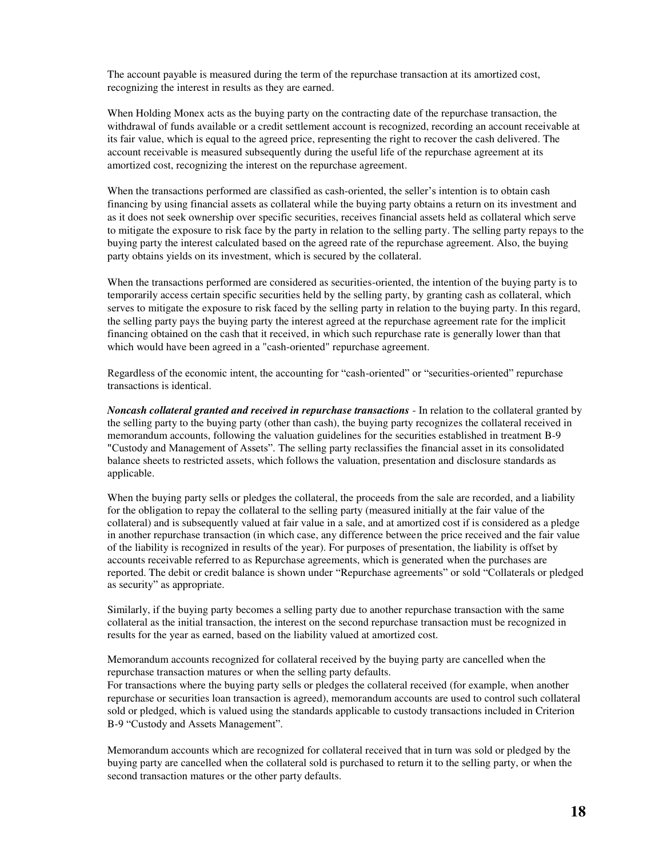The account payable is measured during the term of the repurchase transaction at its amortized cost, recognizing the interest in results as they are earned.

When Holding Monex acts as the buying party on the contracting date of the repurchase transaction, the withdrawal of funds available or a credit settlement account is recognized, recording an account receivable at its fair value, which is equal to the agreed price, representing the right to recover the cash delivered. The account receivable is measured subsequently during the useful life of the repurchase agreement at its amortized cost, recognizing the interest on the repurchase agreement.

When the transactions performed are classified as cash-oriented, the seller's intention is to obtain cash financing by using financial assets as collateral while the buying party obtains a return on its investment and as it does not seek ownership over specific securities, receives financial assets held as collateral which serve to mitigate the exposure to risk face by the party in relation to the selling party. The selling party repays to the buying party the interest calculated based on the agreed rate of the repurchase agreement. Also, the buying party obtains yields on its investment, which is secured by the collateral.

When the transactions performed are considered as securities-oriented, the intention of the buying party is to temporarily access certain specific securities held by the selling party, by granting cash as collateral, which serves to mitigate the exposure to risk faced by the selling party in relation to the buying party. In this regard, the selling party pays the buying party the interest agreed at the repurchase agreement rate for the implicit financing obtained on the cash that it received, in which such repurchase rate is generally lower than that which would have been agreed in a "cash-oriented" repurchase agreement.

Regardless of the economic intent, the accounting for "cash-oriented" or "securities-oriented" repurchase transactions is identical.

*Noncash collateral granted and received in repurchase transactions* - In relation to the collateral granted by the selling party to the buying party (other than cash), the buying party recognizes the collateral received in memorandum accounts, following the valuation guidelines for the securities established in treatment B-9 "Custody and Management of Assets". The selling party reclassifies the financial asset in its consolidated balance sheets to restricted assets, which follows the valuation, presentation and disclosure standards as applicable.

When the buying party sells or pledges the collateral, the proceeds from the sale are recorded, and a liability for the obligation to repay the collateral to the selling party (measured initially at the fair value of the collateral) and is subsequently valued at fair value in a sale, and at amortized cost if is considered as a pledge in another repurchase transaction (in which case, any difference between the price received and the fair value of the liability is recognized in results of the year). For purposes of presentation, the liability is offset by accounts receivable referred to as Repurchase agreements, which is generated when the purchases are reported. The debit or credit balance is shown under "Repurchase agreements" or sold "Collaterals or pledged as security" as appropriate.

Similarly, if the buying party becomes a selling party due to another repurchase transaction with the same collateral as the initial transaction, the interest on the second repurchase transaction must be recognized in results for the year as earned, based on the liability valued at amortized cost.

Memorandum accounts recognized for collateral received by the buying party are cancelled when the repurchase transaction matures or when the selling party defaults.

For transactions where the buying party sells or pledges the collateral received (for example, when another repurchase or securities loan transaction is agreed), memorandum accounts are used to control such collateral sold or pledged, which is valued using the standards applicable to custody transactions included in Criterion B-9 "Custody and Assets Management".

Memorandum accounts which are recognized for collateral received that in turn was sold or pledged by the buying party are cancelled when the collateral sold is purchased to return it to the selling party, or when the second transaction matures or the other party defaults.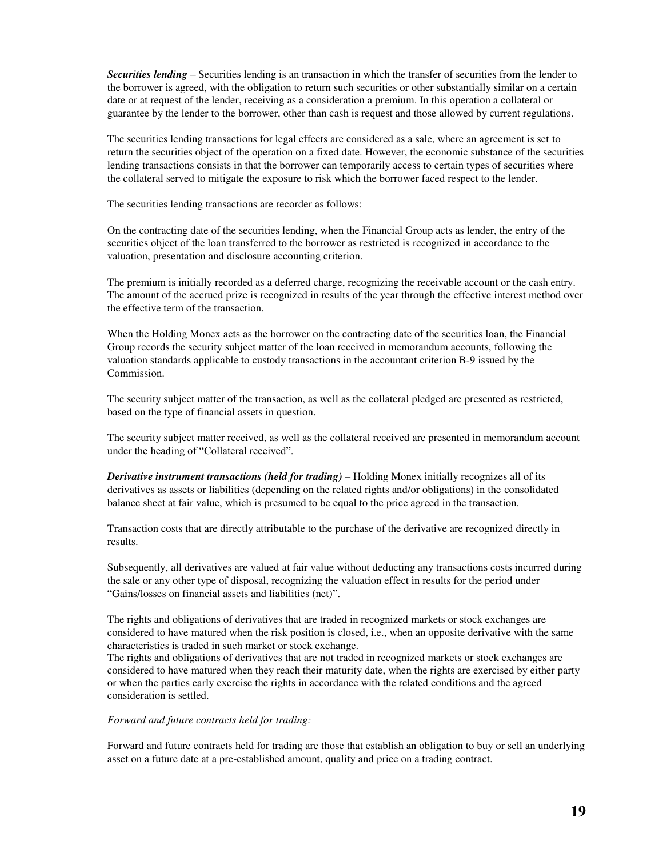*Securities lending –* Securities lending is an transaction in which the transfer of securities from the lender to the borrower is agreed, with the obligation to return such securities or other substantially similar on a certain date or at request of the lender, receiving as a consideration a premium. In this operation a collateral or guarantee by the lender to the borrower, other than cash is request and those allowed by current regulations.

The securities lending transactions for legal effects are considered as a sale, where an agreement is set to return the securities object of the operation on a fixed date. However, the economic substance of the securities lending transactions consists in that the borrower can temporarily access to certain types of securities where the collateral served to mitigate the exposure to risk which the borrower faced respect to the lender.

The securities lending transactions are recorder as follows:

On the contracting date of the securities lending, when the Financial Group acts as lender, the entry of the securities object of the loan transferred to the borrower as restricted is recognized in accordance to the valuation, presentation and disclosure accounting criterion.

The premium is initially recorded as a deferred charge, recognizing the receivable account or the cash entry. The amount of the accrued prize is recognized in results of the year through the effective interest method over the effective term of the transaction.

When the Holding Monex acts as the borrower on the contracting date of the securities loan, the Financial Group records the security subject matter of the loan received in memorandum accounts, following the valuation standards applicable to custody transactions in the accountant criterion B-9 issued by the Commission.

The security subject matter of the transaction, as well as the collateral pledged are presented as restricted, based on the type of financial assets in question.

The security subject matter received, as well as the collateral received are presented in memorandum account under the heading of "Collateral received".

*Derivative instrument transactions (held for trading) –* Holding Monex initially recognizes all of its derivatives as assets or liabilities (depending on the related rights and/or obligations) in the consolidated balance sheet at fair value, which is presumed to be equal to the price agreed in the transaction.

Transaction costs that are directly attributable to the purchase of the derivative are recognized directly in results.

Subsequently, all derivatives are valued at fair value without deducting any transactions costs incurred during the sale or any other type of disposal, recognizing the valuation effect in results for the period under "Gains/losses on financial assets and liabilities (net)".

The rights and obligations of derivatives that are traded in recognized markets or stock exchanges are considered to have matured when the risk position is closed, i.e., when an opposite derivative with the same characteristics is traded in such market or stock exchange.

The rights and obligations of derivatives that are not traded in recognized markets or stock exchanges are considered to have matured when they reach their maturity date, when the rights are exercised by either party or when the parties early exercise the rights in accordance with the related conditions and the agreed consideration is settled.

#### *Forward and future contracts held for trading:*

Forward and future contracts held for trading are those that establish an obligation to buy or sell an underlying asset on a future date at a pre-established amount, quality and price on a trading contract.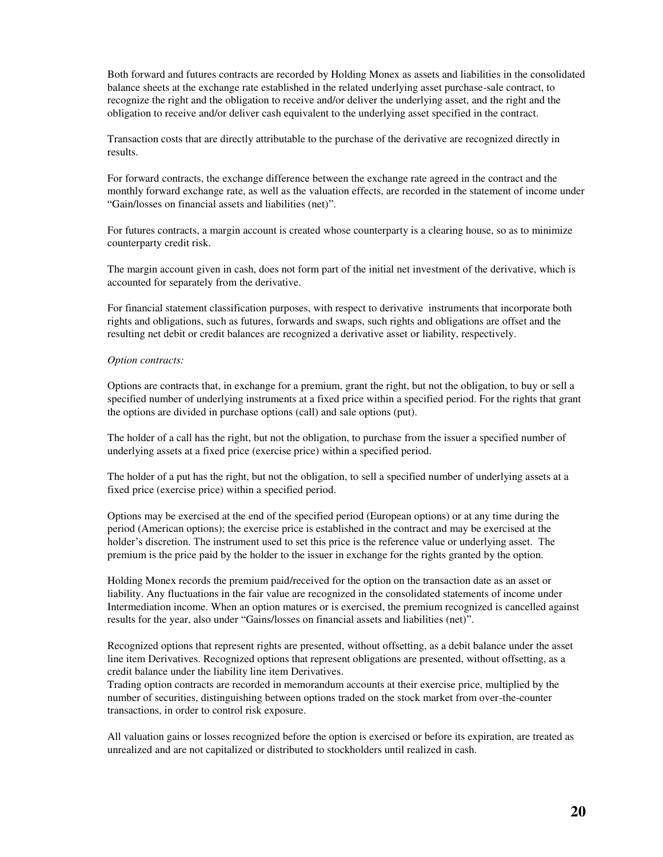Both forward and futures contracts are recorded by Holding Monex as assets and liabilities in the consolidated balance sheets at the exchange rate established in the related underlying asset purchase-sale contract, to recognize the right and the obligation to receive and/or deliver the underlying asset, and the right and the obligation to receive and/or deliver cash equivalent to the underlying asset specified in the contract.

Transaction costs that are directly attributable to the purchase of the derivative are recognized directly in results.

For forward contracts, the exchange difference between the exchange rate agreed in the contract and the monthly forward exchange rate, as well as the valuation effects, are recorded in the statement of income under "Gain/losses on financial assets and liabilities (net)".

For futures contracts, a margin account is created whose counterparty is a clearing house, so as to minimize counterparty credit risk.

The margin account given in cash, does not form part of the initial net investment of the derivative, which is accounted for separately from the derivative.

For financial statement classification purposes, with respect to derivative instruments that incorporate both rights and obligations, such as futures, forwards and swaps, such rights and obligations are offset and the resulting net debit or credit balances are recognized a derivative asset or liability, respectively.

#### *Option contracts:*

Options are contracts that, in exchange for a premium, grant the right, but not the obligation, to buy or sell a specified number of underlying instruments at a fixed price within a specified period. For the rights that grant the options are divided in purchase options (call) and sale options (put).

The holder of a call has the right, but not the obligation, to purchase from the issuer a specified number of underlying assets at a fixed price (exercise price) within a specified period.

The holder of a put has the right, but not the obligation, to sell a specified number of underlying assets at a fixed price (exercise price) within a specified period.

Options may be exercised at the end of the specified period (European options) or at any time during the period (American options); the exercise price is established in the contract and may be exercised at the holder's discretion. The instrument used to set this price is the reference value or underlying asset. The premium is the price paid by the holder to the issuer in exchange for the rights granted by the option.

Holding Monex records the premium paid/received for the option on the transaction date as an asset or liability. Any fluctuations in the fair value are recognized in the consolidated statements of income under Intermediation income. When an option matures or is exercised, the premium recognized is cancelled against results for the year, also under "Gains/losses on financial assets and liabilities (net)".

Recognized options that represent rights are presented, without offsetting, as a debit balance under the asset line item Derivatives. Recognized options that represent obligations are presented, without offsetting, as a credit balance under the liability line item Derivatives.

Trading option contracts are recorded in memorandum accounts at their exercise price, multiplied by the number of securities, distinguishing between options traded on the stock market from over-the-counter transactions, in order to control risk exposure.

All valuation gains or losses recognized before the option is exercised or before its expiration, are treated as unrealized and are not capitalized or distributed to stockholders until realized in cash.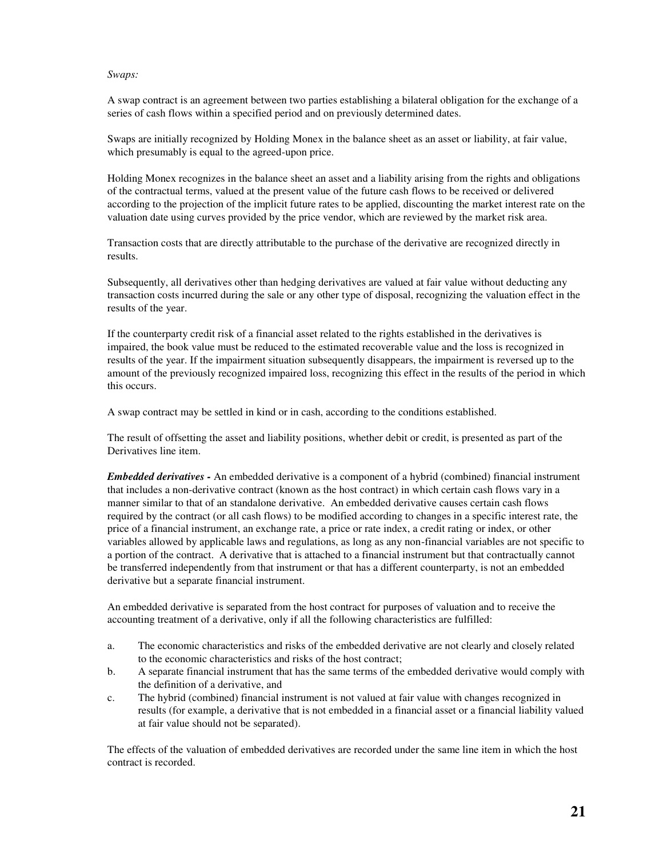#### *Swaps:*

A swap contract is an agreement between two parties establishing a bilateral obligation for the exchange of a series of cash flows within a specified period and on previously determined dates.

Swaps are initially recognized by Holding Monex in the balance sheet as an asset or liability, at fair value, which presumably is equal to the agreed-upon price.

Holding Monex recognizes in the balance sheet an asset and a liability arising from the rights and obligations of the contractual terms, valued at the present value of the future cash flows to be received or delivered according to the projection of the implicit future rates to be applied, discounting the market interest rate on the valuation date using curves provided by the price vendor, which are reviewed by the market risk area.

Transaction costs that are directly attributable to the purchase of the derivative are recognized directly in results.

Subsequently, all derivatives other than hedging derivatives are valued at fair value without deducting any transaction costs incurred during the sale or any other type of disposal, recognizing the valuation effect in the results of the year.

If the counterparty credit risk of a financial asset related to the rights established in the derivatives is impaired, the book value must be reduced to the estimated recoverable value and the loss is recognized in results of the year. If the impairment situation subsequently disappears, the impairment is reversed up to the amount of the previously recognized impaired loss, recognizing this effect in the results of the period in which this occurs.

A swap contract may be settled in kind or in cash, according to the conditions established.

The result of offsetting the asset and liability positions, whether debit or credit, is presented as part of the Derivatives line item.

*Embedded derivatives -* An embedded derivative is a component of a hybrid (combined) financial instrument that includes a non-derivative contract (known as the host contract) in which certain cash flows vary in a manner similar to that of an standalone derivative. An embedded derivative causes certain cash flows required by the contract (or all cash flows) to be modified according to changes in a specific interest rate, the price of a financial instrument, an exchange rate, a price or rate index, a credit rating or index, or other variables allowed by applicable laws and regulations, as long as any non-financial variables are not specific to a portion of the contract. A derivative that is attached to a financial instrument but that contractually cannot be transferred independently from that instrument or that has a different counterparty, is not an embedded derivative but a separate financial instrument.

An embedded derivative is separated from the host contract for purposes of valuation and to receive the accounting treatment of a derivative, only if all the following characteristics are fulfilled:

- a. The economic characteristics and risks of the embedded derivative are not clearly and closely related to the economic characteristics and risks of the host contract;
- b. A separate financial instrument that has the same terms of the embedded derivative would comply with the definition of a derivative, and
- c. The hybrid (combined) financial instrument is not valued at fair value with changes recognized in results (for example, a derivative that is not embedded in a financial asset or a financial liability valued at fair value should not be separated).

The effects of the valuation of embedded derivatives are recorded under the same line item in which the host contract is recorded.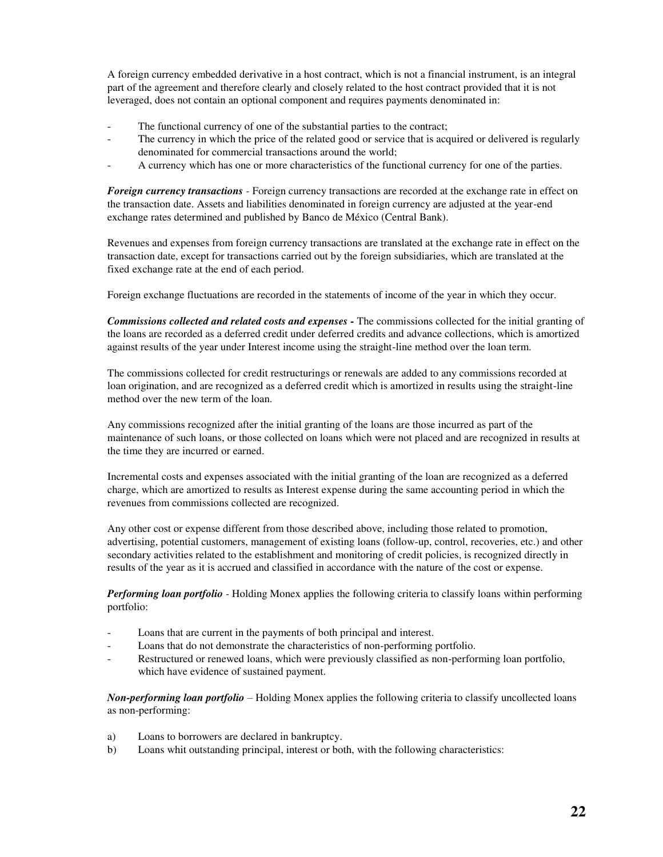A foreign currency embedded derivative in a host contract, which is not a financial instrument, is an integral part of the agreement and therefore clearly and closely related to the host contract provided that it is not leveraged, does not contain an optional component and requires payments denominated in:

- The functional currency of one of the substantial parties to the contract;
- The currency in which the price of the related good or service that is acquired or delivered is regularly denominated for commercial transactions around the world;
- A currency which has one or more characteristics of the functional currency for one of the parties.

*Foreign currency transactions -* Foreign currency transactions are recorded at the exchange rate in effect on the transaction date. Assets and liabilities denominated in foreign currency are adjusted at the year-end exchange rates determined and published by Banco de México (Central Bank).

Revenues and expenses from foreign currency transactions are translated at the exchange rate in effect on the transaction date, except for transactions carried out by the foreign subsidiaries, which are translated at the fixed exchange rate at the end of each period.

Foreign exchange fluctuations are recorded in the statements of income of the year in which they occur.

*Commissions collected and related costs and expenses -* The commissions collected for the initial granting of the loans are recorded as a deferred credit under deferred credits and advance collections, which is amortized against results of the year under Interest income using the straight-line method over the loan term.

The commissions collected for credit restructurings or renewals are added to any commissions recorded at loan origination, and are recognized as a deferred credit which is amortized in results using the straight-line method over the new term of the loan.

Any commissions recognized after the initial granting of the loans are those incurred as part of the maintenance of such loans, or those collected on loans which were not placed and are recognized in results at the time they are incurred or earned.

Incremental costs and expenses associated with the initial granting of the loan are recognized as a deferred charge, which are amortized to results as Interest expense during the same accounting period in which the revenues from commissions collected are recognized.

Any other cost or expense different from those described above, including those related to promotion, advertising, potential customers, management of existing loans (follow-up, control, recoveries, etc.) and other secondary activities related to the establishment and monitoring of credit policies, is recognized directly in results of the year as it is accrued and classified in accordance with the nature of the cost or expense.

*Performing loan portfolio -* Holding Monex applies the following criteria to classify loans within performing portfolio:

- Loans that are current in the payments of both principal and interest.
- Loans that do not demonstrate the characteristics of non-performing portfolio.
- Restructured or renewed loans, which were previously classified as non-performing loan portfolio, which have evidence of sustained payment.

*Non-performing loan portfolio* – Holding Monex applies the following criteria to classify uncollected loans as non-performing:

- a) Loans to borrowers are declared in bankruptcy.
- b) Loans whit outstanding principal, interest or both, with the following characteristics: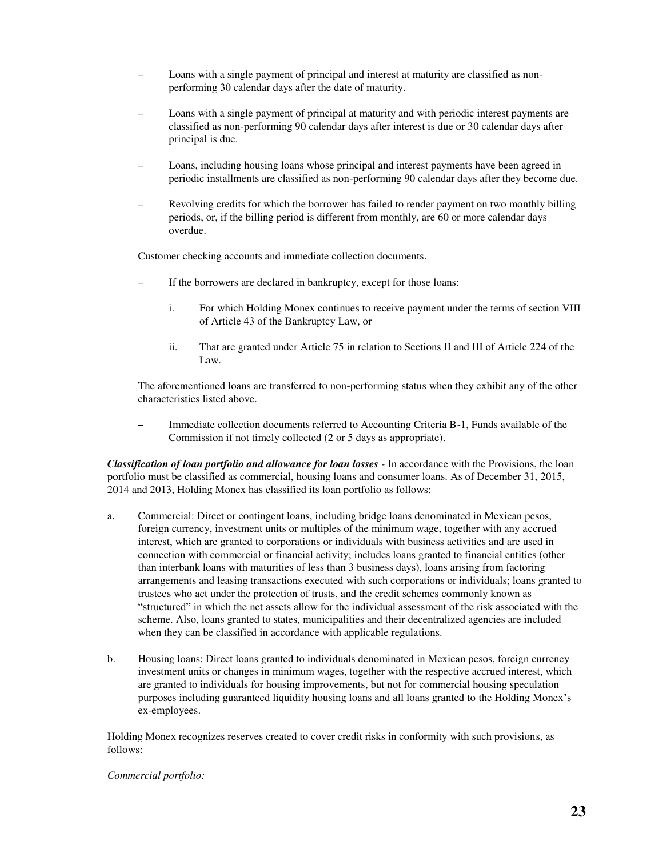- Loans with a single payment of principal and interest at maturity are classified as nonperforming 30 calendar days after the date of maturity.
- Loans with a single payment of principal at maturity and with periodic interest payments are classified as non-performing 90 calendar days after interest is due or 30 calendar days after principal is due.
- Loans, including housing loans whose principal and interest payments have been agreed in periodic installments are classified as non-performing 90 calendar days after they become due.
- Revolving credits for which the borrower has failed to render payment on two monthly billing periods, or, if the billing period is different from monthly, are 60 or more calendar days overdue.

Customer checking accounts and immediate collection documents.

- If the borrowers are declared in bankruptcy, except for those loans:
	- i. For which Holding Monex continues to receive payment under the terms of section VIII of Article 43 of the Bankruptcy Law, or
	- ii. That are granted under Article 75 in relation to Sections II and III of Article 224 of the Law.

The aforementioned loans are transferred to non-performing status when they exhibit any of the other characteristics listed above.

– Immediate collection documents referred to Accounting Criteria B-1, Funds available of the Commission if not timely collected (2 or 5 days as appropriate).

*Classification of loan portfolio and allowance for loan losses -* In accordance with the Provisions, the loan portfolio must be classified as commercial, housing loans and consumer loans. As of December 31, 2015, 2014 and 2013, Holding Monex has classified its loan portfolio as follows:

- a. Commercial: Direct or contingent loans, including bridge loans denominated in Mexican pesos, foreign currency, investment units or multiples of the minimum wage, together with any accrued interest, which are granted to corporations or individuals with business activities and are used in connection with commercial or financial activity; includes loans granted to financial entities (other than interbank loans with maturities of less than 3 business days), loans arising from factoring arrangements and leasing transactions executed with such corporations or individuals; loans granted to trustees who act under the protection of trusts, and the credit schemes commonly known as "structured" in which the net assets allow for the individual assessment of the risk associated with the scheme. Also, loans granted to states, municipalities and their decentralized agencies are included when they can be classified in accordance with applicable regulations.
- b. Housing loans: Direct loans granted to individuals denominated in Mexican pesos, foreign currency investment units or changes in minimum wages, together with the respective accrued interest, which are granted to individuals for housing improvements, but not for commercial housing speculation purposes including guaranteed liquidity housing loans and all loans granted to the Holding Monex's ex-employees.

Holding Monex recognizes reserves created to cover credit risks in conformity with such provisions, as follows:

#### *Commercial portfolio:*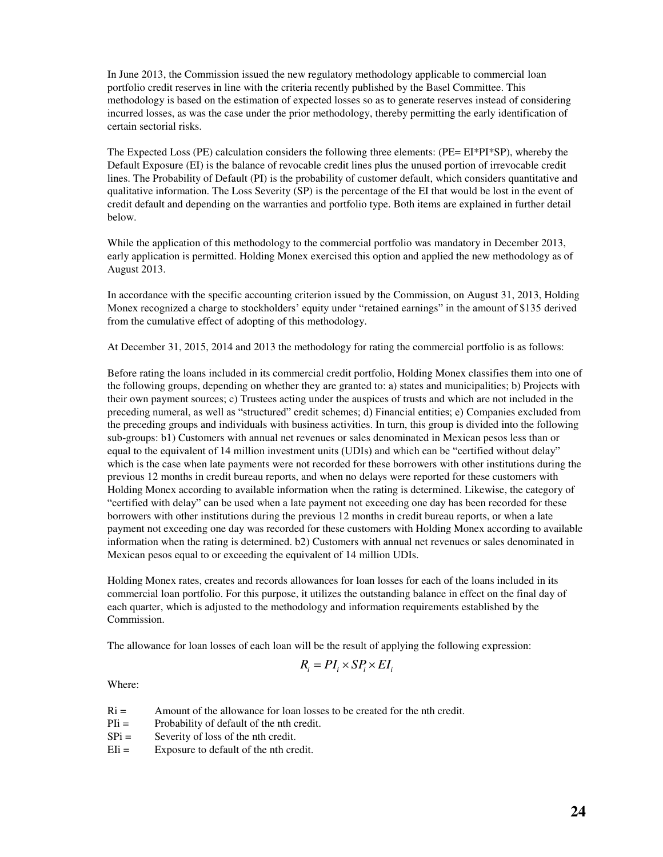In June 2013, the Commission issued the new regulatory methodology applicable to commercial loan portfolio credit reserves in line with the criteria recently published by the Basel Committee. This methodology is based on the estimation of expected losses so as to generate reserves instead of considering incurred losses, as was the case under the prior methodology, thereby permitting the early identification of certain sectorial risks.

The Expected Loss (PE) calculation considers the following three elements: (PE= EI\*PI\*SP), whereby the Default Exposure (EI) is the balance of revocable credit lines plus the unused portion of irrevocable credit lines. The Probability of Default (PI) is the probability of customer default, which considers quantitative and qualitative information. The Loss Severity (SP) is the percentage of the EI that would be lost in the event of credit default and depending on the warranties and portfolio type. Both items are explained in further detail below.

While the application of this methodology to the commercial portfolio was mandatory in December 2013, early application is permitted. Holding Monex exercised this option and applied the new methodology as of August 2013.

In accordance with the specific accounting criterion issued by the Commission, on August 31, 2013, Holding Monex recognized a charge to stockholders' equity under "retained earnings" in the amount of \$135 derived from the cumulative effect of adopting of this methodology.

At December 31, 2015, 2014 and 2013 the methodology for rating the commercial portfolio is as follows:

Before rating the loans included in its commercial credit portfolio, Holding Monex classifies them into one of the following groups, depending on whether they are granted to: a) states and municipalities; b) Projects with their own payment sources; c) Trustees acting under the auspices of trusts and which are not included in the preceding numeral, as well as "structured" credit schemes; d) Financial entities; e) Companies excluded from the preceding groups and individuals with business activities. In turn, this group is divided into the following sub-groups: b1) Customers with annual net revenues or sales denominated in Mexican pesos less than or equal to the equivalent of 14 million investment units (UDIs) and which can be "certified without delay" which is the case when late payments were not recorded for these borrowers with other institutions during the previous 12 months in credit bureau reports, and when no delays were reported for these customers with Holding Monex according to available information when the rating is determined. Likewise, the category of "certified with delay" can be used when a late payment not exceeding one day has been recorded for these borrowers with other institutions during the previous 12 months in credit bureau reports, or when a late payment not exceeding one day was recorded for these customers with Holding Monex according to available information when the rating is determined. b2) Customers with annual net revenues or sales denominated in Mexican pesos equal to or exceeding the equivalent of 14 million UDIs.

Holding Monex rates, creates and records allowances for loan losses for each of the loans included in its commercial loan portfolio. For this purpose, it utilizes the outstanding balance in effect on the final day of each quarter, which is adjusted to the methodology and information requirements established by the Commission.

The allowance for loan losses of each loan will be the result of applying the following expression:

$$
R_i = PI_i \times SP_i \times EI_i
$$

Where:

 $Ri =$  Amount of the allowance for loan losses to be created for the nth credit.

PIi = Probability of default of the nth credit.

- $SPi =$  Severity of loss of the nth credit.
- EIi = Exposure to default of the nth credit.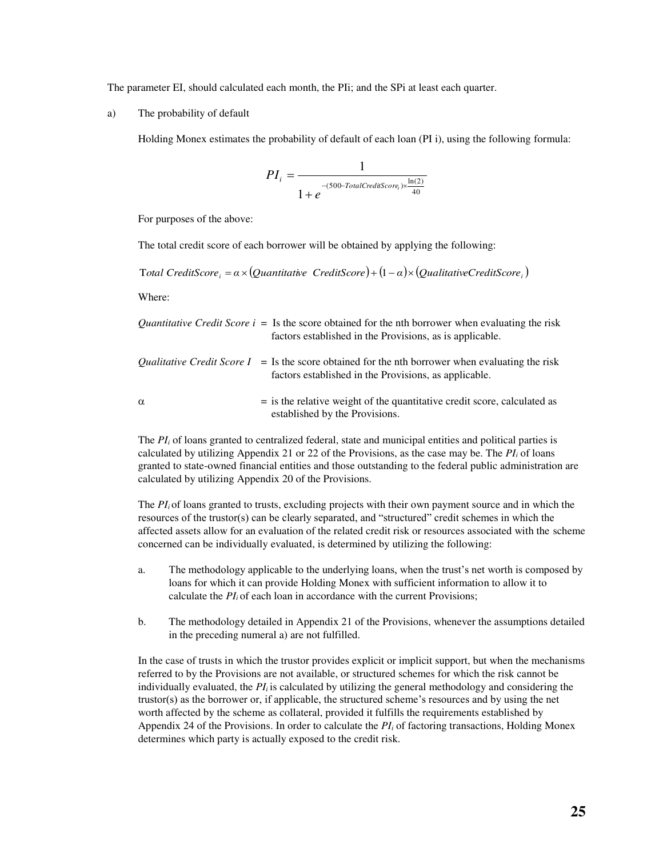The parameter EI, should calculated each month, the PIi; and the SPi at least each quarter.

a) The probability of default

Holding Monex estimates the probability of default of each loan (PI i), using the following formula:

$$
PI_{i} = \frac{1}{1 + e^{-(500 - TotalC rediScore_{i}) \times \frac{\ln(2)}{40}}}
$$

For purposes of the above:

The total credit score of each borrower will be obtained by applying the following:

*Total CreditScore*  $a = \alpha \times (Quantitative CreditScore) + (1 - \alpha) \times (Qualitative CreditScore)$ 

Where:

|          | <i>Quantitative Credit Score i = Is the score obtained for the nth borrower when evaluating the risk</i><br>factors established in the Provisions, as is applicable. |
|----------|----------------------------------------------------------------------------------------------------------------------------------------------------------------------|
|          | <i>Oualitative Credit Score I = Is the score obtained for the nth borrower when evaluating the risk</i><br>factors established in the Provisions, as applicable.     |
| $\alpha$ | $=$ is the relative weight of the quantitative credit score, calculated as<br>established by the Provisions.                                                         |

The *PI*<sup>*i*</sup> of loans granted to centralized federal, state and municipal entities and political parties is calculated by utilizing Appendix 21 or 22 of the Provisions, as the case may be. The  $PI_i$  of loans granted to state-owned financial entities and those outstanding to the federal public administration are calculated by utilizing Appendix 20 of the Provisions.

The *PI*<sup>*i*</sup> of loans granted to trusts, excluding projects with their own payment source and in which the resources of the trustor(s) can be clearly separated, and "structured" credit schemes in which the affected assets allow for an evaluation of the related credit risk or resources associated with the scheme concerned can be individually evaluated, is determined by utilizing the following:

- a. The methodology applicable to the underlying loans, when the trust's net worth is composed by loans for which it can provide Holding Monex with sufficient information to allow it to calculate the *PI<sup>i</sup>* of each loan in accordance with the current Provisions;
- b. The methodology detailed in Appendix 21 of the Provisions, whenever the assumptions detailed in the preceding numeral a) are not fulfilled.

In the case of trusts in which the trustor provides explicit or implicit support, but when the mechanisms referred to by the Provisions are not available, or structured schemes for which the risk cannot be individually evaluated, the  $PI<sub>i</sub>$  is calculated by utilizing the general methodology and considering the trustor(s) as the borrower or, if applicable, the structured scheme's resources and by using the net worth affected by the scheme as collateral, provided it fulfills the requirements established by Appendix 24 of the Provisions. In order to calculate the *PIi* of factoring transactions, Holding Monex determines which party is actually exposed to the credit risk.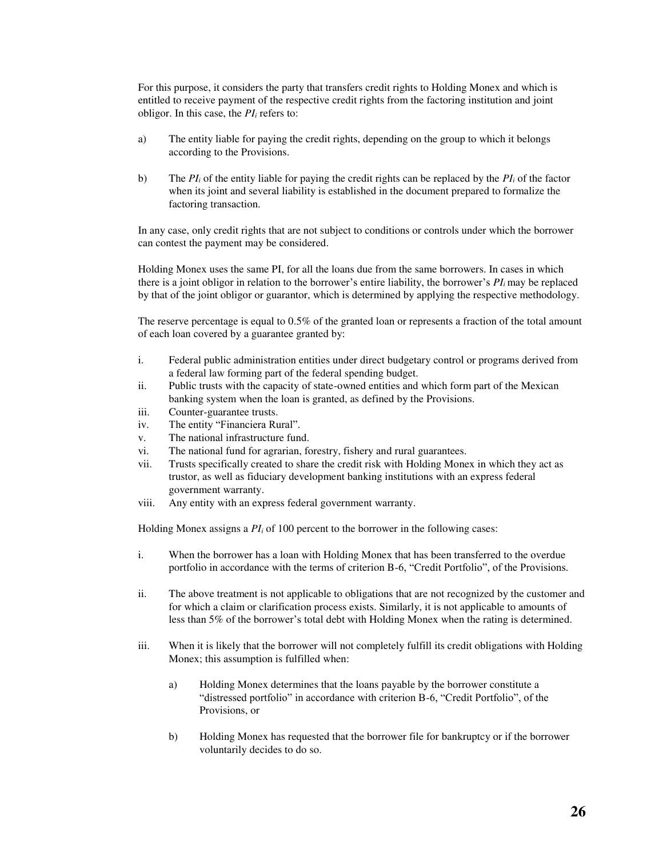For this purpose, it considers the party that transfers credit rights to Holding Monex and which is entitled to receive payment of the respective credit rights from the factoring institution and joint obligor. In this case, the *PIi* refers to:

- a) The entity liable for paying the credit rights, depending on the group to which it belongs according to the Provisions.
- b) The  $PI_i$  of the entity liable for paying the credit rights can be replaced by the  $PI_i$  of the factor when its joint and several liability is established in the document prepared to formalize the factoring transaction.

In any case, only credit rights that are not subject to conditions or controls under which the borrower can contest the payment may be considered.

Holding Monex uses the same PI, for all the loans due from the same borrowers. In cases in which there is a joint obligor in relation to the borrower's entire liability, the borrower's *PI<sup>i</sup>* may be replaced by that of the joint obligor or guarantor, which is determined by applying the respective methodology.

The reserve percentage is equal to 0.5% of the granted loan or represents a fraction of the total amount of each loan covered by a guarantee granted by:

- i. Federal public administration entities under direct budgetary control or programs derived from a federal law forming part of the federal spending budget.
- ii. Public trusts with the capacity of state-owned entities and which form part of the Mexican banking system when the loan is granted, as defined by the Provisions.
- iii. Counter-guarantee trusts.
- iv. The entity "Financiera Rural".
- v. The national infrastructure fund.
- vi. The national fund for agrarian, forestry, fishery and rural guarantees.
- vii. Trusts specifically created to share the credit risk with Holding Monex in which they act as trustor, as well as fiduciary development banking institutions with an express federal government warranty.
- viii. Any entity with an express federal government warranty.

Holding Monex assigns a *PIi* of 100 percent to the borrower in the following cases:

- i. When the borrower has a loan with Holding Monex that has been transferred to the overdue portfolio in accordance with the terms of criterion B-6, "Credit Portfolio", of the Provisions.
- ii. The above treatment is not applicable to obligations that are not recognized by the customer and for which a claim or clarification process exists. Similarly, it is not applicable to amounts of less than 5% of the borrower's total debt with Holding Monex when the rating is determined.
- iii. When it is likely that the borrower will not completely fulfill its credit obligations with Holding Monex; this assumption is fulfilled when:
	- a) Holding Monex determines that the loans payable by the borrower constitute a "distressed portfolio" in accordance with criterion B-6, "Credit Portfolio", of the Provisions, or
	- b) Holding Monex has requested that the borrower file for bankruptcy or if the borrower voluntarily decides to do so.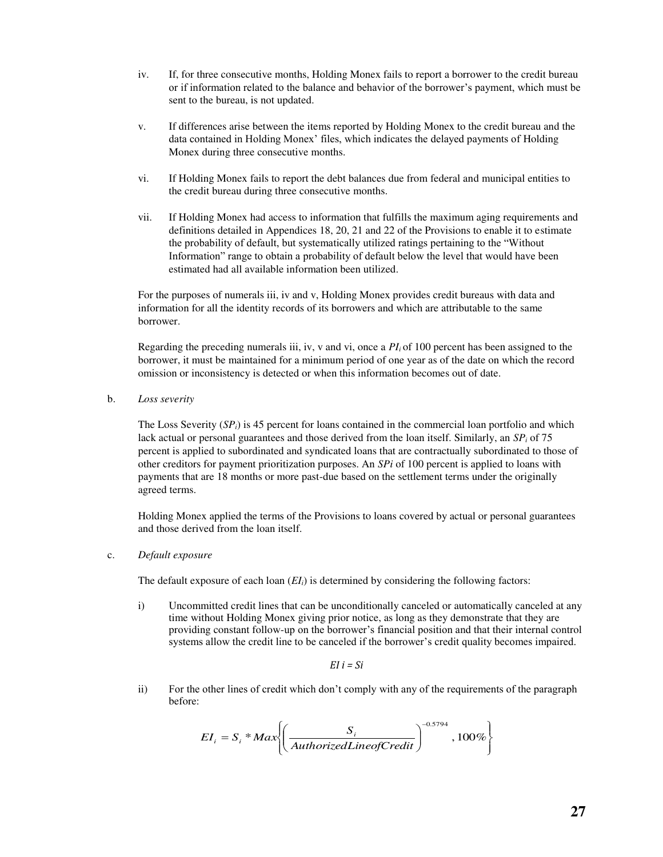- iv. If, for three consecutive months, Holding Monex fails to report a borrower to the credit bureau or if information related to the balance and behavior of the borrower's payment, which must be sent to the bureau, is not updated.
- v. If differences arise between the items reported by Holding Monex to the credit bureau and the data contained in Holding Monex' files, which indicates the delayed payments of Holding Monex during three consecutive months.
- vi. If Holding Monex fails to report the debt balances due from federal and municipal entities to the credit bureau during three consecutive months.
- vii. If Holding Monex had access to information that fulfills the maximum aging requirements and definitions detailed in Appendices 18, 20, 21 and 22 of the Provisions to enable it to estimate the probability of default, but systematically utilized ratings pertaining to the "Without Information" range to obtain a probability of default below the level that would have been estimated had all available information been utilized.

For the purposes of numerals iii, iv and v, Holding Monex provides credit bureaus with data and information for all the identity records of its borrowers and which are attributable to the same borrower.

Regarding the preceding numerals iii, iv, v and vi, once a  $PI_i$  of 100 percent has been assigned to the borrower, it must be maintained for a minimum period of one year as of the date on which the record omission or inconsistency is detected or when this information becomes out of date.

b. *Loss severity* 

The Loss Severity (*SPi*) is 45 percent for loans contained in the commercial loan portfolio and which lack actual or personal guarantees and those derived from the loan itself. Similarly, an *SPi* of 75 percent is applied to subordinated and syndicated loans that are contractually subordinated to those of other creditors for payment prioritization purposes. An *SPi* of 100 percent is applied to loans with payments that are 18 months or more past-due based on the settlement terms under the originally agreed terms.

Holding Monex applied the terms of the Provisions to loans covered by actual or personal guarantees and those derived from the loan itself.

c. *Default exposure*

The default exposure of each loan (*EIi*) is determined by considering the following factors:

i) Uncommitted credit lines that can be unconditionally canceled or automatically canceled at any time without Holding Monex giving prior notice, as long as they demonstrate that they are providing constant follow-up on the borrower's financial position and that their internal control systems allow the credit line to be canceled if the borrower's credit quality becomes impaired.

*EI i = Si* 

ii) For the other lines of credit which don't comply with any of the requirements of the paragraph before:

$$
EI_i = S_i * Max \left( \frac{S_i}{AuthorizedLine of Credit} \right)^{-0.5794}, 100\%
$$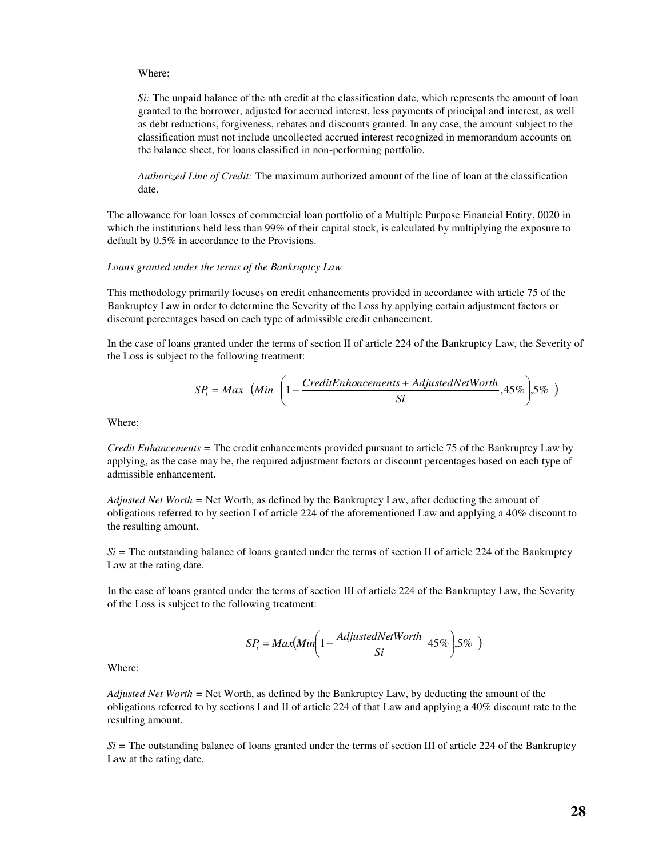#### Where:

*Si*: The unpaid balance of the nth credit at the classification date, which represents the amount of loan granted to the borrower, adjusted for accrued interest, less payments of principal and interest, as well as debt reductions, forgiveness, rebates and discounts granted. In any case, the amount subject to the classification must not include uncollected accrued interest recognized in memorandum accounts on the balance sheet, for loans classified in non-performing portfolio.

*Authorized Line of Credit:* The maximum authorized amount of the line of loan at the classification date.

The allowance for loan losses of commercial loan portfolio of a Multiple Purpose Financial Entity, 0020 in which the institutions held less than 99% of their capital stock, is calculated by multiplying the exposure to default by 0.5% in accordance to the Provisions.

#### *Loans granted under the terms of the Bankruptcy Law*

This methodology primarily focuses on credit enhancements provided in accordance with article 75 of the Bankruptcy Law in order to determine the Severity of the Loss by applying certain adjustment factors or discount percentages based on each type of admissible credit enhancement.

In the case of loans granted under the terms of section II of article 224 of the Bankruptcy Law, the Severity of the Loss is subject to the following treatment:

$$
SP_i = Max \left( Min \left( 1 - \frac{CreditEnhancements + AdjustedNetWorth}{Si}, 45\% \right), 5\% \right)
$$

Where:

*Credit Enhancements =* The credit enhancements provided pursuant to article 75 of the Bankruptcy Law by applying, as the case may be, the required adjustment factors or discount percentages based on each type of admissible enhancement.

*Adjusted Net Worth =* Net Worth, as defined by the Bankruptcy Law, after deducting the amount of obligations referred to by section I of article 224 of the aforementioned Law and applying a 40% discount to the resulting amount.

 $Si$  = The outstanding balance of loans granted under the terms of section II of article 224 of the Bankruptcy Law at the rating date.

In the case of loans granted under the terms of section III of article 224 of the Bankruptcy Law, the Severity of the Loss is subject to the following treatment:

$$
SP_i = Max(Min \left(1 - \frac{AdjustedNetWorth}{Si} \right) 45\%), 5\% )
$$

Where:

*Adjusted Net Worth =* Net Worth, as defined by the Bankruptcy Law, by deducting the amount of the obligations referred to by sections I and II of article 224 of that Law and applying a 40% discount rate to the resulting amount.

 $Si$  = The outstanding balance of loans granted under the terms of section III of article 224 of the Bankruptcy Law at the rating date.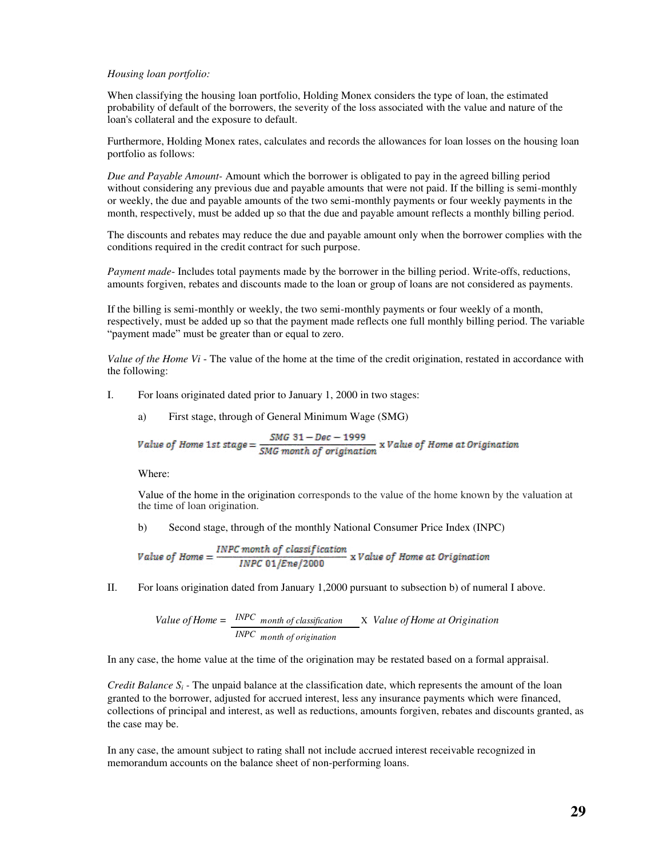#### *Housing loan portfolio:*

When classifying the housing loan portfolio, Holding Monex considers the type of loan, the estimated probability of default of the borrowers, the severity of the loss associated with the value and nature of the loan's collateral and the exposure to default.

Furthermore, Holding Monex rates, calculates and records the allowances for loan losses on the housing loan portfolio as follows:

*Due and Payable Amount-* Amount which the borrower is obligated to pay in the agreed billing period without considering any previous due and payable amounts that were not paid. If the billing is semi-monthly or weekly, the due and payable amounts of the two semi-monthly payments or four weekly payments in the month, respectively, must be added up so that the due and payable amount reflects a monthly billing period.

The discounts and rebates may reduce the due and payable amount only when the borrower complies with the conditions required in the credit contract for such purpose.

*Payment made*- Includes total payments made by the borrower in the billing period. Write-offs, reductions, amounts forgiven, rebates and discounts made to the loan or group of loans are not considered as payments.

If the billing is semi-monthly or weekly, the two semi-monthly payments or four weekly of a month, respectively, must be added up so that the payment made reflects one full monthly billing period. The variable "payment made" must be greater than or equal to zero.

*Value of the Home Vi* - The value of the home at the time of the credit origination, restated in accordance with the following:

- I. For loans originated dated prior to January 1, 2000 in two stages:
	- a) First stage, through of General Minimum Wage (SMG)

Value of Home 1st stage = 
$$
\frac{SMG \ 31 - Dec - 1999}{SMG \ month \ of \ origination}
$$
 x Value of Home at Origination

Where:

Value of the home in the origination corresponds to the value of the home known by the valuation at the time of loan origination.

b) Second stage, through of the monthly National Consumer Price Index (INPC)

Value of Home = 
$$
\frac{INPC \text{ month of classification}}{INPC \text{ 01/Enc/2000}} \times Value \text{ of Home at Origination}
$$

II. For loans origination dated from January 1,2000 pursuant to subsection b) of numeral I above.

Value of Home = 
$$
\frac{INPC_{month of classification}{INPC_{month of organization}} \times Value of Home at Originalion
$$

In any case, the home value at the time of the origination may be restated based on a formal appraisal.

*Credit Balance S<sub>i</sub>* - The unpaid balance at the classification date, which represents the amount of the loan granted to the borrower, adjusted for accrued interest, less any insurance payments which were financed, collections of principal and interest, as well as reductions, amounts forgiven, rebates and discounts granted, as the case may be.

In any case, the amount subject to rating shall not include accrued interest receivable recognized in memorandum accounts on the balance sheet of non-performing loans.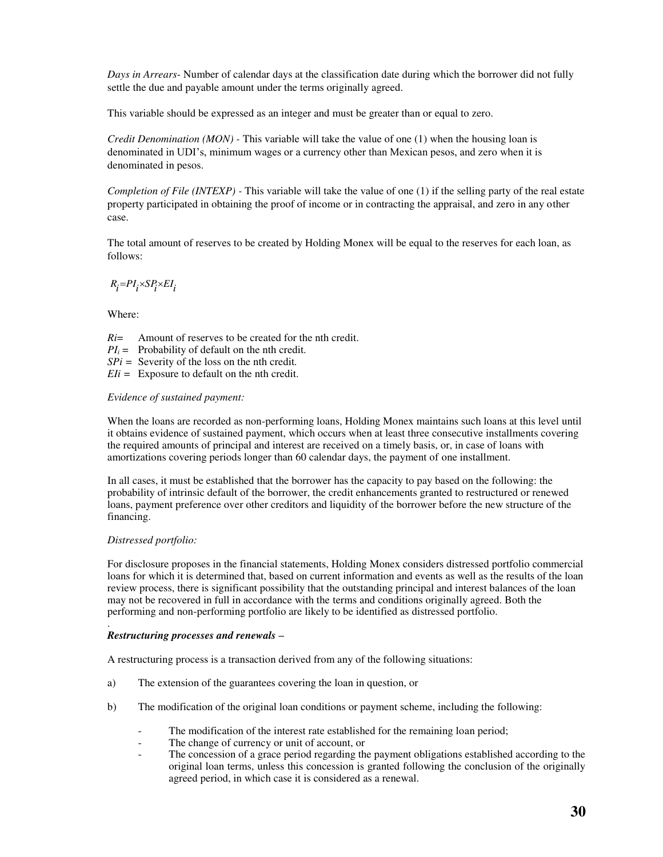*Days in Arrears*- Number of calendar days at the classification date during which the borrower did not fully settle the due and payable amount under the terms originally agreed.

This variable should be expressed as an integer and must be greater than or equal to zero.

*Credit Denomination (MON) -* This variable will take the value of one (1) when the housing loan is denominated in UDI's, minimum wages or a currency other than Mexican pesos, and zero when it is denominated in pesos.

*Completion of File (INTEXP)* - This variable will take the value of one (1) if the selling party of the real estate property participated in obtaining the proof of income or in contracting the appraisal, and zero in any other case.

The total amount of reserves to be created by Holding Monex will be equal to the reserves for each loan, as follows:

$$
R_{\vec{l}}{=}PI_{\vec{l}}{\times}SP_{\vec{l}}{\times}EI_{\vec{l}}
$$

Where:

*Ri*= Amount of reserves to be created for the nth credit.  $PI_i =$  Probability of default on the nth credit. *SPi =* Severity of the loss on the nth credit*.* 

*EIi =* Exposure to default on the nth credit.

#### *Evidence of sustained payment:*

When the loans are recorded as non-performing loans, Holding Monex maintains such loans at this level until it obtains evidence of sustained payment, which occurs when at least three consecutive installments covering the required amounts of principal and interest are received on a timely basis, or, in case of loans with amortizations covering periods longer than 60 calendar days, the payment of one installment.

In all cases, it must be established that the borrower has the capacity to pay based on the following: the probability of intrinsic default of the borrower, the credit enhancements granted to restructured or renewed loans, payment preference over other creditors and liquidity of the borrower before the new structure of the financing.

#### *Distressed portfolio:*

For disclosure proposes in the financial statements, Holding Monex considers distressed portfolio commercial loans for which it is determined that, based on current information and events as well as the results of the loan review process, there is significant possibility that the outstanding principal and interest balances of the loan may not be recovered in full in accordance with the terms and conditions originally agreed. Both the performing and non-performing portfolio are likely to be identified as distressed portfolio.

#### . *Restructuring processes and renewals –*

A restructuring process is a transaction derived from any of the following situations:

- a) The extension of the guarantees covering the loan in question, or
- b) The modification of the original loan conditions or payment scheme, including the following:
	- The modification of the interest rate established for the remaining loan period;
	- The change of currency or unit of account, or
	- The concession of a grace period regarding the payment obligations established according to the original loan terms, unless this concession is granted following the conclusion of the originally agreed period, in which case it is considered as a renewal.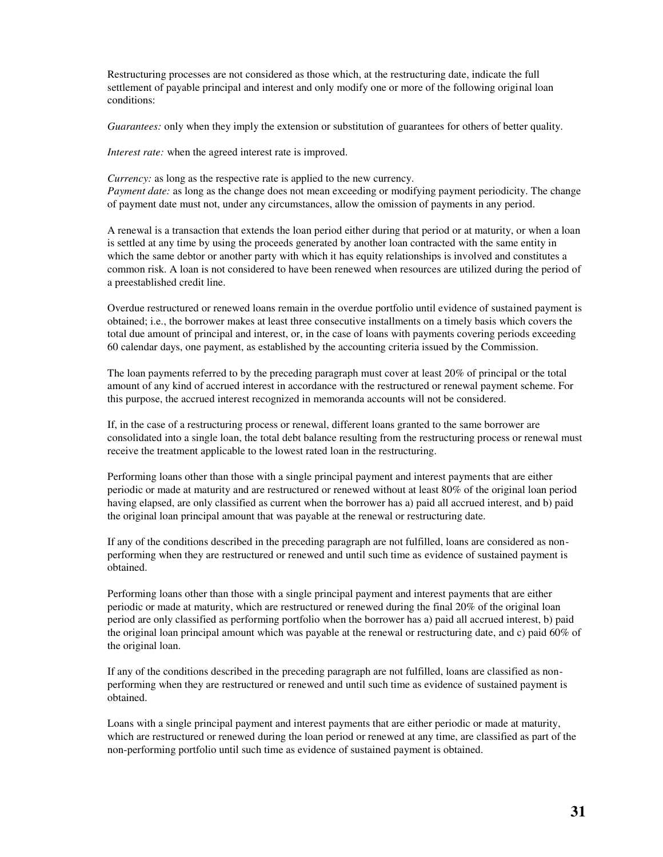Restructuring processes are not considered as those which, at the restructuring date, indicate the full settlement of payable principal and interest and only modify one or more of the following original loan conditions:

*Guarantees:* only when they imply the extension or substitution of guarantees for others of better quality.

*Interest rate:* when the agreed interest rate is improved.

*Currency:* as long as the respective rate is applied to the new currency. *Payment date:* as long as the change does not mean exceeding or modifying payment periodicity. The change of payment date must not, under any circumstances, allow the omission of payments in any period.

A renewal is a transaction that extends the loan period either during that period or at maturity, or when a loan is settled at any time by using the proceeds generated by another loan contracted with the same entity in which the same debtor or another party with which it has equity relationships is involved and constitutes a common risk. A loan is not considered to have been renewed when resources are utilized during the period of a preestablished credit line.

Overdue restructured or renewed loans remain in the overdue portfolio until evidence of sustained payment is obtained; i.e., the borrower makes at least three consecutive installments on a timely basis which covers the total due amount of principal and interest, or, in the case of loans with payments covering periods exceeding 60 calendar days, one payment, as established by the accounting criteria issued by the Commission.

The loan payments referred to by the preceding paragraph must cover at least 20% of principal or the total amount of any kind of accrued interest in accordance with the restructured or renewal payment scheme. For this purpose, the accrued interest recognized in memoranda accounts will not be considered.

If, in the case of a restructuring process or renewal, different loans granted to the same borrower are consolidated into a single loan, the total debt balance resulting from the restructuring process or renewal must receive the treatment applicable to the lowest rated loan in the restructuring.

Performing loans other than those with a single principal payment and interest payments that are either periodic or made at maturity and are restructured or renewed without at least 80% of the original loan period having elapsed, are only classified as current when the borrower has a) paid all accrued interest, and b) paid the original loan principal amount that was payable at the renewal or restructuring date.

If any of the conditions described in the preceding paragraph are not fulfilled, loans are considered as nonperforming when they are restructured or renewed and until such time as evidence of sustained payment is obtained.

Performing loans other than those with a single principal payment and interest payments that are either periodic or made at maturity, which are restructured or renewed during the final 20% of the original loan period are only classified as performing portfolio when the borrower has a) paid all accrued interest, b) paid the original loan principal amount which was payable at the renewal or restructuring date, and c) paid 60% of the original loan.

If any of the conditions described in the preceding paragraph are not fulfilled, loans are classified as nonperforming when they are restructured or renewed and until such time as evidence of sustained payment is obtained.

Loans with a single principal payment and interest payments that are either periodic or made at maturity, which are restructured or renewed during the loan period or renewed at any time, are classified as part of the non-performing portfolio until such time as evidence of sustained payment is obtained.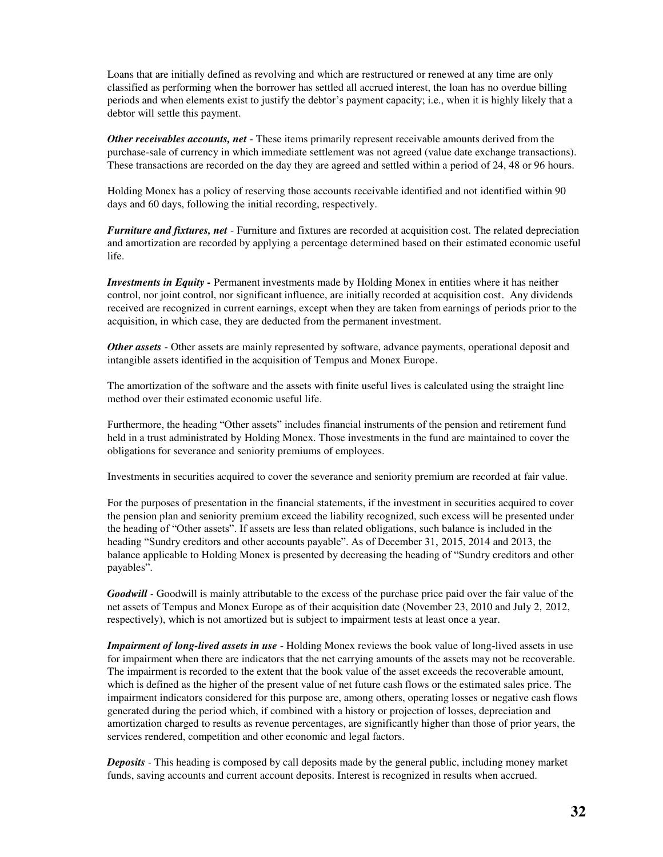Loans that are initially defined as revolving and which are restructured or renewed at any time are only classified as performing when the borrower has settled all accrued interest, the loan has no overdue billing periods and when elements exist to justify the debtor's payment capacity; i.e., when it is highly likely that a debtor will settle this payment.

*Other receivables accounts, net* - These items primarily represent receivable amounts derived from the purchase-sale of currency in which immediate settlement was not agreed (value date exchange transactions). These transactions are recorded on the day they are agreed and settled within a period of 24, 48 or 96 hours.

Holding Monex has a policy of reserving those accounts receivable identified and not identified within 90 days and 60 days, following the initial recording, respectively.

*Furniture and fixtures, net* - Furniture and fixtures are recorded at acquisition cost. The related depreciation and amortization are recorded by applying a percentage determined based on their estimated economic useful life.

*Investments in Equity -* Permanent investments made by Holding Monex in entities where it has neither control, nor joint control, nor significant influence, are initially recorded at acquisition cost. Any dividends received are recognized in current earnings, except when they are taken from earnings of periods prior to the acquisition, in which case, they are deducted from the permanent investment.

*Other assets* - Other assets are mainly represented by software, advance payments, operational deposit and intangible assets identified in the acquisition of Tempus and Monex Europe.

The amortization of the software and the assets with finite useful lives is calculated using the straight line method over their estimated economic useful life.

Furthermore, the heading "Other assets" includes financial instruments of the pension and retirement fund held in a trust administrated by Holding Monex. Those investments in the fund are maintained to cover the obligations for severance and seniority premiums of employees.

Investments in securities acquired to cover the severance and seniority premium are recorded at fair value.

For the purposes of presentation in the financial statements, if the investment in securities acquired to cover the pension plan and seniority premium exceed the liability recognized, such excess will be presented under the heading of "Other assets". If assets are less than related obligations, such balance is included in the heading "Sundry creditors and other accounts payable". As of December 31, 2015, 2014 and 2013, the balance applicable to Holding Monex is presented by decreasing the heading of "Sundry creditors and other payables".

*Goodwill* - Goodwill is mainly attributable to the excess of the purchase price paid over the fair value of the net assets of Tempus and Monex Europe as of their acquisition date (November 23, 2010 and July 2, 2012, respectively), which is not amortized but is subject to impairment tests at least once a year.

*Impairment of long-lived assets in use* - Holding Monex reviews the book value of long-lived assets in use for impairment when there are indicators that the net carrying amounts of the assets may not be recoverable. The impairment is recorded to the extent that the book value of the asset exceeds the recoverable amount, which is defined as the higher of the present value of net future cash flows or the estimated sales price. The impairment indicators considered for this purpose are, among others, operating losses or negative cash flows generated during the period which, if combined with a history or projection of losses, depreciation and amortization charged to results as revenue percentages, are significantly higher than those of prior years, the services rendered, competition and other economic and legal factors.

*Deposits -* This heading is composed by call deposits made by the general public, including money market funds, saving accounts and current account deposits. Interest is recognized in results when accrued.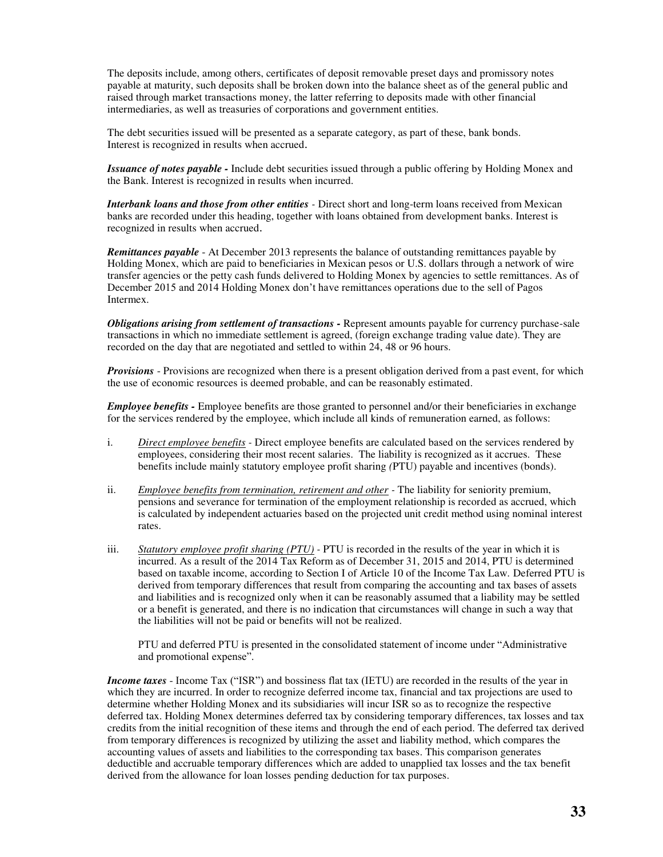The deposits include, among others, certificates of deposit removable preset days and promissory notes payable at maturity, such deposits shall be broken down into the balance sheet as of the general public and raised through market transactions money, the latter referring to deposits made with other financial intermediaries, as well as treasuries of corporations and government entities.

The debt securities issued will be presented as a separate category, as part of these, bank bonds. Interest is recognized in results when accrued.

*Issuance of notes payable -* Include debt securities issued through a public offering by Holding Monex and the Bank. Interest is recognized in results when incurred.

*Interbank loans and those from other entities -* Direct short and long-term loans received from Mexican banks are recorded under this heading, together with loans obtained from development banks. Interest is recognized in results when accrued.

*Remittances payable* - At December 2013 represents the balance of outstanding remittances payable by Holding Monex, which are paid to beneficiaries in Mexican pesos or U.S. dollars through a network of wire transfer agencies or the petty cash funds delivered to Holding Monex by agencies to settle remittances. As of December 2015 and 2014 Holding Monex don't have remittances operations due to the sell of Pagos Intermex.

*Obligations arising from settlement of transactions - Represent amounts payable for currency purchase-sale* transactions in which no immediate settlement is agreed, (foreign exchange trading value date). They are recorded on the day that are negotiated and settled to within 24, 48 or 96 hours.

*Provisions* - Provisions are recognized when there is a present obligation derived from a past event, for which the use of economic resources is deemed probable, and can be reasonably estimated.

*Employee benefits -* Employee benefits are those granted to personnel and/or their beneficiaries in exchange for the services rendered by the employee, which include all kinds of remuneration earned, as follows:

- i. *Direct employee benefits* Direct employee benefits are calculated based on the services rendered by employees, considering their most recent salaries. The liability is recognized as it accrues. These benefits include mainly statutory employee profit sharing *(*PTU) payable and incentives (bonds).
- ii. *Employee benefits from termination, retirement and other* The liability for seniority premium, pensions and severance for termination of the employment relationship is recorded as accrued, which is calculated by independent actuaries based on the projected unit credit method using nominal interest rates.
- iii. *Statutory employee profit sharing (PTU) -* PTU is recorded in the results of the year in which it is incurred. As a result of the 2014 Tax Reform as of December 31, 2015 and 2014, PTU is determined based on taxable income, according to Section I of Article 10 of the Income Tax Law. Deferred PTU is derived from temporary differences that result from comparing the accounting and tax bases of assets and liabilities and is recognized only when it can be reasonably assumed that a liability may be settled or a benefit is generated, and there is no indication that circumstances will change in such a way that the liabilities will not be paid or benefits will not be realized.

PTU and deferred PTU is presented in the consolidated statement of income under "Administrative and promotional expense".

*Income taxes* - Income Tax ("ISR") and bossiness flat tax (IETU) are recorded in the results of the year in which they are incurred. In order to recognize deferred income tax, financial and tax projections are used to determine whether Holding Monex and its subsidiaries will incur ISR so as to recognize the respective deferred tax. Holding Monex determines deferred tax by considering temporary differences, tax losses and tax credits from the initial recognition of these items and through the end of each period. The deferred tax derived from temporary differences is recognized by utilizing the asset and liability method, which compares the accounting values of assets and liabilities to the corresponding tax bases. This comparison generates deductible and accruable temporary differences which are added to unapplied tax losses and the tax benefit derived from the allowance for loan losses pending deduction for tax purposes.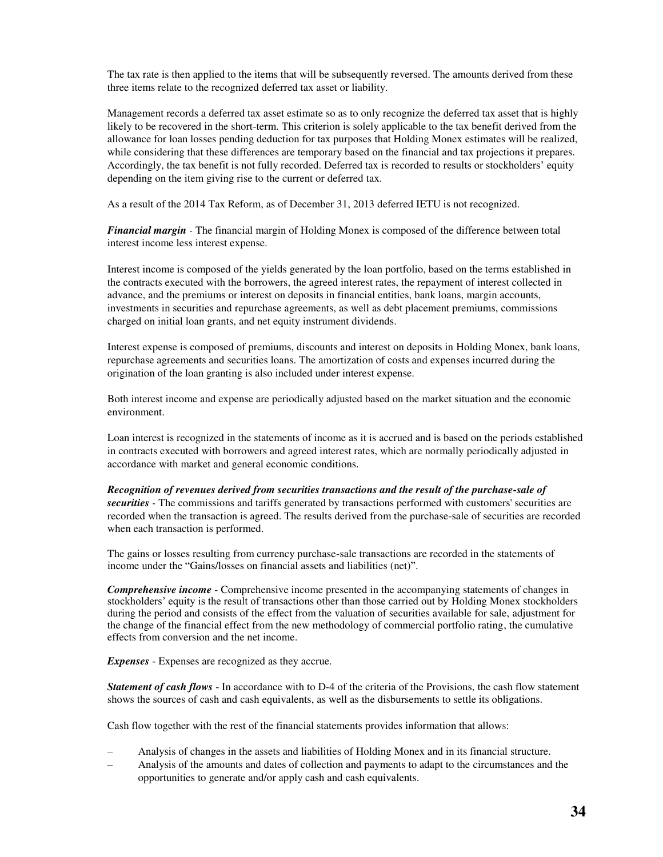The tax rate is then applied to the items that will be subsequently reversed. The amounts derived from these three items relate to the recognized deferred tax asset or liability.

Management records a deferred tax asset estimate so as to only recognize the deferred tax asset that is highly likely to be recovered in the short-term. This criterion is solely applicable to the tax benefit derived from the allowance for loan losses pending deduction for tax purposes that Holding Monex estimates will be realized, while considering that these differences are temporary based on the financial and tax projections it prepares. Accordingly, the tax benefit is not fully recorded. Deferred tax is recorded to results or stockholders' equity depending on the item giving rise to the current or deferred tax.

As a result of the 2014 Tax Reform, as of December 31, 2013 deferred IETU is not recognized.

*Financial margin -* The financial margin of Holding Monex is composed of the difference between total interest income less interest expense.

Interest income is composed of the yields generated by the loan portfolio, based on the terms established in the contracts executed with the borrowers, the agreed interest rates, the repayment of interest collected in advance, and the premiums or interest on deposits in financial entities, bank loans, margin accounts, investments in securities and repurchase agreements, as well as debt placement premiums, commissions charged on initial loan grants, and net equity instrument dividends.

Interest expense is composed of premiums, discounts and interest on deposits in Holding Monex, bank loans, repurchase agreements and securities loans. The amortization of costs and expenses incurred during the origination of the loan granting is also included under interest expense.

Both interest income and expense are periodically adjusted based on the market situation and the economic environment.

Loan interest is recognized in the statements of income as it is accrued and is based on the periods established in contracts executed with borrowers and agreed interest rates, which are normally periodically adjusted in accordance with market and general economic conditions.

*Recognition of revenues derived from securities transactions and the result of the purchase-sale of securities -* The commissions and tariffs generated by transactions performed with customers' securities are recorded when the transaction is agreed. The results derived from the purchase-sale of securities are recorded when each transaction is performed.

The gains or losses resulting from currency purchase-sale transactions are recorded in the statements of income under the "Gains/losses on financial assets and liabilities (net)".

*Comprehensive income* - Comprehensive income presented in the accompanying statements of changes in stockholders' equity is the result of transactions other than those carried out by Holding Monex stockholders during the period and consists of the effect from the valuation of securities available for sale, adjustment for the change of the financial effect from the new methodology of commercial portfolio rating, the cumulative effects from conversion and the net income.

*Expenses* - Expenses are recognized as they accrue.

*Statement of cash flows* - In accordance with to D-4 of the criteria of the Provisions, the cash flow statement shows the sources of cash and cash equivalents, as well as the disbursements to settle its obligations.

Cash flow together with the rest of the financial statements provides information that allows:

- Analysis of changes in the assets and liabilities of Holding Monex and in its financial structure.
- Analysis of the amounts and dates of collection and payments to adapt to the circumstances and the opportunities to generate and/or apply cash and cash equivalents.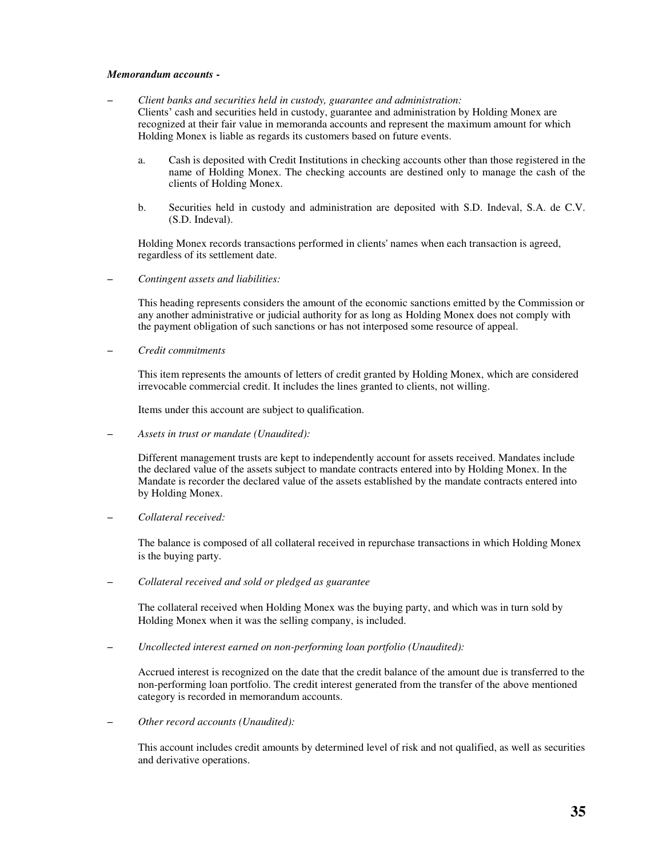### *Memorandum accounts* **-**

- *Client banks and securities held in custody, guarantee and administration:*  Clients' cash and securities held in custody, guarantee and administration by Holding Monex are recognized at their fair value in memoranda accounts and represent the maximum amount for which Holding Monex is liable as regards its customers based on future events.
	- a. Cash is deposited with Credit Institutions in checking accounts other than those registered in the name of Holding Monex. The checking accounts are destined only to manage the cash of the clients of Holding Monex.
	- b. Securities held in custody and administration are deposited with S.D. Indeval, S.A. de C.V. (S.D. Indeval).

Holding Monex records transactions performed in clients' names when each transaction is agreed, regardless of its settlement date.

– *Contingent assets and liabilities:* 

This heading represents considers the amount of the economic sanctions emitted by the Commission or any another administrative or judicial authority for as long as Holding Monex does not comply with the payment obligation of such sanctions or has not interposed some resource of appeal.

– *Credit commitments* 

This item represents the amounts of letters of credit granted by Holding Monex, which are considered irrevocable commercial credit. It includes the lines granted to clients, not willing.

Items under this account are subject to qualification.

– *Assets in trust or mandate (Unaudited):* 

Different management trusts are kept to independently account for assets received. Mandates include the declared value of the assets subject to mandate contracts entered into by Holding Monex. In the Mandate is recorder the declared value of the assets established by the mandate contracts entered into by Holding Monex.

– *Collateral received:* 

The balance is composed of all collateral received in repurchase transactions in which Holding Monex is the buying party.

– *Collateral received and sold or pledged as guarantee* 

The collateral received when Holding Monex was the buying party, and which was in turn sold by Holding Monex when it was the selling company, is included.

– *Uncollected interest earned on non-performing loan portfolio (Unaudited):* 

Accrued interest is recognized on the date that the credit balance of the amount due is transferred to the non-performing loan portfolio. The credit interest generated from the transfer of the above mentioned category is recorded in memorandum accounts.

– *Other record accounts (Unaudited):* 

This account includes credit amounts by determined level of risk and not qualified, as well as securities and derivative operations.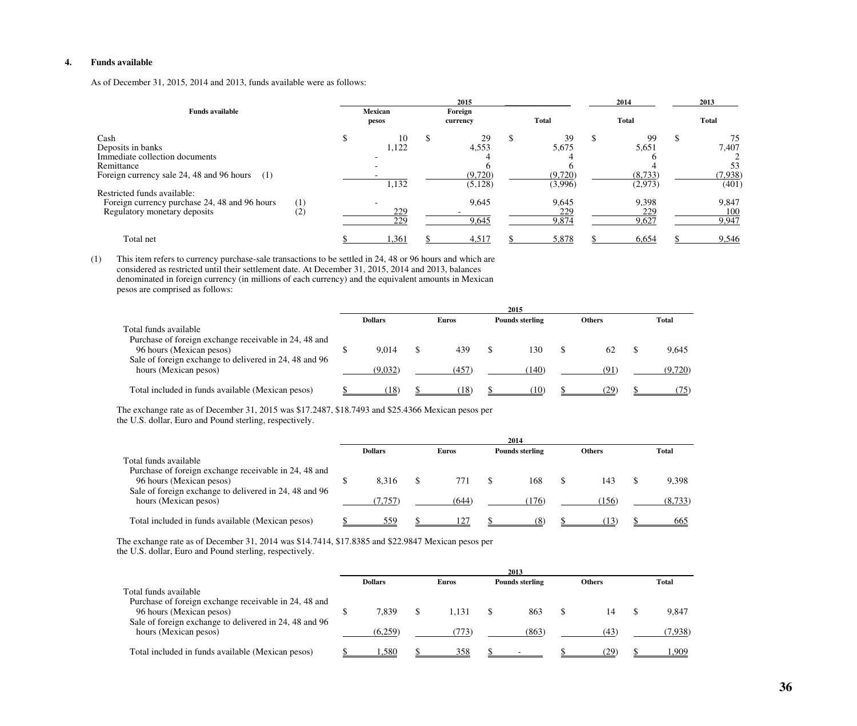## **4. Funds available**

As of December 31, 2015, 2014 and 2013, funds available were as follows:

|                                                                                                                                                                                                                                               |            |                  |                                    |                     | 2015                                                |              |                                                            |              | 2014                                                       |              | 2013                                                     |
|-----------------------------------------------------------------------------------------------------------------------------------------------------------------------------------------------------------------------------------------------|------------|------------------|------------------------------------|---------------------|-----------------------------------------------------|--------------|------------------------------------------------------------|--------------|------------------------------------------------------------|--------------|----------------------------------------------------------|
| <b>Funds available</b>                                                                                                                                                                                                                        |            | Mexican<br>pesos |                                    | Foreign<br>currency |                                                     | <b>Total</b> |                                                            | <b>Total</b> |                                                            | <b>Total</b> |                                                          |
| Cash<br>Deposits in banks<br>Immediate collection documents<br>Remittance<br>Foreign currency sale 24, 48 and 96 hours<br>(1)<br>Restricted funds available:<br>Foreign currency purchase 24, 48 and 96 hours<br>Regulatory monetary deposits | (1)<br>(2) |                  | 10<br>1,122<br>1,132<br>229<br>229 |                     | 29<br>4,553<br>(9,720)<br>(5,128)<br>9,645<br>9,645 |              | 39<br>5,675<br>(9,720)<br>(3,996)<br>9,645<br>229<br>9,874 | -S           | 99<br>5,651<br>(8,733)<br>(2,973)<br>9,398<br>229<br>9,627 |              | 7,407<br>53<br>(7,938)<br>(401)<br>9,847<br>100<br>9,947 |
| Total net                                                                                                                                                                                                                                     |            |                  | 1,361                              |                     | 4,517                                               |              | 5,878                                                      |              | 6,654                                                      |              | 9,546                                                    |

(1) This item refers to currency purchase-sale transactions to be settled in 24, 48 or 96 hours and which are considered as restricted until their settlement date. At December 31, 2015, 2014 and 2013, balances denominated in foreign currency (in millions of each currency) and the equivalent amounts in Mexican pesos are comprised as follows:

|                                                                                    |                |                        | 2015                   |               |              |
|------------------------------------------------------------------------------------|----------------|------------------------|------------------------|---------------|--------------|
|                                                                                    | <b>Dollars</b> | <b>Euros</b>           | <b>Pounds sterling</b> | <b>Others</b> | <b>Total</b> |
| Total funds available<br>Purchase of foreign exchange receivable in 24, 48 and     |                |                        |                        |               |              |
| 96 hours (Mexican pesos)<br>Sale of foreign exchange to delivered in 24, 48 and 96 | 9.014          | 439                    | 130                    | 62            | 9,645        |
| hours (Mexican pesos)                                                              | (9.032)        | (457)                  | (140)                  | (91)          | (9,720)      |
| Total included in funds available (Mexican pesos)                                  | 18)            | $^{\prime}18^{\prime}$ | . 10                   | 7Q            |              |

The exchange rate as of December 31, 2015 was \$17.2487, \$18.7493 and \$25.4366 Mexican pesos per

| the U.S. dollar, Euro and Pound sterling, respectively. |  |
|---------------------------------------------------------|--|
|---------------------------------------------------------|--|

|                                                        |                |       | 2014                   |               |              |
|--------------------------------------------------------|----------------|-------|------------------------|---------------|--------------|
|                                                        | <b>Dollars</b> | Euros | <b>Pounds sterling</b> | <b>Others</b> | <b>Total</b> |
| Total funds available                                  |                |       |                        |               |              |
| Purchase of foreign exchange receivable in 24, 48 and  |                |       |                        |               |              |
| 96 hours (Mexican pesos)                               | 8.316          | 771   | 168                    | 143           | 9,398        |
| Sale of foreign exchange to delivered in 24, 48 and 96 |                |       |                        |               |              |
| hours (Mexican pesos)                                  | 7.757          | (644) | (176)                  | (156          | (8.733)      |
|                                                        |                |       |                        |               |              |
| Total included in funds available (Mexican pesos)      | 559            | 12′   | 68                     | 13)           | 665          |

The exchange rate as of December 31, 2014 was \$14.7414, \$17.8385 and \$22.9847 Mexican pesos per

the U.S. dollar, Euro and Pound sterling, respectively.

|                                                                                                             |                  |               | 2013                   |               |                  |
|-------------------------------------------------------------------------------------------------------------|------------------|---------------|------------------------|---------------|------------------|
|                                                                                                             | <b>Dollars</b>   | <b>Euros</b>  | <b>Pounds sterling</b> | <b>Others</b> | <b>Total</b>     |
| Total funds available<br>Purchase of foreign exchange receivable in 24, 48 and                              |                  |               |                        |               |                  |
| 96 hours (Mexican pesos)<br>Sale of foreign exchange to delivered in 24, 48 and 96<br>hours (Mexican pesos) | 7.839<br>(6.259) | 1.131<br>773) | 863<br>(863)           | 14<br>(43)    | 9,847<br>(7,938) |
| Total included in funds available (Mexican pesos)                                                           | .580             | <u>358</u>    |                        | <u>(29</u>    | .909             |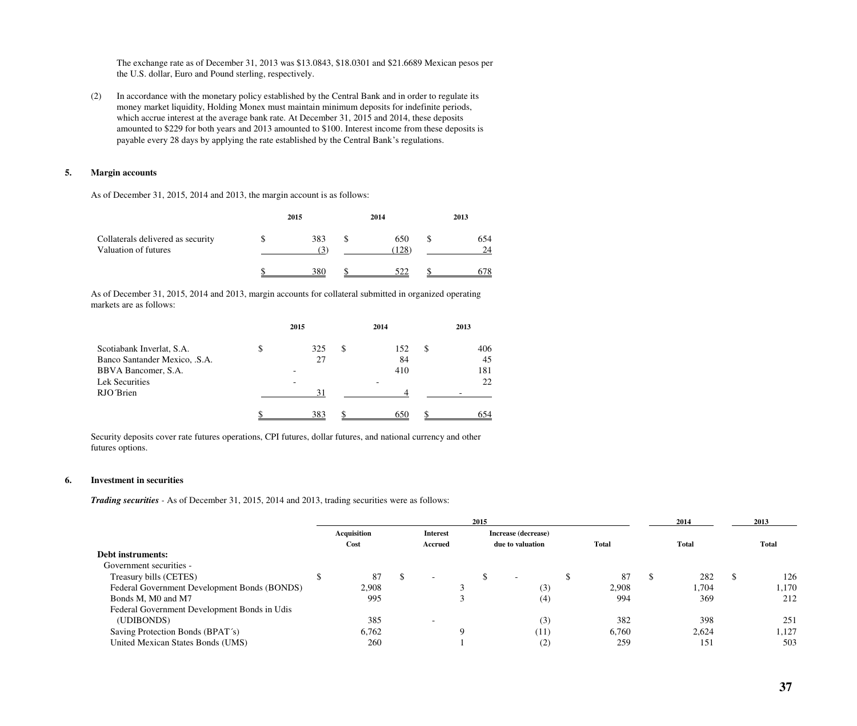The exchange rate as of December 31, 2013 was \$13.0843, \$18.0301 and \$21.6689 Mexican pesos per the U.S. dollar, Euro and Pound sterling, respectively.

(2) In accordance with the monetary policy established by the Central Bank and in order to regulate its money market liquidity, Holding Monex must maintain minimum deposits for indefinite periods, which accrue interest at the average bank rate. At December 31, 2015 and 2014, these deposits amounted to \$229 for both years and 2013 amounted to \$100. Interest income from these deposits is payable every 28 days by applying the rate established by the Central Bank's regulations.

## **5. Margin accounts**

As of December 31, 2015, 2014 and 2013, the margin account is as follows:

|                                                           | 2015 | 2014         | 2013      |
|-----------------------------------------------------------|------|--------------|-----------|
| Collaterals delivered as security<br>Valuation of futures | 383  | 650<br>(128) | 654<br>24 |
|                                                           | 380  | 522          |           |

As of December 31, 2015, 2014 and 2013, margin accounts for collateral submitted in organized operating markets are as follows:

|                               |   | 2015 |   | 2014 |   | 2013 |
|-------------------------------|---|------|---|------|---|------|
| Scotiabank Inverlat, S.A.     | Φ | 325  | S | 152  | S | 406  |
| Banco Santander Mexico, .S.A. |   | 27   |   | 84   |   | 45   |
| BBVA Bancomer, S.A.           |   |      |   | 410  |   | 181  |
| Lek Securities                |   |      |   |      |   | 22   |
| RJO Brien                     |   | 31   |   |      |   |      |
|                               |   | 383  |   | 650  |   | 654  |

Security deposits cover rate futures operations, CPI futures, dollar futures, and national currency and other futures options.

### **6. Investment in securities**

*Trading securities -* As of December 31, 2015, 2014 and 2013, trading securities were as follows:

|                                              |             |                          | 2015 |                          |              | 2014         |   | 2013         |
|----------------------------------------------|-------------|--------------------------|------|--------------------------|--------------|--------------|---|--------------|
|                                              | Acquisition | <b>Interest</b>          |      | Increase (decrease)      |              |              |   |              |
|                                              | Cost        | <b>Accrued</b>           |      | due to valuation         | <b>Total</b> | <b>Total</b> |   | <b>Total</b> |
| <b>Debt instruments:</b>                     |             |                          |      |                          |              |              |   |              |
| Government securities -                      |             |                          |      |                          |              |              |   |              |
| Treasury bills (CETES)                       | 87          | $\overline{\phantom{a}}$ |      | $\overline{\phantom{0}}$ | 87           | 282          | ◡ | 126          |
| Federal Government Development Bonds (BONDS) | 2,908       |                          |      | (3)                      | 2,908        | 1,704        |   | 1,170        |
| Bonds M, M0 and M7                           | 995         |                          |      | (4)                      | 994          | 369          |   | 212          |
| Federal Government Development Bonds in Udis |             |                          |      |                          |              |              |   |              |
| (UDIBONDS)                                   | 385         |                          |      | (3)                      | 382          | 398          |   | 251          |
| Saving Protection Bonds (BPAT's)             | 6,762       |                          |      | (11)                     | 6,760        | 2,624        |   | 1,127        |
| United Mexican States Bonds (UMS)            | 260         |                          |      | (2)                      | 259          | 151          |   | 503          |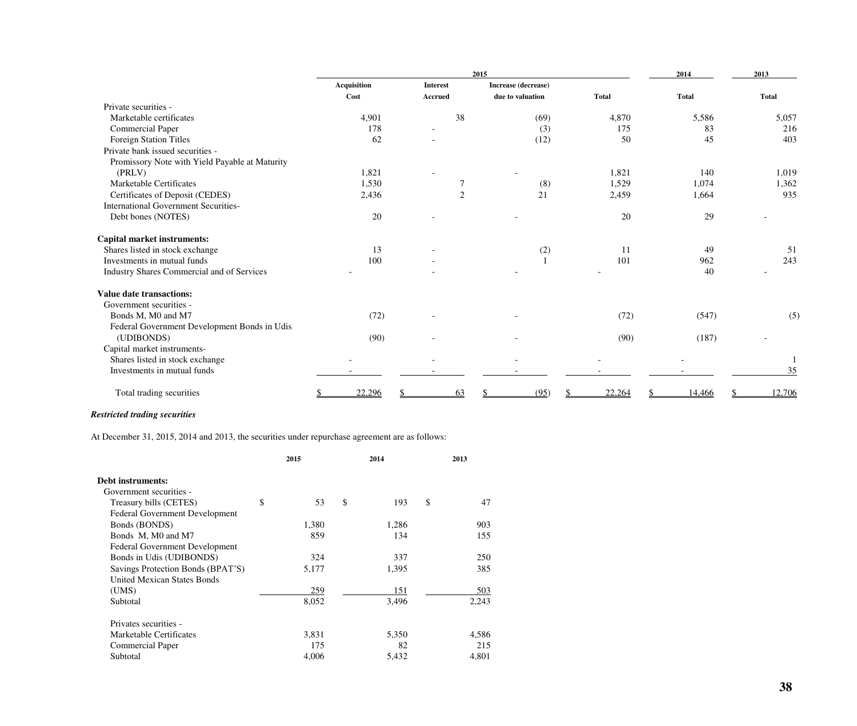|                                                |                    | 2014            | 2013                |              |        |              |
|------------------------------------------------|--------------------|-----------------|---------------------|--------------|--------|--------------|
|                                                | <b>Acquisition</b> | <b>Interest</b> | Increase (decrease) |              |        |              |
|                                                | Cost               | <b>Accrued</b>  | due to valuation    | <b>Total</b> | Total  | <b>Total</b> |
| Private securities -                           |                    |                 |                     |              |        |              |
| Marketable certificates                        | 4,901              | 38              | (69)                | 4,870        | 5,586  | 5,057        |
| <b>Commercial Paper</b>                        | 178                |                 | (3)                 | 175          | 83     | 216          |
| Foreign Station Titles                         | 62                 |                 | (12)                | 50           | 45     | 403          |
| Private bank issued securities -               |                    |                 |                     |              |        |              |
| Promissory Note with Yield Payable at Maturity |                    |                 |                     |              |        |              |
| (PRLV)                                         | 1,821              |                 |                     | 1,821        | 140    | 1,019        |
| Marketable Certificates                        | 1,530              | 7               | (8)                 | 1,529        | 1,074  | 1,362        |
| Certificates of Deposit (CEDES)                | 2,436              | 2               | 21                  | 2,459        | 1,664  | 935          |
| <b>International Government Securities-</b>    |                    |                 |                     |              |        |              |
| Debt bones (NOTES)                             | 20                 |                 |                     | 20           | 29     |              |
| <b>Capital market instruments:</b>             |                    |                 |                     |              |        |              |
| Shares listed in stock exchange                | 13                 |                 | (2)                 | 11           | 49     | 51           |
| Investments in mutual funds                    | 100                |                 |                     | 101          | 962    | 243          |
| Industry Shares Commercial and of Services     |                    |                 |                     |              | 40     |              |
| <b>Value date transactions:</b>                |                    |                 |                     |              |        |              |
| Government securities -                        |                    |                 |                     |              |        |              |
| Bonds M, M0 and M7                             | (72)               |                 |                     | (72)         | (547)  | (5)          |
| Federal Government Development Bonds in Udis   |                    |                 |                     |              |        |              |
| (UDIBONDS)                                     | (90)               |                 |                     | (90)         | (187)  |              |
| Capital market instruments-                    |                    |                 |                     |              |        |              |
| Shares listed in stock exchange                |                    |                 |                     |              |        |              |
| Investments in mutual funds                    |                    |                 |                     |              |        | 35           |
| Total trading securities                       | 22,296             | 63              | (95)                | 22,264       | 14,466 | 12,706       |

# *Restricted trading securities*

At December 31, 2015, 2014 and 2013, the securities under repurchase agreement are as follows:

|                                       | 2015       | 2014      | 2013     |
|---------------------------------------|------------|-----------|----------|
| Debt instruments:                     |            |           |          |
| Government securities -               |            |           |          |
| Treasury bills (CETES)                | \$<br>53   | \$<br>193 | \$<br>47 |
| Federal Government Development        |            |           |          |
| Bonds (BONDS)                         | 1,380      | 1,286     | 903      |
| Bonds M, M0 and M7                    | 859        | 134       | 155      |
| <b>Federal Government Development</b> |            |           |          |
| Bonds in Udis (UDIBONDS)              | 324        | 337       | 250      |
| Savings Protection Bonds (BPAT'S)     | 5,177      | 1,395     | 385      |
| <b>United Mexican States Bonds</b>    |            |           |          |
| (UMS)                                 | <u>259</u> | 151       | 503      |
| Subtotal                              | 8,052      | 3,496     | 2,243    |
| Privates securities -                 |            |           |          |
| Marketable Certificates               | 3,831      | 5,350     | 4,586    |
| Commercial Paper                      | 175        | 82        | 215      |
| Subtotal                              | 4,006      | 5,432     | 4,801    |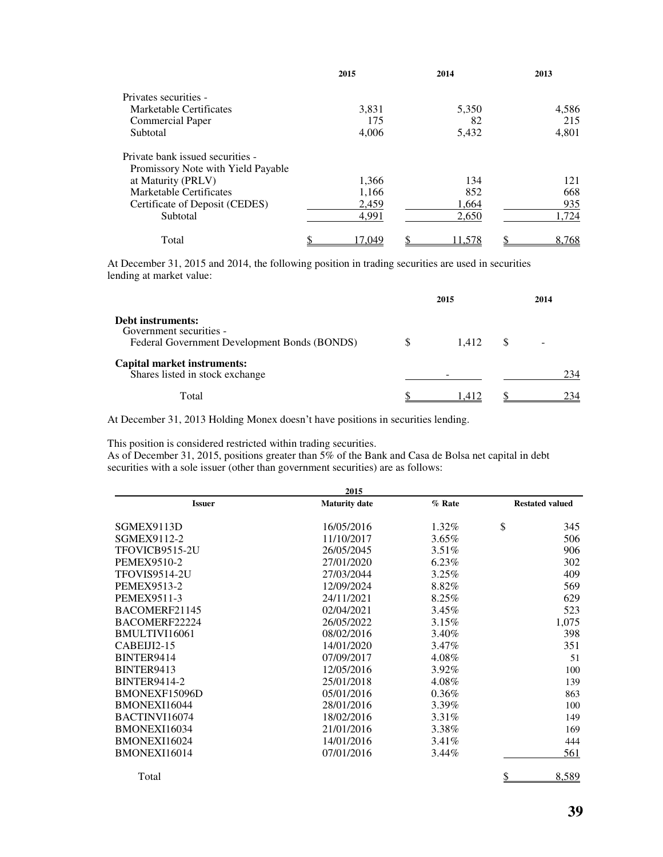|                                    | 2015   | 2014   | 2013  |
|------------------------------------|--------|--------|-------|
| Privates securities -              |        |        |       |
| Marketable Certificates            | 3,831  | 5,350  | 4,586 |
| <b>Commercial Paper</b>            | 175    | 82     | 215   |
| Subtotal                           | 4,006  | 5,432  | 4,801 |
| Private bank issued securities -   |        |        |       |
| Promissory Note with Yield Payable |        |        |       |
| at Maturity (PRLV)                 | 1,366  | 134    | 121   |
| Marketable Certificates            | 1,166  | 852    | 668   |
| Certificate of Deposit (CEDES)     | 2,459  | 1,664  | 935   |
| Subtotal                           | 4,991  | 2,650  | 1.724 |
| Total                              | 17.049 | 11,578 | 8,768 |

At December 31, 2015 and 2014, the following position in trading securities are used in securities lending at market value:

|                                                                                              | 2015  | 2014 |
|----------------------------------------------------------------------------------------------|-------|------|
| Debt instruments:<br>Government securities -<br>Federal Government Development Bonds (BONDS) | 1.412 | -    |
| Capital market instruments:<br>Shares listed in stock exchange                               |       | 234  |
| Total                                                                                        | 1.412 | 234  |

At December 31, 2013 Holding Monex doesn't have positions in securities lending.

This position is considered restricted within trading securities.

As of December 31, 2015, positions greater than 5% of the Bank and Casa de Bolsa net capital in debt securities with a sole issuer (other than government securities) are as follows:

|                      | 2015                 |          |                        |
|----------------------|----------------------|----------|------------------------|
| <b>Issuer</b>        | <b>Maturity</b> date | % Rate   | <b>Restated valued</b> |
| SGMEX9113D           | 16/05/2016           | 1.32%    | \$<br>345              |
| SGMEX9112-2          | 11/10/2017           | $3.65\%$ | 506                    |
| TFOVICB9515-2U       | 26/05/2045           | $3.51\%$ | 906                    |
| <b>PEMEX9510-2</b>   | 27/01/2020           | $6.23\%$ | 302                    |
| <b>TFOVIS9514-2U</b> | 27/03/2044           | 3.25%    | 409                    |
| <b>PEMEX9513-2</b>   | 12/09/2024           | 8.82%    | 569                    |
| <b>PEMEX9511-3</b>   | 24/11/2021           | 8.25%    | 629                    |
| BACOMERF21145        | 02/04/2021           | $3.45\%$ | 523                    |
| BACOMERF22224        | 26/05/2022           | 3.15%    | 1,075                  |
| BMULTIVI16061        | 08/02/2016           | 3.40%    | 398                    |
| $C$ ABEIJI $2-15$    | 14/01/2020           | 3.47%    | 351                    |
| BINTER9414           | 07/09/2017           | 4.08%    | 51                     |
| BINTER9413           | 12/05/2016           | 3.92%    | 100                    |
| <b>BINTER9414-2</b>  | 25/01/2018           | 4.08%    | 139                    |
| BMONEXF15096D        | 05/01/2016           | 0.36%    | 863                    |
| BMONEXI16044         | 28/01/2016           | 3.39%    | 100                    |
| BACTINVI16074        | 18/02/2016           | 3.31%    | 149                    |
| BMONEXI16034         | 21/01/2016           | 3.38%    | 169                    |
| BMONEXI16024         | 14/01/2016           | $3.41\%$ | 444                    |
| BMONEXI16014         | 07/01/2016           | $3.44\%$ | 561                    |
|                      |                      |          |                        |

Total <u>\$ 8,589</u>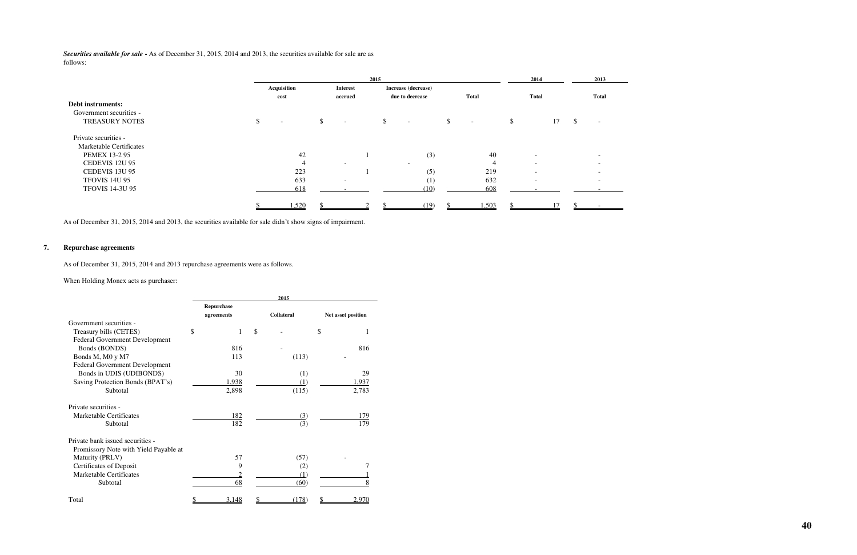*Securities available for sale* **-** As of December 31, 2015, 2014 and 2013, the securities available for sale are as follows:

|                         | 2015                           |               |                              |  |    |                          |    |              |    | 2014                     |    |               | 2013                     |
|-------------------------|--------------------------------|---------------|------------------------------|--|----|--------------------------|----|--------------|----|--------------------------|----|---------------|--------------------------|
|                         | <b>Acquisition</b>             |               | <b>Interest</b>              |  |    | Increase (decrease)      |    |              |    |                          |    |               |                          |
|                         | cost                           |               | accrued                      |  |    | due to decrease          |    | <b>Total</b> |    | <b>Total</b>             |    |               | <b>Total</b>             |
| Debt instruments:       |                                |               |                              |  |    |                          |    |              |    |                          |    |               |                          |
| Government securities - |                                |               |                              |  |    |                          |    |              |    |                          |    |               |                          |
| <b>TREASURY NOTES</b>   | \$<br>$\overline{\phantom{a}}$ | $\mathcal{S}$ | $\overline{\phantom{a}}$     |  | \$ | $\sim$                   | \$ | $\sim$       | \$ |                          | 17 | $\mathcal{S}$ | $\overline{\phantom{0}}$ |
| Private securities -    |                                |               |                              |  |    |                          |    |              |    |                          |    |               |                          |
| Marketable Certificates |                                |               |                              |  |    |                          |    |              |    |                          |    |               |                          |
| <b>PEMEX 13-2 95</b>    | 42                             |               |                              |  |    | (3)                      |    | 40           |    | $\overline{\phantom{0}}$ |    |               |                          |
| CEDEVIS 12U 95          |                                |               | $\overline{\phantom{a}}$     |  |    | $\overline{\phantom{0}}$ |    | 4            |    | $\sim$                   |    |               |                          |
| CEDEVIS 13U 95          | 223                            |               |                              |  |    | (5)                      |    | 219          |    | $\sim$                   |    |               |                          |
| <b>TFOVIS 14U 95</b>    | 633                            |               | $\qquad \qquad \blacksquare$ |  |    | (1)                      |    | 632          |    | $\overline{\phantom{0}}$ |    |               |                          |
| <b>TFOVIS 14-3U 95</b>  | 618                            |               |                              |  |    | (10)                     |    | 608          |    |                          |    |               |                          |
|                         | 1,520                          |               |                              |  |    | (19)                     |    | 1,503        |    |                          |    |               |                          |

As of December 31, 2015, 2014 and 2013, the securities available for sale didn't show signs of impairment.

# **7. Repurchase agreements**

As of December 31, 2015, 2014 and 2013 repurchase agreements were as follows.

When Holding Monex acts as purchaser:

|                                       | 2015 |            |    |                   |                    |  |  |
|---------------------------------------|------|------------|----|-------------------|--------------------|--|--|
|                                       |      | Repurchase |    |                   |                    |  |  |
|                                       |      | agreements |    | <b>Collateral</b> | Net asset position |  |  |
| Government securities -               |      |            |    |                   |                    |  |  |
| Treasury bills (CETES)                | \$   | 1          | \$ |                   | \$                 |  |  |
| Federal Government Development        |      |            |    |                   |                    |  |  |
| Bonds (BONDS)                         |      | 816        |    |                   | 816                |  |  |
| Bonds M, M0 y M7                      |      | 113        |    | (113)             |                    |  |  |
| Federal Government Development        |      |            |    |                   |                    |  |  |
| Bonds in UDIS (UDIBONDS)              |      | 30         |    | (1)               | 29                 |  |  |
| Saving Protection Bonds (BPAT's)      |      | 1,938      |    | (1)               | 1,937              |  |  |
| Subtotal                              |      | 2,898      |    | (115)             | 2,783              |  |  |
| Private securities -                  |      |            |    |                   |                    |  |  |
| Marketable Certificates               |      | 182        |    | (3)               | 179                |  |  |
| Subtotal                              |      | 182        |    | (3)               | 179                |  |  |
| Private bank issued securities -      |      |            |    |                   |                    |  |  |
| Promissory Note with Yield Payable at |      |            |    |                   |                    |  |  |
| Maturity (PRLV)                       |      | 57         |    | (57)              |                    |  |  |
| Certificates of Deposit               |      | 9          |    | (2)               |                    |  |  |
| <b>Marketable Certificates</b>        |      | 2          |    | (1)               |                    |  |  |
| Subtotal                              |      | 68         |    |                   | 8                  |  |  |
|                                       |      |            |    | (60)              |                    |  |  |
| Total                                 |      | 3,148      | \$ | (178)             | <u>2,970</u>       |  |  |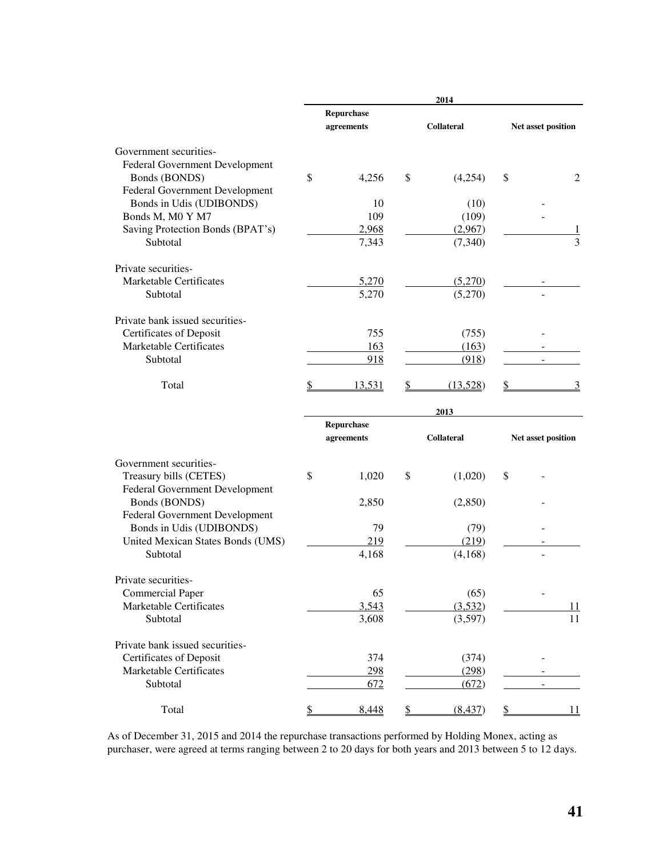|                                   |                          | 2014              |                    |                |
|-----------------------------------|--------------------------|-------------------|--------------------|----------------|
|                                   | Repurchase<br>agreements | <b>Collateral</b> | Net asset position |                |
| Government securities-            |                          |                   |                    |                |
| Federal Government Development    |                          |                   |                    |                |
| Bonds (BONDS)                     | \$<br>4,256              | \$<br>(4,254)     | \$                 | 2              |
| Federal Government Development    |                          |                   |                    |                |
| Bonds in Udis (UDIBONDS)          | 10                       | (10)              |                    |                |
| Bonds M, M0 Y M7                  | 109                      | (109)             |                    |                |
| Saving Protection Bonds (BPAT's)  | 2,968                    | (2,967)           |                    |                |
| Subtotal                          | 7,343                    | (7,340)           |                    | $\overline{3}$ |
| Private securities-               |                          |                   |                    |                |
| Marketable Certificates           | 5,270                    | (5,270)           |                    |                |
| Subtotal                          | 5,270                    | (5,270)           |                    |                |
| Private bank issued securities-   |                          |                   |                    |                |
| Certificates of Deposit           | 755                      | (755)             |                    |                |
| Marketable Certificates           | 163                      | (163)             |                    |                |
| Subtotal                          | 918                      | (918)             |                    |                |
| Total                             | <u>13,531</u>            | (13,528)          |                    |                |
|                                   |                          | 2013              |                    |                |
|                                   | Repurchase               |                   |                    |                |
|                                   | agreements               | <b>Collateral</b> | Net asset position |                |
| Government securities-            |                          |                   |                    |                |
| Treasury bills (CETES)            | \$<br>1,020              | \$<br>(1,020)     | \$                 |                |
| Federal Government Development    |                          |                   |                    |                |
| Bonds (BONDS)                     | 2,850                    | (2,850)           |                    |                |
| Federal Government Development    |                          |                   |                    |                |
| Bonds in Udis (UDIBONDS)          | 79                       | (79)              |                    |                |
| United Mexican States Bonds (UMS) | 219                      | (219)             |                    |                |
| Subtotal                          | 4,168                    | (4,168)           |                    |                |
| Private securities-               |                          |                   |                    |                |
| <b>Commercial Paper</b>           | 65                       | (65)              |                    |                |
| Marketable Certificates           | 3,543                    | (3,532)           |                    | 11             |
| Subtotal                          | 3,608                    | (3,597)           |                    | 11             |
| Private bank issued securities-   |                          |                   |                    |                |
| Certificates of Deposit           | 374                      | (374)             |                    |                |
| <b>Marketable Certificates</b>    | <u>298</u>               | (298)             |                    |                |
| Subtotal                          | 672                      | (672)             |                    |                |
| Total                             | 8,448                    | (8, 437)          |                    | 11             |

As of December 31, 2015 and 2014 the repurchase transactions performed by Holding Monex, acting as purchaser, were agreed at terms ranging between 2 to 20 days for both years and 2013 between 5 to 12 days.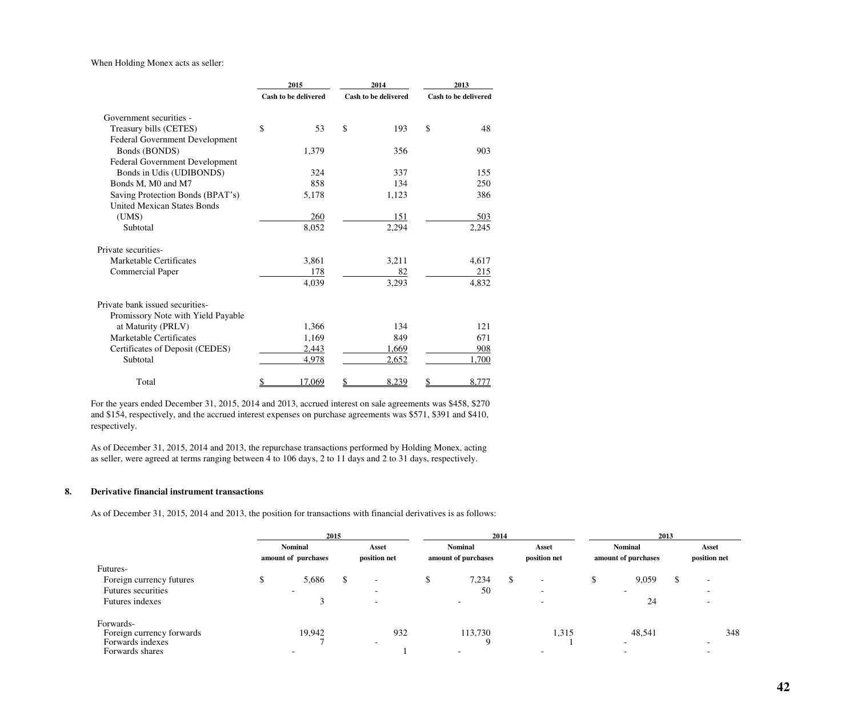## When Holding Monex acts as seller:

|                                       | 2015 |                             | 2014                 | 2013 |                      |  |
|---------------------------------------|------|-----------------------------|----------------------|------|----------------------|--|
|                                       |      | <b>Cash to be delivered</b> | Cash to be delivered |      | Cash to be delivered |  |
| Government securities -               |      |                             |                      |      |                      |  |
| Treasury bills (CETES)                | \$   | 53                          | \$<br>193            | \$   | 48                   |  |
| <b>Federal Government Development</b> |      |                             |                      |      |                      |  |
| Bonds (BONDS)                         |      | 1,379                       | 356                  |      | 903                  |  |
| Federal Government Development        |      |                             |                      |      |                      |  |
| Bonds in Udis (UDIBONDS)              |      | 324                         | 337                  |      | 155                  |  |
| Bonds M, M0 and M7                    |      | 858                         | 134                  |      | 250                  |  |
| Saving Protection Bonds (BPAT's)      |      | 5,178                       | 1,123                |      | 386                  |  |
| <b>United Mexican States Bonds</b>    |      |                             |                      |      |                      |  |
| (UMS)                                 |      | 260                         | 151                  |      | <u>503</u>           |  |
| Subtotal                              |      | 8,052                       | 2,294                |      | 2,245                |  |
| Private securities-                   |      |                             |                      |      |                      |  |
| Marketable Certificates               |      | 3,861                       | 3,211                |      | 4,617                |  |
| <b>Commercial Paper</b>               |      | 178                         | 82                   |      | 215                  |  |
|                                       |      | 4,039                       | 3,293                |      | 4,832                |  |
| Private bank issued securities-       |      |                             |                      |      |                      |  |
| Promissory Note with Yield Payable    |      |                             |                      |      |                      |  |
| at Maturity (PRLV)                    |      | 1,366                       | 134                  |      | 121                  |  |
| Marketable Certificates               |      | 1,169                       | 849                  |      | 671                  |  |
| Certificates of Deposit (CEDES)       |      | 2,443                       | 1,669                |      | 908                  |  |
| Subtotal                              |      | 4,978                       | 2,652                |      | 1,700                |  |
| Total                                 | \$   | 17,069                      | \$<br>8,239          | \$   | 8,777                |  |

For the years ended December 31, 2015, 2014 and 2013, accrued interest on sale agreements was \$458, \$270 and \$154, respectively, and the accrued interest expenses on purchase agreements was \$571, \$391 and \$410, respectively.

As of December 31, 2015, 2014 and 2013, the repurchase transactions performed by Holding Monex, acting as seller, were agreed at terms ranging between 4 to 106 days, 2 to 11 days and 2 to 31 days, respectively.

## **8. Derivative financial instrument transactions**

As of December 31, 2015, 2014 and 2013, the position for transactions with financial derivatives is as follows:

| 2015 |       |                                                 |                          | 2014   |       |                                                  |                          | 2013  |                          |                                                 |                          |
|------|-------|-------------------------------------------------|--------------------------|--------|-------|--------------------------------------------------|--------------------------|-------|--------------------------|-------------------------------------------------|--------------------------|
|      |       |                                                 | Asset<br>position net    |        |       |                                                  | Asset<br>position net    |       |                          |                                                 | Asset<br>position net    |
|      |       |                                                 |                          |        |       |                                                  |                          |       |                          |                                                 |                          |
|      | 5,686 |                                                 | $\overline{\phantom{a}}$ | ¢<br>D | 7,234 | ۰D                                               | $\overline{\phantom{0}}$ | ۰D    | 9,059                    | $\mathcal{D}$                                   | $\overline{\phantom{0}}$ |
|      |       |                                                 | $\overline{\phantom{0}}$ |        | 50    |                                                  | <b>.</b>                 |       | $\overline{\phantom{a}}$ |                                                 |                          |
|      |       |                                                 | $\overline{\phantom{0}}$ |        |       |                                                  |                          |       | 24                       |                                                 |                          |
|      |       |                                                 |                          |        |       |                                                  |                          |       |                          |                                                 |                          |
|      |       |                                                 | $\overline{\phantom{a}}$ |        |       |                                                  |                          |       | -                        |                                                 | 348                      |
|      |       | <b>Nominal</b><br>amount of purchases<br>19,942 |                          | 932    |       | <b>Nominal</b><br>amount of purchases<br>113,730 |                          | 1,315 |                          | <b>Nominal</b><br>amount of purchases<br>48,541 |                          |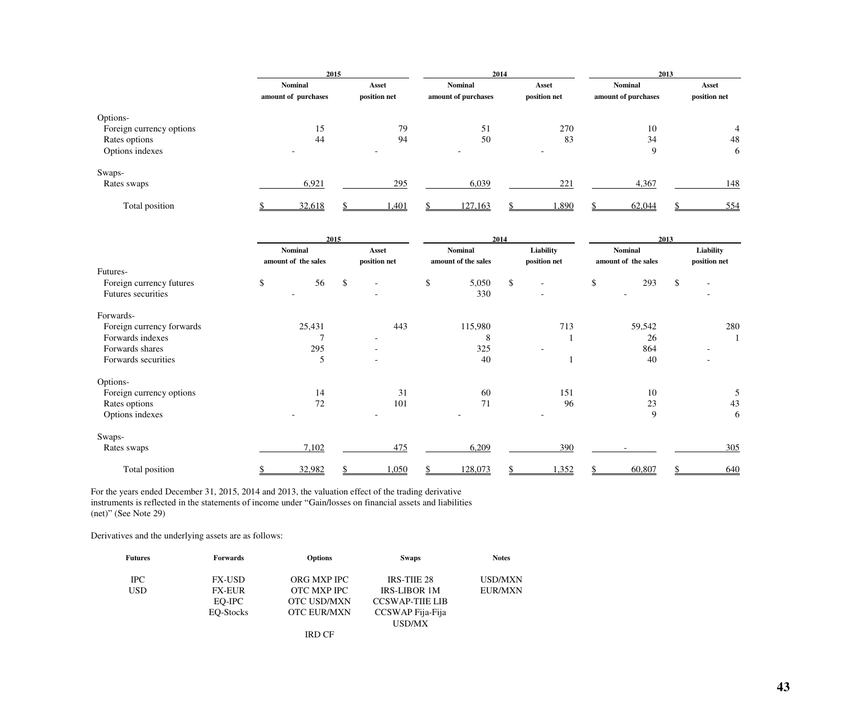|                          | 2015                                  |                       |                                       | 2014                  | 2013                                  |                       |  |
|--------------------------|---------------------------------------|-----------------------|---------------------------------------|-----------------------|---------------------------------------|-----------------------|--|
|                          | <b>Nominal</b><br>amount of purchases | Asset<br>position net | <b>Nominal</b><br>amount of purchases | Asset<br>position net | <b>Nominal</b><br>amount of purchases | Asset<br>position net |  |
|                          |                                       |                       |                                       |                       |                                       |                       |  |
| Options-                 |                                       |                       |                                       |                       |                                       |                       |  |
| Foreign currency options | 15                                    | 79                    | 51                                    | 270                   | 10                                    | 4                     |  |
| Rates options            | 44                                    | 94                    | 50                                    | 83                    | 34                                    | 48                    |  |
| Options indexes          |                                       |                       |                                       |                       | 9                                     | 6                     |  |
| Swaps-                   |                                       |                       |                                       |                       |                                       |                       |  |
| Rates swaps              | 6,921                                 | 295                   | 6,039                                 | 221                   | 4,367                                 | 148                   |  |
| Total position           | 32,618                                | 1,401                 | 127,163                               | 1,890                 | 62,044                                | 554                   |  |

|                           | 2015                                  |    |                          |    | 2014                                  |    | 2013                      |    |                                       |    |                           |
|---------------------------|---------------------------------------|----|--------------------------|----|---------------------------------------|----|---------------------------|----|---------------------------------------|----|---------------------------|
|                           | <b>Nominal</b><br>amount of the sales |    | Asset<br>position net    |    | <b>Nominal</b><br>amount of the sales |    | Liability<br>position net |    | <b>Nominal</b><br>amount of the sales |    | Liability<br>position net |
| Futures-                  |                                       |    |                          |    |                                       |    |                           |    |                                       |    |                           |
| Foreign currency futures  | \$<br>56                              | \$ | $\overline{\phantom{a}}$ | \$ | 5,050                                 | \$ | $\overline{\phantom{a}}$  | \$ | 293                                   | \$ |                           |
| Futures securities        |                                       |    | $\overline{\phantom{a}}$ |    | 330                                   |    | $\overline{\phantom{a}}$  |    |                                       |    |                           |
| Forwards-                 |                                       |    |                          |    |                                       |    |                           |    |                                       |    |                           |
| Foreign currency forwards | 25,431                                |    | 443                      |    | 115,980                               |    | 713                       |    | 59,542                                |    | 280                       |
| Forwards indexes          |                                       |    | $\sim$                   |    | 8                                     |    |                           |    | 26                                    |    |                           |
| Forwards shares           | 295                                   |    |                          |    | 325                                   |    |                           |    | 864                                   |    |                           |
| Forwards securities       | 5                                     |    | $\overline{\phantom{a}}$ |    | 40                                    |    |                           |    | 40                                    |    |                           |
| Options-                  |                                       |    |                          |    |                                       |    |                           |    |                                       |    |                           |
| Foreign currency options  | 14                                    |    | 31                       |    | 60                                    |    | 151                       |    | 10                                    |    | 5                         |
| Rates options             | 72                                    |    | 101                      |    | 71                                    |    | 96                        |    | 23                                    |    | 43                        |
| Options indexes           |                                       |    |                          |    |                                       |    |                           |    | 9                                     |    | 6                         |
| Swaps-                    |                                       |    |                          |    |                                       |    |                           |    |                                       |    |                           |
| Rates swaps               | 7,102                                 |    | 475                      |    | 6,209                                 |    | 390                       |    |                                       |    | 305                       |
| Total position            | 32,982                                |    | 1,050                    |    | 128,073                               |    | ,352                      |    | 60,807                                |    | 640                       |

For the years ended December 31, 2015, 2014 and 2013, the valuation effect of the trading derivative instruments is reflected in the statements of income under "Gain/losses on financial assets and liabilities (net)" (See Note 29)

Derivatives and the underlying assets are as follows:

| <b>Futures</b> | <b>Forwards</b> | <b>Options</b>     | <b>Swaps</b>          | <b>Notes</b>   |
|----------------|-----------------|--------------------|-----------------------|----------------|
| <b>IPC</b>     | <b>FX-USD</b>   | ORG MXP IPC        | <b>IRS-THE 28</b>     | USD/MXN        |
| <b>USD</b>     | <b>FX-EUR</b>   | <b>OTC MXP IPC</b> | <b>IRS-LIBOR 1M</b>   | <b>EUR/MXN</b> |
|                | EO-IPC          | <b>OTC USD/MXN</b> | <b>CCSWAP-THE LIB</b> |                |
|                | EQ-Stocks       | <b>OTC EUR/MXN</b> | CCSWAP Fija-Fija      |                |
|                |                 |                    | USD/MX                |                |
|                |                 | <b>IRD CF</b>      |                       |                |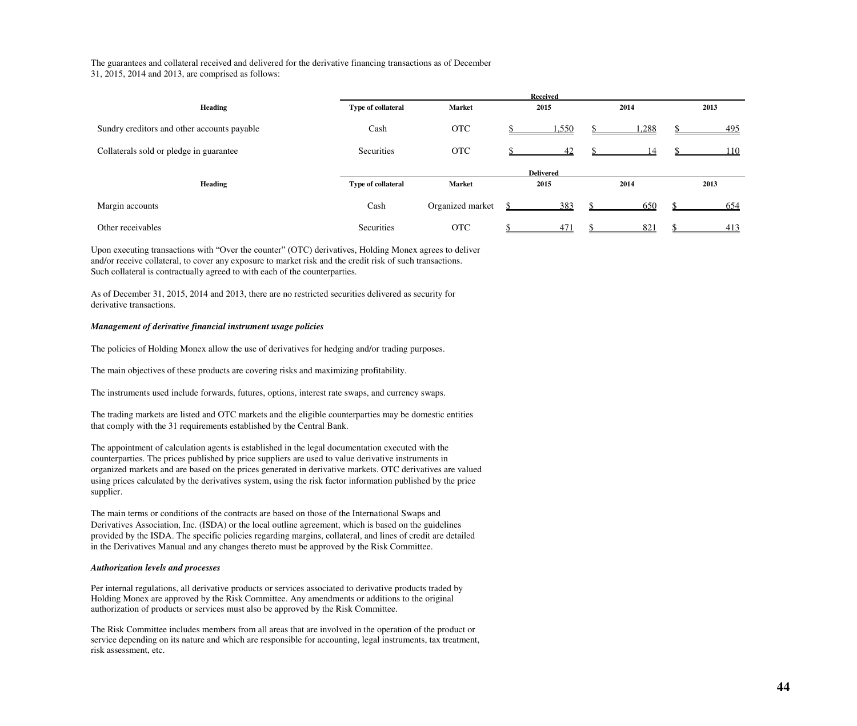The guarantees and collateral received and delivered for the derivative financing transactions as of December

31, 2015, 2014 and 2013, are comprised as follows:

|                                             | <b>Received</b>    |                  |                  |      |      |  |  |
|---------------------------------------------|--------------------|------------------|------------------|------|------|--|--|
| <b>Heading</b>                              | Type of collateral | <b>Market</b>    | 2015             | 2014 | 2013 |  |  |
| Sundry creditors and other accounts payable | Cash               | <b>OTC</b>       | 1,550            | ,288 | 495  |  |  |
| Collaterals sold or pledge in guarantee     | Securities         | <b>OTC</b>       | 42               | 14   | 110  |  |  |
|                                             |                    |                  | <b>Delivered</b> |      |      |  |  |
| <b>Heading</b>                              | Type of collateral | <b>Market</b>    | 2015             | 2014 | 2013 |  |  |
| Margin accounts                             | Cash               | Organized market | 383              | 650  | 654  |  |  |
| Other receivables                           | <b>Securities</b>  | <b>OTC</b>       | 471              | 821  | 413  |  |  |

Upon executing transactions with "Over the counter" (OTC) derivatives, Holding Monex agrees to deliver and/or receive collateral, to cover any exposure to market risk and the credit risk of such transactions. Such collateral is contractually agreed to with each of the counterparties.

As of December 31, 2015, 2014 and 2013, there are no restricted securities delivered as security for derivative transactions.

## *Management of derivative financial instrument usage policies*

The policies of Holding Monex allow the use of derivatives for hedging and/or trading purposes.

The main objectives of these products are covering risks and maximizing profitability.

The instruments used include forwards, futures, options, interest rate swaps, and currency swaps.

The trading markets are listed and OTC markets and the eligible counterparties may be domestic entities that comply with the 31 requirements established by the Central Bank.

The appointment of calculation agents is established in the legal documentation executed with the counterparties. The prices published by price suppliers are used to value derivative instruments in organized markets and are based on the prices generated in derivative markets. OTC derivatives are valued using prices calculated by the derivatives system, using the risk factor information published by the price supplier.

The main terms or conditions of the contracts are based on those of the International Swaps and Derivatives Association, Inc. (ISDA) or the local outline agreement, which is based on the guidelines provided by the ISDA. The specific policies regarding margins, collateral, and lines of credit are detailed in the Derivatives Manual and any changes thereto must be approved by the Risk Committee.

### *Authorization levels and processes*

Per internal regulations, all derivative products or services associated to derivative products traded by Holding Monex are approved by the Risk Committee. Any amendments or additions to the original authorization of products or services must also be approved by the Risk Committee.

The Risk Committee includes members from all areas that are involved in the operation of the product or service depending on its nature and which are responsible for accounting, legal instruments, tax treatment, risk assessment, etc.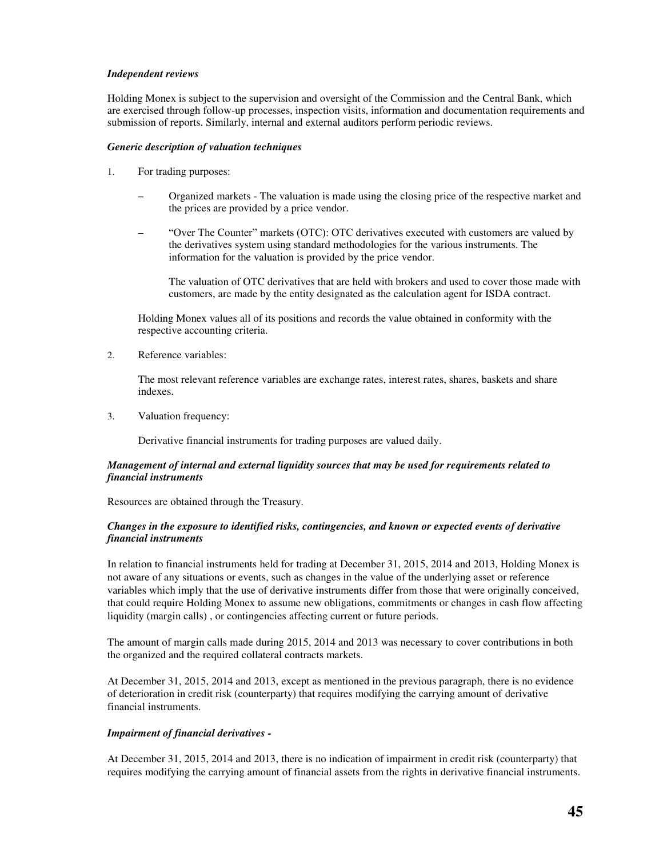## *Independent reviews*

Holding Monex is subject to the supervision and oversight of the Commission and the Central Bank, which are exercised through follow-up processes, inspection visits, information and documentation requirements and submission of reports. Similarly, internal and external auditors perform periodic reviews.

### *Generic description of valuation techniques*

- 1. For trading purposes:
	- Organized markets The valuation is made using the closing price of the respective market and the prices are provided by a price vendor.
	- "Over The Counter" markets (OTC): OTC derivatives executed with customers are valued by the derivatives system using standard methodologies for the various instruments. The information for the valuation is provided by the price vendor.

The valuation of OTC derivatives that are held with brokers and used to cover those made with customers, are made by the entity designated as the calculation agent for ISDA contract.

Holding Monex values all of its positions and records the value obtained in conformity with the respective accounting criteria.

2. Reference variables:

The most relevant reference variables are exchange rates, interest rates, shares, baskets and share indexes.

3. Valuation frequency:

Derivative financial instruments for trading purposes are valued daily.

## *Management of internal and external liquidity sources that may be used for requirements related to financial instruments*

Resources are obtained through the Treasury.

## *Changes in the exposure to identified risks, contingencies, and known or expected events of derivative financial instruments*

In relation to financial instruments held for trading at December 31, 2015, 2014 and 2013, Holding Monex is not aware of any situations or events, such as changes in the value of the underlying asset or reference variables which imply that the use of derivative instruments differ from those that were originally conceived, that could require Holding Monex to assume new obligations, commitments or changes in cash flow affecting liquidity (margin calls) , or contingencies affecting current or future periods.

The amount of margin calls made during 2015, 2014 and 2013 was necessary to cover contributions in both the organized and the required collateral contracts markets.

At December 31, 2015, 2014 and 2013, except as mentioned in the previous paragraph, there is no evidence of deterioration in credit risk (counterparty) that requires modifying the carrying amount of derivative financial instruments.

## *Impairment of financial derivatives -*

At December 31, 2015, 2014 and 2013, there is no indication of impairment in credit risk (counterparty) that requires modifying the carrying amount of financial assets from the rights in derivative financial instruments.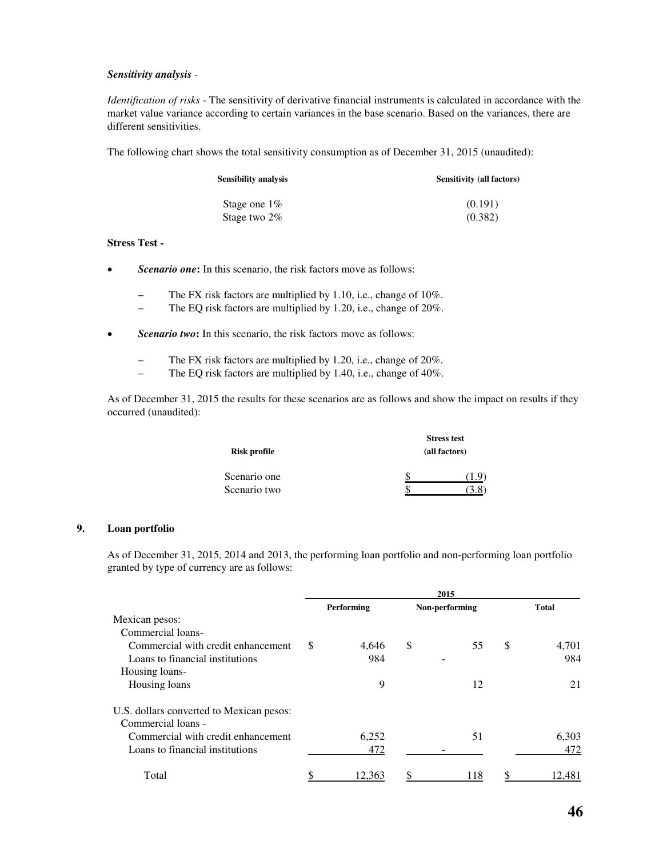## *Sensitivity analysis -*

*Identification of risks* - The sensitivity of derivative financial instruments is calculated in accordance with the market value variance according to certain variances in the base scenario. Based on the variances, there are different sensitivities.

The following chart shows the total sensitivity consumption as of December 31, 2015 (unaudited):

| Sensibility analysis | <b>Sensitivity (all factors)</b> |
|----------------------|----------------------------------|
| Stage one $1\%$      | (0.191)                          |
| Stage two $2\%$      | (0.382)                          |

### **Stress Test -**

- **Scenario one:** In this scenario, the risk factors move as follows:
	- The FX risk factors are multiplied by 1.10, i.e., change of 10%.
	- The EQ risk factors are multiplied by 1.20, i.e., change of 20%.
- **Scenario two:** In this scenario, the risk factors move as follows:
	- The FX risk factors are multiplied by 1.20, i.e., change of 20%.
	- The EQ risk factors are multiplied by 1.40, i.e., change of 40%.

As of December 31, 2015 the results for these scenarios are as follows and show the impact on results if they occurred (unaudited):

|                     | <b>Stress test</b> |  |  |  |  |  |
|---------------------|--------------------|--|--|--|--|--|
| <b>Risk profile</b> | (all factors)      |  |  |  |  |  |
| Scenario one        |                    |  |  |  |  |  |
| Scenario two        |                    |  |  |  |  |  |

### **9. Loan portfolio**

As of December 31, 2015, 2014 and 2013, the performing loan portfolio and non-performing loan portfolio granted by type of currency are as follows:

|                                          | 2015 |            |                |      |    |              |  |
|------------------------------------------|------|------------|----------------|------|----|--------------|--|
|                                          |      | Performing | Non-performing |      |    | <b>Total</b> |  |
| Mexican pesos:                           |      |            |                |      |    |              |  |
| Commercial loans-                        |      |            |                |      |    |              |  |
| Commercial with credit enhancement       | \$   | 4.646      | S              | 55   | \$ | 4,701        |  |
| Loans to financial institutions          |      | 984        |                |      |    | 984          |  |
| Housing loans-                           |      |            |                |      |    |              |  |
| Housing loans                            |      | 9          |                | 12   |    | 21           |  |
| U.S. dollars converted to Mexican pesos: |      |            |                |      |    |              |  |
| Commercial loans -                       |      |            |                |      |    |              |  |
| Commercial with credit enhancement       |      | 6,252      |                | 51   |    | 6,303        |  |
| Loans to financial institutions          |      | 472        |                |      |    | 472          |  |
| Total                                    |      | 12.363     |                | l 18 |    | 12,481       |  |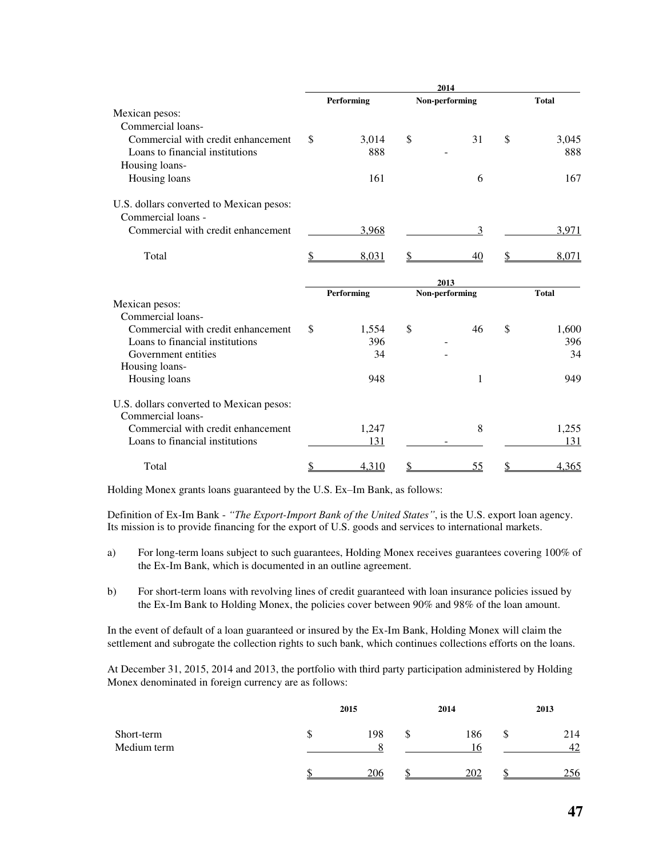|                                          |    | Performing |    | Non-performing |    | <b>Total</b> |
|------------------------------------------|----|------------|----|----------------|----|--------------|
| Mexican pesos:                           |    |            |    |                |    |              |
| Commercial loans-                        |    |            |    |                |    |              |
| Commercial with credit enhancement       | \$ | 3,014      | \$ | 31             | \$ | 3,045        |
| Loans to financial institutions          |    | 888        |    |                |    | 888          |
| Housing loans-                           |    |            |    |                |    |              |
| Housing loans                            |    | 161        |    | 6              |    | 167          |
| U.S. dollars converted to Mexican pesos: |    |            |    |                |    |              |
| Commercial loans -                       |    |            |    |                |    |              |
| Commercial with credit enhancement       |    | 3,968      |    | 3              |    | 3,971        |
| Total                                    | \$ | 8,031      | \$ | 40             | \$ | 8,071        |
|                                          |    |            |    |                |    |              |
|                                          |    |            |    | 2013           |    |              |
|                                          |    | Performing |    | Non-performing |    | <b>Total</b> |
| Mexican pesos:                           |    |            |    |                |    |              |
| Commercial loans-                        |    |            |    |                |    |              |
| Commercial with credit enhancement       | \$ | 1,554      | \$ | 46             | \$ | 1,600        |
| Loans to financial institutions          |    | 396        |    |                |    | 396          |
| Government entities                      |    | 34         |    |                |    | 34           |
| Housing loans-                           |    |            |    |                |    |              |
| Housing loans                            |    | 948        |    | 1              |    | 949          |
| U.S. dollars converted to Mexican pesos: |    |            |    |                |    |              |
| Commercial loans-                        |    |            |    |                |    |              |
| Commercial with credit enhancement       |    | 1,247      |    | 8              |    | 1,255        |
| Loans to financial institutions          |    | 131        |    |                |    | 131          |
| Total                                    | \$ | 4,310      | S  | <u>55</u>      |    | 4,365        |

Holding Monex grants loans guaranteed by the U.S. Ex–Im Bank, as follows:

Definition of Ex-Im Bank - *"The Export-Import Bank of the United States"*, is the U.S. export loan agency. Its mission is to provide financing for the export of U.S. goods and services to international markets.

- a) For long-term loans subject to such guarantees, Holding Monex receives guarantees covering 100% of the Ex-Im Bank, which is documented in an outline agreement.
- b) For short-term loans with revolving lines of credit guaranteed with loan insurance policies issued by the Ex-Im Bank to Holding Monex, the policies cover between 90% and 98% of the loan amount.

In the event of default of a loan guaranteed or insured by the Ex-Im Bank, Holding Monex will claim the settlement and subrogate the collection rights to such bank, which continues collections efforts on the loans.

At December 31, 2015, 2014 and 2013, the portfolio with third party participation administered by Holding Monex denominated in foreign currency are as follows:

|                           |    | 2015           | 2014      | 2013      |
|---------------------------|----|----------------|-----------|-----------|
| Short-term<br>Medium term | ۰D | 198<br>$\circ$ | 186<br>16 | 214<br>42 |
|                           |    | 206            | 202       | 256       |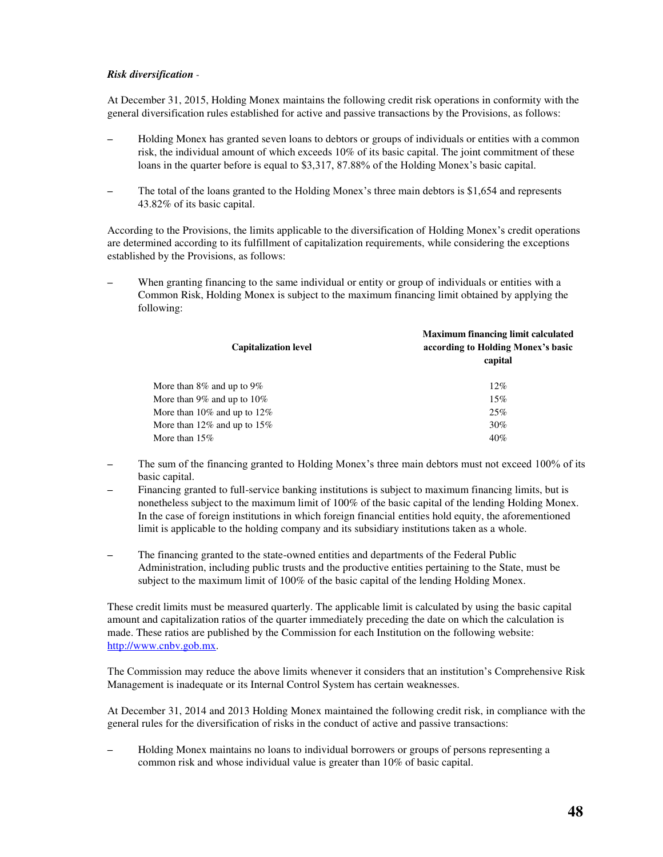## *Risk diversification* -

At December 31, 2015, Holding Monex maintains the following credit risk operations in conformity with the general diversification rules established for active and passive transactions by the Provisions, as follows:

- Holding Monex has granted seven loans to debtors or groups of individuals or entities with a common risk, the individual amount of which exceeds 10% of its basic capital. The joint commitment of these loans in the quarter before is equal to \$3,317, 87.88% of the Holding Monex's basic capital.
- The total of the loans granted to the Holding Monex's three main debtors is \$1,654 and represents 43.82% of its basic capital.

According to the Provisions, the limits applicable to the diversification of Holding Monex's credit operations are determined according to its fulfillment of capitalization requirements, while considering the exceptions established by the Provisions, as follows:

– When granting financing to the same individual or entity or group of individuals or entities with a Common Risk, Holding Monex is subject to the maximum financing limit obtained by applying the following:

| <b>Capitalization level</b>       | <b>Maximum financing limit calculated</b><br>according to Holding Monex's basic<br>capital |
|-----------------------------------|--------------------------------------------------------------------------------------------|
| More than $8\%$ and up to $9\%$   | $12\%$                                                                                     |
| More than 9% and up to $10\%$     | 15%                                                                                        |
| More than $10\%$ and up to $12\%$ | 25%                                                                                        |
| More than 12% and up to 15%       | $30\%$                                                                                     |
| More than $15\%$                  | 40%                                                                                        |
|                                   |                                                                                            |

- The sum of the financing granted to Holding Monex's three main debtors must not exceed 100% of its basic capital.
- Financing granted to full-service banking institutions is subject to maximum financing limits, but is nonetheless subject to the maximum limit of 100% of the basic capital of the lending Holding Monex. In the case of foreign institutions in which foreign financial entities hold equity, the aforementioned limit is applicable to the holding company and its subsidiary institutions taken as a whole.
- The financing granted to the state-owned entities and departments of the Federal Public Administration, including public trusts and the productive entities pertaining to the State, must be subject to the maximum limit of 100% of the basic capital of the lending Holding Monex.

These credit limits must be measured quarterly. The applicable limit is calculated by using the basic capital amount and capitalization ratios of the quarter immediately preceding the date on which the calculation is made. These ratios are published by the Commission for each Institution on the following website: [http://www.cnbv.gob.mx.](http://www.cnbv.gob.mx/)

The Commission may reduce the above limits whenever it considers that an institution's Comprehensive Risk Management is inadequate or its Internal Control System has certain weaknesses.

At December 31, 2014 and 2013 Holding Monex maintained the following credit risk, in compliance with the general rules for the diversification of risks in the conduct of active and passive transactions:

– Holding Monex maintains no loans to individual borrowers or groups of persons representing a common risk and whose individual value is greater than 10% of basic capital.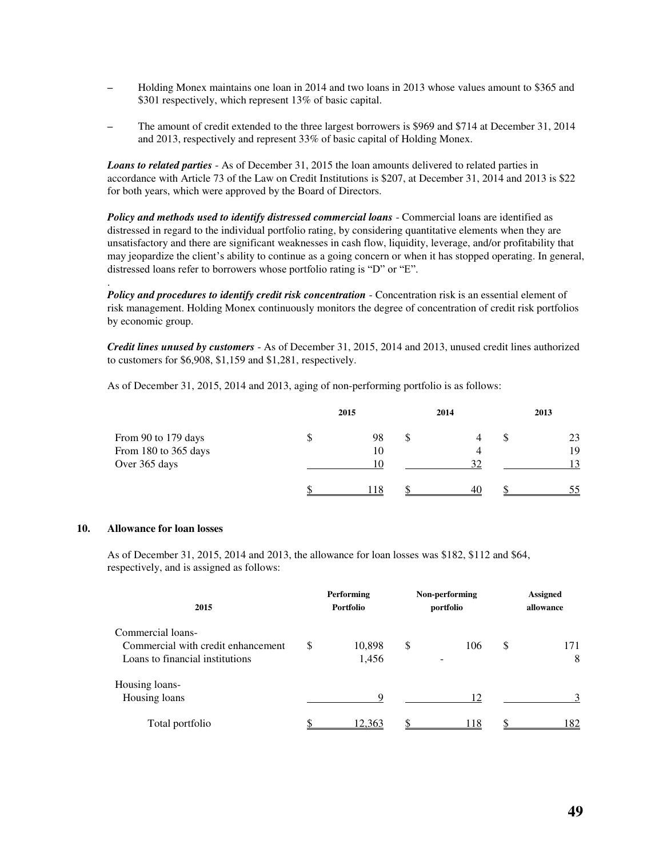- Holding Monex maintains one loan in 2014 and two loans in 2013 whose values amount to \$365 and \$301 respectively, which represent 13% of basic capital.
- The amount of credit extended to the three largest borrowers is \$969 and \$714 at December 31, 2014 and 2013, respectively and represent 33% of basic capital of Holding Monex.

*Loans to related parties* - As of December 31, 2015 the loan amounts delivered to related parties in accordance with Article 73 of the Law on Credit Institutions is \$207, at December 31, 2014 and 2013 is \$22 for both years, which were approved by the Board of Directors.

*Policy and methods used to identify distressed commercial loans* - Commercial loans are identified as distressed in regard to the individual portfolio rating, by considering quantitative elements when they are unsatisfactory and there are significant weaknesses in cash flow, liquidity, leverage, and/or profitability that may jeopardize the client's ability to continue as a going concern or when it has stopped operating. In general, distressed loans refer to borrowers whose portfolio rating is "D" or "E".

*Policy and procedures to identify credit risk concentration* - Concentration risk is an essential element of risk management. Holding Monex continuously monitors the degree of concentration of credit risk portfolios by economic group.

*Credit lines unused by customers* - As of December 31, 2015, 2014 and 2013, unused credit lines authorized to customers for \$6,908, \$1,159 and \$1,281, respectively.

As of December 31, 2015, 2014 and 2013, aging of non-performing portfolio is as follows:

|                      | 2015 | 2014 |    | 2013 |
|----------------------|------|------|----|------|
| From 90 to 179 days  | 98   |      | J. | 23   |
| From 180 to 365 days | 10   |      |    | 19   |
| Over 365 days        | 10   | 32   |    | 13   |
|                      |      | 40   |    | 55   |

## **10. Allowance for loan losses**

.

As of December 31, 2015, 2014 and 2013, the allowance for loan losses was \$182, \$112 and \$64, respectively, and is assigned as follows:

| 2015                               |    | <b>Performing</b><br><b>Portfolio</b> |    | Non-performing<br>portfolio | <b>Assigned</b><br>allowance |     |  |
|------------------------------------|----|---------------------------------------|----|-----------------------------|------------------------------|-----|--|
| Commercial loans-                  |    |                                       |    |                             |                              |     |  |
| Commercial with credit enhancement | \$ | 10,898                                | \$ | 106                         | S                            | 171 |  |
| Loans to financial institutions    |    | 1,456                                 |    | -                           |                              | 8   |  |
| Housing loans-                     |    |                                       |    |                             |                              |     |  |
| Housing loans                      |    | 9                                     |    | 12                          |                              | 3   |  |
| Total portfolio                    |    | 12.363                                | ¢  | 18                          |                              | 182 |  |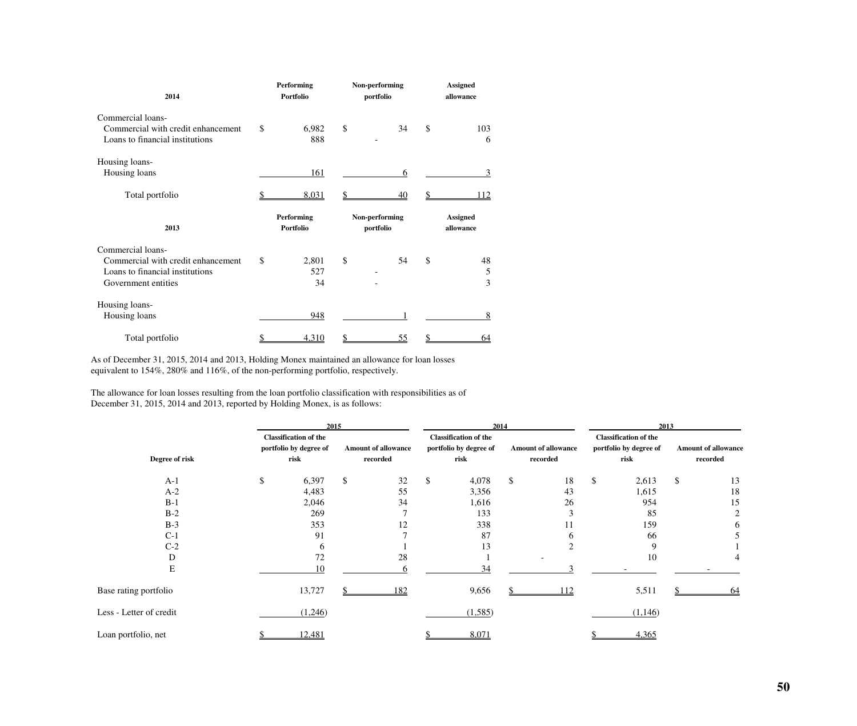| 2014                                                                                                              |    | Performing<br><b>Portfolio</b> | Non-performing<br>portfolio | <b>Assigned</b><br>allowance |                                       |  |
|-------------------------------------------------------------------------------------------------------------------|----|--------------------------------|-----------------------------|------------------------------|---------------------------------------|--|
| Commercial loans-<br>Commercial with credit enhancement<br>Loans to financial institutions                        | \$ | 6,982<br>888                   | \$<br>34                    | \$                           | 103<br>6                              |  |
| Housing loans-<br>Housing loans                                                                                   |    | 161                            | 6                           |                              | 3                                     |  |
| Total portfolio                                                                                                   |    | 8,031                          | \$<br>40                    | \$                           | 112                                   |  |
| 2013                                                                                                              |    | Performing<br><b>Portfolio</b> | Non-performing<br>portfolio |                              | <b>Assigned</b><br>allowance          |  |
| Commercial loans-<br>Commercial with credit enhancement<br>Loans to financial institutions<br>Government entities | \$ | 2,801<br>527<br>34             | \$<br>54                    | \$                           | 48<br>$\mathfrak s$<br>$\overline{3}$ |  |
| Housing loans-                                                                                                    |    |                                |                             |                              |                                       |  |
| Housing loans                                                                                                     |    | 948                            |                             |                              | 8                                     |  |

As of December 31, 2015, 2014 and 2013, Holding Monex maintained an allowance for loan losses equivalent to 154%, 280% and 116%, of the non-performing portfolio, respectively.

The allowance for loan losses resulting from the loan portfolio classification with responsibilities as of December 31, 2015, 2014 and 2013, reported by Holding Monex, is as follows:

|                         | 2015                                                   |                           |                            | 2014 |                                                        |    | 2013                       |    |                                                        |    |                            |
|-------------------------|--------------------------------------------------------|---------------------------|----------------------------|------|--------------------------------------------------------|----|----------------------------|----|--------------------------------------------------------|----|----------------------------|
|                         | <b>Classification of the</b><br>portfolio by degree of |                           | <b>Amount of allowance</b> |      | <b>Classification of the</b><br>portfolio by degree of |    | <b>Amount of allowance</b> |    | <b>Classification of the</b><br>portfolio by degree of |    | <b>Amount of allowance</b> |
| Degree of risk          | risk                                                   |                           | recorded                   |      | risk                                                   |    | recorded                   |    | risk                                                   |    | recorded                   |
| $A-1$                   | \$<br>6,397                                            | $\boldsymbol{\mathsf{S}}$ | 32                         | S    | 4,078                                                  | \$ | 18                         | \$ | 2,613                                                  | \$ | 13                         |
| $A-2$                   | 4,483                                                  |                           | 55                         |      | 3,356                                                  |    | 43                         |    | 1,615                                                  |    | 18                         |
| $B-1$                   | 2,046                                                  |                           | 34                         |      | 1,616                                                  |    | 26                         |    | 954                                                    |    | 15                         |
| $B-2$                   | 269                                                    |                           |                            |      | 133                                                    |    | 3                          |    | 85                                                     |    | $\overline{2}$             |
| $B-3$                   | 353                                                    |                           | 12                         |      | 338                                                    |    | 11                         |    | 159                                                    |    | 6                          |
| $C-1$                   | 91                                                     |                           |                            |      | 87                                                     |    | 6                          |    | 66                                                     |    |                            |
| $C-2$                   |                                                        |                           |                            |      | 13                                                     |    |                            |    | 9                                                      |    |                            |
| $\mathbf D$             | 72                                                     |                           | 28                         |      |                                                        |    |                            |    | 10                                                     |    | 4                          |
| ${\bf E}$               | 10                                                     |                           |                            |      | 34                                                     |    |                            |    |                                                        |    |                            |
| Base rating portfolio   | 13,727                                                 |                           | 182                        |      | 9,656                                                  |    | 112                        |    | 5,511                                                  |    | 64                         |
| Less - Letter of credit | (1,246)                                                |                           |                            |      | (1,585)                                                |    |                            |    | (1,146)                                                |    |                            |
| Loan portfolio, net     | 12,481                                                 |                           |                            |      | 8,071                                                  |    |                            |    | 4,365                                                  |    |                            |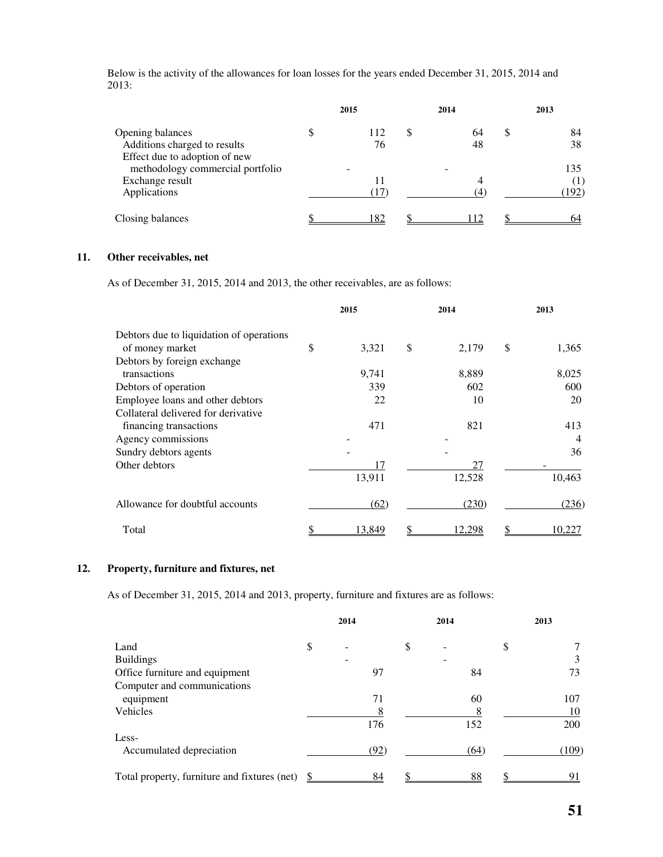Below is the activity of the allowances for loan losses for the years ended December 31, 2015, 2014 and 2013:

|                                                     | 2015      | 2014 |          | 2013           |
|-----------------------------------------------------|-----------|------|----------|----------------|
| Opening balances<br>Additions charged to results    | 112<br>76 |      | 64<br>48 | \$<br>84<br>38 |
| Effect due to adoption of new                       |           |      |          |                |
| methodology commercial portfolio<br>Exchange result | 11        |      |          | 135            |
| Applications                                        | (17)      |      | (4)      | (192)          |
| Closing balances                                    | 82        |      |          |                |

## **11. Other receivables, net**

As of December 31, 2015, 2014 and 2013, the other receivables, are as follows:

|                                          | 2015        | 2014        | 2013        |
|------------------------------------------|-------------|-------------|-------------|
| Debtors due to liquidation of operations |             |             |             |
| of money market                          | \$<br>3,321 | \$<br>2,179 | \$<br>1,365 |
| Debtors by foreign exchange              |             |             |             |
| transactions                             | 9,741       | 8,889       | 8,025       |
| Debtors of operation                     | 339         | 602         | 600         |
| Employee loans and other debtors         | 22          | 10          | 20          |
| Collateral delivered for derivative      |             |             |             |
| financing transactions                   | 471         | 821         | 413         |
| Agency commissions                       |             |             | 4           |
| Sundry debtors agents                    |             |             | 36          |
| Other debtors                            | 17          | 27          |             |
|                                          | 13,911      | 12,528      | 10,463      |
| Allowance for doubtful accounts          | (62)        | (230)       | (236)       |
| Total                                    | 13,849      | 12,298      | 10,227      |

## **12. Property, furniture and fixtures, net**

As of December 31, 2015, 2014 and 2013, property, furniture and fixtures are as follows:

|                                              | 2014 |      | 2014 |      | 2013  |
|----------------------------------------------|------|------|------|------|-------|
| Land                                         | \$   |      | \$   |      | \$    |
| <b>Buildings</b>                             |      |      |      |      | 3     |
| Office furniture and equipment               |      | 97   |      | 84   | 73    |
| Computer and communications                  |      |      |      |      |       |
| equipment                                    |      | 71   |      | 60   | 107   |
| Vehicles                                     |      | 8    |      |      | 10    |
|                                              |      | 176  |      | 152  | 200   |
| Less-                                        |      |      |      |      |       |
| Accumulated depreciation                     |      | (92) |      | (64) | (109) |
| Total property, furniture and fixtures (net) |      | 84   |      | 88   | 91    |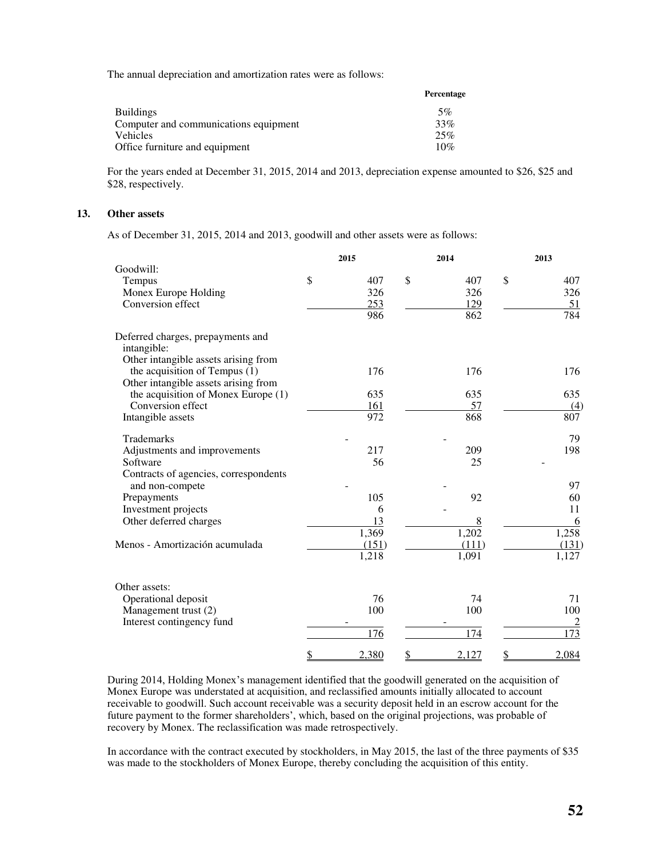The annual depreciation and amortization rates were as follows:

|                                       | Percentage |
|---------------------------------------|------------|
| <b>Buildings</b>                      | 5%         |
| Computer and communications equipment | 33%        |
| Vehicles                              | 25%        |
| Office furniture and equipment        | 10%        |

For the years ended at December 31, 2015, 2014 and 2013, depreciation expense amounted to \$26, \$25 and \$28, respectively.

## **13. Other assets**

As of December 31, 2015, 2014 and 2013, goodwill and other assets were as follows:

|                                                                                                               | 2015        |               | 2014  | 2013             |
|---------------------------------------------------------------------------------------------------------------|-------------|---------------|-------|------------------|
| Goodwill:                                                                                                     |             |               |       |                  |
| Tempus                                                                                                        | \$<br>407   | $\mathcal{S}$ | 407   | \$<br>407        |
| Monex Europe Holding                                                                                          | 326         |               | 326   | 326              |
| Conversion effect                                                                                             | 253         |               | 129   | 51               |
|                                                                                                               | 986         |               | 862   | 784              |
| Deferred charges, prepayments and<br>intangible:                                                              |             |               |       |                  |
| Other intangible assets arising from<br>the acquisition of Tempus (1)<br>Other intangible assets arising from | 176         |               | 176   | 176              |
| the acquisition of Monex Europe (1)                                                                           | 635         |               | 635   | 635              |
| Conversion effect                                                                                             | 161         |               | 57    | (4)              |
| Intangible assets                                                                                             | 972         |               | 868   | 807              |
| <b>Trademarks</b>                                                                                             |             |               |       | 79               |
| Adjustments and improvements                                                                                  | 217         |               | 209   | 198              |
| Software                                                                                                      | 56          |               | 25    |                  |
| Contracts of agencies, correspondents<br>and non-compete                                                      |             |               |       | 97               |
| Prepayments                                                                                                   | 105         |               | 92    | 60               |
| Investment projects                                                                                           | 6           |               |       | 11               |
| Other deferred charges                                                                                        | 13          |               | 8     | 6                |
|                                                                                                               | 1,369       |               | 1,202 | 1,258            |
| Menos - Amortización acumulada                                                                                | (151)       |               | (111) | (131)            |
|                                                                                                               | 1,218       |               | 1,091 | 1,127            |
| Other assets:                                                                                                 |             |               |       |                  |
| Operational deposit                                                                                           | 76          |               | 74    | 71               |
| Management trust (2)                                                                                          | 100         |               | 100   | 100              |
| Interest contingency fund                                                                                     |             |               |       | $\overline{2}$   |
|                                                                                                               | 176         |               | 174   | $\overline{173}$ |
|                                                                                                               | \$<br>2,380 | \$            | 2,127 | \$<br>2,084      |

During 2014, Holding Monex's management identified that the goodwill generated on the acquisition of Monex Europe was understated at acquisition, and reclassified amounts initially allocated to account receivable to goodwill. Such account receivable was a security deposit held in an escrow account for the future payment to the former shareholders', which, based on the original projections, was probable of recovery by Monex. The reclassification was made retrospectively.

In accordance with the contract executed by stockholders, in May 2015, the last of the three payments of \$35 was made to the stockholders of Monex Europe, thereby concluding the acquisition of this entity.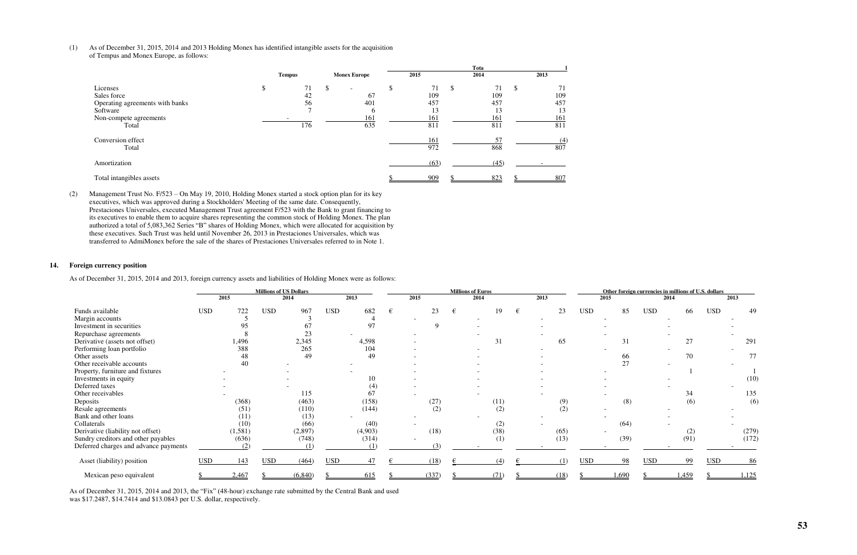(1) As of December 31, 2015, 2014 and 2013 Holding Monex has identified intangible assets for the acquisition of Tempus and Monex Europe, as follows:

|                                                                                                           |     |                                         |   |                                                          | Tota |                                      |               |                                      |    |                                      |
|-----------------------------------------------------------------------------------------------------------|-----|-----------------------------------------|---|----------------------------------------------------------|------|--------------------------------------|---------------|--------------------------------------|----|--------------------------------------|
|                                                                                                           |     | <b>Tempus</b>                           |   | <b>Monex Europe</b>                                      |      | 2015                                 |               | 2014                                 |    | 2013                                 |
| Licenses<br>Sales force<br>Operating agreements with banks<br>Software<br>Non-compete agreements<br>Total | JЭ. | 71<br>42<br>56<br>$\overline{ }$<br>176 | S | $\overline{\phantom{a}}$<br>67<br>401<br>b<br>161<br>635 |      | 71<br>109<br>457<br>13<br>161<br>811 | <sup>\$</sup> | 71<br>109<br>457<br>13<br>161<br>811 | J. | 71<br>109<br>457<br>13<br>161<br>811 |
| Conversion effect<br>Total                                                                                |     |                                         |   |                                                          |      | 161<br>972                           |               | 57<br>868                            |    | (4)<br>807                           |
| Amortization                                                                                              |     |                                         |   |                                                          |      | (63)                                 |               | (45)                                 |    |                                      |
| Total intangibles assets                                                                                  |     |                                         |   |                                                          |      | 909                                  |               | 823                                  |    | 807                                  |

(2) Management Trust No. F/523 – On May 19, 2010, Holding Monex started a stock option plan for its key executives, which was approved during a Stockholders' Meeting of the same date. Consequently, Prestaciones Universales, executed Management Trust agreement F/523 with the Bank to grant financing to its executives to enable them to acquire shares representing the common stock of Holding Monex. The plan authorized a total of 5,083,362 Series "B" shares of Holding Monex, which were allocated for acquisition by these executives. Such Trust was held until November 26, 2013 in Prestaciones Universales, which was transferred to AdmiMonex before the sale of the shares of Prestaciones Universales referred to in Note 1.

## **14. Foreign currency position**

As of December 31, 2015, 2014 and 2013, foreign currency assets and liabilities of Holding Monex were as follows:

|                                       | <b>Millions of US Dollars</b> |          |            |         | <b>Millions of Euros</b> |         |   |      | Other foreign currencies in millions of U.S. dollars |   |      |  |      |            |       |            |       |            |       |
|---------------------------------------|-------------------------------|----------|------------|---------|--------------------------|---------|---|------|------------------------------------------------------|---|------|--|------|------------|-------|------------|-------|------------|-------|
|                                       |                               | 2015     |            | 2014    |                          | 2013    |   | 2015 |                                                      |   | 2014 |  | 2013 |            | 2015  |            | 2014  |            | 2013  |
| Funds available                       | <b>USD</b>                    | 722      | <b>USD</b> | 967     | <b>USD</b>               | 682     | € |      | 23                                                   | € | 19   |  | 23   | <b>USD</b> | 85    | <b>USD</b> | 66    | <b>USD</b> | 49    |
| Margin accounts                       |                               |          |            |         |                          |         |   |      |                                                      |   |      |  |      |            |       |            |       |            |       |
| Investment in securities              |                               | 95       |            | 67      |                          | 97      |   |      | Q                                                    |   |      |  |      |            |       |            |       |            |       |
| Repurchase agreements                 |                               |          |            |         |                          |         |   |      |                                                      |   |      |  |      |            |       |            |       |            |       |
| Derivative (assets not offset)        |                               | 1,496    |            | 2,345   |                          | 4,598   |   |      |                                                      |   | 31   |  | 65   |            | 31    |            | 27    |            | 291   |
| Performing loan portfolio             |                               | 388      |            | 265     |                          | 104     |   |      |                                                      |   |      |  |      |            |       |            |       |            |       |
| Other assets                          |                               | 48       |            | 49      |                          | 49      |   |      |                                                      |   |      |  |      |            | 66    |            | 70    |            | 77    |
| Other receivable accounts             |                               | 40       |            |         |                          |         |   |      |                                                      |   |      |  |      |            | 27    |            |       |            |       |
| Property, furniture and fixtures      |                               |          |            |         |                          |         |   |      |                                                      |   |      |  |      |            |       |            |       |            |       |
| Investments in equity                 |                               |          |            |         |                          | 10      |   |      |                                                      |   |      |  |      |            |       |            |       |            | (10)  |
| Deferred taxes                        |                               |          |            |         |                          | (4)     |   |      |                                                      |   |      |  |      |            |       |            |       |            |       |
| Other receivables                     |                               |          |            | 115     |                          | 67      |   |      |                                                      |   |      |  |      |            |       |            | 34    |            | 135   |
| Deposits                              |                               | (368)    |            | (463)   |                          | (158)   |   |      | (27)                                                 |   | (11) |  | (9)  |            | (8)   |            | (6)   |            | (6)   |
| Resale agreements                     |                               | (51)     |            | (110)   |                          | (144)   |   |      | (2)                                                  |   | (2)  |  | (2)  |            |       |            |       |            |       |
| Bank and other loans                  |                               | (11)     |            | (13)    |                          |         |   |      |                                                      |   |      |  |      |            |       |            |       |            |       |
| Collaterals                           |                               | (10)     |            | (66)    |                          | (40)    |   |      |                                                      |   | (2)  |  |      |            | (64)  |            |       |            |       |
| Derivative (liability not offset)     |                               | (1, 581) |            | (2,897) |                          | (4,903) |   |      | (18)                                                 |   | (38) |  | (65) |            |       |            | (2)   |            | (279) |
| Sundry creditors and other payables   |                               | (636)    |            | (748)   |                          | (314)   |   |      |                                                      |   | (1)  |  | (13) |            | (39)  |            | (91)  |            | (172) |
| Deferred charges and advance payments |                               | (2)      |            | (1)     |                          | (1)     |   |      | (3)                                                  |   |      |  |      |            |       |            |       |            |       |
| Asset (liability) position            | <b>USD</b>                    | 143      | <b>USD</b> | (464)   | <b>USD</b>               | 47      |   |      | (18)                                                 |   | (4)  |  | (1)  | <b>USD</b> | 98    | <b>USD</b> | 99    | <b>USD</b> | 86    |
| Mexican peso equivalent               |                               | 2,467    |            | (6,840) |                          | 615     |   |      | (337)                                                |   | (71) |  | (18) |            | 1,690 |            | 1,459 |            | 1,125 |

As of December 31, 2015, 2014 and 2013, the "Fix" (48-hour) exchange rate submitted by the Central Bank and used was \$17.2487, \$14.7414 and \$13.0843 per U.S. dollar, respectively.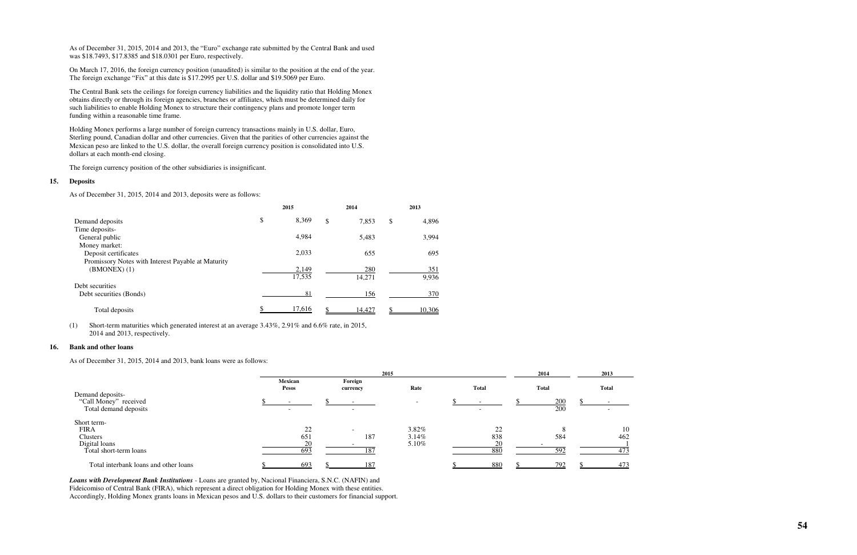As of December 31, 2015, 2014 and 2013, the "Euro" exchange rate submitted by the Central Bank and used was \$18.7493, \$17.8385 and \$18.0301 per Euro, respectively.

On March 17, 2016, the foreign currency position (unaudited) is similar to the position at the end of the year. The foreign exchange "Fix" at this date is \$17.2995 per U.S. dollar and \$19.5069 per Euro.

The Central Bank sets the ceilings for foreign currency liabilities and the liquidity ratio that Holding Monex obtains directly or through its foreign agencies, branches or affiliates, which must be determined daily for such liabilities to enable Holding Monex to structure their contingency plans and promote longer term funding within a reasonable time frame.

Holding Monex performs a large number of foreign currency transactions mainly in U.S. dollar, Euro, Sterling pound, Canadian dollar and other currencies. Given that the parities of other currencies against the Mexican peso are linked to the U.S. dollar, the overall foreign currency position is consolidated into U.S. dollars at each month-end closing.

The foreign currency position of the other subsidiaries is insignificant.

#### **15. Deposits**

As of December 31, 2015, 2014 and 2013, deposits were as follows:

|                                                    | 2015        | 2014        | 2013        |
|----------------------------------------------------|-------------|-------------|-------------|
| Demand deposits                                    | \$<br>8,369 | \$<br>7,853 | \$<br>4,896 |
| Time deposits-                                     |             |             |             |
| General public                                     | 4,984       | 5,483       | 3,994       |
| Money market:                                      |             |             |             |
| Deposit certificates                               | 2,033       | 655         | 695         |
| Promissory Notes with Interest Payable at Maturity |             |             |             |
| $(BMONEX)$ (1)                                     | 2,149       | 280         | 351         |
|                                                    | 17,535      | 14,271      | 9,936       |
| Debt securities                                    |             |             |             |
| Debt securities (Bonds)                            | 81          | 156         | 370         |
| Total deposits                                     | 17,616      | 14,427      | 10,306      |

(1) Short-term maturities which generated interest at an average 3.43%, 2.91% and 6.6% rate, in 2015, 2014 and 2013, respectively.

### **16. Bank and other loans**

As of December 31, 2015, 2014 and 2013, bank loans were as follows:

|                                                                                   | 2015                   |  |                                        |                            |  |                                    | 2014 |              | 2013             |
|-----------------------------------------------------------------------------------|------------------------|--|----------------------------------------|----------------------------|--|------------------------------------|------|--------------|------------------|
|                                                                                   | Mexican<br>Pesos       |  | Foreign<br>currency                    | Rate                       |  | <b>Total</b>                       |      | <b>Total</b> | <b>Total</b>     |
| Demand deposits-<br>"Call Money" received<br>Total demand deposits                | $\sim$                 |  | $\overline{\phantom{a}}$               |                            |  | $\sim$<br>$\overline{\phantom{0}}$ |      | 200<br>200   |                  |
| Short term-<br><b>FIRA</b><br>Clusters<br>Digital loans<br>Total short-term loans | 22<br>651<br>20<br>693 |  | $\overline{\phantom{a}}$<br>187<br>187 | 3.82%<br>$3.14\%$<br>5.10% |  | $\gamma$<br>838<br>20<br>880       |      | 584<br>592   | 10<br>462<br>473 |
| Total interbank loans and other loans                                             | 693                    |  | 187                                    |                            |  | 880                                |      | 792          | 473              |

*Loans with Development Bank Institutions* - Loans are granted by, Nacional Financiera, S.N.C. (NAFIN) and Fideicomiso of Central Bank (FIRA), which represent a direct obligation for Holding Monex with these entities. Accordingly, Holding Monex grants loans in Mexican pesos and U.S. dollars to their customers for financial support.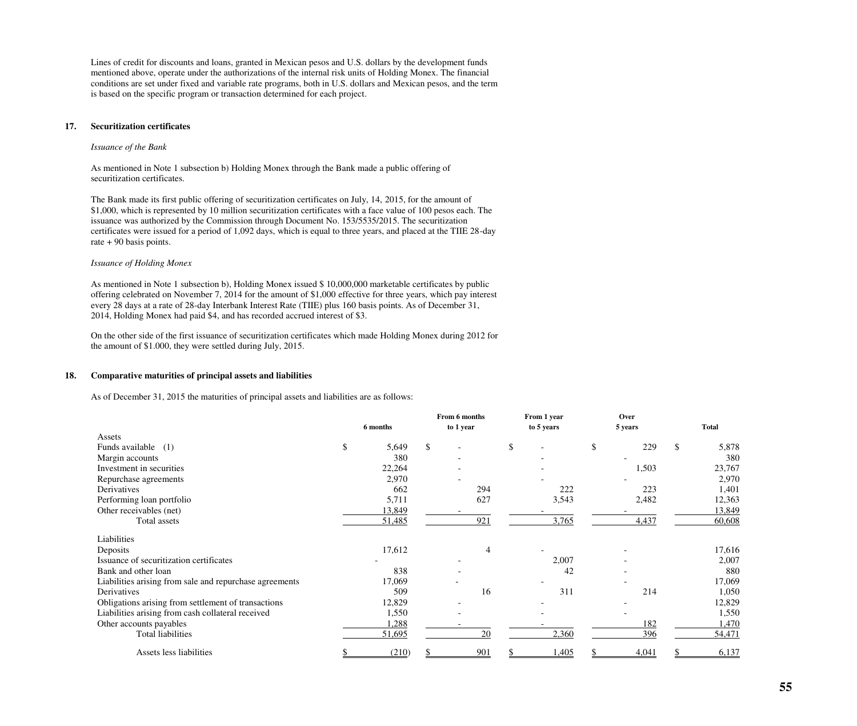Lines of credit for discounts and loans, granted in Mexican pesos and U.S. dollars by the development funds mentioned above, operate under the authorizations of the internal risk units of Holding Monex. The financial conditions are set under fixed and variable rate programs, both in U.S. dollars and Mexican pesos, and the term is based on the specific program or transaction determined for each project.

## **17. Securitization certificates**

### *Issuance of the Bank*

As mentioned in Note 1 subsection b) Holding Monex through the Bank made a public offering of securitization certificates.

The Bank made its first public offering of securitization certificates on July, 14, 2015, for the amount of \$1,000, which is represented by 10 million securitization certificates with a face value of 100 pesos each. The issuance was authorized by the Commission through Document No. 153/5535/2015. The securitization certificates were issued for a period of 1,092 days, which is equal to three years, and placed at the TIIE 28-day rate + 90 basis points.

## *Issuance of Holding Monex*

As mentioned in Note 1 subsection b), Holding Monex issued \$ 10,000,000 marketable certificates by public offering celebrated on November 7, 2014 for the amount of \$1,000 effective for three years, which pay interest every 28 days at a rate of 28-day Interbank Interest Rate (TIIE) plus 160 basis points. As of December 31, 2014, Holding Monex had paid \$4, and has recorded accrued interest of \$3.

On the other side of the first issuance of securitization certificates which made Holding Monex during 2012 for the amount of \$1.000, they were settled during July, 2015.

### **18. Comparative maturities of principal assets and liabilities**

As of December 31, 2015 the maturities of principal assets and liabilities are as follows:

|                                                         |     |          | From 6 months |     | From 1 year |            | Over    |       |              |
|---------------------------------------------------------|-----|----------|---------------|-----|-------------|------------|---------|-------|--------------|
|                                                         |     | 6 months | to 1 year     |     |             | to 5 years | 5 years |       | <b>Total</b> |
| Assets                                                  |     |          |               |     |             |            |         |       |              |
| Funds available (1)                                     | \$. | 5,649    | \$            |     | \$          |            | \$      | 229   | \$<br>5,878  |
| Margin accounts                                         |     | 380      |               |     |             |            |         |       | 380          |
| Investment in securities                                |     | 22,264   |               |     |             |            |         | 1,503 | 23,767       |
| Repurchase agreements                                   |     | 2,970    |               |     |             |            |         |       | 2,970        |
| Derivatives                                             |     | 662      |               | 294 |             | 222        |         | 223   | 1,401        |
| Performing loan portfolio                               |     | 5,711    |               | 627 |             | 3,543      |         | 2,482 | 12,363       |
| Other receivables (net)                                 |     | 13,849   |               |     |             |            |         |       | 13,849       |
| Total assets                                            |     | 51,485   |               | 921 |             | 3,765      |         | 4,437 | 60,608       |
| Liabilities                                             |     |          |               |     |             |            |         |       |              |
| Deposits                                                |     | 17,612   |               | 4   |             |            |         |       | 17,616       |
| Issuance of securitization certificates                 |     |          |               |     |             | 2,007      |         |       | 2,007        |
| Bank and other loan                                     |     | 838      |               |     |             | 42         |         |       | 880          |
| Liabilities arising from sale and repurchase agreements |     | 17,069   |               |     |             |            |         |       | 17,069       |
| Derivatives                                             |     | 509      |               | 16  |             | 311        |         | 214   | 1,050        |
| Obligations arising from settlement of transactions     |     | 12,829   |               |     |             |            |         |       | 12,829       |
| Liabilities arising from cash collateral received       |     | 1,550    |               |     |             |            |         |       | 1,550        |
| Other accounts payables                                 |     | 1,288    |               |     |             |            |         | 182   | 1,470        |
| Total liabilities                                       |     | 51,695   |               | 20  |             | 2,360      |         | 396   | 54,471       |
| Assets less liabilities                                 |     | (210)    |               | 901 |             | ,405       |         | 4,041 | 6,137        |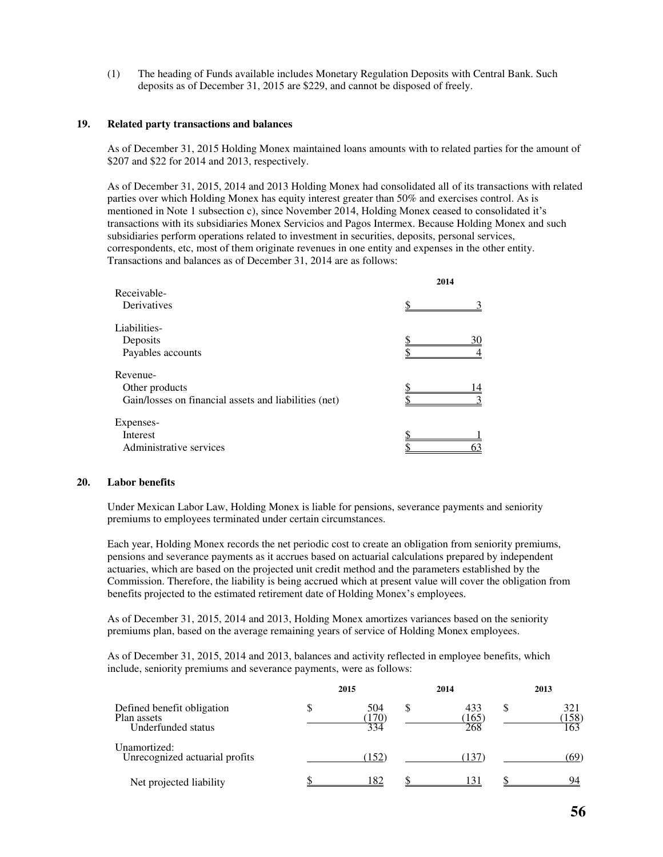(1) The heading of Funds available includes Monetary Regulation Deposits with Central Bank. Such deposits as of December 31, 2015 are \$229, and cannot be disposed of freely.

### **19. Related party transactions and balances**

As of December 31, 2015 Holding Monex maintained loans amounts with to related parties for the amount of \$207 and \$22 for 2014 and 2013, respectively.

As of December 31, 2015, 2014 and 2013 Holding Monex had consolidated all of its transactions with related parties over which Holding Monex has equity interest greater than 50% and exercises control. As is mentioned in Note 1 subsection c), since November 2014, Holding Monex ceased to consolidated it's transactions with its subsidiaries Monex Servicios and Pagos Intermex. Because Holding Monex and such subsidiaries perform operations related to investment in securities, deposits, personal services, correspondents, etc, most of them originate revenues in one entity and expenses in the other entity. Transactions and balances as of December 31, 2014 are as follows:

|                                                       | 2014 |
|-------------------------------------------------------|------|
| Receivable-                                           |      |
| Derivatives                                           |      |
| Liabilities-                                          |      |
| Deposits                                              | 30   |
| Payables accounts                                     |      |
| Revenue-                                              |      |
| Other products                                        |      |
| Gain/losses on financial assets and liabilities (net) |      |
| Expenses-                                             |      |
| Interest                                              |      |
| Administrative services                               |      |

#### **20. Labor benefits**

Under Mexican Labor Law, Holding Monex is liable for pensions, severance payments and seniority premiums to employees terminated under certain circumstances.

Each year, Holding Monex records the net periodic cost to create an obligation from seniority premiums, pensions and severance payments as it accrues based on actuarial calculations prepared by independent actuaries, which are based on the projected unit credit method and the parameters established by the Commission. Therefore, the liability is being accrued which at present value will cover the obligation from benefits projected to the estimated retirement date of Holding Monex's employees.

As of December 31, 2015, 2014 and 2013, Holding Monex amortizes variances based on the seniority premiums plan, based on the average remaining years of service of Holding Monex employees.

As of December 31, 2015, 2014 and 2013, balances and activity reflected in employee benefits, which include, seniority premiums and severance payments, were as follows:

|                                                                 | 2015                     | 2014               |   | 2013                |
|-----------------------------------------------------------------|--------------------------|--------------------|---|---------------------|
| Defined benefit obligation<br>Plan assets<br>Underfunded status | 504<br><u>170</u><br>334 | 433<br>165)<br>268 | S | 321<br>(158)<br>163 |
| Unamortized:<br>Unrecognized actuarial profits                  | (152)                    | (137)              |   | (69)                |
| Net projected liability                                         | 182                      | 131                |   | 94                  |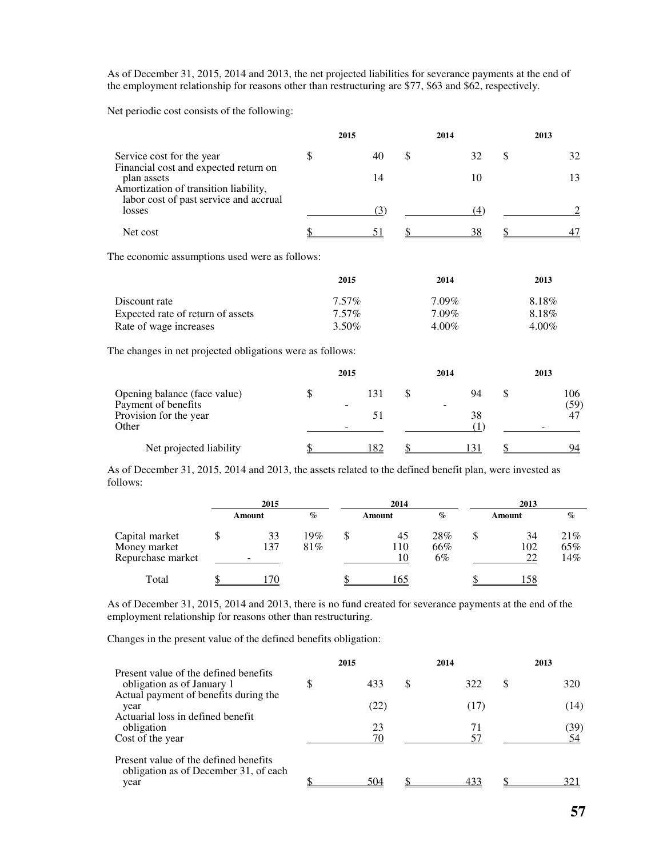As of December 31, 2015, 2014 and 2013, the net projected liabilities for severance payments at the end of the employment relationship for reasons other than restructuring are \$77, \$63 and \$62, respectively.

Net periodic cost consists of the following:

|                                                                                                                                         | 2015        | 2014     |           |               | 2013  |      |
|-----------------------------------------------------------------------------------------------------------------------------------------|-------------|----------|-----------|---------------|-------|------|
| Service cost for the year                                                                                                               | \$<br>40    | \$       | 32        | \$            |       | 32   |
| Financial cost and expected return on<br>plan assets<br>Amortization of transition liability,<br>labor cost of past service and accrual | 14          |          | 10        |               |       | 13   |
| losses                                                                                                                                  | (3)         |          | (4)       |               |       | 2    |
| Net cost                                                                                                                                | 51          |          | 38        |               |       | 47   |
| The economic assumptions used were as follows:                                                                                          |             |          |           |               |       |      |
|                                                                                                                                         | 2015        | 2014     |           |               | 2013  |      |
| Discount rate                                                                                                                           | $7.57\%$    | 7.09%    |           |               | 8.18% |      |
| Expected rate of return of assets                                                                                                       | $7.57\%$    | $7.09\%$ |           |               | 8.18% |      |
| Rate of wage increases                                                                                                                  | 3.50%       | 4.00%    |           |               | 4.00% |      |
| The changes in net projected obligations were as follows:                                                                               |             |          |           |               |       |      |
|                                                                                                                                         | 2015        | 2014     |           |               | 2013  |      |
| Opening balance (face value)                                                                                                            | \$<br>131   | \$       | 94        | $\mathcal{S}$ |       | 106  |
| Payment of benefits                                                                                                                     |             |          |           |               |       | (59) |
| Provision for the year<br>Other                                                                                                         | 51          |          | 38<br>(1) |               |       | 47   |
| Net projected liability                                                                                                                 | <u> 182</u> |          | 131       |               |       | 94   |

As of December 31, 2015, 2014 and 2013, the assets related to the defined benefit plan, were invested as follows:

|                                                     | 2015                                  |               | 2014            | 2013             |  |                 |                   |  |  |
|-----------------------------------------------------|---------------------------------------|---------------|-----------------|------------------|--|-----------------|-------------------|--|--|
|                                                     | Amount                                | $\%$          | Amount          | $\%$             |  | Amount          | $\%$              |  |  |
| Capital market<br>Money market<br>Repurchase market | 33<br>137<br>$\overline{\phantom{a}}$ | $19\%$<br>81% | 45<br>110<br>10 | 28%<br>66%<br>6% |  | 34<br>102<br>22 | 21%<br>65%<br>14% |  |  |
| Total                                               |                                       |               | l 65            |                  |  | .58             |                   |  |  |

As of December 31, 2015, 2014 and 2013, there is no fund created for severance payments at the end of the employment relationship for reasons other than restructuring.

Changes in the present value of the defined benefits obligation:

|                                                                                |   | 2015 | 2014      |   | 2013 |
|--------------------------------------------------------------------------------|---|------|-----------|---|------|
| Present value of the defined benefits<br>obligation as of January 1            | S | 433  | \$<br>322 | S | 320  |
| Actual payment of benefits during the<br>year                                  |   | (22) | (17)      |   | (14) |
| Actuarial loss in defined benefit<br>obligation                                |   | 23   | 71        |   | (39) |
| Cost of the year                                                               |   | 70   | 57        |   | 54   |
| Present value of the defined benefits<br>obligation as of December 31, of each |   |      |           |   |      |
| year                                                                           |   | 504  | 432       |   | 321  |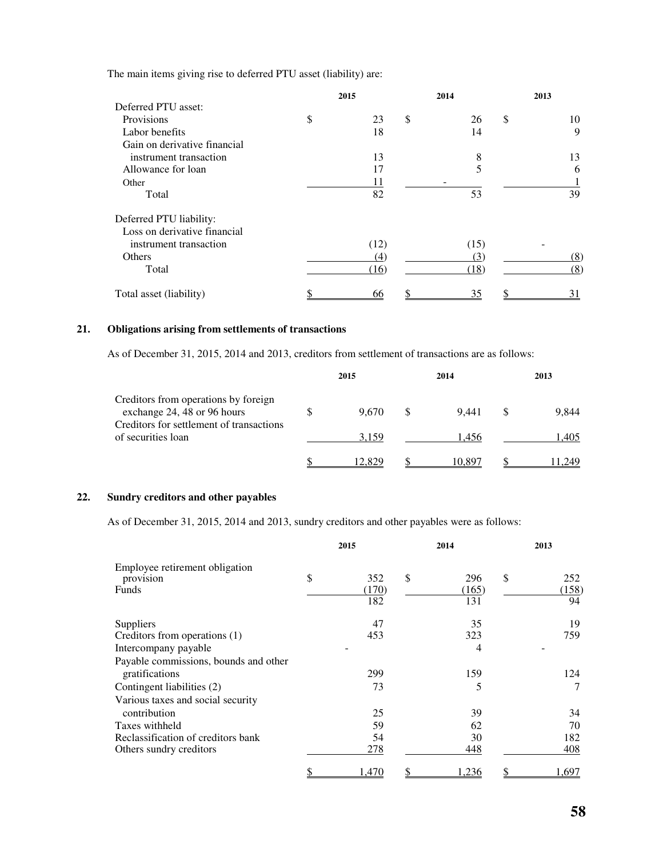The main items giving rise to deferred PTU asset (liability) are:

|                              | 2015     | 2014      | 2013 |     |  |
|------------------------------|----------|-----------|------|-----|--|
| Deferred PTU asset:          |          |           |      |     |  |
| Provisions                   | \$<br>23 | \$<br>26  | \$   | 10  |  |
| Labor benefits               | 18       | 14        |      | 9   |  |
| Gain on derivative financial |          |           |      |     |  |
| instrument transaction       | 13       | 8         |      | 13  |  |
| Allowance for loan           | 17       | 5         |      | 6   |  |
| Other                        | 11       |           |      |     |  |
| Total                        | 82       | 53        |      | 39  |  |
| Deferred PTU liability:      |          |           |      |     |  |
| Loss on derivative financial |          |           |      |     |  |
| instrument transaction       | (12)     | (15)      |      |     |  |
| Others                       | (4)      | (3)       |      | (8) |  |
| Total                        | (16)     | (18)      |      | (8) |  |
| Total asset (liability)      | 66       | <u>35</u> |      | 31  |  |

## **21. Obligations arising from settlements of transactions**

As of December 31, 2015, 2014 and 2013, creditors from settlement of transactions are as follows:

|                                                                     | 2015   | 2014   | 2013 |       |  |
|---------------------------------------------------------------------|--------|--------|------|-------|--|
| Creditors from operations by foreign<br>exchange 24, 48 or 96 hours | 9.670  | 9.441  |      | 9.844 |  |
| Creditors for settlement of transactions<br>of securities loan      | 3.159  | 1.456  |      | 1.405 |  |
|                                                                     | 12.829 | 10.897 |      | 249   |  |

## **22. Sundry creditors and other payables**

As of December 31, 2015, 2014 and 2013, sundry creditors and other payables were as follows:

|                                                         | 2015                      | 2014                      | 2013 |                    |  |
|---------------------------------------------------------|---------------------------|---------------------------|------|--------------------|--|
| Employee retirement obligation<br>provision<br>Funds    | \$<br>352<br>(170)<br>182 | \$<br>296<br>(165)<br>131 | \$   | 252<br>(158)<br>94 |  |
| Suppliers                                               | 47                        | 35                        |      | 19                 |  |
| Creditors from operations (1)<br>Intercompany payable   | 453                       | 323<br>4                  |      | 759                |  |
| Payable commissions, bounds and other<br>gratifications | 299                       | 159                       |      | 124                |  |
| Contingent liabilities (2)                              | 73                        | 5                         |      | 7                  |  |
| Various taxes and social security<br>contribution       | 25                        | 39                        |      | 34                 |  |
| Taxes withheld<br>Reclassification of creditors bank    | 59<br>54                  | 62<br>30                  |      | 70<br>182          |  |
| Others sundry creditors                                 | 278                       | 448                       |      | 408                |  |
|                                                         | 1,470                     | 1,236                     |      | 1,697              |  |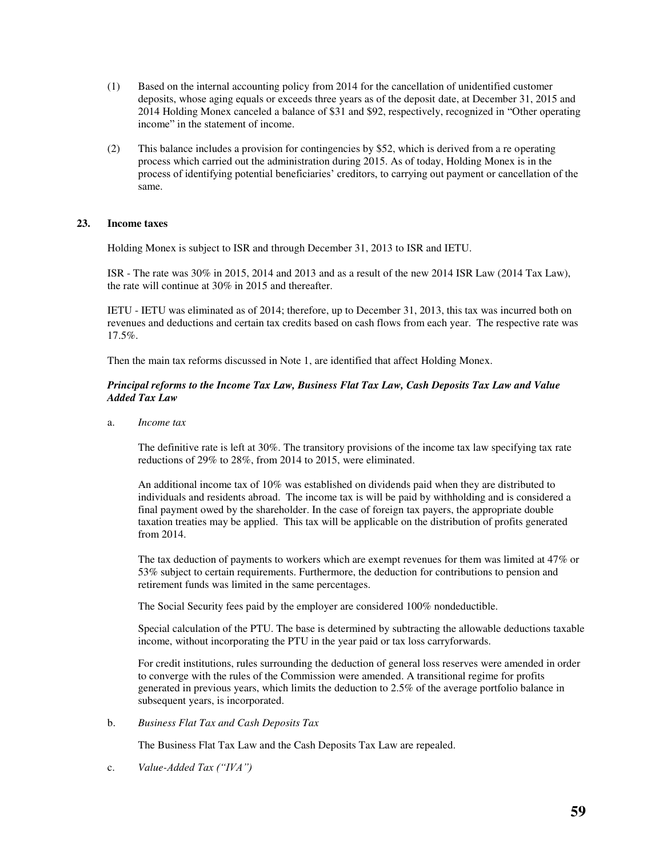- (1) Based on the internal accounting policy from 2014 for the cancellation of unidentified customer deposits, whose aging equals or exceeds three years as of the deposit date, at December 31, 2015 and 2014 Holding Monex canceled a balance of \$31 and \$92, respectively, recognized in "Other operating income" in the statement of income.
- (2) This balance includes a provision for contingencies by \$52, which is derived from a re operating process which carried out the administration during 2015. As of today, Holding Monex is in the process of identifying potential beneficiaries' creditors, to carrying out payment or cancellation of the same.

## **23. Income taxes**

Holding Monex is subject to ISR and through December 31, 2013 to ISR and IETU.

ISR - The rate was 30% in 2015, 2014 and 2013 and as a result of the new 2014 ISR Law (2014 Tax Law), the rate will continue at 30% in 2015 and thereafter.

IETU - IETU was eliminated as of 2014; therefore, up to December 31, 2013, this tax was incurred both on revenues and deductions and certain tax credits based on cash flows from each year. The respective rate was 17.5%.

Then the main tax reforms discussed in Note 1, are identified that affect Holding Monex.

## *Principal reforms to the Income Tax Law, Business Flat Tax Law, Cash Deposits Tax Law and Value Added Tax Law*

a. *Income tax* 

The definitive rate is left at 30%. The transitory provisions of the income tax law specifying tax rate reductions of 29% to 28%, from 2014 to 2015, were eliminated.

An additional income tax of 10% was established on dividends paid when they are distributed to individuals and residents abroad. The income tax is will be paid by withholding and is considered a final payment owed by the shareholder. In the case of foreign tax payers, the appropriate double taxation treaties may be applied. This tax will be applicable on the distribution of profits generated from 2014.

The tax deduction of payments to workers which are exempt revenues for them was limited at 47% or 53% subject to certain requirements. Furthermore, the deduction for contributions to pension and retirement funds was limited in the same percentages.

The Social Security fees paid by the employer are considered 100% nondeductible.

Special calculation of the PTU. The base is determined by subtracting the allowable deductions taxable income, without incorporating the PTU in the year paid or tax loss carryforwards.

For credit institutions, rules surrounding the deduction of general loss reserves were amended in order to converge with the rules of the Commission were amended. A transitional regime for profits generated in previous years, which limits the deduction to 2.5% of the average portfolio balance in subsequent years, is incorporated.

b. *Business Flat Tax and Cash Deposits Tax* 

The Business Flat Tax Law and the Cash Deposits Tax Law are repealed.

c. *Value-Added Tax ("IVA")*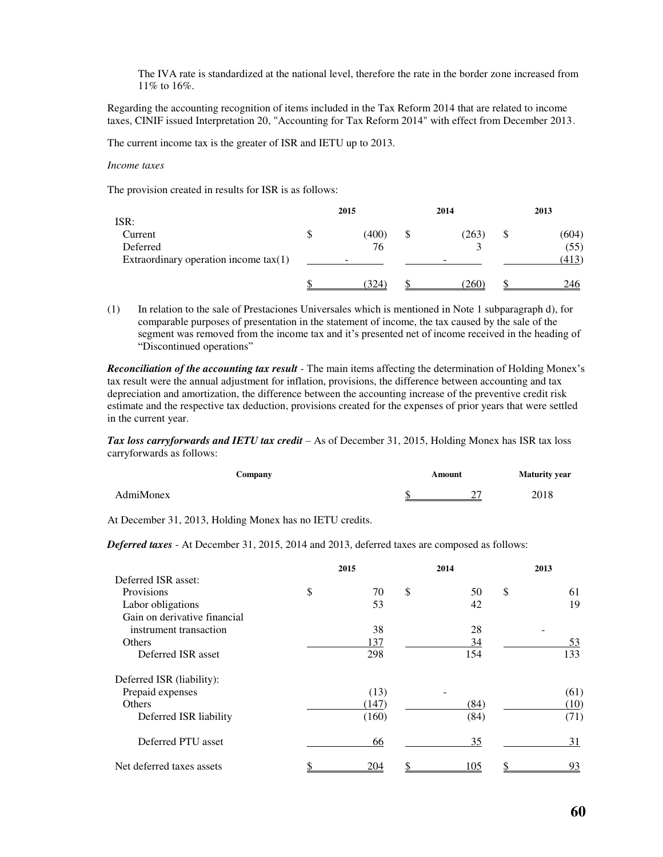The IVA rate is standardized at the national level, therefore the rate in the border zone increased from 11% to 16%.

Regarding the accounting recognition of items included in the Tax Reform 2014 that are related to income taxes, CINIF issued Interpretation 20, "Accounting for Tax Reform 2014" with effect from December 2013.

The current income tax is the greater of ISR and IETU up to 2013.

#### *Income taxes*

The provision created in results for ISR is as follows:

|                                                     | 2015 |       |  | 2014  | 2013 |               |  |
|-----------------------------------------------------|------|-------|--|-------|------|---------------|--|
| ISR:<br>Current                                     |      | (400) |  | (263) |      | (604)         |  |
| Deferred<br>Extraordinary operation income $tax(1)$ | -    | 76    |  | -     |      | (55)<br>(413) |  |
|                                                     |      | 324   |  | (260) |      | 246           |  |

(1) In relation to the sale of Prestaciones Universales which is mentioned in Note 1 subparagraph d), for comparable purposes of presentation in the statement of income, the tax caused by the sale of the segment was removed from the income tax and it's presented net of income received in the heading of "Discontinued operations"

*Reconciliation of the accounting tax result* - The main items affecting the determination of Holding Monex's tax result were the annual adjustment for inflation, provisions, the difference between accounting and tax depreciation and amortization, the difference between the accounting increase of the preventive credit risk estimate and the respective tax deduction, provisions created for the expenses of prior years that were settled in the current year.

*Tax loss carryforwards and IETU tax credit* – As of December 31, 2015, Holding Monex has ISR tax loss carryforwards as follows:

|           | Company | Amount |   | <b>Maturity year</b> |  |  |
|-----------|---------|--------|---|----------------------|--|--|
| AdmiMonex |         |        | - | 2018                 |  |  |

At December 31, 2013, Holding Monex has no IETU credits.

*Deferred taxes* - At December 31, 2015, 2014 and 2013, deferred taxes are composed as follows:

|                              | 2015 |       |    | 2014 | 2013 |      |  |
|------------------------------|------|-------|----|------|------|------|--|
| Deferred ISR asset:          |      |       |    |      |      |      |  |
| Provisions                   | \$   | 70    | \$ | 50   | \$   | 61   |  |
| Labor obligations            |      | 53    |    | 42   |      | 19   |  |
| Gain on derivative financial |      |       |    |      |      |      |  |
| instrument transaction       |      | 38    |    | 28   |      |      |  |
| <b>Others</b>                |      | 137   |    | 34   |      | 53   |  |
| Deferred ISR asset           |      | 298   |    | 154  |      | 133  |  |
| Deferred ISR (liability):    |      |       |    |      |      |      |  |
| Prepaid expenses             |      | (13)  |    |      |      | (61) |  |
| <b>Others</b>                |      | (147) |    | (84) |      | (10) |  |
| Deferred ISR liability       |      | (160) |    | (84) |      | (71) |  |
| Deferred PTU asset           |      | 66    |    | 35   |      | 31   |  |
| Net deferred taxes assets    |      | 204   |    | 105  |      | 93   |  |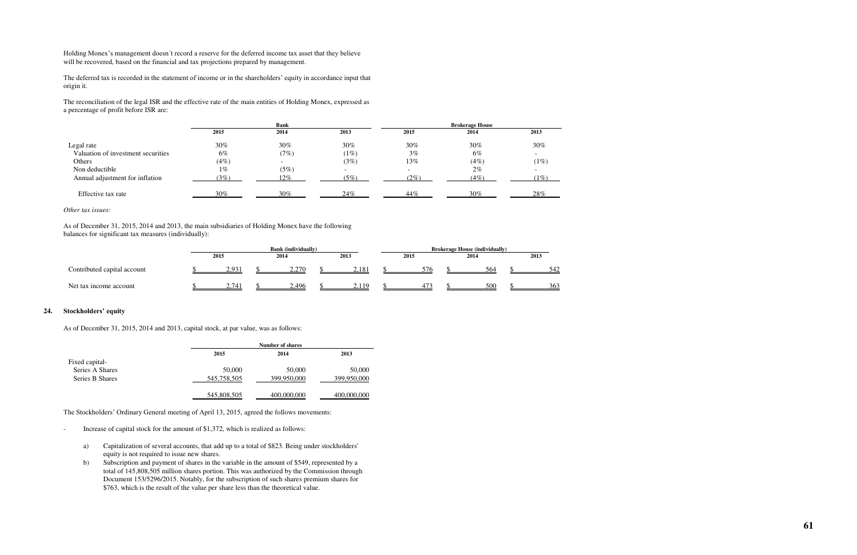Holding Monex's management doesn´t record a reserve for the deferred income tax asset that they believe will be recovered, based on the financial and tax projections prepared by management.

The deferred tax is recorded in the statement of income or in the shareholders' equity in accordance input that origin it.

The reconciliation of the legal ISR and the effective rate of the main entities of Holding Monex, expressed as a percentage of profit before ISR are:

|                                    |      | <b>Bank</b> |                          | <b>Brokerage House</b>   |       |                          |  |  |  |
|------------------------------------|------|-------------|--------------------------|--------------------------|-------|--------------------------|--|--|--|
|                                    | 2015 | 2014        | 2013                     | 2015                     | 2014  | 2013                     |  |  |  |
| Legal rate                         | 30%  | 30%         | 30%                      | 30%                      | 30%   | 30%                      |  |  |  |
| Valuation of investment securities | 6%   | (7%)        | (1%)                     | 3%                       | 6%    | $\overline{\phantom{0}}$ |  |  |  |
| Others                             | (4%) | $\sim$      | (3%)                     | 13%                      | (4%)  | (1%)                     |  |  |  |
| Non deductible                     | 1%   | (5%)        | $\overline{\phantom{0}}$ | $\overline{\phantom{0}}$ | $2\%$ | $\overline{\phantom{0}}$ |  |  |  |
| Annual adjustment for inflation    | (3%) | $12\%$      | (5%)                     | $(2\%)$                  | (4%)  | $1\%)$                   |  |  |  |
| Effective tax rate                 | 30%  | 30%         | 24%                      | 44%                      | 30%   | 28%                      |  |  |  |

## *Other tax issues:*

As of December 31, 2015, 2014 and 2013, the main subsidiaries of Holding Monex have the following balances for significant tax measures (individually):

|                             | <b>Bank</b> (individually) |  |        |  |                     | <b>Brokerage House (individually)</b> |      |  |      |  |      |  |
|-----------------------------|----------------------------|--|--------|--|---------------------|---------------------------------------|------|--|------|--|------|--|
|                             | 2015                       |  | 2014   |  | 2013                |                                       | 2015 |  | 2014 |  | 2013 |  |
| Contributed capital account | 2,931                      |  | ستوسته |  | $2,18$ <sup>*</sup> |                                       | 576  |  | 564  |  | 542  |  |
| Net tax income account      | 2,741                      |  | 2,496  |  | <u>2,119</u>        |                                       | 47'  |  | 500  |  | 363  |  |

## **24. Stockholders' equity**

As of December 31, 2015, 2014 and 2013, capital stock, at par value, was as follows:

|                 |             | <b>Number of shares</b> |             |  |  |  |  |  |
|-----------------|-------------|-------------------------|-------------|--|--|--|--|--|
|                 | 2015        | 2014                    | 2013        |  |  |  |  |  |
| Fixed capital-  |             |                         |             |  |  |  |  |  |
| Series A Shares | 50,000      | 50,000                  | 50,000      |  |  |  |  |  |
| Series B Shares | 545,758,505 | 399,950,000             | 399,950,000 |  |  |  |  |  |
|                 | 545,808,505 | 400,000,000             | 400,000,000 |  |  |  |  |  |

The Stockholders' Ordinary General meeting of April 13, 2015, agreed the follows movements:

- Increase of capital stock for the amount of \$1,372, which is realized as follows:
	- a) Capitalization of several accounts, that add up to a total of \$823. Being under stockholders' equity is not required to issue new shares.
	- b) Subscription and payment of shares in the variable in the amount of \$549, represented by a total of 145,808,505 million shares portion. This was authorized by the Commission through Document 153/5296/2015. Notably, for the subscription of such shares premium shares for \$763, which is the result of the value per share less than the theoretical value.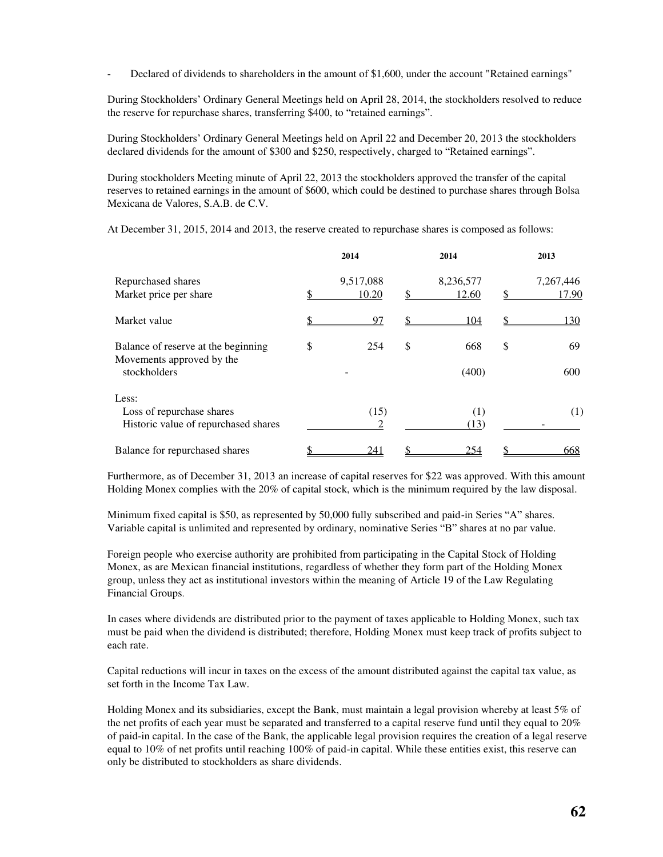Declared of dividends to shareholders in the amount of \$1,600, under the account "Retained earnings"

During Stockholders' Ordinary General Meetings held on April 28, 2014, the stockholders resolved to reduce the reserve for repurchase shares, transferring \$400, to "retained earnings".

During Stockholders' Ordinary General Meetings held on April 22 and December 20, 2013 the stockholders declared dividends for the amount of \$300 and \$250, respectively, charged to "Retained earnings".

During stockholders Meeting minute of April 22, 2013 the stockholders approved the transfer of the capital reserves to retained earnings in the amount of \$600, which could be destined to purchase shares through Bolsa Mexicana de Valores, S.A.B. de C.V.

At December 31, 2015, 2014 and 2013, the reserve created to repurchase shares is composed as follows:

|                                                                                  | 2014               | 2014                     | 2013 |                    |  |
|----------------------------------------------------------------------------------|--------------------|--------------------------|------|--------------------|--|
| Repurchased shares<br>Market price per share                                     | 9,517,088<br>10.20 | \$<br>8,236,577<br>12.60 | S    | 7,267,446<br>17.90 |  |
| Market value                                                                     | 97                 | 104                      |      | 130                |  |
| Balance of reserve at the beginning<br>Movements approved by the<br>stockholders | \$<br>254          | \$<br>668<br>(400)       | \$   | 69<br>600          |  |
| Less:<br>Loss of repurchase shares<br>Historic value of repurchased shares       | (15)<br>2          | (1)<br>(13)              |      | (1)                |  |
| Balance for repurchased shares                                                   | 241                | 254                      |      | 668                |  |

Furthermore, as of December 31, 2013 an increase of capital reserves for \$22 was approved. With this amount Holding Monex complies with the 20% of capital stock, which is the minimum required by the law disposal.

Minimum fixed capital is \$50, as represented by 50,000 fully subscribed and paid-in Series "A" shares. Variable capital is unlimited and represented by ordinary, nominative Series "B" shares at no par value.

Foreign people who exercise authority are prohibited from participating in the Capital Stock of Holding Monex, as are Mexican financial institutions, regardless of whether they form part of the Holding Monex group, unless they act as institutional investors within the meaning of Article 19 of the Law Regulating Financial Groups.

In cases where dividends are distributed prior to the payment of taxes applicable to Holding Monex, such tax must be paid when the dividend is distributed; therefore, Holding Monex must keep track of profits subject to each rate.

Capital reductions will incur in taxes on the excess of the amount distributed against the capital tax value, as set forth in the Income Tax Law.

Holding Monex and its subsidiaries, except the Bank, must maintain a legal provision whereby at least 5% of the net profits of each year must be separated and transferred to a capital reserve fund until they equal to 20% of paid-in capital. In the case of the Bank, the applicable legal provision requires the creation of a legal reserve equal to 10% of net profits until reaching 100% of paid-in capital. While these entities exist, this reserve can only be distributed to stockholders as share dividends.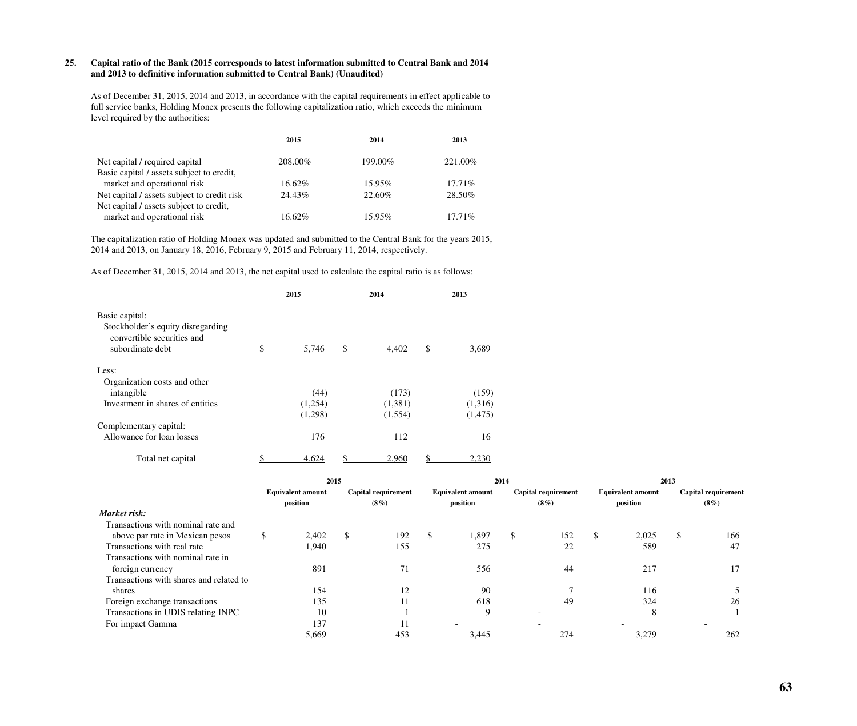## **25. Capital ratio of the Bank (2015 corresponds to latest information submitted to Central Bank and 2014 and 2013 to definitive information submitted to Central Bank) (Unaudited)**

As of December 31, 2015, 2014 and 2013, in accordance with the capital requirements in effect applicable to full service banks, Holding Monex presents the following capitalization ratio, which exceeds the minimum level required by the authorities:

|                                             | 2015    | 2014    | 2013      |
|---------------------------------------------|---------|---------|-----------|
| Net capital / required capital              | 208.00% | 199.00% | 221.00%   |
| Basic capital / assets subject to credit,   |         |         |           |
| market and operational risk                 | 16.62%  | 15.95%  | $17.71\%$ |
| Net capital / assets subject to credit risk | 24.43%  | 22.60%  | 28.50%    |
| Net capital / assets subject to credit,     |         |         |           |
| market and operational risk                 | 16.62%  | 15.95%  | $17.71\%$ |

The capitalization ratio of Holding Monex was updated and submitted to the Central Bank for the years 2015, 2014 and 2013, on January 18, 2016, February 9, 2015 and February 11, 2014, respectively.

As of December 31, 2015, 2014 and 2013, the net capital used to calculate the capital ratio is as follows:

|                                                                                                       | 2015        | 2014        | 2013 |          |  |
|-------------------------------------------------------------------------------------------------------|-------------|-------------|------|----------|--|
| Basic capital:<br>Stockholder's equity disregarding<br>convertible securities and<br>subordinate debt | \$<br>5,746 | \$<br>4,402 | \$   | 3,689    |  |
| Less:<br>Organization costs and other                                                                 |             |             |      |          |  |
| intangible                                                                                            | (44)        | (173)       |      | (159)    |  |
| Investment in shares of entities                                                                      | (1,254)     | (1,381)     |      | (1,316)  |  |
|                                                                                                       | (1,298)     | (1,554)     |      | (1, 475) |  |
| Complementary capital:                                                                                |             |             |      |          |  |
| Allowance for loan losses                                                                             | 176         | 112         |      | 16       |  |
| Total net capital                                                                                     | 4,624       | 2,960       |      | 2,230    |  |

|                                         | 2015 |                          |    |                            | 2014 |                          |    |                     |    | 2013                     |     |                            |  |
|-----------------------------------------|------|--------------------------|----|----------------------------|------|--------------------------|----|---------------------|----|--------------------------|-----|----------------------------|--|
|                                         |      | <b>Equivalent amount</b> |    | <b>Capital requirement</b> |      | <b>Equivalent amount</b> |    | Capital requirement |    | <b>Equivalent amount</b> |     | <b>Capital requirement</b> |  |
|                                         |      | position                 |    | $(8\%)$                    |      | position                 |    | $(8\%)$             |    | position                 |     | $(8\%)$                    |  |
| Market risk:                            |      |                          |    |                            |      |                          |    |                     |    |                          |     |                            |  |
| Transactions with nominal rate and      |      |                          |    |                            |      |                          |    |                     |    |                          |     |                            |  |
| above par rate in Mexican pesos         | Ъ.   | 2,402                    | \$ | 192                        | \$   | 1,897                    | \$ | 152                 | \$ | 2,025                    | \$. | 166                        |  |
| Transactions with real rate             |      | ,940                     |    | 155                        |      | 275                      |    | 22                  |    | 589                      |     | 47                         |  |
| Transactions with nominal rate in       |      |                          |    |                            |      |                          |    |                     |    |                          |     |                            |  |
| foreign currency                        |      | 891                      |    | 71                         |      | 556                      |    | 44                  |    | 217                      |     | 17                         |  |
| Transactions with shares and related to |      |                          |    |                            |      |                          |    |                     |    |                          |     |                            |  |
| shares                                  |      | 154                      |    | 12                         |      | 90                       |    |                     |    | 116                      |     |                            |  |
| Foreign exchange transactions           |      | 135                      |    | 11                         |      | 618                      |    | 49                  |    | 324                      |     | 26                         |  |
| Transactions in UDIS relating INPC      |      | 10                       |    |                            |      | 9                        |    |                     |    | 8                        |     |                            |  |
| For impact Gamma                        |      | 137                      |    |                            |      |                          |    |                     |    |                          |     |                            |  |
|                                         |      | 5,669                    |    | 453                        |      | 3,445                    |    | 274                 |    | 3,279                    |     | 262                        |  |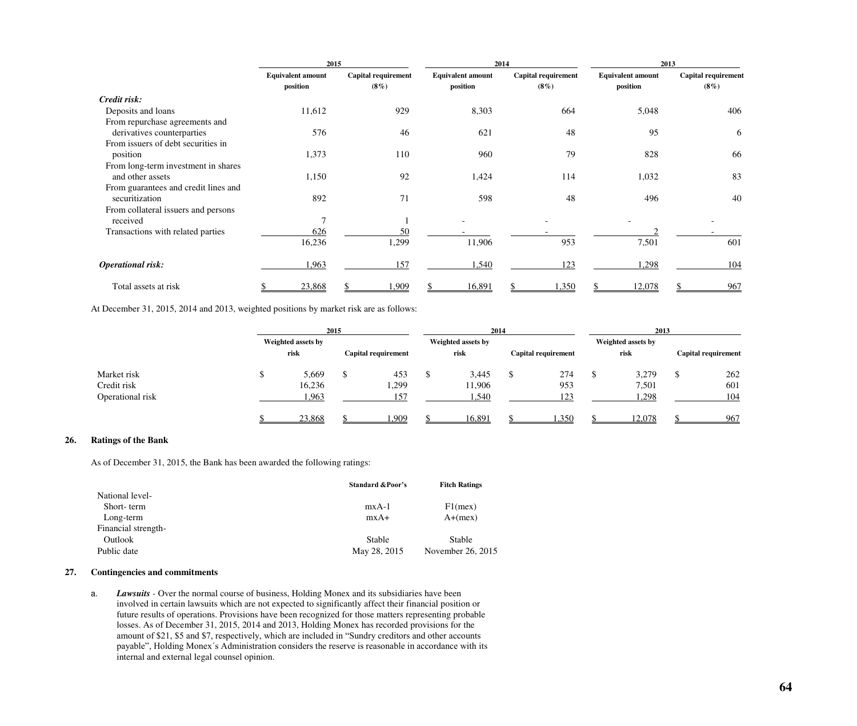|                                      | 2015                                 |                                       |                                      | 2014                           | 2013                                 |                                       |  |  |  |
|--------------------------------------|--------------------------------------|---------------------------------------|--------------------------------------|--------------------------------|--------------------------------------|---------------------------------------|--|--|--|
|                                      | <b>Equivalent amount</b><br>position | <b>Capital requirement</b><br>$(8\%)$ | <b>Equivalent amount</b><br>position | Capital requirement<br>$(8\%)$ | <b>Equivalent amount</b><br>position | <b>Capital requirement</b><br>$(8\%)$ |  |  |  |
| Credit risk:                         |                                      |                                       |                                      |                                |                                      |                                       |  |  |  |
| Deposits and loans                   | 11,612                               | 929                                   | 8,303                                | 664                            | 5,048                                | 406                                   |  |  |  |
| From repurchase agreements and       |                                      |                                       |                                      |                                |                                      |                                       |  |  |  |
| derivatives counterparties           | 576                                  | 46                                    | 621                                  | 48                             | 95                                   | 6                                     |  |  |  |
| From issuers of debt securities in   |                                      |                                       |                                      |                                |                                      |                                       |  |  |  |
| position                             | 1,373                                | 110                                   | 960                                  | 79                             | 828                                  | 66                                    |  |  |  |
| From long-term investment in shares  |                                      |                                       |                                      |                                |                                      |                                       |  |  |  |
| and other assets                     | 1,150                                | 92                                    | 1,424                                | 114                            | 1,032                                | 83                                    |  |  |  |
| From guarantees and credit lines and |                                      |                                       |                                      |                                |                                      |                                       |  |  |  |
| securitization                       | 892                                  | 71                                    | 598                                  | 48                             | 496                                  | 40                                    |  |  |  |
| From collateral issuers and persons  |                                      |                                       |                                      |                                |                                      |                                       |  |  |  |
| received                             | 7                                    |                                       |                                      |                                |                                      |                                       |  |  |  |
| Transactions with related parties    | 626                                  | 50                                    |                                      |                                |                                      |                                       |  |  |  |
|                                      | 16,236                               | 1,299                                 | 11,906                               | 953                            | 7,501                                | 601                                   |  |  |  |
| <b>Operational risk:</b>             | 1,963                                | 157                                   | 1,540                                | 123                            | 1,298                                | 104                                   |  |  |  |
| Total assets at risk                 | 23,868                               | .909                                  | 16,891                               | ,350                           | 12,078                               | 967                                   |  |  |  |

At December 31, 2015, 2014 and 2013, weighted positions by market risk are as follows:

|                  | 2015               |  |                     |   | 2014               |                     | 2013 |                    |  |                     |  |
|------------------|--------------------|--|---------------------|---|--------------------|---------------------|------|--------------------|--|---------------------|--|
|                  | Weighted assets by |  |                     |   | Weighted assets by |                     |      | Weighted assets by |  |                     |  |
|                  | risk               |  | Capital requirement |   | risk               | Capital requirement |      | risk               |  | Capital requirement |  |
| Market risk      | 5,669              |  | 453                 | P | 3,445              | 274                 |      | 3,279              |  | 262                 |  |
| Credit risk      | 16,236             |  | 1,299               |   | 11,906             | 953                 |      | 7,501              |  | 601                 |  |
| Operational risk | 1,963              |  | 157                 |   | 1,540              | 123                 |      | ,298               |  | 104                 |  |
|                  | 23,868             |  | .909                |   | 16,891             | ,350                |      | 12,078             |  | 967                 |  |

## **26. Ratings of the Bank**

As of December 31, 2015, the Bank has been awarded the following ratings:

|                     | <b>Standard &amp; Poor's</b> | <b>Fitch Ratings</b> |
|---------------------|------------------------------|----------------------|
| National level-     |                              |                      |
| Short-term          | $mxA-1$                      | $F1$ (mex)           |
| Long-term           | $mxA+$                       | $A+(mex)$            |
| Financial strength- |                              |                      |
| Outlook             | <b>Stable</b>                | Stable               |
| Public date         | May 28, 2015                 | November 26, 2015    |
|                     |                              |                      |

## **27. Contingencies and commitments**

a. *Lawsuits* - Over the normal course of business, Holding Monex and its subsidiaries have been involved in certain lawsuits which are not expected to significantly affect their financial position or future results of operations. Provisions have been recognized for those matters representing probable losses. As of December 31, 2015, 2014 and 2013, Holding Monex has recorded provisions for the amount of \$21, \$5 and \$7, respectively, which are included in "Sundry creditors and other accounts payable", Holding Monex´s Administration considers the reserve is reasonable in accordance with its internal and external legal counsel opinion.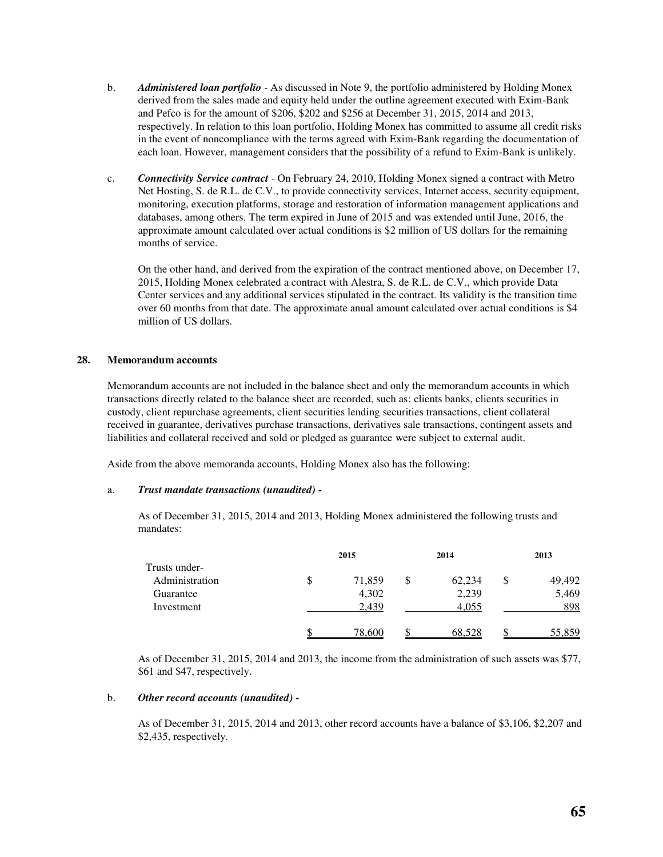- b. *Administered loan portfolio* As discussed in Note 9, the portfolio administered by Holding Monex derived from the sales made and equity held under the outline agreement executed with Exim-Bank and Pefco is for the amount of \$206, \$202 and \$256 at December 31, 2015, 2014 and 2013, respectively. In relation to this loan portfolio, Holding Monex has committed to assume all credit risks in the event of noncompliance with the terms agreed with Exim-Bank regarding the documentation of each loan. However, management considers that the possibility of a refund to Exim-Bank is unlikely.
- c. *Connectivity Service contract* On February 24, 2010, Holding Monex signed a contract with Metro Net Hosting, S. de R.L. de C.V., to provide connectivity services, Internet access, security equipment, monitoring, execution platforms, storage and restoration of information management applications and databases, among others. The term expired in June of 2015 and was extended until June, 2016, the approximate amount calculated over actual conditions is \$2 million of US dollars for the remaining months of service.

On the other hand, and derived from the expiration of the contract mentioned above, on December 17, 2015, Holding Monex celebrated a contract with Alestra, S. de R.L. de C.V., which provide Data Center services and any additional services stipulated in the contract. Its validity is the transition time over 60 months from that date. The approximate anual amount calculated over actual conditions is \$4 million of US dollars.

### **28. Memorandum accounts**

Memorandum accounts are not included in the balance sheet and only the memorandum accounts in which transactions directly related to the balance sheet are recorded, such as: clients banks, clients securities in custody, client repurchase agreements, client securities lending securities transactions, client collateral received in guarantee, derivatives purchase transactions, derivatives sale transactions, contingent assets and liabilities and collateral received and sold or pledged as guarantee were subject to external audit.

Aside from the above memoranda accounts, Holding Monex also has the following:

## a. *Trust mandate transactions (unaudited) -*

As of December 31, 2015, 2014 and 2013, Holding Monex administered the following trusts and mandates:

|                | 2015         |   | 2014   |   | 2013   |
|----------------|--------------|---|--------|---|--------|
| Trusts under-  |              |   |        |   |        |
| Administration | \$<br>71,859 | S | 62,234 | S | 49,492 |
| Guarantee      | 4,302        |   | 2,239  |   | 5,469  |
| Investment     | 2,439        |   | 4,055  |   | 898    |
|                | 78.600       |   | 68.528 |   | 55.859 |

As of December 31, 2015, 2014 and 2013, the income from the administration of such assets was \$77, \$61 and \$47, respectively.

## b. *Other record accounts (unaudited) -*

As of December 31, 2015, 2014 and 2013, other record accounts have a balance of \$3,106, \$2,207 and \$2,435, respectively.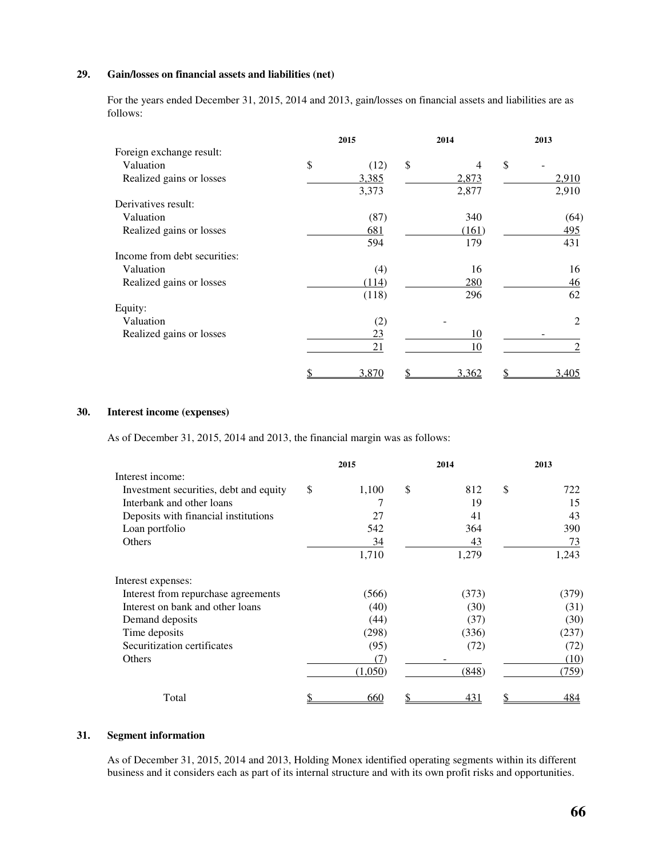## **29. Gain/losses on financial assets and liabilities (net)**

For the years ended December 31, 2015, 2014 and 2013, gain/losses on financial assets and liabilities are as follows:

|                              | 2015 |       | 2014        | 2013 |       |  |
|------------------------------|------|-------|-------------|------|-------|--|
| Foreign exchange result:     |      |       |             |      |       |  |
| Valuation                    | \$   | (12)  | \$<br>4     | \$   |       |  |
| Realized gains or losses     |      | 3,385 | 2,873       |      | 2,910 |  |
|                              |      | 3,373 | 2,877       |      | 2,910 |  |
| Derivatives result:          |      |       |             |      |       |  |
| Valuation                    |      | (87)  | 340         |      | (64)  |  |
| Realized gains or losses     |      | 681   | (161)       |      | 495   |  |
|                              |      | 594   | 179         |      | 431   |  |
| Income from debt securities: |      |       |             |      |       |  |
| Valuation                    |      | (4)   | 16          |      | 16    |  |
| Realized gains or losses     |      | (114) | 280         |      | 46    |  |
|                              |      | (118) | 296         |      | 62    |  |
| Equity:                      |      |       |             |      |       |  |
| Valuation                    |      | (2)   |             |      | 2     |  |
| Realized gains or losses     |      | 23    | 10          |      |       |  |
|                              |      | 21    | 10          |      | 2     |  |
|                              |      | 3,870 | \$<br>3,362 |      | 3,405 |  |

## **30. Interest income (expenses)**

As of December 31, 2015, 2014 and 2013, the financial margin was as follows:

|                                        | 2015        | 2014      | 2013      |
|----------------------------------------|-------------|-----------|-----------|
| Interest income:                       |             |           |           |
| Investment securities, debt and equity | \$<br>1,100 | \$<br>812 | \$<br>722 |
| Interbank and other loans              |             | 19        | 15        |
| Deposits with financial institutions   | 27          | 41        | 43        |
| Loan portfolio                         | 542         | 364       | 390       |
| Others                                 | 34          | 43        | 73        |
|                                        | 1,710       | 1,279     | 1,243     |
| Interest expenses:                     |             |           |           |
| Interest from repurchase agreements    | (566)       | (373)     | (379)     |
| Interest on bank and other loans       | (40)        | (30)      | (31)      |
| Demand deposits                        | (44)        | (37)      | (30)      |
| Time deposits                          | (298)       | (336)     | (237)     |
| Securitization certificates            | (95)        | (72)      | (72)      |
| Others                                 | (7)         |           | (10)      |
|                                        | (1,050)     | (848)     | (759)     |
| Total                                  | 660         | 431       | 484       |

## **31. Segment information**

As of December 31, 2015, 2014 and 2013, Holding Monex identified operating segments within its different business and it considers each as part of its internal structure and with its own profit risks and opportunities.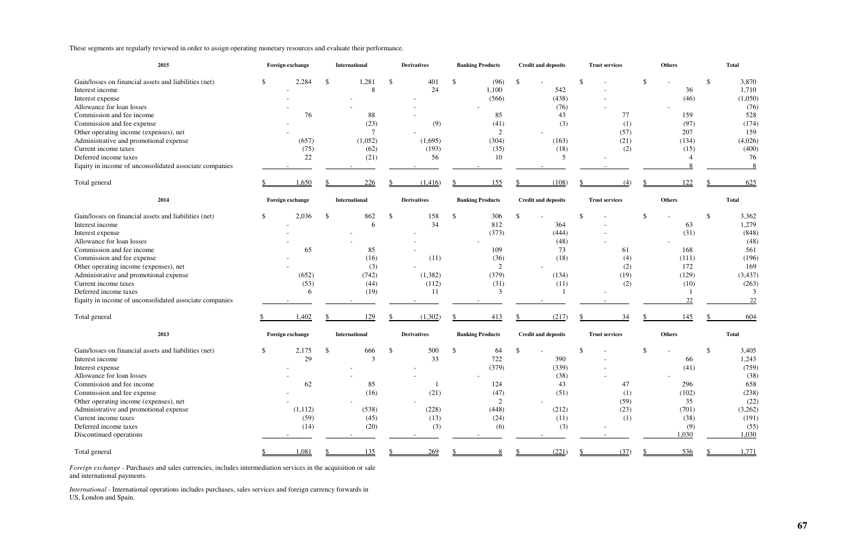These segments are regularly reviewed in order to assign operating monetary resources and evaluate their performance.

| 2015                                                                                                                                                                                                                                                                                                                                                                                | Foreign exchange                             |     | <b>International</b>                                          |     | <b>Derivatives</b>                           |                         | <b>Banking Products</b>                                          |    | <b>Credit and deposits</b>                                 | <b>Trust services</b>                 | <b>Others</b>                                                     |               | <b>Total</b>                                                                                       |
|-------------------------------------------------------------------------------------------------------------------------------------------------------------------------------------------------------------------------------------------------------------------------------------------------------------------------------------------------------------------------------------|----------------------------------------------|-----|---------------------------------------------------------------|-----|----------------------------------------------|-------------------------|------------------------------------------------------------------|----|------------------------------------------------------------|---------------------------------------|-------------------------------------------------------------------|---------------|----------------------------------------------------------------------------------------------------|
| Gain/losses on financial assets and liabilities (net)<br>Interest income<br>Interest expense<br>Allowance for loan losses<br>Commission and fee income<br>Commission and fee expense<br>Other operating income (expenses), net<br>Administrative and promotional expense<br>Current income taxes<br>Deferred income taxes<br>Equity in income of unconsolidated associate companies | 2,284<br>76<br>(657)<br>(75)<br>22           | - S | 1,281<br>8<br>88<br>(23)<br>$\tau$<br>(1,052)<br>(62)<br>(21) | -\$ | 401<br>24<br>(9)<br>(1,695)<br>(193)<br>56   | $\sqrt[6]{\frac{1}{2}}$ | (96)<br>1,100<br>(566)<br>85<br>(41)<br>2<br>(304)<br>(35)<br>10 | S. | 542<br>(438)<br>(76)<br>43<br>(3)<br>(163)<br>(18)<br>5    | $77 \,$<br>(1)<br>(57)<br>(21)<br>(2) | 36<br>(46)<br>159<br>(97)<br>207<br>(134)<br>(15)                 | <sup>\$</sup> | 3,870<br>1,710<br>(1,050)<br>(76)<br>528<br>(174)<br>159<br>(4,026)<br>(400)<br>76<br>8            |
| Total general                                                                                                                                                                                                                                                                                                                                                                       | 1,650                                        |     | 226                                                           |     | (1,416)                                      |                         | 155                                                              |    | (108)                                                      | (4)                                   | 122                                                               |               | 625                                                                                                |
| 2014                                                                                                                                                                                                                                                                                                                                                                                | Foreign exchange                             |     | International                                                 |     | <b>Derivatives</b>                           |                         | <b>Banking Products</b>                                          |    | <b>Credit and deposits</b>                                 | <b>Trust services</b>                 | <b>Others</b>                                                     |               | Total                                                                                              |
| Gain/losses on financial assets and liabilities (net)<br>Interest income<br>Interest expense<br>Allowance for loan losses<br>Commission and fee income<br>Commission and fee expense<br>Other operating income (expenses), net<br>Administrative and promotional expense<br>Current income taxes<br>Deferred income taxes<br>Equity in income of unconsolidated associate companies | 2,036<br>65<br>(652)<br>(53)<br>6            | - S | 862<br>6<br>85<br>(16)<br>(3)<br>(742)<br>(44)<br>(19)        | -\$ | 158<br>34<br>(11)<br>(1,382)<br>(112)<br>-11 | \$                      | 306<br>812<br>(373)<br>109<br>(36)<br>2<br>(379)<br>(31)<br>3    |    | 364<br>(444)<br>(48)<br>73<br>(18)<br>(134)<br>(11)        | 61<br>(4)<br>(2)<br>(19)<br>(2)       | 63<br>(31)<br>168<br>(111)<br>172<br>(129)<br>(10)<br>22          | <sup>\$</sup> | 3,362<br>1,279<br>(848)<br>(48)<br>561<br>(196)<br>169<br>(3, 437)<br>(263)<br>$\mathcal{F}$<br>22 |
| Total general                                                                                                                                                                                                                                                                                                                                                                       | .402                                         |     | 129                                                           |     | (1,302)                                      |                         | 413                                                              |    | (217)                                                      | 34                                    | 145                                                               |               | 604                                                                                                |
| 2013                                                                                                                                                                                                                                                                                                                                                                                | Foreign exchange                             |     | <b>International</b>                                          |     | <b>Derivatives</b>                           |                         | <b>Banking Products</b>                                          |    | <b>Credit and deposits</b>                                 | <b>Trust services</b>                 | <b>Others</b>                                                     |               | <b>Total</b>                                                                                       |
| Gain/losses on financial assets and liabilities (net)<br>Interest income<br>Interest expense<br>Allowance for loan losses<br>Commission and fee income<br>Commission and fee expense<br>Other operating income (expenses), net<br>Administrative and promotional expense<br>Current income taxes<br>Deferred income taxes<br>Discontinued operations                                | 2,175<br>29<br>62<br>(1,112)<br>(59)<br>(14) | \$  | 666<br>3<br>85<br>(16)<br>(538)<br>(45)<br>(20)               | -\$ | 500<br>33<br>(21)<br>(228)<br>(13)<br>(3)    | \$                      | 64<br>722<br>(379)<br>124<br>(47)<br>2<br>(448)<br>(24)<br>(6)   |    | 390<br>(339)<br>(38)<br>43<br>(51)<br>(212)<br>(11)<br>(3) | 47<br>(1)<br>(59)<br>(23)<br>(1)      | 66<br>(41)<br>296<br>(102)<br>35<br>(701)<br>(38)<br>(9)<br>1,030 |               | 3,405<br>1,243<br>(759)<br>(38)<br>658<br>(238)<br>(22)<br>(3,262)<br>(191)<br>(55)<br>1,030       |
| Total general                                                                                                                                                                                                                                                                                                                                                                       | 1,081                                        |     | 135                                                           |     | 269                                          |                         |                                                                  |    | (221)                                                      | (37)                                  | 536                                                               |               | 1,771                                                                                              |

*Foreign exchange -* Purchases and sales currencies, includes intermediation services in the acquisition or sale and international payments.

*International -* International operations includes purchases, sales services and foreign currency forwards in US, London and Spain.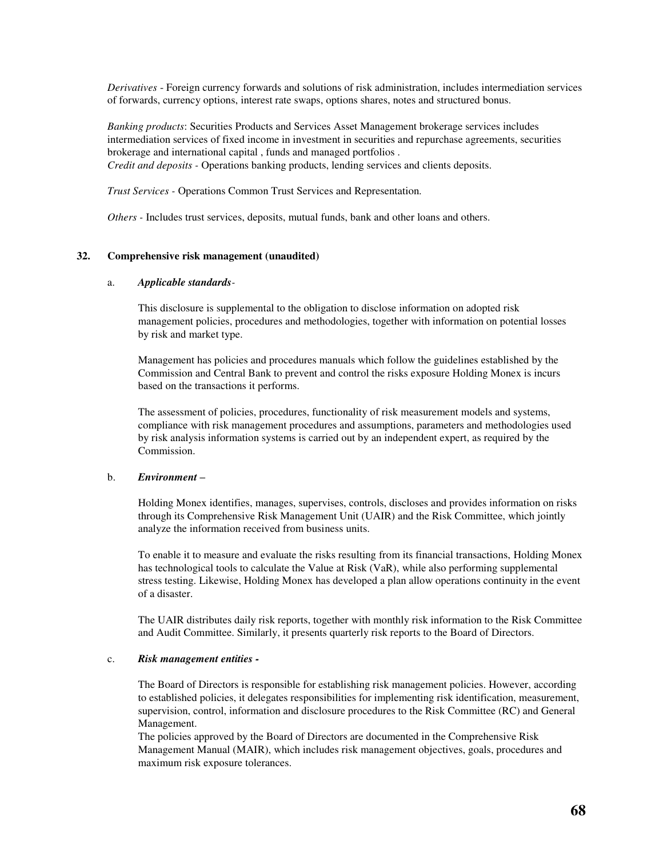*Derivatives* - Foreign currency forwards and solutions of risk administration, includes intermediation services of forwards, currency options, interest rate swaps, options shares, notes and structured bonus.

*Banking products*: Securities Products and Services Asset Management brokerage services includes intermediation services of fixed income in investment in securities and repurchase agreements, securities brokerage and international capital , funds and managed portfolios . *Credit and deposits -* Operations banking products, lending services and clients deposits.

*Trust Services -* Operations Common Trust Services and Representation*.* 

*Others -* Includes trust services, deposits, mutual funds, bank and other loans and others.

### **32. Comprehensive risk management (unaudited)**

#### a. *Applicable standards-*

This disclosure is supplemental to the obligation to disclose information on adopted risk management policies, procedures and methodologies, together with information on potential losses by risk and market type.

Management has policies and procedures manuals which follow the guidelines established by the Commission and Central Bank to prevent and control the risks exposure Holding Monex is incurs based on the transactions it performs.

The assessment of policies, procedures, functionality of risk measurement models and systems, compliance with risk management procedures and assumptions, parameters and methodologies used by risk analysis information systems is carried out by an independent expert, as required by the Commission.

#### b. *Environment –*

Holding Monex identifies, manages, supervises, controls, discloses and provides information on risks through its Comprehensive Risk Management Unit (UAIR) and the Risk Committee, which jointly analyze the information received from business units.

To enable it to measure and evaluate the risks resulting from its financial transactions, Holding Monex has technological tools to calculate the Value at Risk (VaR), while also performing supplemental stress testing. Likewise, Holding Monex has developed a plan allow operations continuity in the event of a disaster.

The UAIR distributes daily risk reports, together with monthly risk information to the Risk Committee and Audit Committee. Similarly, it presents quarterly risk reports to the Board of Directors.

### c. *Risk management entities -*

The Board of Directors is responsible for establishing risk management policies. However, according to established policies, it delegates responsibilities for implementing risk identification, measurement, supervision, control, information and disclosure procedures to the Risk Committee (RC) and General Management.

The policies approved by the Board of Directors are documented in the Comprehensive Risk Management Manual (MAIR), which includes risk management objectives, goals, procedures and maximum risk exposure tolerances.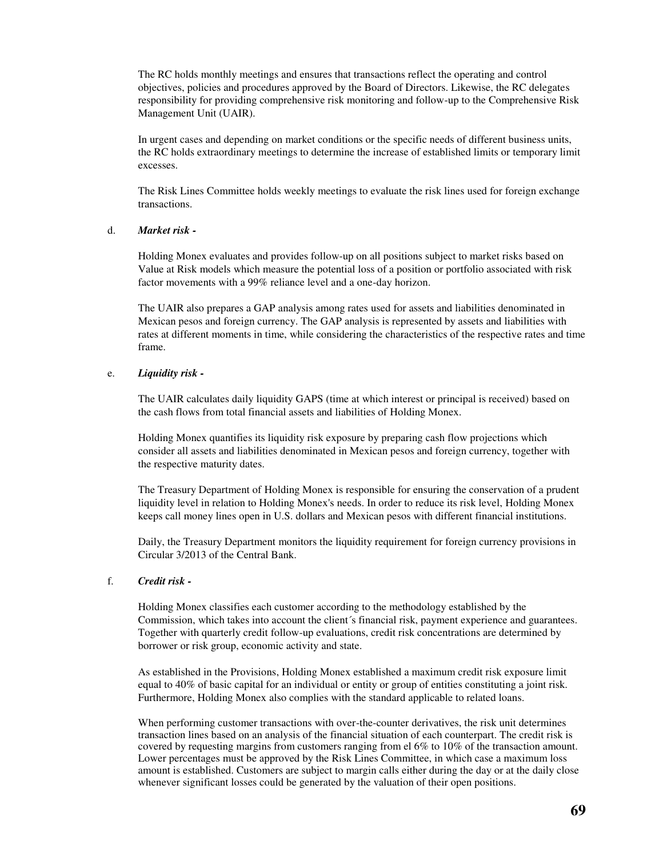The RC holds monthly meetings and ensures that transactions reflect the operating and control objectives, policies and procedures approved by the Board of Directors. Likewise, the RC delegates responsibility for providing comprehensive risk monitoring and follow-up to the Comprehensive Risk Management Unit (UAIR).

In urgent cases and depending on market conditions or the specific needs of different business units, the RC holds extraordinary meetings to determine the increase of established limits or temporary limit excesses.

The Risk Lines Committee holds weekly meetings to evaluate the risk lines used for foreign exchange transactions.

## d. *Market risk -*

Holding Monex evaluates and provides follow-up on all positions subject to market risks based on Value at Risk models which measure the potential loss of a position or portfolio associated with risk factor movements with a 99% reliance level and a one-day horizon.

The UAIR also prepares a GAP analysis among rates used for assets and liabilities denominated in Mexican pesos and foreign currency. The GAP analysis is represented by assets and liabilities with rates at different moments in time, while considering the characteristics of the respective rates and time frame.

## e. *Liquidity risk -*

The UAIR calculates daily liquidity GAPS (time at which interest or principal is received) based on the cash flows from total financial assets and liabilities of Holding Monex.

Holding Monex quantifies its liquidity risk exposure by preparing cash flow projections which consider all assets and liabilities denominated in Mexican pesos and foreign currency, together with the respective maturity dates.

The Treasury Department of Holding Monex is responsible for ensuring the conservation of a prudent liquidity level in relation to Holding Monex's needs. In order to reduce its risk level, Holding Monex keeps call money lines open in U.S. dollars and Mexican pesos with different financial institutions.

Daily, the Treasury Department monitors the liquidity requirement for foreign currency provisions in Circular 3/2013 of the Central Bank.

## f. *Credit risk -*

Holding Monex classifies each customer according to the methodology established by the Commission, which takes into account the client´s financial risk, payment experience and guarantees. Together with quarterly credit follow-up evaluations, credit risk concentrations are determined by borrower or risk group, economic activity and state.

As established in the Provisions, Holding Monex established a maximum credit risk exposure limit equal to 40% of basic capital for an individual or entity or group of entities constituting a joint risk. Furthermore, Holding Monex also complies with the standard applicable to related loans.

When performing customer transactions with over-the-counter derivatives, the risk unit determines transaction lines based on an analysis of the financial situation of each counterpart. The credit risk is covered by requesting margins from customers ranging from el 6% to 10% of the transaction amount. Lower percentages must be approved by the Risk Lines Committee, in which case a maximum loss amount is established. Customers are subject to margin calls either during the day or at the daily close whenever significant losses could be generated by the valuation of their open positions.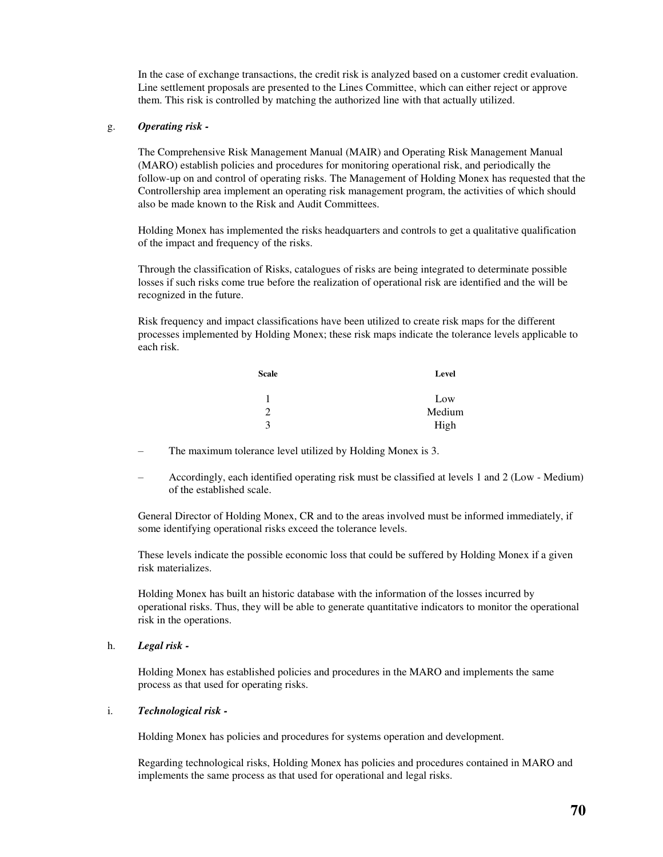In the case of exchange transactions, the credit risk is analyzed based on a customer credit evaluation. Line settlement proposals are presented to the Lines Committee, which can either reject or approve them. This risk is controlled by matching the authorized line with that actually utilized.

## g. *Operating risk -*

The Comprehensive Risk Management Manual (MAIR) and Operating Risk Management Manual (MARO) establish policies and procedures for monitoring operational risk, and periodically the follow-up on and control of operating risks. The Management of Holding Monex has requested that the Controllership area implement an operating risk management program, the activities of which should also be made known to the Risk and Audit Committees.

Holding Monex has implemented the risks headquarters and controls to get a qualitative qualification of the impact and frequency of the risks.

Through the classification of Risks, catalogues of risks are being integrated to determinate possible losses if such risks come true before the realization of operational risk are identified and the will be recognized in the future.

Risk frequency and impact classifications have been utilized to create risk maps for the different processes implemented by Holding Monex; these risk maps indicate the tolerance levels applicable to each risk.

| <b>Scale</b> | Level  |
|--------------|--------|
| 1            | Low    |
| っ            | Medium |
| $\mathbf 3$  | High   |

- The maximum tolerance level utilized by Holding Monex is 3.
- Accordingly, each identified operating risk must be classified at levels 1 and 2 (Low Medium) of the established scale.

General Director of Holding Monex, CR and to the areas involved must be informed immediately, if some identifying operational risks exceed the tolerance levels.

These levels indicate the possible economic loss that could be suffered by Holding Monex if a given risk materializes.

Holding Monex has built an historic database with the information of the losses incurred by operational risks. Thus, they will be able to generate quantitative indicators to monitor the operational risk in the operations.

### h. *Legal risk -*

Holding Monex has established policies and procedures in the MARO and implements the same process as that used for operating risks.

### i. *Technological risk -*

Holding Monex has policies and procedures for systems operation and development.

Regarding technological risks, Holding Monex has policies and procedures contained in MARO and implements the same process as that used for operational and legal risks.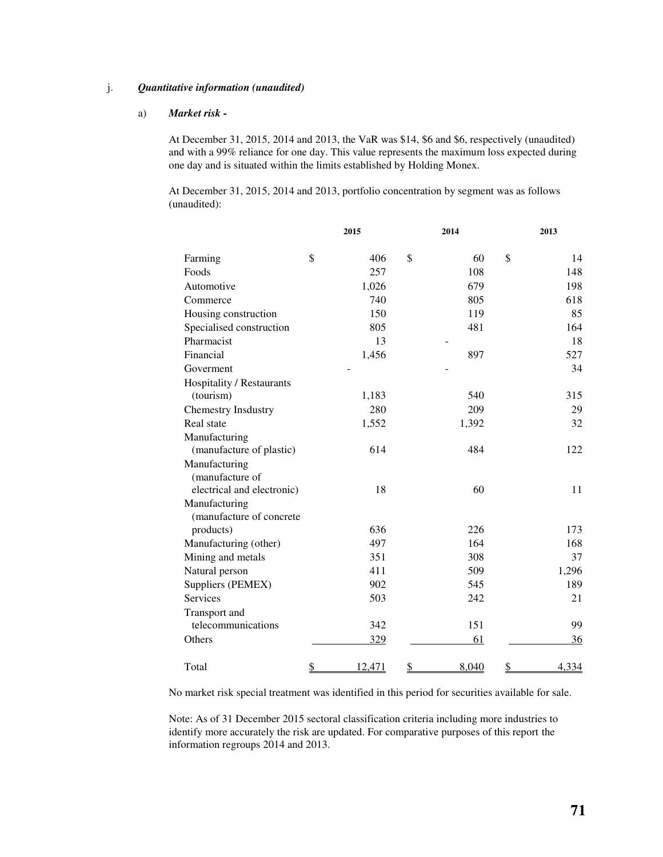## j. *Quantitative information (unaudited)*

## a) *Market risk -*

At December 31, 2015, 2014 and 2013, the VaR was \$14, \$6 and \$6, respectively (unaudited) and with a 99% reliance for one day. This value represents the maximum loss expected during one day and is situated within the limits established by Holding Monex.

At December 31, 2015, 2014 and 2013, portfolio concentration by segment was as follows (unaudited):

|                            | 2015 |        | 2014        |               | 2013  |
|----------------------------|------|--------|-------------|---------------|-------|
| Farming                    | \$   | 406    | \$<br>60    | \$            | 14    |
| Foods                      |      | 257    | 108         |               | 148   |
| Automotive                 |      | 1,026  | 679         |               | 198   |
| Commerce                   |      | 740    | 805         |               | 618   |
| Housing construction       |      | 150    | 119         |               | 85    |
| Specialised construction   |      | 805    | 481         |               | 164   |
| Pharmacist                 |      | 13     |             |               | 18    |
| Financial                  |      | 1,456  | 897         |               | 527   |
| Goverment                  |      |        |             |               | 34    |
| Hospitality / Restaurants  |      |        |             |               |       |
| (tourism)                  |      | 1,183  | 540         |               | 315   |
| <b>Chemestry Insdustry</b> |      | 280    | 209         |               | 29    |
| Real state                 |      | 1,552  | 1,392       |               | 32    |
| Manufacturing              |      |        |             |               |       |
| (manufacture of plastic)   |      | 614    | 484         |               | 122   |
| Manufacturing              |      |        |             |               |       |
| (manufacture of            |      |        |             |               |       |
| electrical and electronic) |      | 18     | 60          |               | 11    |
| Manufacturing              |      |        |             |               |       |
| (manufacture of concrete   |      |        |             |               |       |
| products)                  |      | 636    | 226         |               | 173   |
| Manufacturing (other)      |      | 497    | 164         |               | 168   |
| Mining and metals          |      | 351    | 308         |               | 37    |
| Natural person             |      | 411    | 509         |               | 1,296 |
| Suppliers (PEMEX)          |      | 902    | 545         |               | 189   |
| <b>Services</b>            |      | 503    | 242         |               | 21    |
| Transport and              |      |        |             |               |       |
| telecommunications         |      | 342    | 151         |               | 99    |
| Others                     |      | 329    | 61          |               | 36    |
| Total                      | \$   | 12,471 | \$<br>8,040 | $\mathcal{S}$ | 4,334 |

No market risk special treatment was identified in this period for securities available for sale.

Note: As of 31 December 2015 sectoral classification criteria including more industries to identify more accurately the risk are updated. For comparative purposes of this report the information regroups 2014 and 2013.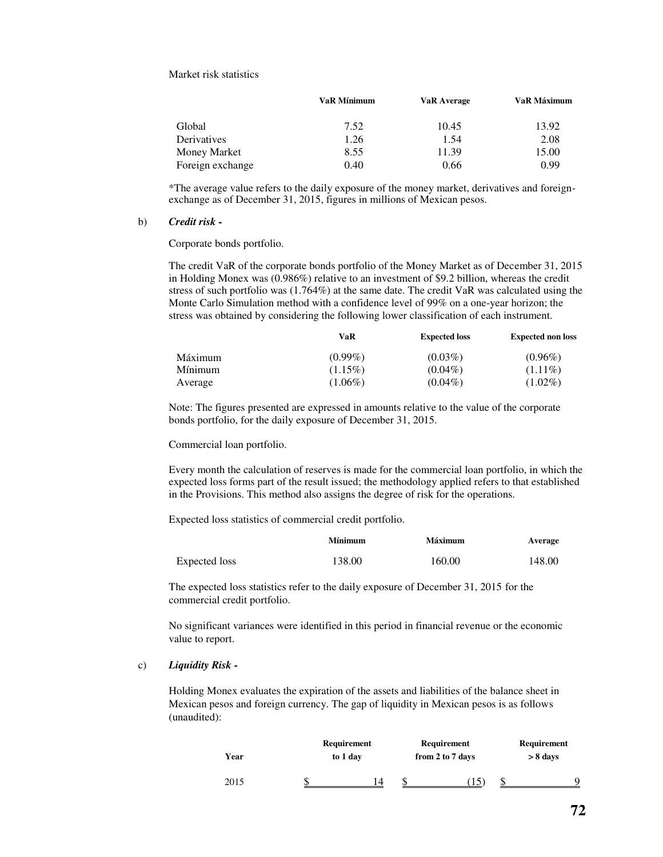Market risk statistics

|                  | <b>VaR Mínimum</b> | <b>VaR</b> Average | VaR Máximum |
|------------------|--------------------|--------------------|-------------|
| Global           | 7.52               | 10.45              | 13.92       |
| Derivatives      | 1.26               | 1.54               | 2.08        |
| Money Market     | 8.55               | 11.39              | 15.00       |
| Foreign exchange | 0.40               | 0.66               | 0.99        |

\*The average value refers to the daily exposure of the money market, derivatives and foreignexchange as of December 31, 2015, figures in millions of Mexican pesos.

#### b) *Credit risk -*

Corporate bonds portfolio.

The credit VaR of the corporate bonds portfolio of the Money Market as of December 31, 2015 in Holding Monex was (0.986%) relative to an investment of \$9.2 billion, whereas the credit stress of such portfolio was (1.764%) at the same date. The credit VaR was calculated using the Monte Carlo Simulation method with a confidence level of 99% on a one-year horizon; the stress was obtained by considering the following lower classification of each instrument.

|         | VaR        | <b>Expected loss</b> | <b>Expected non loss</b> |
|---------|------------|----------------------|--------------------------|
| Máximum | $(0.99\%)$ | $(0.03\%)$           | $(0.96\%)$               |
| Mínimum | $(1.15\%)$ | $(0.04\%)$           | $(1.11\%)$               |
| Average | $(1.06\%)$ | $(0.04\%)$           | $(1.02\%)$               |

Note: The figures presented are expressed in amounts relative to the value of the corporate bonds portfolio, for the daily exposure of December 31, 2015.

Commercial loan portfolio.

Every month the calculation of reserves is made for the commercial loan portfolio, in which the expected loss forms part of the result issued; the methodology applied refers to that established in the Provisions. This method also assigns the degree of risk for the operations.

Expected loss statistics of commercial credit portfolio.

|               | <b>Mínimum</b> | <b>Máximum</b> | Average |
|---------------|----------------|----------------|---------|
| Expected loss | 138.00         | 160.00         | 148.00  |

The expected loss statistics refer to the daily exposure of December 31, 2015 for the commercial credit portfolio.

No significant variances were identified in this period in financial revenue or the economic value to report.

#### c) *Liquidity Risk -*

Holding Monex evaluates the expiration of the assets and liabilities of the balance sheet in Mexican pesos and foreign currency. The gap of liquidity in Mexican pesos is as follows (unaudited):

| Year | Requirement<br>to 1 day |   | <b>Requirement</b><br>from 2 to 7 days |  | <b>Requirement</b><br>$> 8$ days |  |  |
|------|-------------------------|---|----------------------------------------|--|----------------------------------|--|--|
| 2015 |                         | Δ |                                        |  |                                  |  |  |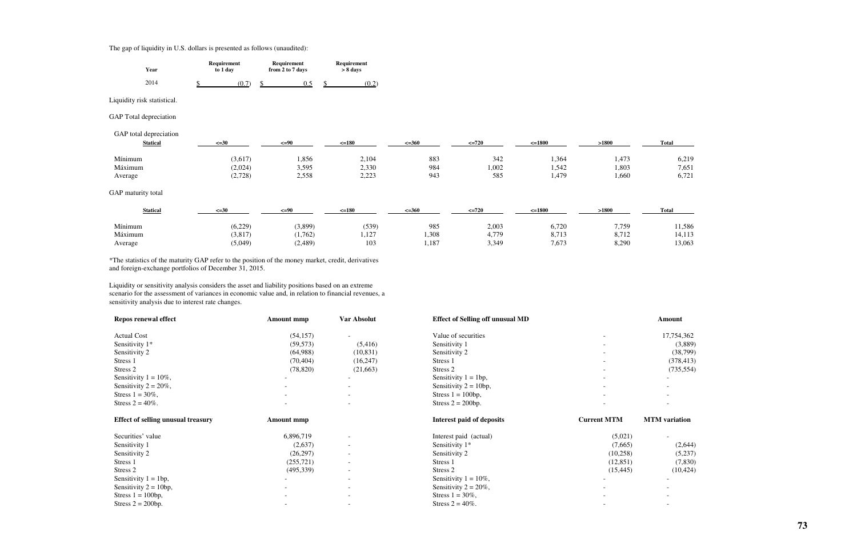# The gap of liquidity in U.S. dollars is presented as follows (unaudited):

| Year | Requirement<br>to 1 day |  | Requirement<br>from 2 to 7 days |  | Requirement<br>> 8 days |  |
|------|-------------------------|--|---------------------------------|--|-------------------------|--|
| 2014 | 0.7                     |  | $0 \sim$                        |  | U.L                     |  |

Liquidity risk statistical.

GAP Total depreciation

GAP total depreciation

| <b>Statical</b> | $\leq 30$ | $\leq$ =90 | $=180$             | $\leq 360$ | $\leq 720$ | $\leq 1800$ | >1800 | <b>Total</b> |
|-----------------|-----------|------------|--------------------|------------|------------|-------------|-------|--------------|
| Mínimum         | 3,617     | 1,856      | 2,104              | 883        | 342        | .364        | 1,473 | 6,219        |
| Máximum         | 2,024     | 3,595      | 2,330              | 984        | 1,002      | 1,542       | 1,803 | 7,651        |
| Average         | (2,728)   | 2,558      | 2.22<br>ر سەندە سە | 943        | 585        | 1,479       | 1,660 | 6,721        |

GAP maturity total

| <b>Statical</b> | $\leq 30$ | $\leq=90$ | $\leq$ =180 | $\leq 360$ | $\leq$ 720 | $=1800$ | >1800 | <b>Total</b> |
|-----------------|-----------|-----------|-------------|------------|------------|---------|-------|--------------|
| Mínimum         | (6,229)   | 3,899)    | (539)       | 985        | 2,003      | 6,720   | 7,759 | 11,586       |
| Máximum         | 3,817     | 1,762)    | 1,127       | 1,308      | 4,779      | 8,713   | 8,712 | 4,113        |
| Average         | (5,049)   | (2,489)   | 103         | 1,187      | 3,349      | 7,673   | 8,290 | 13,063       |

\*The statistics of the maturity GAP refer to the position of the money market, credit, derivatives and foreign-exchange portfolios of December 31, 2015.

Liquidity or sensitivity analysis considers the asset and liability positions based on an extreme scenario for the assessment of variances in economic value and, in relation to financial revenues, a sensitivity analysis due to interest rate changes.

| <b>Repos renewal effect</b>               | <b>Amount mmp</b> | Var Absolut              | <b>Effect of Selling off unusual MD</b> |                          | <b>Amount</b>        |
|-------------------------------------------|-------------------|--------------------------|-----------------------------------------|--------------------------|----------------------|
| <b>Actual Cost</b>                        | (54, 157)         |                          | Value of securities                     |                          | 17,754,362           |
| Sensitivity 1*                            | (59, 573)         | (5,416)                  | Sensitivity 1                           |                          | (3,889)              |
| Sensitivity 2                             | (64,988)          | (10, 831)                | Sensitivity 2                           | $\overline{\phantom{0}}$ | (38,799)             |
| Stress 1                                  | (70, 404)         | (16,247)                 | Stress 1                                |                          | (378, 413)           |
| Stress 2                                  | (78, 820)         | (21,663)                 | Stress 2                                |                          | (735, 554)           |
| Sensitivity $1 = 10\%$ ,                  |                   |                          | Sensitivity $1 = 1bp$ ,                 |                          |                      |
| Sensitivity $2 = 20\%$ ,                  |                   | $\sim$                   | Sensitivity $2 = 10bp$ ,                |                          |                      |
| Stress $1 = 30\%$ ,                       |                   | $\overline{\phantom{a}}$ | Stress $1 = 100bp$ ,                    |                          |                      |
| Stress $2 = 40\%$ .                       |                   | $\overline{\phantom{a}}$ | Stress $2 = 200bp$ .                    |                          |                      |
| <b>Effect of selling unusual treasury</b> | <b>Amount mmp</b> |                          | <b>Interest paid of deposits</b>        | <b>Current MTM</b>       | <b>MTM</b> variation |
| Securities' value                         | 6,896,719         | $\overline{\phantom{a}}$ | Interest paid (actual)                  | (5,021)                  |                      |
| Sensitivity 1                             | (2,637)           | $\sim$                   | Sensitivity $1*$                        | (7,665)                  | (2,644)              |
| Sensitivity 2                             | (26, 297)         | $\overline{\phantom{a}}$ | Sensitivity 2                           | (10,258)                 | (5,237)              |
| Stress 1                                  | (255, 721)        |                          | Stress 1                                | (12, 851)                | (7,830)              |
| Stress 2                                  | (495,339)         | $\overline{\phantom{a}}$ | Stress 2                                | (15, 445)                | (10, 424)            |
| Sensitivity $1 = 1bp$ ,                   |                   | $\sim$                   | Sensitivity $1 = 10\%$ ,                |                          |                      |
| Sensitivity $2 = 10bp$ ,                  |                   | $\overline{\phantom{a}}$ | Sensitivity $2 = 20\%$ ,                |                          |                      |
| Stress $1 = 100bp$ ,                      |                   |                          | Stress $1 = 30\%$ ,                     |                          |                      |
| Stress $2 = 200bp$ .                      |                   |                          | Stress $2 = 40\%$ .                     |                          |                      |

| <b>Total</b> |       |
|--------------|-------|
|              | 6,219 |
|              | 7,651 |
|              | 6,721 |
|              |       |
|              |       |
| Tatal        |       |

| 11,586 |  |  |
|--------|--|--|
| 14,113 |  |  |
| 13,063 |  |  |

| 17,754,362 |
|------------|
| (3,889)    |
| (38, 799)  |
| (378, 413) |
| (735, 554) |
|            |
|            |
|            |
|            |

| i) | (2,644)   |
|----|-----------|
| 5) | (5,237)   |
| .) | (7, 830)  |
| i) | (10, 424) |
|    |           |
|    |           |
|    |           |
|    |           |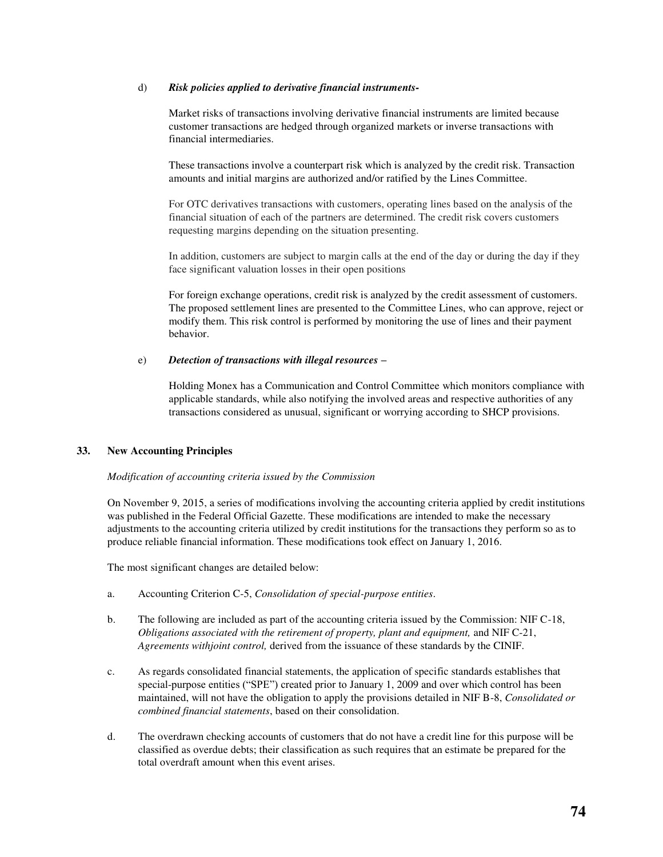### d) *Risk policies applied to derivative financial instruments-*

Market risks of transactions involving derivative financial instruments are limited because customer transactions are hedged through organized markets or inverse transactions with financial intermediaries.

These transactions involve a counterpart risk which is analyzed by the credit risk. Transaction amounts and initial margins are authorized and/or ratified by the Lines Committee.

For OTC derivatives transactions with customers, operating lines based on the analysis of the financial situation of each of the partners are determined. The credit risk covers customers requesting margins depending on the situation presenting.

In addition, customers are subject to margin calls at the end of the day or during the day if they face significant valuation losses in their open positions

For foreign exchange operations, credit risk is analyzed by the credit assessment of customers. The proposed settlement lines are presented to the Committee Lines, who can approve, reject or modify them. This risk control is performed by monitoring the use of lines and their payment behavior.

## e) *Detection of transactions with illegal resources –*

Holding Monex has a Communication and Control Committee which monitors compliance with applicable standards, while also notifying the involved areas and respective authorities of any transactions considered as unusual, significant or worrying according to SHCP provisions.

## **33. New Accounting Principles**

## *Modification of accounting criteria issued by the Commission*

On November 9, 2015, a series of modifications involving the accounting criteria applied by credit institutions was published in the Federal Official Gazette. These modifications are intended to make the necessary adjustments to the accounting criteria utilized by credit institutions for the transactions they perform so as to produce reliable financial information. These modifications took effect on January 1, 2016.

The most significant changes are detailed below:

- a. Accounting Criterion C-5, *Consolidation of special-purpose entities*.
- b. The following are included as part of the accounting criteria issued by the Commission: NIF C-18, *Obligations associated with the retirement of property, plant and equipment,* and NIF C-21, *Agreements withjoint control,* derived from the issuance of these standards by the CINIF.
- c. As regards consolidated financial statements, the application of specific standards establishes that special-purpose entities ("SPE") created prior to January 1, 2009 and over which control has been maintained, will not have the obligation to apply the provisions detailed in NIF B-8, *Consolidated or combined financial statements*, based on their consolidation.
- d. The overdrawn checking accounts of customers that do not have a credit line for this purpose will be classified as overdue debts; their classification as such requires that an estimate be prepared for the total overdraft amount when this event arises.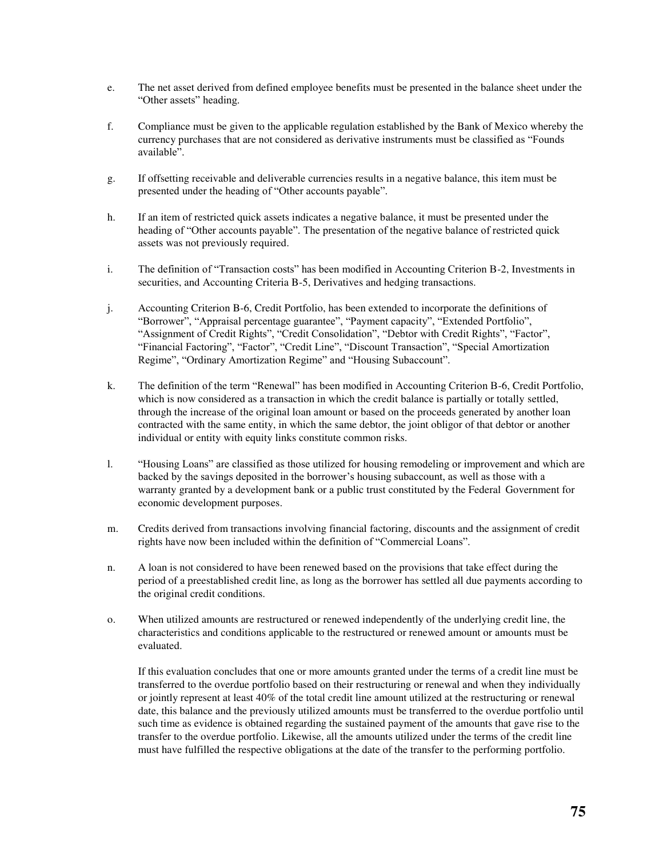- e. The net asset derived from defined employee benefits must be presented in the balance sheet under the "Other assets" heading.
- f. Compliance must be given to the applicable regulation established by the Bank of Mexico whereby the currency purchases that are not considered as derivative instruments must be classified as "Founds available".
- g. If offsetting receivable and deliverable currencies results in a negative balance, this item must be presented under the heading of "Other accounts payable".
- h. If an item of restricted quick assets indicates a negative balance, it must be presented under the heading of "Other accounts payable". The presentation of the negative balance of restricted quick assets was not previously required.
- i. The definition of "Transaction costs" has been modified in Accounting Criterion B-2, Investments in securities, and Accounting Criteria B-5, Derivatives and hedging transactions.
- j. Accounting Criterion B-6, Credit Portfolio, has been extended to incorporate the definitions of "Borrower", "Appraisal percentage guarantee", "Payment capacity", "Extended Portfolio", "Assignment of Credit Rights", "Credit Consolidation", "Debtor with Credit Rights", "Factor", "Financial Factoring", "Factor", "Credit Line", "Discount Transaction", "Special Amortization Regime", "Ordinary Amortization Regime" and "Housing Subaccount".
- k. The definition of the term "Renewal" has been modified in Accounting Criterion B-6, Credit Portfolio, which is now considered as a transaction in which the credit balance is partially or totally settled, through the increase of the original loan amount or based on the proceeds generated by another loan contracted with the same entity, in which the same debtor, the joint obligor of that debtor or another individual or entity with equity links constitute common risks.
- l. "Housing Loans" are classified as those utilized for housing remodeling or improvement and which are backed by the savings deposited in the borrower's housing subaccount, as well as those with a warranty granted by a development bank or a public trust constituted by the Federal Government for economic development purposes.
- m. Credits derived from transactions involving financial factoring, discounts and the assignment of credit rights have now been included within the definition of "Commercial Loans".
- n. A loan is not considered to have been renewed based on the provisions that take effect during the period of a preestablished credit line, as long as the borrower has settled all due payments according to the original credit conditions.
- o. When utilized amounts are restructured or renewed independently of the underlying credit line, the characteristics and conditions applicable to the restructured or renewed amount or amounts must be evaluated.

If this evaluation concludes that one or more amounts granted under the terms of a credit line must be transferred to the overdue portfolio based on their restructuring or renewal and when they individually or jointly represent at least 40% of the total credit line amount utilized at the restructuring or renewal date, this balance and the previously utilized amounts must be transferred to the overdue portfolio until such time as evidence is obtained regarding the sustained payment of the amounts that gave rise to the transfer to the overdue portfolio. Likewise, all the amounts utilized under the terms of the credit line must have fulfilled the respective obligations at the date of the transfer to the performing portfolio.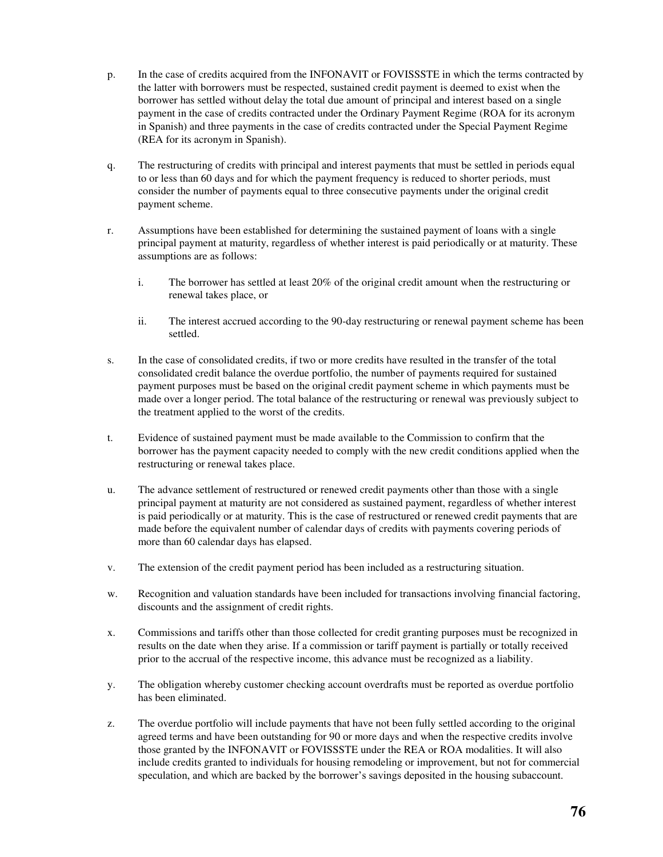- p. In the case of credits acquired from the INFONAVIT or FOVISSSTE in which the terms contracted by the latter with borrowers must be respected, sustained credit payment is deemed to exist when the borrower has settled without delay the total due amount of principal and interest based on a single payment in the case of credits contracted under the Ordinary Payment Regime (ROA for its acronym in Spanish) and three payments in the case of credits contracted under the Special Payment Regime (REA for its acronym in Spanish).
- q. The restructuring of credits with principal and interest payments that must be settled in periods equal to or less than 60 days and for which the payment frequency is reduced to shorter periods, must consider the number of payments equal to three consecutive payments under the original credit payment scheme.
- r. Assumptions have been established for determining the sustained payment of loans with a single principal payment at maturity, regardless of whether interest is paid periodically or at maturity. These assumptions are as follows:
	- i. The borrower has settled at least 20% of the original credit amount when the restructuring or renewal takes place, or
	- ii. The interest accrued according to the 90-day restructuring or renewal payment scheme has been settled.
- s. In the case of consolidated credits, if two or more credits have resulted in the transfer of the total consolidated credit balance the overdue portfolio, the number of payments required for sustained payment purposes must be based on the original credit payment scheme in which payments must be made over a longer period. The total balance of the restructuring or renewal was previously subject to the treatment applied to the worst of the credits.
- t. Evidence of sustained payment must be made available to the Commission to confirm that the borrower has the payment capacity needed to comply with the new credit conditions applied when the restructuring or renewal takes place.
- u. The advance settlement of restructured or renewed credit payments other than those with a single principal payment at maturity are not considered as sustained payment, regardless of whether interest is paid periodically or at maturity. This is the case of restructured or renewed credit payments that are made before the equivalent number of calendar days of credits with payments covering periods of more than 60 calendar days has elapsed.
- v. The extension of the credit payment period has been included as a restructuring situation.
- w. Recognition and valuation standards have been included for transactions involving financial factoring, discounts and the assignment of credit rights.
- x. Commissions and tariffs other than those collected for credit granting purposes must be recognized in results on the date when they arise. If a commission or tariff payment is partially or totally received prior to the accrual of the respective income, this advance must be recognized as a liability.
- y. The obligation whereby customer checking account overdrafts must be reported as overdue portfolio has been eliminated.
- z. The overdue portfolio will include payments that have not been fully settled according to the original agreed terms and have been outstanding for 90 or more days and when the respective credits involve those granted by the INFONAVIT or FOVISSSTE under the REA or ROA modalities. It will also include credits granted to individuals for housing remodeling or improvement, but not for commercial speculation, and which are backed by the borrower's savings deposited in the housing subaccount.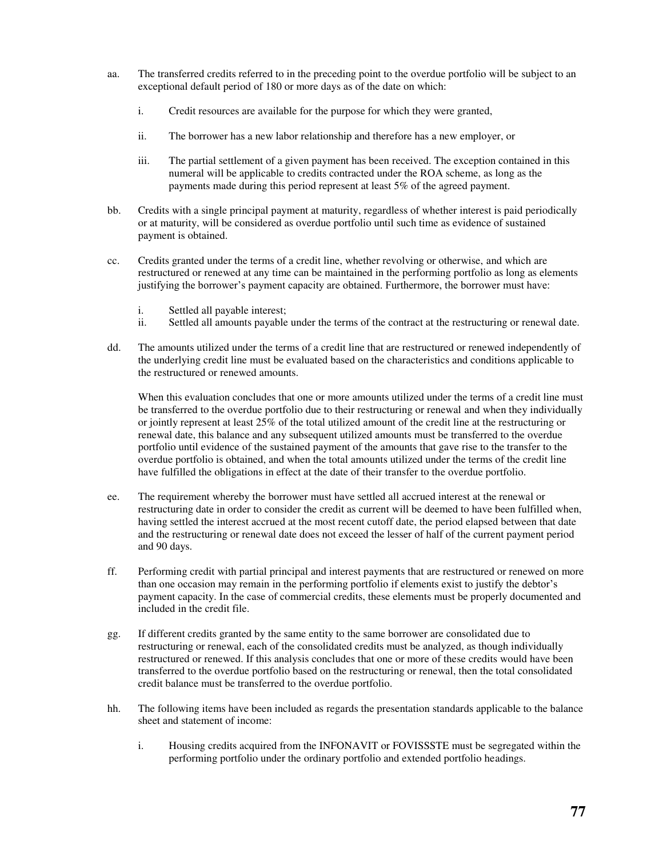- aa. The transferred credits referred to in the preceding point to the overdue portfolio will be subject to an exceptional default period of 180 or more days as of the date on which:
	- i. Credit resources are available for the purpose for which they were granted,
	- ii. The borrower has a new labor relationship and therefore has a new employer, or
	- iii. The partial settlement of a given payment has been received. The exception contained in this numeral will be applicable to credits contracted under the ROA scheme, as long as the payments made during this period represent at least 5% of the agreed payment.
- bb. Credits with a single principal payment at maturity, regardless of whether interest is paid periodically or at maturity, will be considered as overdue portfolio until such time as evidence of sustained payment is obtained.
- cc. Credits granted under the terms of a credit line, whether revolving or otherwise, and which are restructured or renewed at any time can be maintained in the performing portfolio as long as elements justifying the borrower's payment capacity are obtained. Furthermore, the borrower must have:
	- i. Settled all payable interest;<br>ii. Settled all amounts payable
	- Settled all amounts payable under the terms of the contract at the restructuring or renewal date.
- dd. The amounts utilized under the terms of a credit line that are restructured or renewed independently of the underlying credit line must be evaluated based on the characteristics and conditions applicable to the restructured or renewed amounts.

When this evaluation concludes that one or more amounts utilized under the terms of a credit line must be transferred to the overdue portfolio due to their restructuring or renewal and when they individually or jointly represent at least 25% of the total utilized amount of the credit line at the restructuring or renewal date, this balance and any subsequent utilized amounts must be transferred to the overdue portfolio until evidence of the sustained payment of the amounts that gave rise to the transfer to the overdue portfolio is obtained, and when the total amounts utilized under the terms of the credit line have fulfilled the obligations in effect at the date of their transfer to the overdue portfolio.

- ee. The requirement whereby the borrower must have settled all accrued interest at the renewal or restructuring date in order to consider the credit as current will be deemed to have been fulfilled when, having settled the interest accrued at the most recent cutoff date, the period elapsed between that date and the restructuring or renewal date does not exceed the lesser of half of the current payment period and 90 days.
- ff. Performing credit with partial principal and interest payments that are restructured or renewed on more than one occasion may remain in the performing portfolio if elements exist to justify the debtor's payment capacity. In the case of commercial credits, these elements must be properly documented and included in the credit file.
- gg. If different credits granted by the same entity to the same borrower are consolidated due to restructuring or renewal, each of the consolidated credits must be analyzed, as though individually restructured or renewed. If this analysis concludes that one or more of these credits would have been transferred to the overdue portfolio based on the restructuring or renewal, then the total consolidated credit balance must be transferred to the overdue portfolio.
- hh. The following items have been included as regards the presentation standards applicable to the balance sheet and statement of income:
	- i. Housing credits acquired from the INFONAVIT or FOVISSSTE must be segregated within the performing portfolio under the ordinary portfolio and extended portfolio headings.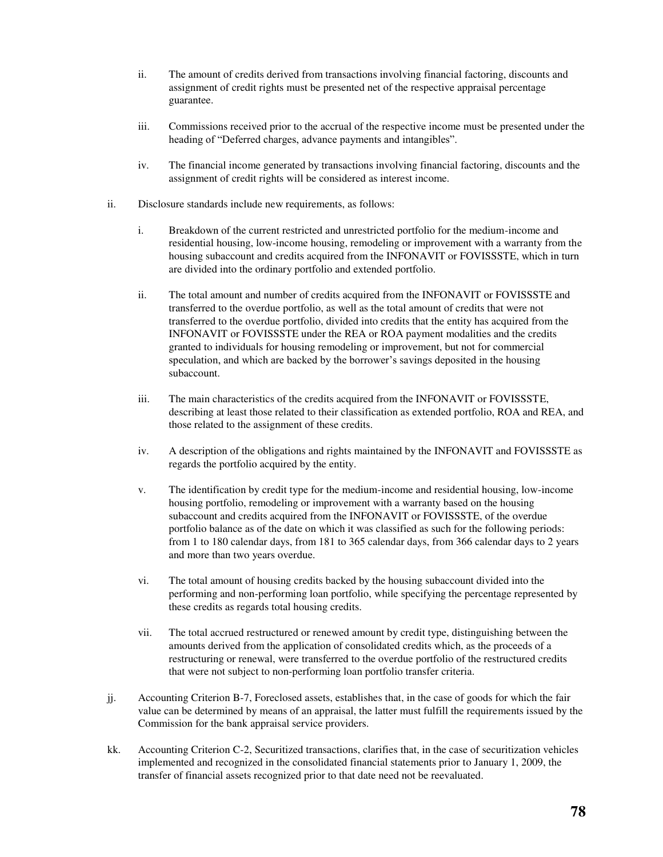- ii. The amount of credits derived from transactions involving financial factoring, discounts and assignment of credit rights must be presented net of the respective appraisal percentage guarantee.
- iii. Commissions received prior to the accrual of the respective income must be presented under the heading of "Deferred charges, advance payments and intangibles".
- iv. The financial income generated by transactions involving financial factoring, discounts and the assignment of credit rights will be considered as interest income.
- ii. Disclosure standards include new requirements, as follows:
	- i. Breakdown of the current restricted and unrestricted portfolio for the medium-income and residential housing, low-income housing, remodeling or improvement with a warranty from the housing subaccount and credits acquired from the INFONAVIT or FOVISSSTE, which in turn are divided into the ordinary portfolio and extended portfolio.
	- ii. The total amount and number of credits acquired from the INFONAVIT or FOVISSSTE and transferred to the overdue portfolio, as well as the total amount of credits that were not transferred to the overdue portfolio, divided into credits that the entity has acquired from the INFONAVIT or FOVISSSTE under the REA or ROA payment modalities and the credits granted to individuals for housing remodeling or improvement, but not for commercial speculation, and which are backed by the borrower's savings deposited in the housing subaccount.
	- iii. The main characteristics of the credits acquired from the INFONAVIT or FOVISSSTE, describing at least those related to their classification as extended portfolio, ROA and REA, and those related to the assignment of these credits.
	- iv. A description of the obligations and rights maintained by the INFONAVIT and FOVISSSTE as regards the portfolio acquired by the entity.
	- v. The identification by credit type for the medium-income and residential housing, low-income housing portfolio, remodeling or improvement with a warranty based on the housing subaccount and credits acquired from the INFONAVIT or FOVISSSTE, of the overdue portfolio balance as of the date on which it was classified as such for the following periods: from 1 to 180 calendar days, from 181 to 365 calendar days, from 366 calendar days to 2 years and more than two years overdue.
	- vi. The total amount of housing credits backed by the housing subaccount divided into the performing and non-performing loan portfolio, while specifying the percentage represented by these credits as regards total housing credits.
	- vii. The total accrued restructured or renewed amount by credit type, distinguishing between the amounts derived from the application of consolidated credits which, as the proceeds of a restructuring or renewal, were transferred to the overdue portfolio of the restructured credits that were not subject to non-performing loan portfolio transfer criteria.
- jj. Accounting Criterion B-7, Foreclosed assets, establishes that, in the case of goods for which the fair value can be determined by means of an appraisal, the latter must fulfill the requirements issued by the Commission for the bank appraisal service providers.
- kk. Accounting Criterion C-2, Securitized transactions, clarifies that, in the case of securitization vehicles implemented and recognized in the consolidated financial statements prior to January 1, 2009, the transfer of financial assets recognized prior to that date need not be reevaluated.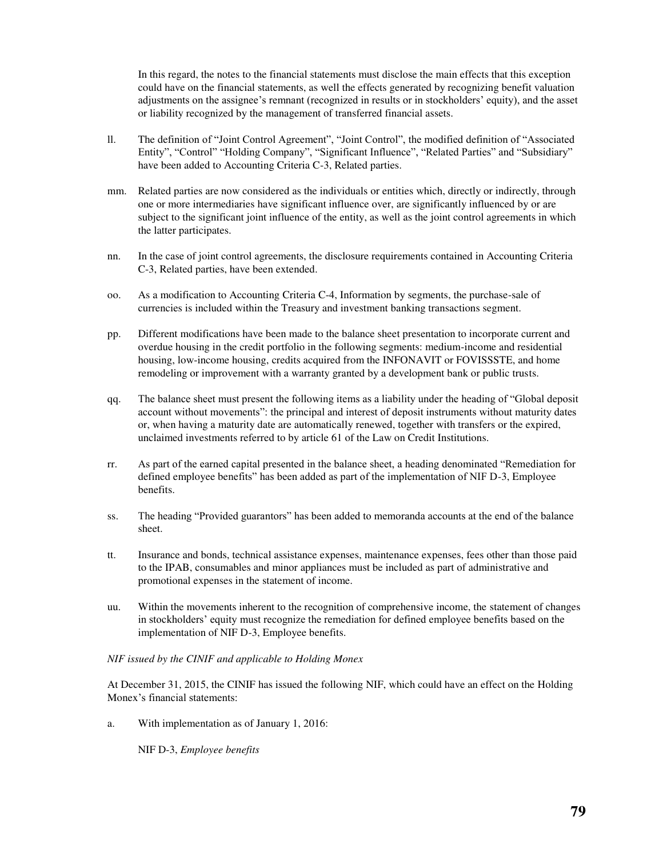In this regard, the notes to the financial statements must disclose the main effects that this exception could have on the financial statements, as well the effects generated by recognizing benefit valuation adjustments on the assignee's remnant (recognized in results or in stockholders' equity), and the asset or liability recognized by the management of transferred financial assets.

- ll. The definition of "Joint Control Agreement", "Joint Control", the modified definition of "Associated Entity", "Control" "Holding Company", "Significant Influence", "Related Parties" and "Subsidiary" have been added to Accounting Criteria C-3, Related parties.
- mm. Related parties are now considered as the individuals or entities which, directly or indirectly, through one or more intermediaries have significant influence over, are significantly influenced by or are subject to the significant joint influence of the entity, as well as the joint control agreements in which the latter participates.
- nn. In the case of joint control agreements, the disclosure requirements contained in Accounting Criteria C-3, Related parties, have been extended.
- oo. As a modification to Accounting Criteria C-4, Information by segments, the purchase-sale of currencies is included within the Treasury and investment banking transactions segment.
- pp. Different modifications have been made to the balance sheet presentation to incorporate current and overdue housing in the credit portfolio in the following segments: medium-income and residential housing, low-income housing, credits acquired from the INFONAVIT or FOVISSSTE, and home remodeling or improvement with a warranty granted by a development bank or public trusts.
- qq. The balance sheet must present the following items as a liability under the heading of "Global deposit account without movements": the principal and interest of deposit instruments without maturity dates or, when having a maturity date are automatically renewed, together with transfers or the expired, unclaimed investments referred to by article 61 of the Law on Credit Institutions.
- rr. As part of the earned capital presented in the balance sheet, a heading denominated "Remediation for defined employee benefits" has been added as part of the implementation of NIF D-3, Employee benefits.
- ss. The heading "Provided guarantors" has been added to memoranda accounts at the end of the balance sheet.
- tt. Insurance and bonds, technical assistance expenses, maintenance expenses, fees other than those paid to the IPAB, consumables and minor appliances must be included as part of administrative and promotional expenses in the statement of income.
- uu. Within the movements inherent to the recognition of comprehensive income, the statement of changes in stockholders' equity must recognize the remediation for defined employee benefits based on the implementation of NIF D-3, Employee benefits.

## *NIF issued by the CINIF and applicable to Holding Monex*

At December 31, 2015, the CINIF has issued the following NIF, which could have an effect on the Holding Monex's financial statements:

a. With implementation as of January 1, 2016:

NIF D-3, *Employee benefits*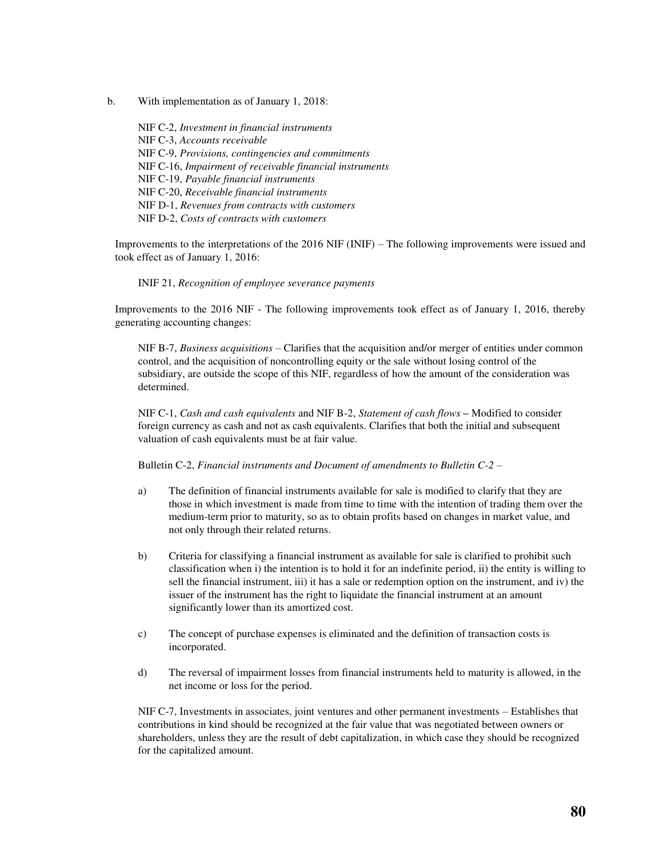b. With implementation as of January 1, 2018:

NIF C-2, *Investment in financial instruments*  NIF C-3, *Accounts receivable*  NIF C-9, *Provisions, contingencies and commitments*  NIF C-16, *Impairment of receivable financial instruments*  NIF C-19, *Payable financial instruments*  NIF C-20, *Receivable financial instruments*  NIF D-1, *Revenues from contracts with customers*  NIF D-2, *Costs of contracts with customers* 

Improvements to the interpretations of the 2016 NIF (INIF) – The following improvements were issued and took effect as of January 1, 2016:

INIF 21, *Recognition of employee severance payments* 

Improvements to the 2016 NIF - The following improvements took effect as of January 1, 2016, thereby generating accounting changes:

NIF B-7, *Business acquisitions* – Clarifies that the acquisition and/or merger of entities under common control, and the acquisition of noncontrolling equity or the sale without losing control of the subsidiary, are outside the scope of this NIF, regardless of how the amount of the consideration was determined.

NIF C-1, *Cash and cash equivalents* and NIF B-2, *Statement of cash flows –* Modified to consider foreign currency as cash and not as cash equivalents. Clarifies that both the initial and subsequent valuation of cash equivalents must be at fair value.

Bulletin C-2, *Financial instruments and Document of amendments to Bulletin C-2 –* 

- a) The definition of financial instruments available for sale is modified to clarify that they are those in which investment is made from time to time with the intention of trading them over the medium-term prior to maturity, so as to obtain profits based on changes in market value, and not only through their related returns.
- b) Criteria for classifying a financial instrument as available for sale is clarified to prohibit such classification when i) the intention is to hold it for an indefinite period, ii) the entity is willing to sell the financial instrument, iii) it has a sale or redemption option on the instrument, and iv) the issuer of the instrument has the right to liquidate the financial instrument at an amount significantly lower than its amortized cost.
- c) The concept of purchase expenses is eliminated and the definition of transaction costs is incorporated.
- d) The reversal of impairment losses from financial instruments held to maturity is allowed, in the net income or loss for the period.

NIF C-7, Investments in associates, joint ventures and other permanent investments – Establishes that contributions in kind should be recognized at the fair value that was negotiated between owners or shareholders, unless they are the result of debt capitalization, in which case they should be recognized for the capitalized amount.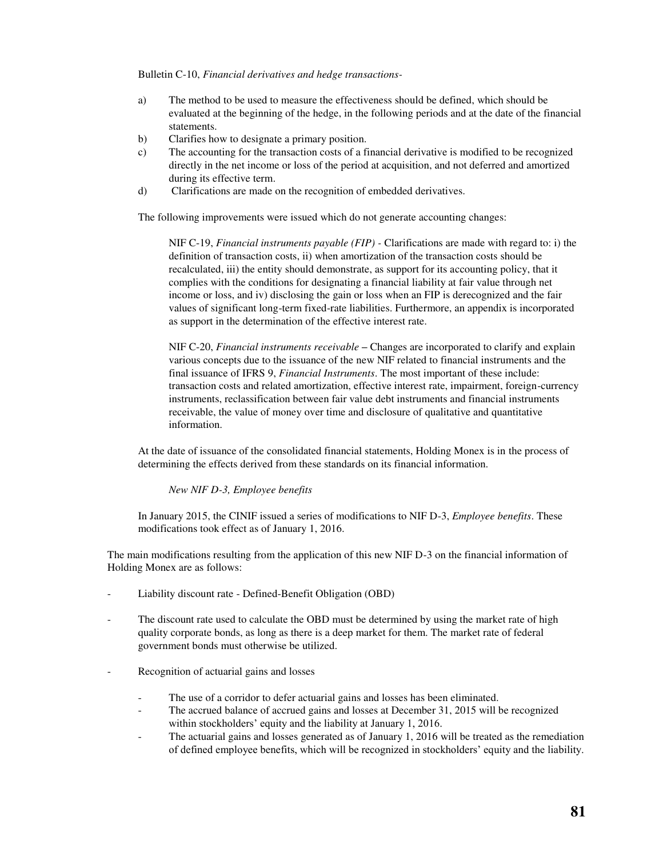Bulletin C-10, *Financial derivatives and hedge transactions-*

- a) The method to be used to measure the effectiveness should be defined, which should be evaluated at the beginning of the hedge, in the following periods and at the date of the financial statements.
- b) Clarifies how to designate a primary position.
- c) The accounting for the transaction costs of a financial derivative is modified to be recognized directly in the net income or loss of the period at acquisition, and not deferred and amortized during its effective term.
- d) Clarifications are made on the recognition of embedded derivatives.

The following improvements were issued which do not generate accounting changes:

NIF C-19, *Financial instruments payable (FIP) -* Clarifications are made with regard to: i) the definition of transaction costs, ii) when amortization of the transaction costs should be recalculated, iii) the entity should demonstrate, as support for its accounting policy, that it complies with the conditions for designating a financial liability at fair value through net income or loss, and iv) disclosing the gain or loss when an FIP is derecognized and the fair values of significant long-term fixed-rate liabilities. Furthermore, an appendix is incorporated as support in the determination of the effective interest rate.

NIF C-20, *Financial instruments receivable –* Changes are incorporated to clarify and explain various concepts due to the issuance of the new NIF related to financial instruments and the final issuance of IFRS 9, *Financial Instruments*. The most important of these include: transaction costs and related amortization, effective interest rate, impairment, foreign-currency instruments, reclassification between fair value debt instruments and financial instruments receivable, the value of money over time and disclosure of qualitative and quantitative information.

At the date of issuance of the consolidated financial statements, Holding Monex is in the process of determining the effects derived from these standards on its financial information.

*New NIF D-3, Employee benefits* 

In January 2015, the CINIF issued a series of modifications to NIF D-3, *Employee benefits*. These modifications took effect as of January 1, 2016.

The main modifications resulting from the application of this new NIF D-3 on the financial information of Holding Monex are as follows:

- Liability discount rate Defined-Benefit Obligation (OBD)
- The discount rate used to calculate the OBD must be determined by using the market rate of high quality corporate bonds, as long as there is a deep market for them. The market rate of federal government bonds must otherwise be utilized.
- Recognition of actuarial gains and losses
	- The use of a corridor to defer actuarial gains and losses has been eliminated.
	- The accrued balance of accrued gains and losses at December 31, 2015 will be recognized within stockholders' equity and the liability at January 1, 2016.
	- The actuarial gains and losses generated as of January 1, 2016 will be treated as the remediation of defined employee benefits, which will be recognized in stockholders' equity and the liability.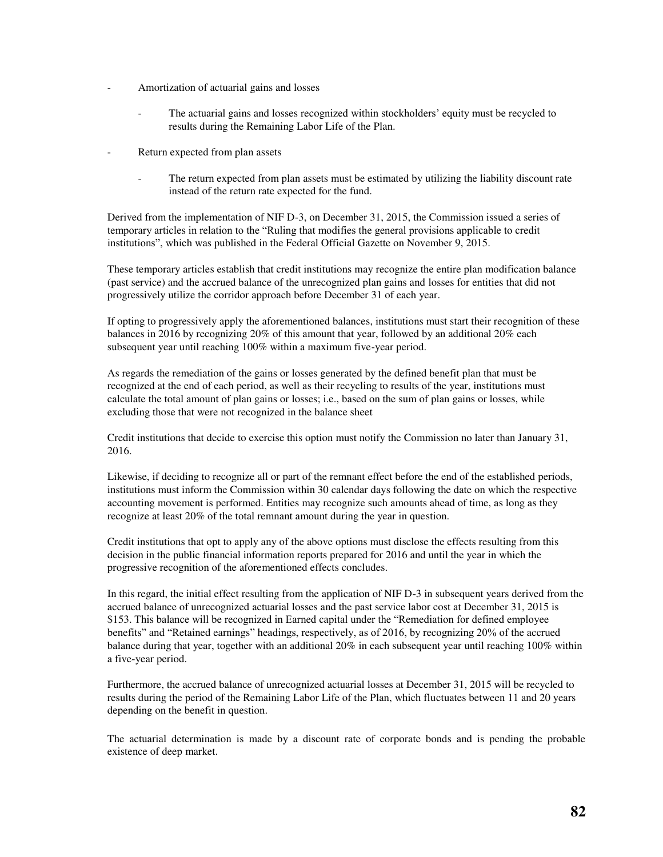- Amortization of actuarial gains and losses
	- The actuarial gains and losses recognized within stockholders' equity must be recycled to results during the Remaining Labor Life of the Plan.
- Return expected from plan assets
	- The return expected from plan assets must be estimated by utilizing the liability discount rate instead of the return rate expected for the fund.

Derived from the implementation of NIF D-3, on December 31, 2015, the Commission issued a series of temporary articles in relation to the "Ruling that modifies the general provisions applicable to credit institutions", which was published in the Federal Official Gazette on November 9, 2015.

These temporary articles establish that credit institutions may recognize the entire plan modification balance (past service) and the accrued balance of the unrecognized plan gains and losses for entities that did not progressively utilize the corridor approach before December 31 of each year.

If opting to progressively apply the aforementioned balances, institutions must start their recognition of these balances in 2016 by recognizing 20% of this amount that year, followed by an additional 20% each subsequent year until reaching 100% within a maximum five-year period.

As regards the remediation of the gains or losses generated by the defined benefit plan that must be recognized at the end of each period, as well as their recycling to results of the year, institutions must calculate the total amount of plan gains or losses; i.e., based on the sum of plan gains or losses, while excluding those that were not recognized in the balance sheet

Credit institutions that decide to exercise this option must notify the Commission no later than January 31, 2016.

Likewise, if deciding to recognize all or part of the remnant effect before the end of the established periods, institutions must inform the Commission within 30 calendar days following the date on which the respective accounting movement is performed. Entities may recognize such amounts ahead of time, as long as they recognize at least 20% of the total remnant amount during the year in question.

Credit institutions that opt to apply any of the above options must disclose the effects resulting from this decision in the public financial information reports prepared for 2016 and until the year in which the progressive recognition of the aforementioned effects concludes.

In this regard, the initial effect resulting from the application of NIF D-3 in subsequent years derived from the accrued balance of unrecognized actuarial losses and the past service labor cost at December 31, 2015 is \$153. This balance will be recognized in Earned capital under the "Remediation for defined employee benefits" and "Retained earnings" headings, respectively, as of 2016, by recognizing 20% of the accrued balance during that year, together with an additional 20% in each subsequent year until reaching 100% within a five-year period.

Furthermore, the accrued balance of unrecognized actuarial losses at December 31, 2015 will be recycled to results during the period of the Remaining Labor Life of the Plan, which fluctuates between 11 and 20 years depending on the benefit in question.

The actuarial determination is made by a discount rate of corporate bonds and is pending the probable existence of deep market.